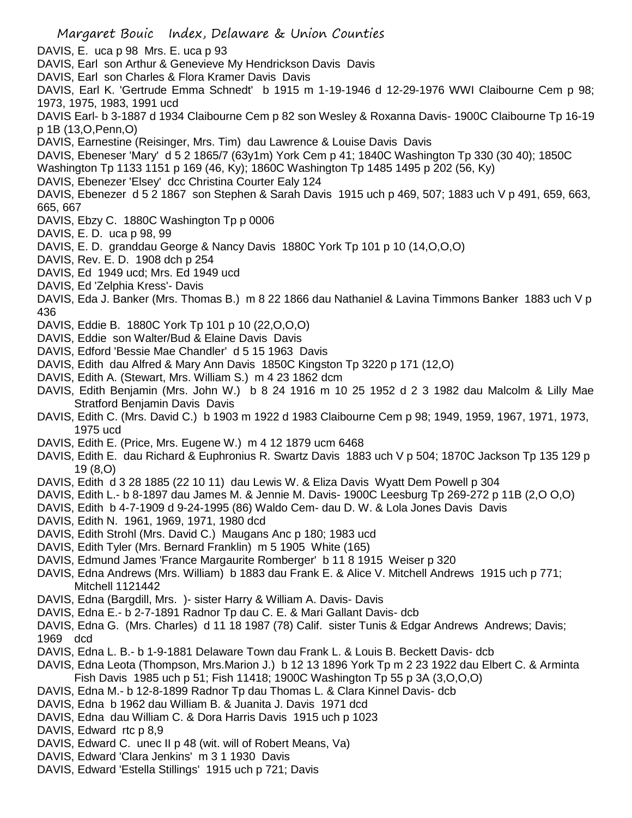Margaret Bouic Index, Delaware & Union Counties DAVIS, E. uca p 98 Mrs. E. uca p 93 DAVIS, Earl son Arthur & Genevieve My Hendrickson Davis Davis DAVIS, Earl son Charles & Flora Kramer Davis Davis DAVIS, Earl K. 'Gertrude Emma Schnedt' b 1915 m 1-19-1946 d 12-29-1976 WWI Claibourne Cem p 98; 1973, 1975, 1983, 1991 ucd DAVIS Earl- b 3-1887 d 1934 Claibourne Cem p 82 son Wesley & Roxanna Davis- 1900C Claibourne Tp 16-19 p 1B (13,O,Penn,O) DAVIS, Earnestine (Reisinger, Mrs. Tim) dau Lawrence & Louise Davis Davis DAVIS, Ebeneser 'Mary' d 5 2 1865/7 (63y1m) York Cem p 41; 1840C Washington Tp 330 (30 40); 1850C Washington Tp 1133 1151 p 169 (46, Ky); 1860C Washington Tp 1485 1495 p 202 (56, Ky) DAVIS, Ebenezer 'Elsey' dcc Christina Courter Ealy 124 DAVIS, Ebenezer d 5 2 1867 son Stephen & Sarah Davis 1915 uch p 469, 507; 1883 uch V p 491, 659, 663, 665, 667 DAVIS, Ebzy C. 1880C Washington Tp p 0006 DAVIS, E. D. uca p 98, 99 DAVIS, E. D. granddau George & Nancy Davis 1880C York Tp 101 p 10 (14,O,O,O) DAVIS, Rev. E. D. 1908 dch p 254 DAVIS, Ed 1949 ucd; Mrs. Ed 1949 ucd DAVIS, Ed 'Zelphia Kress'- Davis DAVIS, Eda J. Banker (Mrs. Thomas B.) m 8 22 1866 dau Nathaniel & Lavina Timmons Banker 1883 uch V p 436 DAVIS, Eddie B. 1880C York Tp 101 p 10 (22,O,O,O) DAVIS, Eddie son Walter/Bud & Elaine Davis Davis DAVIS, Edford 'Bessie Mae Chandler' d 5 15 1963 Davis DAVIS, Edith dau Alfred & Mary Ann Davis 1850C Kingston Tp 3220 p 171 (12,O) DAVIS, Edith A. (Stewart, Mrs. William S.) m 4 23 1862 dcm DAVIS, Edith Benjamin (Mrs. John W.) b 8 24 1916 m 10 25 1952 d 2 3 1982 dau Malcolm & Lilly Mae Stratford Benjamin Davis Davis DAVIS, Edith C. (Mrs. David C.) b 1903 m 1922 d 1983 Claibourne Cem p 98; 1949, 1959, 1967, 1971, 1973, 1975 ucd DAVIS, Edith E. (Price, Mrs. Eugene W.) m 4 12 1879 ucm 6468 DAVIS, Edith E. dau Richard & Euphronius R. Swartz Davis 1883 uch V p 504; 1870C Jackson Tp 135 129 p 19 (8,O) DAVIS, Edith d 3 28 1885 (22 10 11) dau Lewis W. & Eliza Davis Wyatt Dem Powell p 304 DAVIS, Edith L.- b 8-1897 dau James M. & Jennie M. Davis- 1900C Leesburg Tp 269-272 p 11B (2,O O,O) DAVIS, Edith b 4-7-1909 d 9-24-1995 (86) Waldo Cem- dau D. W. & Lola Jones Davis Davis DAVIS, Edith N. 1961, 1969, 1971, 1980 dcd DAVIS, Edith Strohl (Mrs. David C.) Maugans Anc p 180; 1983 ucd DAVIS, Edith Tyler (Mrs. Bernard Franklin) m 5 1905 White (165) DAVIS, Edmund James 'France Margaurite Romberger' b 11 8 1915 Weiser p 320 DAVIS, Edna Andrews (Mrs. William) b 1883 dau Frank E. & Alice V. Mitchell Andrews 1915 uch p 771; Mitchell 1121442 DAVIS, Edna (Bargdill, Mrs. )- sister Harry & William A. Davis- Davis DAVIS, Edna E.- b 2-7-1891 Radnor Tp dau C. E. & Mari Gallant Davis- dcb DAVIS, Edna G. (Mrs. Charles) d 11 18 1987 (78) Calif. sister Tunis & Edgar Andrews Andrews; Davis; 1969 dcd DAVIS, Edna L. B.- b 1-9-1881 Delaware Town dau Frank L. & Louis B. Beckett Davis- dcb DAVIS, Edna Leota (Thompson, Mrs.Marion J.) b 12 13 1896 York Tp m 2 23 1922 dau Elbert C. & Arminta Fish Davis 1985 uch p 51; Fish 11418; 1900C Washington Tp 55 p 3A (3,O,O,O) DAVIS, Edna M.- b 12-8-1899 Radnor Tp dau Thomas L. & Clara Kinnel Davis- dcb DAVIS, Edna b 1962 dau William B. & Juanita J. Davis 1971 dcd DAVIS, Edna dau William C. & Dora Harris Davis 1915 uch p 1023 DAVIS, Edward rtc p 8.9 DAVIS, Edward C. unec II p 48 (wit. will of Robert Means, Va) DAVIS, Edward 'Clara Jenkins' m 3 1 1930 Davis DAVIS, Edward 'Estella Stillings' 1915 uch p 721; Davis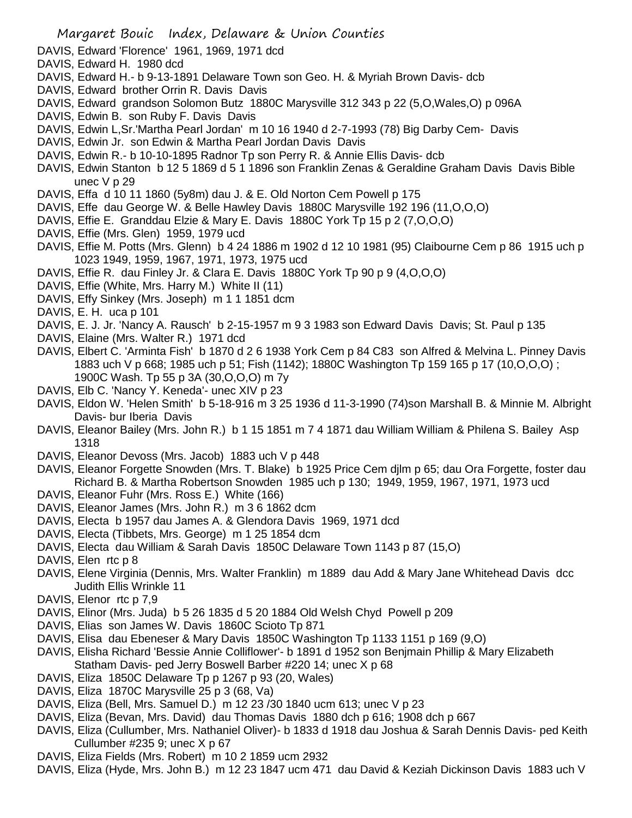- DAVIS, Edward 'Florence' 1961, 1969, 1971 dcd
- DAVIS, Edward H. 1980 dcd
- DAVIS, Edward H.- b 9-13-1891 Delaware Town son Geo. H. & Myriah Brown Davis- dcb
- DAVIS, Edward brother Orrin R. Davis Davis
- DAVIS, Edward grandson Solomon Butz 1880C Marysville 312 343 p 22 (5,O,Wales,O) p 096A
- DAVIS, Edwin B. son Ruby F. Davis Davis
- DAVIS, Edwin L,Sr.'Martha Pearl Jordan' m 10 16 1940 d 2-7-1993 (78) Big Darby Cem- Davis
- DAVIS, Edwin Jr. son Edwin & Martha Pearl Jordan Davis Davis
- DAVIS, Edwin R.- b 10-10-1895 Radnor Tp son Perry R. & Annie Ellis Davis- dcb
- DAVIS, Edwin Stanton b 12 5 1869 d 5 1 1896 son Franklin Zenas & Geraldine Graham Davis Davis Bible unec V p 29
- DAVIS, Effa d 10 11 1860 (5y8m) dau J. & E. Old Norton Cem Powell p 175
- DAVIS, Effe dau George W. & Belle Hawley Davis 1880C Marysville 192 196 (11,O,O,O)
- DAVIS, Effie E. Granddau Elzie & Mary E. Davis 1880C York Tp 15 p 2 (7,O,O,O)
- DAVIS, Effie (Mrs. Glen) 1959, 1979 ucd
- DAVIS, Effie M. Potts (Mrs. Glenn) b 4 24 1886 m 1902 d 12 10 1981 (95) Claibourne Cem p 86 1915 uch p 1023 1949, 1959, 1967, 1971, 1973, 1975 ucd
- DAVIS, Effie R. dau Finley Jr. & Clara E. Davis 1880C York Tp 90 p 9 (4,O,O,O)
- DAVIS, Effie (White, Mrs. Harry M.) White II (11)
- DAVIS, Effy Sinkey (Mrs. Joseph) m 1 1 1851 dcm
- DAVIS, E. H. uca p 101
- DAVIS, E. J. Jr. 'Nancy A. Rausch' b 2-15-1957 m 9 3 1983 son Edward Davis Davis; St. Paul p 135
- DAVIS, Elaine (Mrs. Walter R.) 1971 dcd
- DAVIS, Elbert C. 'Arminta Fish' b 1870 d 2 6 1938 York Cem p 84 C83 son Alfred & Melvina L. Pinney Davis 1883 uch V p 668; 1985 uch p 51; Fish (1142); 1880C Washington Tp 159 165 p 17 (10,O,O,O) ; 1900C Wash. Tp 55 p 3A (30,O,O,O) m 7y
- DAVIS, Elb C. 'Nancy Y. Keneda'- unec XIV p 23
- DAVIS, Eldon W. 'Helen Smith' b 5-18-916 m 3 25 1936 d 11-3-1990 (74)son Marshall B. & Minnie M. Albright Davis- bur Iberia Davis
- DAVIS, Eleanor Bailey (Mrs. John R.) b 1 15 1851 m 7 4 1871 dau William William & Philena S. Bailey Asp 1318
- DAVIS, Eleanor Devoss (Mrs. Jacob) 1883 uch V p 448
- DAVIS, Eleanor Forgette Snowden (Mrs. T. Blake) b 1925 Price Cem djlm p 65; dau Ora Forgette, foster dau Richard B. & Martha Robertson Snowden 1985 uch p 130; 1949, 1959, 1967, 1971, 1973 ucd
- DAVIS, Eleanor Fuhr (Mrs. Ross E.) White (166)
- DAVIS, Eleanor James (Mrs. John R.) m 3 6 1862 dcm
- DAVIS, Electa b 1957 dau James A. & Glendora Davis 1969, 1971 dcd
- DAVIS, Electa (Tibbets, Mrs. George) m 1 25 1854 dcm
- DAVIS, Electa dau William & Sarah Davis 1850C Delaware Town 1143 p 87 (15,O)
- DAVIS, Elen rtc p 8
- DAVIS, Elene Virginia (Dennis, Mrs. Walter Franklin) m 1889 dau Add & Mary Jane Whitehead Davis dcc Judith Ellis Wrinkle 11
- DAVIS, Elenor rtc p 7.9
- DAVIS, Elinor (Mrs. Juda) b 5 26 1835 d 5 20 1884 Old Welsh Chyd Powell p 209
- DAVIS, Elias son James W. Davis 1860C Scioto Tp 871
- DAVIS, Elisa dau Ebeneser & Mary Davis 1850C Washington Tp 1133 1151 p 169 (9,O)
- DAVIS, Elisha Richard 'Bessie Annie Colliflower'- b 1891 d 1952 son Benjmain Phillip & Mary Elizabeth Statham Davis- ped Jerry Boswell Barber #220 14; unec X p 68
- DAVIS, Eliza 1850C Delaware Tp p 1267 p 93 (20, Wales)
- DAVIS, Eliza 1870C Marysville 25 p 3 (68, Va)
- DAVIS, Eliza (Bell, Mrs. Samuel D.) m 12 23 /30 1840 ucm 613; unec V p 23
- DAVIS, Eliza (Bevan, Mrs. David) dau Thomas Davis 1880 dch p 616; 1908 dch p 667
- DAVIS, Eliza (Cullumber, Mrs. Nathaniel Oliver)- b 1833 d 1918 dau Joshua & Sarah Dennis Davis- ped Keith Cullumber #235 9; unec X p 67
- DAVIS, Eliza Fields (Mrs. Robert) m 10 2 1859 ucm 2932
- DAVIS, Eliza (Hyde, Mrs. John B.) m 12 23 1847 ucm 471 dau David & Keziah Dickinson Davis 1883 uch V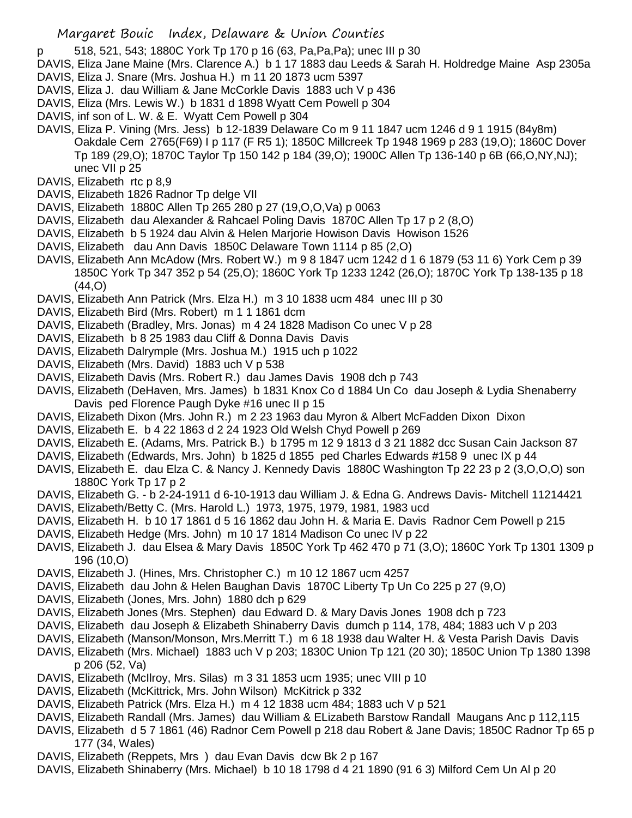- p 518, 521, 543; 1880C York Tp 170 p 16 (63, Pa,Pa,Pa); unec III p 30
- DAVIS, Eliza Jane Maine (Mrs. Clarence A.) b 1 17 1883 dau Leeds & Sarah H. Holdredge Maine Asp 2305a
- DAVIS, Eliza J. Snare (Mrs. Joshua H.) m 11 20 1873 ucm 5397
- DAVIS, Eliza J. dau William & Jane McCorkle Davis 1883 uch V p 436
- DAVIS, Eliza (Mrs. Lewis W.) b 1831 d 1898 Wyatt Cem Powell p 304
- DAVIS, inf son of L. W. & E. Wyatt Cem Powell p 304
- DAVIS, Eliza P. Vining (Mrs. Jess) b 12-1839 Delaware Co m 9 11 1847 ucm 1246 d 9 1 1915 (84y8m) Oakdale Cem 2765(F69) I p 117 (F R5 1); 1850C Millcreek Tp 1948 1969 p 283 (19,O); 1860C Dover Tp 189 (29,O); 1870C Taylor Tp 150 142 p 184 (39,O); 1900C Allen Tp 136-140 p 6B (66,O,NY,NJ); unec VII p 25
- DAVIS, Elizabeth rtc p 8,9
- DAVIS, Elizabeth 1826 Radnor Tp delge VII
- DAVIS, Elizabeth 1880C Allen Tp 265 280 p 27 (19,O,O,Va) p 0063
- DAVIS, Elizabeth dau Alexander & Rahcael Poling Davis 1870C Allen Tp 17 p 2 (8,O)
- DAVIS, Elizabeth b 5 1924 dau Alvin & Helen Marjorie Howison Davis Howison 1526
- DAVIS, Elizabeth dau Ann Davis 1850C Delaware Town 1114 p 85 (2,O)
- DAVIS, Elizabeth Ann McAdow (Mrs. Robert W.) m 9 8 1847 ucm 1242 d 1 6 1879 (53 11 6) York Cem p 39 1850C York Tp 347 352 p 54 (25,O); 1860C York Tp 1233 1242 (26,O); 1870C York Tp 138-135 p 18  $(44.0)$
- DAVIS, Elizabeth Ann Patrick (Mrs. Elza H.) m 3 10 1838 ucm 484 unec III p 30
- DAVIS, Elizabeth Bird (Mrs. Robert) m 1 1 1861 dcm
- DAVIS, Elizabeth (Bradley, Mrs. Jonas) m 4 24 1828 Madison Co unec V p 28
- DAVIS, Elizabeth b 8 25 1983 dau Cliff & Donna Davis Davis
- DAVIS, Elizabeth Dalrymple (Mrs. Joshua M.) 1915 uch p 1022
- DAVIS, Elizabeth (Mrs. David) 1883 uch V p 538
- DAVIS, Elizabeth Davis (Mrs. Robert R.) dau James Davis 1908 dch p 743
- DAVIS, Elizabeth (DeHaven, Mrs. James) b 1831 Knox Co d 1884 Un Co dau Joseph & Lydia Shenaberry Davis ped Florence Paugh Dyke #16 unec II p 15
- DAVIS, Elizabeth Dixon (Mrs. John R.) m 2 23 1963 dau Myron & Albert McFadden Dixon Dixon
- DAVIS, Elizabeth E. b 4 22 1863 d 2 24 1923 Old Welsh Chyd Powell p 269
- DAVIS, Elizabeth E. (Adams, Mrs. Patrick B.) b 1795 m 12 9 1813 d 3 21 1882 dcc Susan Cain Jackson 87
- DAVIS, Elizabeth (Edwards, Mrs. John) b 1825 d 1855 ped Charles Edwards #158 9 unec IX p 44
- DAVIS, Elizabeth E. dau Elza C. & Nancy J. Kennedy Davis 1880C Washington Tp 22 23 p 2 (3,O,O,O) son 1880C York Tp 17 p 2
- DAVIS, Elizabeth G. b 2-24-1911 d 6-10-1913 dau William J. & Edna G. Andrews Davis- Mitchell 11214421
- DAVIS, Elizabeth/Betty C. (Mrs. Harold L.) 1973, 1975, 1979, 1981, 1983 ucd
- DAVIS, Elizabeth H. b 10 17 1861 d 5 16 1862 dau John H. & Maria E. Davis Radnor Cem Powell p 215
- DAVIS, Elizabeth Hedge (Mrs. John) m 10 17 1814 Madison Co unec IV p 22
- DAVIS, Elizabeth J. dau Elsea & Mary Davis 1850C York Tp 462 470 p 71 (3,O); 1860C York Tp 1301 1309 p 196 (10,O)
- DAVIS, Elizabeth J. (Hines, Mrs. Christopher C.) m 10 12 1867 ucm 4257
- DAVIS, Elizabeth dau John & Helen Baughan Davis 1870C Liberty Tp Un Co 225 p 27 (9,O)
- DAVIS, Elizabeth (Jones, Mrs. John) 1880 dch p 629
- DAVIS, Elizabeth Jones (Mrs. Stephen) dau Edward D. & Mary Davis Jones 1908 dch p 723
- DAVIS, Elizabeth dau Joseph & Elizabeth Shinaberry Davis dumch p 114, 178, 484; 1883 uch V p 203
- DAVIS, Elizabeth (Manson/Monson, Mrs.Merritt T.) m 6 18 1938 dau Walter H. & Vesta Parish Davis Davis
- DAVIS, Elizabeth (Mrs. Michael) 1883 uch V p 203; 1830C Union Tp 121 (20 30); 1850C Union Tp 1380 1398 p 206 (52, Va)
- DAVIS, Elizabeth (McIlroy, Mrs. Silas) m 3 31 1853 ucm 1935; unec VIII p 10
- DAVIS, Elizabeth (McKittrick, Mrs. John Wilson) McKitrick p 332
- DAVIS, Elizabeth Patrick (Mrs. Elza H.) m 4 12 1838 ucm 484; 1883 uch V p 521
- DAVIS, Elizabeth Randall (Mrs. James) dau William & ELizabeth Barstow Randall Maugans Anc p 112,115
- DAVIS, Elizabeth d 5 7 1861 (46) Radnor Cem Powell p 218 dau Robert & Jane Davis; 1850C Radnor Tp 65 p 177 (34, Wales)
- DAVIS, Elizabeth (Reppets, Mrs ) dau Evan Davis dcw Bk 2 p 167
- DAVIS, Elizabeth Shinaberry (Mrs. Michael) b 10 18 1798 d 4 21 1890 (91 6 3) Milford Cem Un Al p 20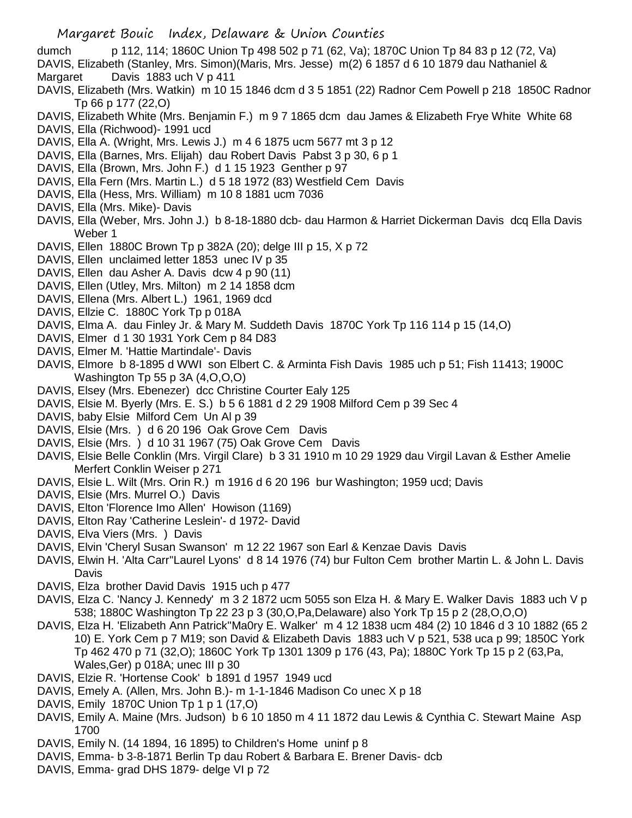- dumch p 112, 114; 1860C Union Tp 498 502 p 71 (62, Va); 1870C Union Tp 84 83 p 12 (72, Va)
- DAVIS, Elizabeth (Stanley, Mrs. Simon)(Maris, Mrs. Jesse) m(2) 6 1857 d 6 10 1879 dau Nathaniel & Margaret Davis 1883 uch V p 411
- DAVIS, Elizabeth (Mrs. Watkin) m 10 15 1846 dcm d 3 5 1851 (22) Radnor Cem Powell p 218 1850C Radnor Tp 66 p 177 (22,O)
- DAVIS, Elizabeth White (Mrs. Benjamin F.) m 9 7 1865 dcm dau James & Elizabeth Frye White White 68 DAVIS, Ella (Richwood)- 1991 ucd
- DAVIS, Ella A. (Wright, Mrs. Lewis J.) m 4 6 1875 ucm 5677 mt 3 p 12
- DAVIS, Ella (Barnes, Mrs. Elijah) dau Robert Davis Pabst 3 p 30, 6 p 1
- DAVIS, Ella (Brown, Mrs. John F.) d 1 15 1923 Genther p 97
- DAVIS, Ella Fern (Mrs. Martin L.) d 5 18 1972 (83) Westfield Cem Davis
- DAVIS, Ella (Hess, Mrs. William) m 10 8 1881 ucm 7036
- DAVIS, Ella (Mrs. Mike)- Davis
- DAVIS, Ella (Weber, Mrs. John J.) b 8-18-1880 dcb- dau Harmon & Harriet Dickerman Davis dcq Ella Davis Weber 1
- DAVIS, Ellen 1880C Brown Tp p 382A (20); delge III p 15, X p 72
- DAVIS, Ellen unclaimed letter 1853 unec IV p 35
- DAVIS, Ellen dau Asher A. Davis dcw 4 p 90 (11)
- DAVIS, Ellen (Utley, Mrs. Milton) m 2 14 1858 dcm
- DAVIS, Ellena (Mrs. Albert L.) 1961, 1969 dcd
- DAVIS, Ellzie C. 1880C York Tp p 018A
- DAVIS, Elma A. dau Finley Jr. & Mary M. Suddeth Davis 1870C York Tp 116 114 p 15 (14,O)
- DAVIS, Elmer d 1 30 1931 York Cem p 84 D83
- DAVIS, Elmer M. 'Hattie Martindale'- Davis
- DAVIS, Elmore b 8-1895 d WWI son Elbert C. & Arminta Fish Davis 1985 uch p 51; Fish 11413; 1900C Washington Tp 55 p 3A (4,O,O,O)
- DAVIS, Elsey (Mrs. Ebenezer) dcc Christine Courter Ealy 125
- DAVIS, Elsie M. Byerly (Mrs. E. S.) b 5 6 1881 d 2 29 1908 Milford Cem p 39 Sec 4
- DAVIS, baby Elsie Milford Cem Un Al p 39
- DAVIS, Elsie (Mrs. ) d 6 20 196 Oak Grove Cem Davis
- DAVIS, Elsie (Mrs. ) d 10 31 1967 (75) Oak Grove Cem Davis
- DAVIS, Elsie Belle Conklin (Mrs. Virgil Clare) b 3 31 1910 m 10 29 1929 dau Virgil Lavan & Esther Amelie Merfert Conklin Weiser p 271
- DAVIS, Elsie L. Wilt (Mrs. Orin R.) m 1916 d 6 20 196 bur Washington; 1959 ucd; Davis
- DAVIS, Elsie (Mrs. Murrel O.) Davis
- DAVIS, Elton 'Florence Imo Allen' Howison (1169)
- DAVIS, Elton Ray 'Catherine Leslein'- d 1972- David
- DAVIS, Elva Viers (Mrs. ) Davis
- DAVIS, Elvin 'Cheryl Susan Swanson' m 12 22 1967 son Earl & Kenzae Davis Davis
- DAVIS, Elwin H. 'Alta Carr''Laurel Lyons' d 8 14 1976 (74) bur Fulton Cem brother Martin L. & John L. Davis **Davis**
- DAVIS, Elza brother David Davis 1915 uch p 477
- DAVIS, Elza C. 'Nancy J. Kennedy' m 3 2 1872 ucm 5055 son Elza H. & Mary E. Walker Davis 1883 uch V p 538; 1880C Washington Tp 22 23 p 3 (30,O,Pa,Delaware) also York Tp 15 p 2 (28,O,O,O)
- DAVIS, Elza H. 'Elizabeth Ann Patrick''Ma0ry E. Walker' m 4 12 1838 ucm 484 (2) 10 1846 d 3 10 1882 (65 2 10) E. York Cem p 7 M19; son David & Elizabeth Davis 1883 uch V p 521, 538 uca p 99; 1850C York Tp 462 470 p 71 (32,O); 1860C York Tp 1301 1309 p 176 (43, Pa); 1880C York Tp 15 p 2 (63,Pa, Wales,Ger) p 018A; unec III p 30
- DAVIS, Elzie R. 'Hortense Cook' b 1891 d 1957 1949 ucd
- DAVIS, Emely A. (Allen, Mrs. John B.)- m 1-1-1846 Madison Co unec X p 18
- DAVIS, Emily 1870C Union Tp 1 p 1 (17,O)
- DAVIS, Emily A. Maine (Mrs. Judson) b 6 10 1850 m 4 11 1872 dau Lewis & Cynthia C. Stewart Maine Asp 1700
- DAVIS, Emily N. (14 1894, 16 1895) to Children's Home uninf p 8
- DAVIS, Emma- b 3-8-1871 Berlin Tp dau Robert & Barbara E. Brener Davis- dcb
- DAVIS, Emma- grad DHS 1879- delge VI p 72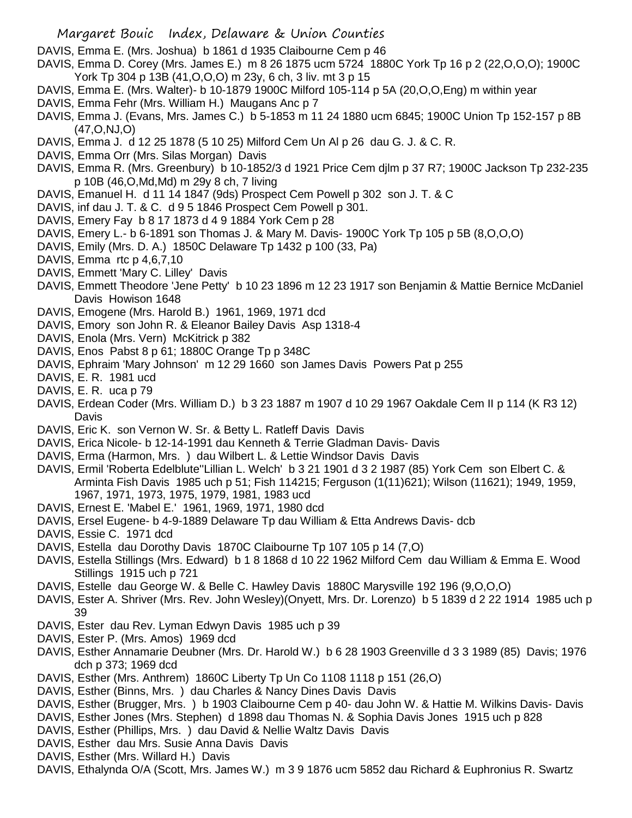DAVIS, Emma E. (Mrs. Joshua) b 1861 d 1935 Claibourne Cem p 46

- DAVIS, Emma D. Corey (Mrs. James E.) m 8 26 1875 ucm 5724 1880C York Tp 16 p 2 (22,O,O,O); 1900C York Tp 304 p 13B (41,O,O,O) m 23y, 6 ch, 3 liv. mt 3 p 15
- DAVIS, Emma E. (Mrs. Walter)- b 10-1879 1900C Milford 105-114 p 5A (20,O,O,Eng) m within year
- DAVIS, Emma Fehr (Mrs. William H.) Maugans Anc p 7
- DAVIS, Emma J. (Evans, Mrs. James C.) b 5-1853 m 11 24 1880 ucm 6845; 1900C Union Tp 152-157 p 8B (47,O,NJ,O)
- DAVIS, Emma J. d 12 25 1878 (5 10 25) Milford Cem Un Al p 26 dau G. J. & C. R.
- DAVIS, Emma Orr (Mrs. Silas Morgan) Davis
- DAVIS, Emma R. (Mrs. Greenbury) b 10-1852/3 d 1921 Price Cem djlm p 37 R7; 1900C Jackson Tp 232-235 p 10B (46,O,Md,Md) m 29y 8 ch, 7 living
- DAVIS, Emanuel H. d 11 14 1847 (9ds) Prospect Cem Powell p 302 son J. T. & C
- DAVIS, inf dau J. T. & C. d 9 5 1846 Prospect Cem Powell p 301.
- DAVIS, Emery Fay b 8 17 1873 d 4 9 1884 York Cem p 28
- DAVIS, Emery L.- b 6-1891 son Thomas J. & Mary M. Davis- 1900C York Tp 105 p 5B (8,O,O,O)
- DAVIS, Emily (Mrs. D. A.) 1850C Delaware Tp 1432 p 100 (33, Pa)
- DAVIS, Emma rtc p 4,6,7,10
- DAVIS, Emmett 'Mary C. Lilley' Davis
- DAVIS, Emmett Theodore 'Jene Petty' b 10 23 1896 m 12 23 1917 son Benjamin & Mattie Bernice McDaniel Davis Howison 1648
- DAVIS, Emogene (Mrs. Harold B.) 1961, 1969, 1971 dcd
- DAVIS, Emory son John R. & Eleanor Bailey Davis Asp 1318-4
- DAVIS, Enola (Mrs. Vern) McKitrick p 382
- DAVIS, Enos Pabst 8 p 61; 1880C Orange Tp p 348C
- DAVIS, Ephraim 'Mary Johnson' m 12 29 1660 son James Davis Powers Pat p 255
- DAVIS, E. R. 1981 ucd
- DAVIS, E. R. uca p 79
- DAVIS, Erdean Coder (Mrs. William D.) b 3 23 1887 m 1907 d 10 29 1967 Oakdale Cem II p 114 (K R3 12) **Davis**
- DAVIS, Eric K. son Vernon W. Sr. & Betty L. Ratleff Davis Davis
- DAVIS, Erica Nicole- b 12-14-1991 dau Kenneth & Terrie Gladman Davis- Davis
- DAVIS, Erma (Harmon, Mrs. ) dau Wilbert L. & Lettie Windsor Davis Davis
- DAVIS, Ermil 'Roberta Edelblute''Lillian L. Welch' b 3 21 1901 d 3 2 1987 (85) York Cem son Elbert C. & Arminta Fish Davis 1985 uch p 51; Fish 114215; Ferguson (1(11)621); Wilson (11621); 1949, 1959, 1967, 1971, 1973, 1975, 1979, 1981, 1983 ucd
- DAVIS, Ernest E. 'Mabel E.' 1961, 1969, 1971, 1980 dcd
- DAVIS, Ersel Eugene- b 4-9-1889 Delaware Tp dau William & Etta Andrews Davis- dcb
- DAVIS, Essie C. 1971 dcd
- DAVIS, Estella dau Dorothy Davis 1870C Claibourne Tp 107 105 p 14 (7,O)
- DAVIS, Estella Stillings (Mrs. Edward) b 1 8 1868 d 10 22 1962 Milford Cem dau William & Emma E. Wood Stillings 1915 uch p 721
- DAVIS, Estelle dau George W. & Belle C. Hawley Davis 1880C Marysville 192 196 (9,O,O,O)
- DAVIS, Ester A. Shriver (Mrs. Rev. John Wesley)(Onyett, Mrs. Dr. Lorenzo) b 5 1839 d 2 22 1914 1985 uch p 39
- DAVIS, Ester dau Rev. Lyman Edwyn Davis 1985 uch p 39
- DAVIS, Ester P. (Mrs. Amos) 1969 dcd
- DAVIS, Esther Annamarie Deubner (Mrs. Dr. Harold W.) b 6 28 1903 Greenville d 3 3 1989 (85) Davis; 1976 dch p 373; 1969 dcd
- DAVIS, Esther (Mrs. Anthrem) 1860C Liberty Tp Un Co 1108 1118 p 151 (26,O)
- DAVIS, Esther (Binns, Mrs. ) dau Charles & Nancy Dines Davis Davis
- DAVIS, Esther (Brugger, Mrs. ) b 1903 Claibourne Cem p 40- dau John W. & Hattie M. Wilkins Davis- Davis
- DAVIS, Esther Jones (Mrs. Stephen) d 1898 dau Thomas N. & Sophia Davis Jones 1915 uch p 828
- DAVIS, Esther (Phillips, Mrs. ) dau David & Nellie Waltz Davis Davis
- DAVIS, Esther dau Mrs. Susie Anna Davis Davis
- DAVIS, Esther (Mrs. Willard H.) Davis
- DAVIS, Ethalynda O/A (Scott, Mrs. James W.) m 3 9 1876 ucm 5852 dau Richard & Euphronius R. Swartz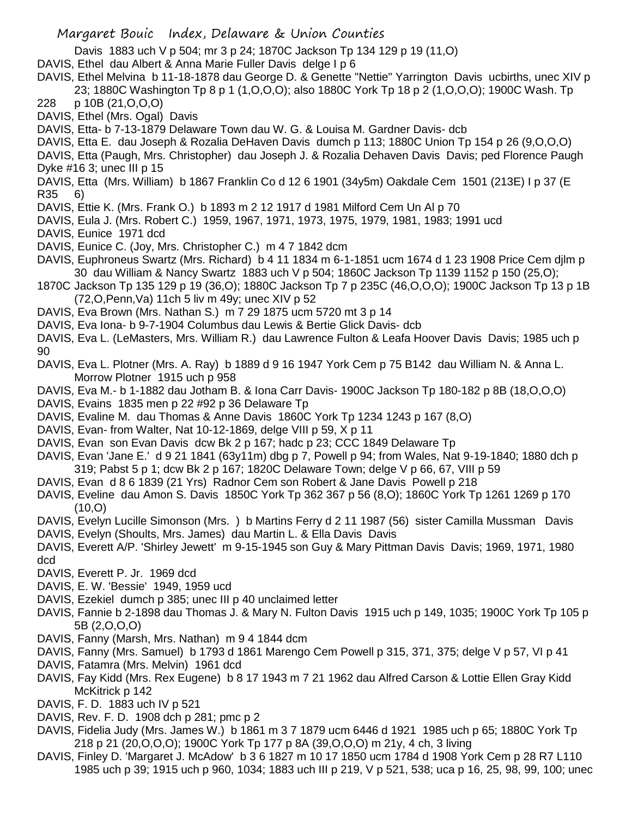- Davis 1883 uch V p 504; mr 3 p 24; 1870C Jackson Tp 134 129 p 19 (11,O)
- DAVIS, Ethel dau Albert & Anna Marie Fuller Davis delge I p 6
- DAVIS, Ethel Melvina b 11-18-1878 dau George D. & Genette "Nettie" Yarrington Davis ucbirths, unec XIV p 23; 1880C Washington Tp 8 p 1 (1,O,O,O); also 1880C York Tp 18 p 2 (1,O,O,O); 1900C Wash. Tp
- 228 p 10B (21,O,O,O)
- DAVIS, Ethel (Mrs. Ogal) Davis
- DAVIS, Etta- b 7-13-1879 Delaware Town dau W. G. & Louisa M. Gardner Davis- dcb
- DAVIS, Etta E. dau Joseph & Rozalia DeHaven Davis dumch p 113; 1880C Union Tp 154 p 26 (9,O,O,O)
- DAVIS, Etta (Paugh, Mrs. Christopher) dau Joseph J. & Rozalia Dehaven Davis Davis; ped Florence Paugh Dyke #16 3; unec III p 15
- DAVIS, Etta (Mrs. William) b 1867 Franklin Co d 12 6 1901 (34y5m) Oakdale Cem 1501 (213E) I p 37 (E R35 6)
- DAVIS, Ettie K. (Mrs. Frank O.) b 1893 m 2 12 1917 d 1981 Milford Cem Un Al p 70
- DAVIS, Eula J. (Mrs. Robert C.) 1959, 1967, 1971, 1973, 1975, 1979, 1981, 1983; 1991 ucd
- DAVIS, Eunice 1971 dcd
- DAVIS, Eunice C. (Joy, Mrs. Christopher C.) m 4 7 1842 dcm
- DAVIS, Euphroneus Swartz (Mrs. Richard) b 4 11 1834 m 6-1-1851 ucm 1674 d 1 23 1908 Price Cem djlm p 30 dau William & Nancy Swartz 1883 uch V p 504; 1860C Jackson Tp 1139 1152 p 150 (25,O);
- 1870C Jackson Tp 135 129 p 19 (36,O); 1880C Jackson Tp 7 p 235C (46,O,O,O); 1900C Jackson Tp 13 p 1B (72,O,Penn,Va) 11ch 5 liv m 49y; unec XIV p 52
- DAVIS, Eva Brown (Mrs. Nathan S.) m 7 29 1875 ucm 5720 mt 3 p 14
- DAVIS, Eva Iona- b 9-7-1904 Columbus dau Lewis & Bertie Glick Davis- dcb
- DAVIS, Eva L. (LeMasters, Mrs. William R.) dau Lawrence Fulton & Leafa Hoover Davis Davis; 1985 uch p 90
- DAVIS, Eva L. Plotner (Mrs. A. Ray) b 1889 d 9 16 1947 York Cem p 75 B142 dau William N. & Anna L. Morrow Plotner 1915 uch p 958
- DAVIS, Eva M.- b 1-1882 dau Jotham B. & Iona Carr Davis- 1900C Jackson Tp 180-182 p 8B (18,O,O,O)
- DAVIS, Evains 1835 men p 22 #92 p 36 Delaware Tp
- DAVIS, Evaline M. dau Thomas & Anne Davis 1860C York Tp 1234 1243 p 167 (8,O)
- DAVIS, Evan- from Walter, Nat 10-12-1869, delge VIII p 59, X p 11
- DAVIS, Evan son Evan Davis dcw Bk 2 p 167; hadc p 23; CCC 1849 Delaware Tp
- DAVIS, Evan 'Jane E.' d 9 21 1841 (63y11m) dbg p 7, Powell p 94; from Wales, Nat 9-19-1840; 1880 dch p 319; Pabst 5 p 1; dcw Bk 2 p 167; 1820C Delaware Town; delge V p 66, 67, VIII p 59
- DAVIS, Evan d 8 6 1839 (21 Yrs) Radnor Cem son Robert & Jane Davis Powell p 218
- DAVIS, Eveline dau Amon S. Davis 1850C York Tp 362 367 p 56 (8,O); 1860C York Tp 1261 1269 p 170  $(10, 0)$
- DAVIS, Evelyn Lucille Simonson (Mrs. ) b Martins Ferry d 2 11 1987 (56) sister Camilla Mussman Davis
- DAVIS, Evelyn (Shoults, Mrs. James) dau Martin L. & Ella Davis Davis
- DAVIS, Everett A/P. 'Shirley Jewett' m 9-15-1945 son Guy & Mary Pittman Davis Davis; 1969, 1971, 1980 dcd
- DAVIS, Everett P. Jr. 1969 dcd
- DAVIS, E. W. 'Bessie' 1949, 1959 ucd
- DAVIS, Ezekiel dumch p 385; unec III p 40 unclaimed letter
- DAVIS, Fannie b 2-1898 dau Thomas J. & Mary N. Fulton Davis 1915 uch p 149, 1035; 1900C York Tp 105 p 5B (2,O,O,O)
- DAVIS, Fanny (Marsh, Mrs. Nathan) m 9 4 1844 dcm
- DAVIS, Fanny (Mrs. Samuel) b 1793 d 1861 Marengo Cem Powell p 315, 371, 375; delge V p 57, VI p 41
- DAVIS, Fatamra (Mrs. Melvin) 1961 dcd
- DAVIS, Fay Kidd (Mrs. Rex Eugene) b 8 17 1943 m 7 21 1962 dau Alfred Carson & Lottie Ellen Gray Kidd McKitrick p 142
- DAVIS, F. D. 1883 uch IV p 521
- DAVIS, Rev. F. D. 1908 dch p 281; pmc p 2
- DAVIS, Fidelia Judy (Mrs. James W.) b 1861 m 3 7 1879 ucm 6446 d 1921 1985 uch p 65; 1880C York Tp 218 p 21 (20,O,O,O); 1900C York Tp 177 p 8A (39,O,O,O) m 21y, 4 ch, 3 living
- DAVIS, Finley D. 'Margaret J. McAdow' b 3 6 1827 m 10 17 1850 ucm 1784 d 1908 York Cem p 28 R7 L110 1985 uch p 39; 1915 uch p 960, 1034; 1883 uch III p 219, V p 521, 538; uca p 16, 25, 98, 99, 100; unec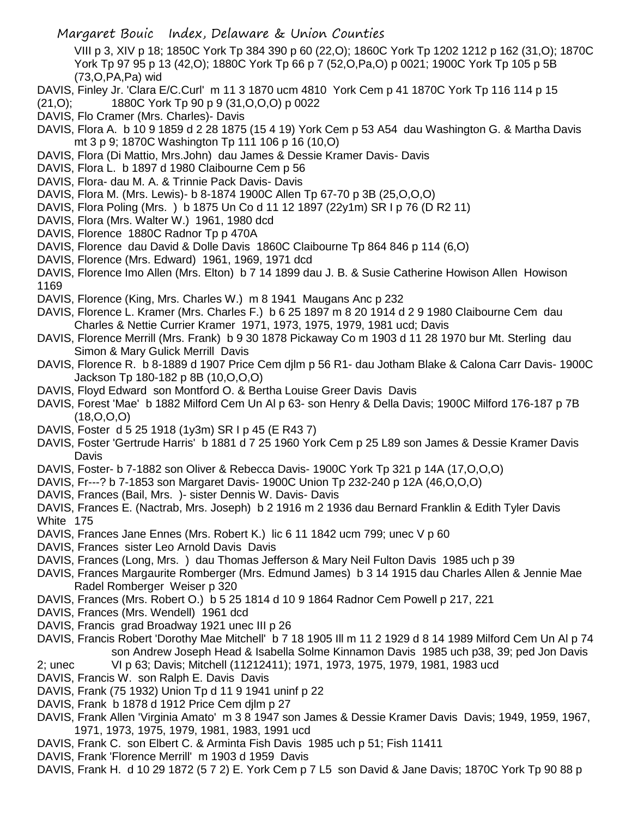VIII p 3, XIV p 18; 1850C York Tp 384 390 p 60 (22,O); 1860C York Tp 1202 1212 p 162 (31,O); 1870C York Tp 97 95 p 13 (42,O); 1880C York Tp 66 p 7 (52,O,Pa,O) p 0021; 1900C York Tp 105 p 5B (73,O,PA,Pa) wid

- DAVIS, Finley Jr. 'Clara E/C.Curl' m 11 3 1870 ucm 4810 York Cem p 41 1870C York Tp 116 114 p 15
- (21,O); 1880C York Tp 90 p 9 (31,O,O,O) p 0022
- DAVIS, Flo Cramer (Mrs. Charles)- Davis
- DAVIS, Flora A. b 10 9 1859 d 2 28 1875 (15 4 19) York Cem p 53 A54 dau Washington G. & Martha Davis mt 3 p 9; 1870C Washington Tp 111 106 p 16 (10,O)
- DAVIS, Flora (Di Mattio, Mrs.John) dau James & Dessie Kramer Davis- Davis
- DAVIS, Flora L. b 1897 d 1980 Claibourne Cem p 56
- DAVIS, Flora- dau M. A. & Trinnie Pack Davis- Davis
- DAVIS, Flora M. (Mrs. Lewis)- b 8-1874 1900C Allen Tp 67-70 p 3B (25,O,O,O)
- DAVIS, Flora Poling (Mrs. ) b 1875 Un Co d 11 12 1897 (22y1m) SR I p 76 (D R2 11)
- DAVIS, Flora (Mrs. Walter W.) 1961, 1980 dcd
- DAVIS, Florence 1880C Radnor Tp p 470A
- DAVIS, Florence dau David & Dolle Davis 1860C Claibourne Tp 864 846 p 114 (6,O)
- DAVIS, Florence (Mrs. Edward) 1961, 1969, 1971 dcd
- DAVIS, Florence Imo Allen (Mrs. Elton) b 7 14 1899 dau J. B. & Susie Catherine Howison Allen Howison 1169
- DAVIS, Florence (King, Mrs. Charles W.) m 8 1941 Maugans Anc p 232
- DAVIS, Florence L. Kramer (Mrs. Charles F.) b 6 25 1897 m 8 20 1914 d 2 9 1980 Claibourne Cem dau Charles & Nettie Currier Kramer 1971, 1973, 1975, 1979, 1981 ucd; Davis
- DAVIS, Florence Merrill (Mrs. Frank) b 9 30 1878 Pickaway Co m 1903 d 11 28 1970 bur Mt. Sterling dau Simon & Mary Gulick Merrill Davis
- DAVIS, Florence R. b 8-1889 d 1907 Price Cem djlm p 56 R1- dau Jotham Blake & Calona Carr Davis- 1900C Jackson Tp 180-182 p 8B (10,O,O,O)
- DAVIS, Floyd Edward son Montford O. & Bertha Louise Greer Davis Davis
- DAVIS, Forest 'Mae' b 1882 Milford Cem Un Al p 63- son Henry & Della Davis; 1900C Milford 176-187 p 7B  $(18, 0, 0, 0)$
- DAVIS, Foster d 5 25 1918 (1y3m) SR I p 45 (E R43 7)
- DAVIS, Foster 'Gertrude Harris' b 1881 d 7 25 1960 York Cem p 25 L89 son James & Dessie Kramer Davis Davis
- DAVIS, Foster- b 7-1882 son Oliver & Rebecca Davis- 1900C York Tp 321 p 14A (17,O,O,O)
- DAVIS, Fr---? b 7-1853 son Margaret Davis- 1900C Union Tp 232-240 p 12A (46,O,O,O)
- DAVIS, Frances (Bail, Mrs. )- sister Dennis W. Davis- Davis
- DAVIS, Frances E. (Nactrab, Mrs. Joseph) b 2 1916 m 2 1936 dau Bernard Franklin & Edith Tyler Davis White 175
- DAVIS, Frances Jane Ennes (Mrs. Robert K.) lic 6 11 1842 ucm 799; unec V p 60
- DAVIS, Frances sister Leo Arnold Davis Davis
- DAVIS, Frances (Long, Mrs. ) dau Thomas Jefferson & Mary Neil Fulton Davis 1985 uch p 39
- DAVIS, Frances Margaurite Romberger (Mrs. Edmund James) b 3 14 1915 dau Charles Allen & Jennie Mae Radel Romberger Weiser p 320
- DAVIS, Frances (Mrs. Robert O.) b 5 25 1814 d 10 9 1864 Radnor Cem Powell p 217, 221
- DAVIS, Frances (Mrs. Wendell) 1961 dcd
- DAVIS, Francis grad Broadway 1921 unec III p 26
- DAVIS, Francis Robert 'Dorothy Mae Mitchell' b 7 18 1905 Ill m 11 2 1929 d 8 14 1989 Milford Cem Un Al p 74 son Andrew Joseph Head & Isabella Solme Kinnamon Davis 1985 uch p38, 39; ped Jon Davis
- 2; unec VI p 63; Davis; Mitchell (11212411); 1971, 1973, 1975, 1979, 1981, 1983 ucd
- DAVIS, Francis W. son Ralph E. Davis Davis
- DAVIS, Frank (75 1932) Union Tp d 11 9 1941 uninf p 22
- DAVIS, Frank b 1878 d 1912 Price Cem djlm p 27
- DAVIS, Frank Allen 'Virginia Amato' m 3 8 1947 son James & Dessie Kramer Davis Davis; 1949, 1959, 1967, 1971, 1973, 1975, 1979, 1981, 1983, 1991 ucd
- DAVIS, Frank C. son Elbert C. & Arminta Fish Davis 1985 uch p 51; Fish 11411
- DAVIS, Frank 'Florence Merrill' m 1903 d 1959 Davis
- DAVIS, Frank H. d 10 29 1872 (5 7 2) E. York Cem p 7 L5 son David & Jane Davis; 1870C York Tp 90 88 p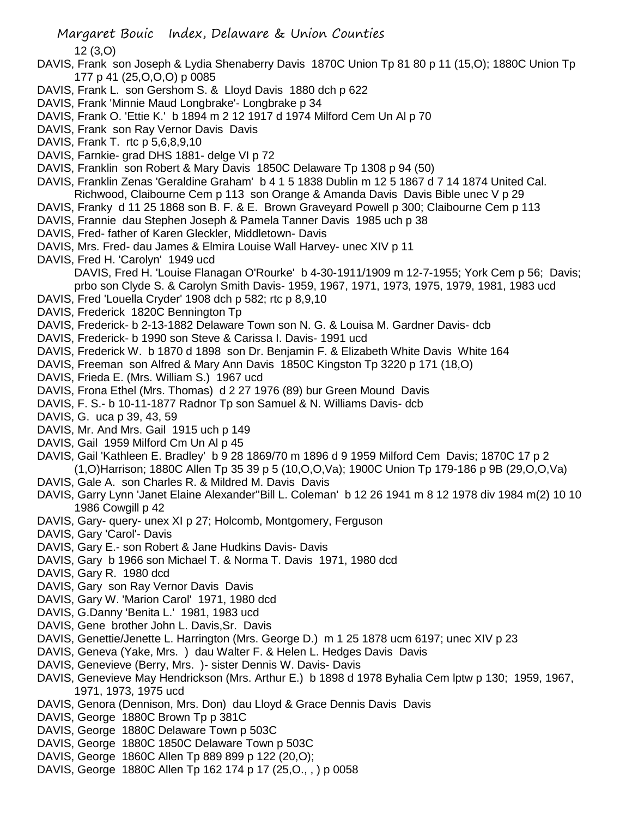- DAVIS, Frank son Joseph & Lydia Shenaberry Davis 1870C Union Tp 81 80 p 11 (15,O); 1880C Union Tp 177 p 41 (25,O,O,O) p 0085
- DAVIS, Frank L. son Gershom S. & Lloyd Davis 1880 dch p 622
- DAVIS, Frank 'Minnie Maud Longbrake'- Longbrake p 34
- DAVIS, Frank O. 'Ettie K.' b 1894 m 2 12 1917 d 1974 Milford Cem Un Al p 70
- DAVIS, Frank son Ray Vernor Davis Davis
- DAVIS, Frank T. rtc p 5,6,8,9,10
- DAVIS, Farnkie- grad DHS 1881- delge VI p 72
- DAVIS, Franklin son Robert & Mary Davis 1850C Delaware Tp 1308 p 94 (50)
- DAVIS, Franklin Zenas 'Geraldine Graham' b 4 1 5 1838 Dublin m 12 5 1867 d 7 14 1874 United Cal. Richwood, Claibourne Cem p 113 son Orange & Amanda Davis Davis Bible unec V p 29
- DAVIS, Franky d 11 25 1868 son B. F. & E. Brown Graveyard Powell p 300; Claibourne Cem p 113
- DAVIS, Frannie dau Stephen Joseph & Pamela Tanner Davis 1985 uch p 38
- DAVIS, Fred- father of Karen Gleckler, Middletown- Davis
- DAVIS, Mrs. Fred- dau James & Elmira Louise Wall Harvey- unec XIV p 11
- DAVIS, Fred H. 'Carolyn' 1949 ucd DAVIS, Fred H. 'Louise Flanagan O'Rourke' b 4-30-1911/1909 m 12-7-1955; York Cem p 56; Davis; prbo son Clyde S. & Carolyn Smith Davis- 1959, 1967, 1971, 1973, 1975, 1979, 1981, 1983 ucd
- DAVIS, Fred 'Louella Cryder' 1908 dch p 582; rtc p 8,9,10
- DAVIS, Frederick 1820C Bennington Tp
- DAVIS, Frederick- b 2-13-1882 Delaware Town son N. G. & Louisa M. Gardner Davis- dcb
- DAVIS, Frederick- b 1990 son Steve & Carissa I. Davis- 1991 ucd
- DAVIS, Frederick W. b 1870 d 1898 son Dr. Benjamin F. & Elizabeth White Davis White 164
- DAVIS, Freeman son Alfred & Mary Ann Davis 1850C Kingston Tp 3220 p 171 (18,O)
- DAVIS, Frieda E. (Mrs. William S.) 1967 ucd
- DAVIS, Frona Ethel (Mrs. Thomas) d 2 27 1976 (89) bur Green Mound Davis
- DAVIS, F. S.- b 10-11-1877 Radnor Tp son Samuel & N. Williams Davis- dcb
- DAVIS, G. uca p 39, 43, 59
- DAVIS, Mr. And Mrs. Gail 1915 uch p 149
- DAVIS, Gail 1959 Milford Cm Un Al p 45
- DAVIS, Gail 'Kathleen E. Bradley' b 9 28 1869/70 m 1896 d 9 1959 Milford Cem Davis; 1870C 17 p 2 (1,O)Harrison; 1880C Allen Tp 35 39 p 5 (10,O,O,Va); 1900C Union Tp 179-186 p 9B (29,O,O,Va)
- DAVIS, Gale A. son Charles R. & Mildred M. Davis Davis
- DAVIS, Garry Lynn 'Janet Elaine Alexander''Bill L. Coleman' b 12 26 1941 m 8 12 1978 div 1984 m(2) 10 10 1986 Cowgill p 42
- DAVIS, Gary- query- unex XI p 27; Holcomb, Montgomery, Ferguson
- DAVIS, Gary 'Carol'- Davis
- DAVIS, Gary E.- son Robert & Jane Hudkins Davis- Davis
- DAVIS, Gary b 1966 son Michael T. & Norma T. Davis 1971, 1980 dcd
- DAVIS, Gary R. 1980 dcd
- DAVIS, Gary son Ray Vernor Davis Davis
- DAVIS, Gary W. 'Marion Carol' 1971, 1980 dcd
- DAVIS, G.Danny 'Benita L.' 1981, 1983 ucd
- DAVIS, Gene brother John L. Davis,Sr. Davis
- DAVIS, Genettie/Jenette L. Harrington (Mrs. George D.) m 1 25 1878 ucm 6197; unec XIV p 23
- DAVIS, Geneva (Yake, Mrs. ) dau Walter F. & Helen L. Hedges Davis Davis
- DAVIS, Genevieve (Berry, Mrs. )- sister Dennis W. Davis- Davis
- DAVIS, Genevieve May Hendrickson (Mrs. Arthur E.) b 1898 d 1978 Byhalia Cem lptw p 130; 1959, 1967, 1971, 1973, 1975 ucd
- DAVIS, Genora (Dennison, Mrs. Don) dau Lloyd & Grace Dennis Davis Davis
- DAVIS, George 1880C Brown Tp p 381C
- DAVIS, George 1880C Delaware Town p 503C
- DAVIS, George 1880C 1850C Delaware Town p 503C
- DAVIS, George 1860C Allen Tp 889 899 p 122 (20,O);
- DAVIS, George 1880C Allen Tp 162 174 p 17 (25,O., , ) p 0058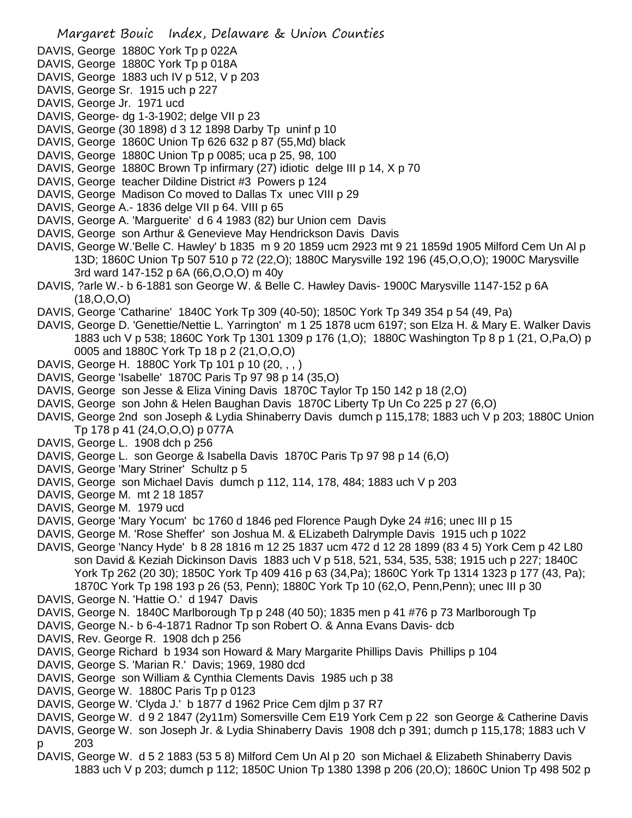- DAVIS, George 1880C York Tp p 022A
- DAVIS, George 1880C York Tp p 018A
- DAVIS, George 1883 uch IV p 512, V p 203
- DAVIS, George Sr. 1915 uch p 227
- DAVIS, George Jr. 1971 ucd
- DAVIS, George- dg 1-3-1902; delge VII p 23
- DAVIS, George (30 1898) d 3 12 1898 Darby Tp uninf p 10
- DAVIS, George 1860C Union Tp 626 632 p 87 (55,Md) black
- DAVIS, George 1880C Union Tp p 0085; uca p 25, 98, 100
- DAVIS, George 1880C Brown Tp infirmary (27) idiotic delge III p 14, X p 70
- DAVIS, George teacher Dildine District #3 Powers p 124
- DAVIS, George Madison Co moved to Dallas Tx unec VIII p 29
- DAVIS, George A.- 1836 delge VII p 64. VIII p 65
- DAVIS, George A. 'Marguerite' d 6 4 1983 (82) bur Union cem Davis
- DAVIS, George son Arthur & Genevieve May Hendrickson Davis Davis
- DAVIS, George W.'Belle C. Hawley' b 1835 m 9 20 1859 ucm 2923 mt 9 21 1859d 1905 Milford Cem Un Al p 13D; 1860C Union Tp 507 510 p 72 (22,O); 1880C Marysville 192 196 (45,O,O,O); 1900C Marysville 3rd ward 147-152 p 6A (66,O,O,O) m 40y
- DAVIS, ?arle W.- b 6-1881 son George W. & Belle C. Hawley Davis- 1900C Marysville 1147-152 p 6A (18,O,O,O)
- DAVIS, George 'Catharine' 1840C York Tp 309 (40-50); 1850C York Tp 349 354 p 54 (49, Pa)
- DAVIS, George D. 'Genettie/Nettie L. Yarrington' m 1 25 1878 ucm 6197; son Elza H. & Mary E. Walker Davis 1883 uch V p 538; 1860C York Tp 1301 1309 p 176 (1,O); 1880C Washington Tp 8 p 1 (21, O,Pa,O) p 0005 and 1880C York Tp 18 p 2 (21,O,O,O)
- DAVIS, George H. 1880C York Tp 101 p 10 (20, , , )
- DAVIS, George 'Isabelle' 1870C Paris Tp 97 98 p 14 (35,O)
- DAVIS, George son Jesse & Eliza Vining Davis 1870C Taylor Tp 150 142 p 18 (2,O)
- DAVIS, George son John & Helen Baughan Davis 1870C Liberty Tp Un Co 225 p 27 (6,O)
- DAVIS, George 2nd son Joseph & Lydia Shinaberry Davis dumch p 115,178; 1883 uch V p 203; 1880C Union Tp 178 p 41 (24,O,O,O) p 077A
- DAVIS, George L. 1908 dch p 256
- DAVIS, George L. son George & Isabella Davis 1870C Paris Tp 97 98 p 14 (6,O)
- DAVIS, George 'Mary Striner' Schultz p 5
- DAVIS, George son Michael Davis dumch p 112, 114, 178, 484; 1883 uch V p 203
- DAVIS, George M. mt 2 18 1857
- DAVIS, George M. 1979 ucd
- DAVIS, George 'Mary Yocum' bc 1760 d 1846 ped Florence Paugh Dyke 24 #16; unec III p 15
- DAVIS, George M. 'Rose Sheffer' son Joshua M. & ELizabeth Dalrymple Davis 1915 uch p 1022
- DAVIS, George 'Nancy Hyde' b 8 28 1816 m 12 25 1837 ucm 472 d 12 28 1899 (83 4 5) York Cem p 42 L80 son David & Keziah Dickinson Davis 1883 uch V p 518, 521, 534, 535, 538; 1915 uch p 227; 1840C York Tp 262 (20 30); 1850C York Tp 409 416 p 63 (34,Pa); 1860C York Tp 1314 1323 p 177 (43, Pa); 1870C York Tp 198 193 p 26 (53, Penn); 1880C York Tp 10 (62,O, Penn,Penn); unec III p 30
- DAVIS, George N. 'Hattie O.' d 1947 Davis
- DAVIS, George N. 1840C Marlborough Tp p 248 (40 50); 1835 men p 41 #76 p 73 Marlborough Tp
- DAVIS, George N.- b 6-4-1871 Radnor Tp son Robert O. & Anna Evans Davis- dcb
- DAVIS, Rev. George R. 1908 dch p 256
- DAVIS, George Richard b 1934 son Howard & Mary Margarite Phillips Davis Phillips p 104
- DAVIS, George S. 'Marian R.' Davis; 1969, 1980 dcd
- DAVIS, George son William & Cynthia Clements Davis 1985 uch p 38
- DAVIS, George W. 1880C Paris Tp p 0123
- DAVIS, George W. 'Clyda J.' b 1877 d 1962 Price Cem djlm p 37 R7
- DAVIS, George W. d 9 2 1847 (2y11m) Somersville Cem E19 York Cem p 22 son George & Catherine Davis
- DAVIS, George W. son Joseph Jr. & Lydia Shinaberry Davis 1908 dch p 391; dumch p 115,178; 1883 uch V p 203
- DAVIS, George W. d 5 2 1883 (53 5 8) Milford Cem Un Al p 20 son Michael & Elizabeth Shinaberry Davis 1883 uch V p 203; dumch p 112; 1850C Union Tp 1380 1398 p 206 (20,O); 1860C Union Tp 498 502 p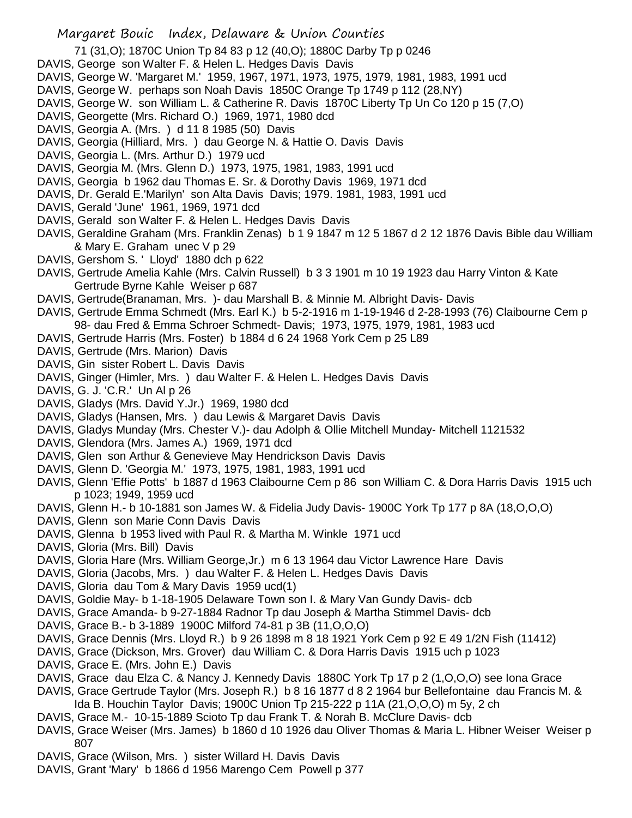- 71 (31,O); 1870C Union Tp 84 83 p 12 (40,O); 1880C Darby Tp p 0246
- DAVIS, George son Walter F. & Helen L. Hedges Davis Davis
- DAVIS, George W. 'Margaret M.' 1959, 1967, 1971, 1973, 1975, 1979, 1981, 1983, 1991 ucd
- DAVIS, George W. perhaps son Noah Davis 1850C Orange Tp 1749 p 112 (28,NY)
- DAVIS, George W. son William L. & Catherine R. Davis 1870C Liberty Tp Un Co 120 p 15 (7,O)
- DAVIS, Georgette (Mrs. Richard O.) 1969, 1971, 1980 dcd
- DAVIS, Georgia A. (Mrs. ) d 11 8 1985 (50) Davis
- DAVIS, Georgia (Hilliard, Mrs. ) dau George N. & Hattie O. Davis Davis
- DAVIS, Georgia L. (Mrs. Arthur D.) 1979 ucd
- DAVIS, Georgia M. (Mrs. Glenn D.) 1973, 1975, 1981, 1983, 1991 ucd
- DAVIS, Georgia b 1962 dau Thomas E. Sr. & Dorothy Davis 1969, 1971 dcd
- DAVIS, Dr. Gerald E.'Marilyn' son Alta Davis Davis; 1979. 1981, 1983, 1991 ucd
- DAVIS, Gerald 'June' 1961, 1969, 1971 dcd
- DAVIS, Gerald son Walter F. & Helen L. Hedges Davis Davis
- DAVIS, Geraldine Graham (Mrs. Franklin Zenas) b 1 9 1847 m 12 5 1867 d 2 12 1876 Davis Bible dau William & Mary E. Graham unec V p 29
- DAVIS, Gershom S. ' Lloyd' 1880 dch p 622
- DAVIS, Gertrude Amelia Kahle (Mrs. Calvin Russell) b 3 3 1901 m 10 19 1923 dau Harry Vinton & Kate Gertrude Byrne Kahle Weiser p 687
- DAVIS, Gertrude(Branaman, Mrs. )- dau Marshall B. & Minnie M. Albright Davis- Davis
- DAVIS, Gertrude Emma Schmedt (Mrs. Earl K.) b 5-2-1916 m 1-19-1946 d 2-28-1993 (76) Claibourne Cem p 98- dau Fred & Emma Schroer Schmedt- Davis; 1973, 1975, 1979, 1981, 1983 ucd
- DAVIS, Gertrude Harris (Mrs. Foster) b 1884 d 6 24 1968 York Cem p 25 L89
- DAVIS, Gertrude (Mrs. Marion) Davis
- DAVIS, Gin sister Robert L. Davis Davis
- DAVIS, Ginger (Himler, Mrs. ) dau Walter F. & Helen L. Hedges Davis Davis
- DAVIS, G. J. 'C.R.' Un Al p 26
- DAVIS, Gladys (Mrs. David Y.Jr.) 1969, 1980 dcd
- DAVIS, Gladys (Hansen, Mrs. ) dau Lewis & Margaret Davis Davis
- DAVIS, Gladys Munday (Mrs. Chester V.)- dau Adolph & Ollie Mitchell Munday- Mitchell 1121532
- DAVIS, Glendora (Mrs. James A.) 1969, 1971 dcd
- DAVIS, Glen son Arthur & Genevieve May Hendrickson Davis Davis
- DAVIS, Glenn D. 'Georgia M.' 1973, 1975, 1981, 1983, 1991 ucd
- DAVIS, Glenn 'Effie Potts' b 1887 d 1963 Claibourne Cem p 86 son William C. & Dora Harris Davis 1915 uch p 1023; 1949, 1959 ucd
- DAVIS, Glenn H.- b 10-1881 son James W. & Fidelia Judy Davis- 1900C York Tp 177 p 8A (18,O,O,O)
- DAVIS, Glenn son Marie Conn Davis Davis
- DAVIS, Glenna b 1953 lived with Paul R. & Martha M. Winkle 1971 ucd
- DAVIS, Gloria (Mrs. Bill) Davis
- DAVIS, Gloria Hare (Mrs. William George,Jr.) m 6 13 1964 dau Victor Lawrence Hare Davis
- DAVIS, Gloria (Jacobs, Mrs. ) dau Walter F. & Helen L. Hedges Davis Davis
- DAVIS, Gloria dau Tom & Mary Davis 1959 ucd(1)
- DAVIS, Goldie May- b 1-18-1905 Delaware Town son I. & Mary Van Gundy Davis- dcb
- DAVIS, Grace Amanda- b 9-27-1884 Radnor Tp dau Joseph & Martha Stimmel Davis- dcb
- DAVIS, Grace B.- b 3-1889 1900C Milford 74-81 p 3B (11,O,O,O)
- DAVIS, Grace Dennis (Mrs. Lloyd R.) b 9 26 1898 m 8 18 1921 York Cem p 92 E 49 1/2N Fish (11412)
- DAVIS, Grace (Dickson, Mrs. Grover) dau William C. & Dora Harris Davis 1915 uch p 1023
- DAVIS, Grace E. (Mrs. John E.) Davis
- DAVIS, Grace dau Elza C. & Nancy J. Kennedy Davis 1880C York Tp 17 p 2 (1,O,O,O) see Iona Grace
- DAVIS, Grace Gertrude Taylor (Mrs. Joseph R.) b 8 16 1877 d 8 2 1964 bur Bellefontaine dau Francis M. & Ida B. Houchin Taylor Davis; 1900C Union Tp 215-222 p 11A (21,O,O,O) m 5y, 2 ch
- DAVIS, Grace M.- 10-15-1889 Scioto Tp dau Frank T. & Norah B. McClure Davis- dcb
- DAVIS, Grace Weiser (Mrs. James) b 1860 d 10 1926 dau Oliver Thomas & Maria L. Hibner Weiser Weiser p 807
- DAVIS, Grace (Wilson, Mrs. ) sister Willard H. Davis Davis
- DAVIS, Grant 'Mary' b 1866 d 1956 Marengo Cem Powell p 377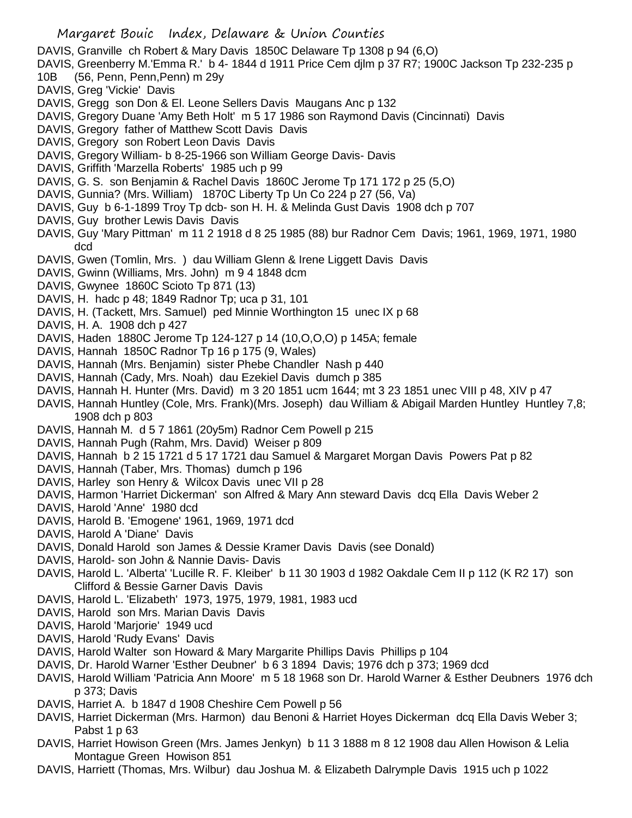DAVIS, Granville ch Robert & Mary Davis 1850C Delaware Tp 1308 p 94 (6,O)

- DAVIS, Greenberry M.'Emma R.' b 4- 1844 d 1911 Price Cem djlm p 37 R7; 1900C Jackson Tp 232-235 p
- 10B (56, Penn, Penn,Penn) m 29y
- DAVIS, Greg 'Vickie' Davis
- DAVIS, Gregg son Don & El. Leone Sellers Davis Maugans Anc p 132
- DAVIS, Gregory Duane 'Amy Beth Holt' m 5 17 1986 son Raymond Davis (Cincinnati) Davis
- DAVIS, Gregory father of Matthew Scott Davis Davis
- DAVIS, Gregory son Robert Leon Davis Davis
- DAVIS, Gregory William- b 8-25-1966 son William George Davis- Davis
- DAVIS, Griffith 'Marzella Roberts' 1985 uch p 99
- DAVIS, G. S. son Benjamin & Rachel Davis 1860C Jerome Tp 171 172 p 25 (5,O)
- DAVIS, Gunnia? (Mrs. William) 1870C Liberty Tp Un Co 224 p 27 (56, Va)
- DAVIS, Guy b 6-1-1899 Troy Tp dcb- son H. H. & Melinda Gust Davis 1908 dch p 707
- DAVIS, Guy brother Lewis Davis Davis
- DAVIS, Guy 'Mary Pittman' m 11 2 1918 d 8 25 1985 (88) bur Radnor Cem Davis; 1961, 1969, 1971, 1980 dcd
- DAVIS, Gwen (Tomlin, Mrs. ) dau William Glenn & Irene Liggett Davis Davis
- DAVIS, Gwinn (Williams, Mrs. John) m 9 4 1848 dcm
- DAVIS, Gwynee 1860C Scioto Tp 871 (13)
- DAVIS, H. hadc p 48; 1849 Radnor Tp; uca p 31, 101
- DAVIS, H. (Tackett, Mrs. Samuel) ped Minnie Worthington 15 unec IX p 68
- DAVIS, H. A. 1908 dch p 427
- DAVIS, Haden 1880C Jerome Tp 124-127 p 14 (10,O,O,O) p 145A; female
- DAVIS, Hannah 1850C Radnor Tp 16 p 175 (9, Wales)
- DAVIS, Hannah (Mrs. Benjamin) sister Phebe Chandler Nash p 440
- DAVIS, Hannah (Cady, Mrs. Noah) dau Ezekiel Davis dumch p 385
- DAVIS, Hannah H. Hunter (Mrs. David) m 3 20 1851 ucm 1644; mt 3 23 1851 unec VIII p 48, XIV p 47
- DAVIS, Hannah Huntley (Cole, Mrs. Frank)(Mrs. Joseph) dau William & Abigail Marden Huntley Huntley 7,8; 1908 dch p 803
- DAVIS, Hannah M. d 5 7 1861 (20y5m) Radnor Cem Powell p 215
- DAVIS, Hannah Pugh (Rahm, Mrs. David) Weiser p 809
- DAVIS, Hannah b 2 15 1721 d 5 17 1721 dau Samuel & Margaret Morgan Davis Powers Pat p 82
- DAVIS, Hannah (Taber, Mrs. Thomas) dumch p 196
- DAVIS, Harley son Henry & Wilcox Davis unec VII p 28
- DAVIS, Harmon 'Harriet Dickerman' son Alfred & Mary Ann steward Davis dcq Ella Davis Weber 2
- DAVIS, Harold 'Anne' 1980 dcd
- DAVIS, Harold B. 'Emogene' 1961, 1969, 1971 dcd
- DAVIS, Harold A 'Diane' Davis
- DAVIS, Donald Harold son James & Dessie Kramer Davis Davis (see Donald)
- DAVIS, Harold- son John & Nannie Davis- Davis
- DAVIS, Harold L. 'Alberta' 'Lucille R. F. Kleiber' b 11 30 1903 d 1982 Oakdale Cem II p 112 (K R2 17) son Clifford & Bessie Garner Davis Davis
- DAVIS, Harold L. 'Elizabeth' 1973, 1975, 1979, 1981, 1983 ucd
- DAVIS, Harold son Mrs. Marian Davis Davis
- DAVIS, Harold 'Marjorie' 1949 ucd
- DAVIS, Harold 'Rudy Evans' Davis
- DAVIS, Harold Walter son Howard & Mary Margarite Phillips Davis Phillips p 104
- DAVIS, Dr. Harold Warner 'Esther Deubner' b 6 3 1894 Davis; 1976 dch p 373; 1969 dcd
- DAVIS, Harold William 'Patricia Ann Moore' m 5 18 1968 son Dr. Harold Warner & Esther Deubners 1976 dch p 373; Davis
- DAVIS, Harriet A. b 1847 d 1908 Cheshire Cem Powell p 56
- DAVIS, Harriet Dickerman (Mrs. Harmon) dau Benoni & Harriet Hoyes Dickerman dcq Ella Davis Weber 3; Pabst 1 p 63
- DAVIS, Harriet Howison Green (Mrs. James Jenkyn) b 11 3 1888 m 8 12 1908 dau Allen Howison & Lelia Montague Green Howison 851
- DAVIS, Harriett (Thomas, Mrs. Wilbur) dau Joshua M. & Elizabeth Dalrymple Davis 1915 uch p 1022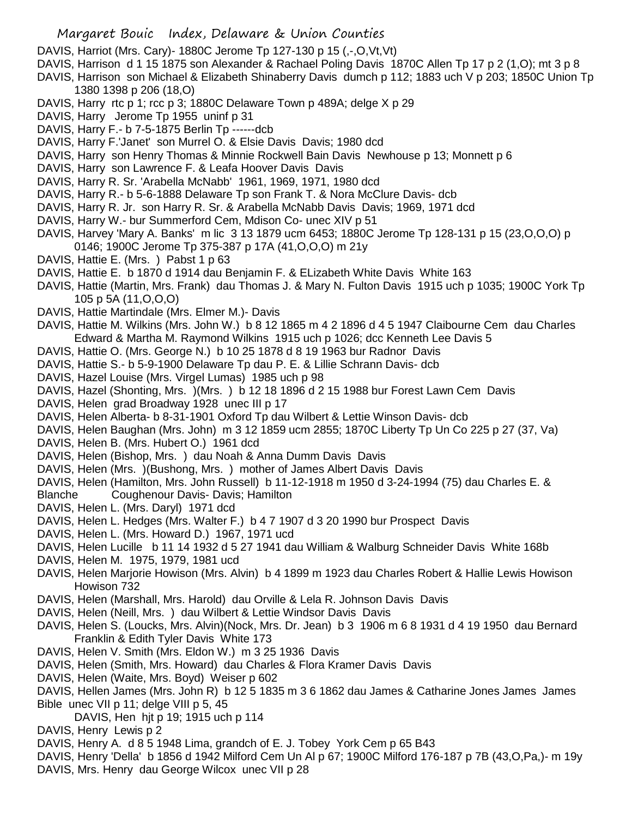DAVIS, Harriot (Mrs. Cary)- 1880C Jerome Tp 127-130 p 15 (,-,O,Vt,Vt)

- DAVIS, Harrison d 1 15 1875 son Alexander & Rachael Poling Davis 1870C Allen Tp 17 p 2 (1,O); mt 3 p 8
- DAVIS, Harrison son Michael & Elizabeth Shinaberry Davis dumch p 112; 1883 uch V p 203; 1850C Union Tp 1380 1398 p 206 (18,O)
- DAVIS, Harry rtc p 1; rcc p 3; 1880C Delaware Town p 489A; delge X p 29
- DAVIS, Harry Jerome Tp 1955 uninf p 31
- DAVIS, Harry F.- b 7-5-1875 Berlin Tp ------dcb
- DAVIS, Harry F.'Janet' son Murrel O. & Elsie Davis Davis; 1980 dcd
- DAVIS, Harry son Henry Thomas & Minnie Rockwell Bain Davis Newhouse p 13; Monnett p 6
- DAVIS, Harry son Lawrence F. & Leafa Hoover Davis Davis
- DAVIS, Harry R. Sr. 'Arabella McNabb' 1961, 1969, 1971, 1980 dcd
- DAVIS, Harry R.- b 5-6-1888 Delaware Tp son Frank T. & Nora McClure Davis- dcb
- DAVIS, Harry R. Jr. son Harry R. Sr. & Arabella McNabb Davis Davis; 1969, 1971 dcd
- DAVIS, Harry W.- bur Summerford Cem, Mdison Co- unec XIV p 51
- DAVIS, Harvey 'Mary A. Banks' m lic 3 13 1879 ucm 6453; 1880C Jerome Tp 128-131 p 15 (23,O,O,O) p 0146; 1900C Jerome Tp 375-387 p 17A (41,O,O,O) m 21y
- DAVIS, Hattie E. (Mrs. ) Pabst 1 p 63
- DAVIS, Hattie E. b 1870 d 1914 dau Benjamin F. & ELizabeth White Davis White 163
- DAVIS, Hattie (Martin, Mrs. Frank) dau Thomas J. & Mary N. Fulton Davis 1915 uch p 1035; 1900C York Tp 105 p 5A (11,O,O,O)
- DAVIS, Hattie Martindale (Mrs. Elmer M.)- Davis
- DAVIS, Hattie M. Wilkins (Mrs. John W.) b 8 12 1865 m 4 2 1896 d 4 5 1947 Claibourne Cem dau Charles Edward & Martha M. Raymond Wilkins 1915 uch p 1026; dcc Kenneth Lee Davis 5
- DAVIS, Hattie O. (Mrs. George N.) b 10 25 1878 d 8 19 1963 bur Radnor Davis
- DAVIS, Hattie S.- b 5-9-1900 Delaware Tp dau P. E. & Lillie Schrann Davis- dcb
- DAVIS, Hazel Louise (Mrs. Virgel Lumas) 1985 uch p 98
- DAVIS, Hazel (Shonting, Mrs. )(Mrs. ) b 12 18 1896 d 2 15 1988 bur Forest Lawn Cem Davis
- DAVIS, Helen grad Broadway 1928 unec III p 17
- DAVIS, Helen Alberta- b 8-31-1901 Oxford Tp dau Wilbert & Lettie Winson Davis- dcb
- DAVIS, Helen Baughan (Mrs. John) m 3 12 1859 ucm 2855; 1870C Liberty Tp Un Co 225 p 27 (37, Va)
- DAVIS, Helen B. (Mrs. Hubert O.) 1961 dcd
- DAVIS, Helen (Bishop, Mrs. ) dau Noah & Anna Dumm Davis Davis
- DAVIS, Helen (Mrs. )(Bushong, Mrs. ) mother of James Albert Davis Davis
- DAVIS, Helen (Hamilton, Mrs. John Russell) b 11-12-1918 m 1950 d 3-24-1994 (75) dau Charles E. &
- Blanche Coughenour Davis- Davis; Hamilton
- DAVIS, Helen L. (Mrs. Daryl) 1971 dcd
- DAVIS, Helen L. Hedges (Mrs. Walter F.) b 4 7 1907 d 3 20 1990 bur Prospect Davis
- DAVIS, Helen L. (Mrs. Howard D.) 1967, 1971 ucd
- DAVIS, Helen Lucille b 11 14 1932 d 5 27 1941 dau William & Walburg Schneider Davis White 168b
- DAVIS, Helen M. 1975, 1979, 1981 ucd
- DAVIS, Helen Marjorie Howison (Mrs. Alvin) b 4 1899 m 1923 dau Charles Robert & Hallie Lewis Howison Howison 732
- DAVIS, Helen (Marshall, Mrs. Harold) dau Orville & Lela R. Johnson Davis Davis
- DAVIS, Helen (Neill, Mrs. ) dau Wilbert & Lettie Windsor Davis Davis
- DAVIS, Helen S. (Loucks, Mrs. Alvin)(Nock, Mrs. Dr. Jean) b 3 1906 m 6 8 1931 d 4 19 1950 dau Bernard Franklin & Edith Tyler Davis White 173
- DAVIS, Helen V. Smith (Mrs. Eldon W.) m 3 25 1936 Davis
- DAVIS, Helen (Smith, Mrs. Howard) dau Charles & Flora Kramer Davis Davis
- DAVIS, Helen (Waite, Mrs. Boyd) Weiser p 602
- DAVIS, Hellen James (Mrs. John R) b 12 5 1835 m 3 6 1862 dau James & Catharine Jones James James Bible unec VII p 11; delge VIII p 5, 45
	- DAVIS, Hen hjt p 19; 1915 uch p 114
- DAVIS, Henry Lewis p 2
- DAVIS, Henry A. d 8 5 1948 Lima, grandch of E. J. Tobey York Cem p 65 B43
- DAVIS, Henry 'Della' b 1856 d 1942 Milford Cem Un Al p 67; 1900C Milford 176-187 p 7B (43,O,Pa,)- m 19y
- DAVIS, Mrs. Henry dau George Wilcox unec VII p 28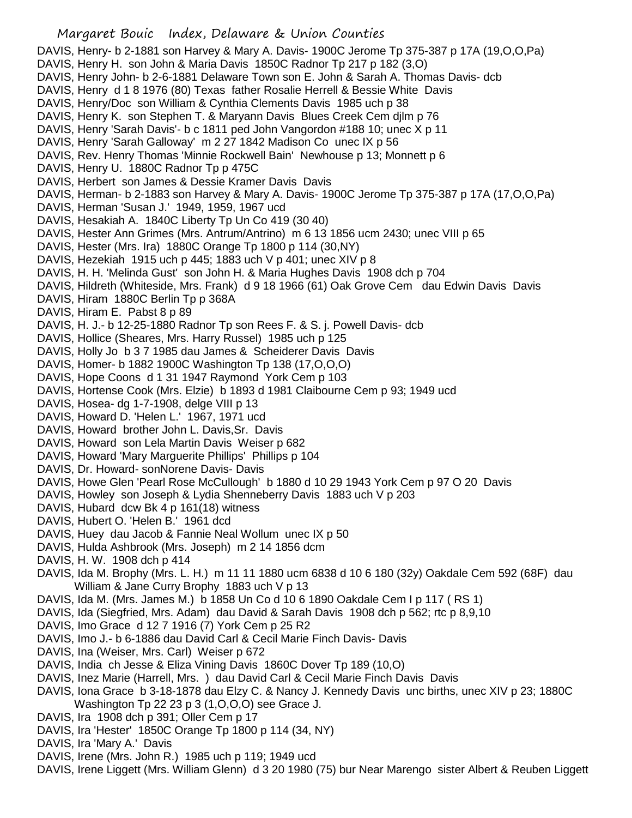DAVIS, Henry- b 2-1881 son Harvey & Mary A. Davis- 1900C Jerome Tp 375-387 p 17A (19,O,O,Pa)

- DAVIS, Henry H. son John & Maria Davis 1850C Radnor Tp 217 p 182 (3,O)
- DAVIS, Henry John- b 2-6-1881 Delaware Town son E. John & Sarah A. Thomas Davis- dcb
- DAVIS, Henry d 1 8 1976 (80) Texas father Rosalie Herrell & Bessie White Davis
- DAVIS, Henry/Doc son William & Cynthia Clements Davis 1985 uch p 38
- DAVIS, Henry K. son Stephen T. & Maryann Davis Blues Creek Cem djlm p 76
- DAVIS, Henry 'Sarah Davis'- b c 1811 ped John Vangordon #188 10; unec X p 11
- DAVIS, Henry 'Sarah Galloway' m 2 27 1842 Madison Co unec IX p 56
- DAVIS, Rev. Henry Thomas 'Minnie Rockwell Bain' Newhouse p 13; Monnett p 6
- DAVIS, Henry U. 1880C Radnor Tp p 475C
- DAVIS, Herbert son James & Dessie Kramer Davis Davis
- DAVIS, Herman- b 2-1883 son Harvey & Mary A. Davis- 1900C Jerome Tp 375-387 p 17A (17,O,O,Pa)
- DAVIS, Herman 'Susan J.' 1949, 1959, 1967 ucd
- DAVIS, Hesakiah A. 1840C Liberty Tp Un Co 419 (30 40)
- DAVIS, Hester Ann Grimes (Mrs. Antrum/Antrino) m 6 13 1856 ucm 2430; unec VIII p 65
- DAVIS, Hester (Mrs. Ira) 1880C Orange Tp 1800 p 114 (30,NY)
- DAVIS, Hezekiah 1915 uch p 445; 1883 uch V p 401; unec XIV p 8
- DAVIS, H. H. 'Melinda Gust' son John H. & Maria Hughes Davis 1908 dch p 704
- DAVIS, Hildreth (Whiteside, Mrs. Frank) d 9 18 1966 (61) Oak Grove Cem dau Edwin Davis Davis
- DAVIS, Hiram 1880C Berlin Tp p 368A
- DAVIS, Hiram E. Pabst 8 p 89
- DAVIS, H. J.- b 12-25-1880 Radnor Tp son Rees F. & S. j. Powell Davis- dcb
- DAVIS, Hollice (Sheares, Mrs. Harry Russel) 1985 uch p 125
- DAVIS, Holly Jo b 3 7 1985 dau James & Scheiderer Davis Davis
- DAVIS, Homer- b 1882 1900C Washington Tp 138 (17,O,O,O)
- DAVIS, Hope Coons d 1 31 1947 Raymond York Cem p 103
- DAVIS, Hortense Cook (Mrs. Elzie) b 1893 d 1981 Claibourne Cem p 93; 1949 ucd
- DAVIS, Hosea- dg 1-7-1908, delge VIII p 13
- DAVIS, Howard D. 'Helen L.' 1967, 1971 ucd
- DAVIS, Howard brother John L. Davis,Sr. Davis
- DAVIS, Howard son Lela Martin Davis Weiser p 682
- DAVIS, Howard 'Mary Marguerite Phillips' Phillips p 104
- DAVIS, Dr. Howard- sonNorene Davis- Davis
- DAVIS, Howe Glen 'Pearl Rose McCullough' b 1880 d 10 29 1943 York Cem p 97 O 20 Davis
- DAVIS, Howley son Joseph & Lydia Shenneberry Davis 1883 uch V p 203
- DAVIS, Hubard dcw Bk 4 p 161(18) witness
- DAVIS, Hubert O. 'Helen B.' 1961 dcd
- DAVIS, Huey dau Jacob & Fannie Neal Wollum unec IX p 50
- DAVIS, Hulda Ashbrook (Mrs. Joseph) m 2 14 1856 dcm
- DAVIS, H. W. 1908 dch p 414
- DAVIS, Ida M. Brophy (Mrs. L. H.) m 11 11 1880 ucm 6838 d 10 6 180 (32y) Oakdale Cem 592 (68F) dau William & Jane Curry Brophy 1883 uch V p 13
- DAVIS, Ida M. (Mrs. James M.) b 1858 Un Co d 10 6 1890 Oakdale Cem I p 117 ( RS 1)
- DAVIS, Ida (Siegfried, Mrs. Adam) dau David & Sarah Davis 1908 dch p 562; rtc p 8,9,10
- DAVIS, Imo Grace d 12 7 1916 (7) York Cem p 25 R2
- DAVIS, Imo J.- b 6-1886 dau David Carl & Cecil Marie Finch Davis- Davis
- DAVIS, Ina (Weiser, Mrs. Carl) Weiser p 672
- DAVIS, India ch Jesse & Eliza Vining Davis 1860C Dover Tp 189 (10,O)
- DAVIS, Inez Marie (Harrell, Mrs. ) dau David Carl & Cecil Marie Finch Davis Davis
- DAVIS, Iona Grace b 3-18-1878 dau Elzy C. & Nancy J. Kennedy Davis unc births, unec XIV p 23; 1880C Washington Tp 22 23 p 3 (1,O,O,O) see Grace J.
- DAVIS, Ira 1908 dch p 391; Oller Cem p 17
- DAVIS, Ira 'Hester' 1850C Orange Tp 1800 p 114 (34, NY)
- DAVIS, Ira 'Mary A.' Davis
- DAVIS, Irene (Mrs. John R.) 1985 uch p 119; 1949 ucd
- DAVIS, Irene Liggett (Mrs. William Glenn) d 3 20 1980 (75) bur Near Marengo sister Albert & Reuben Liggett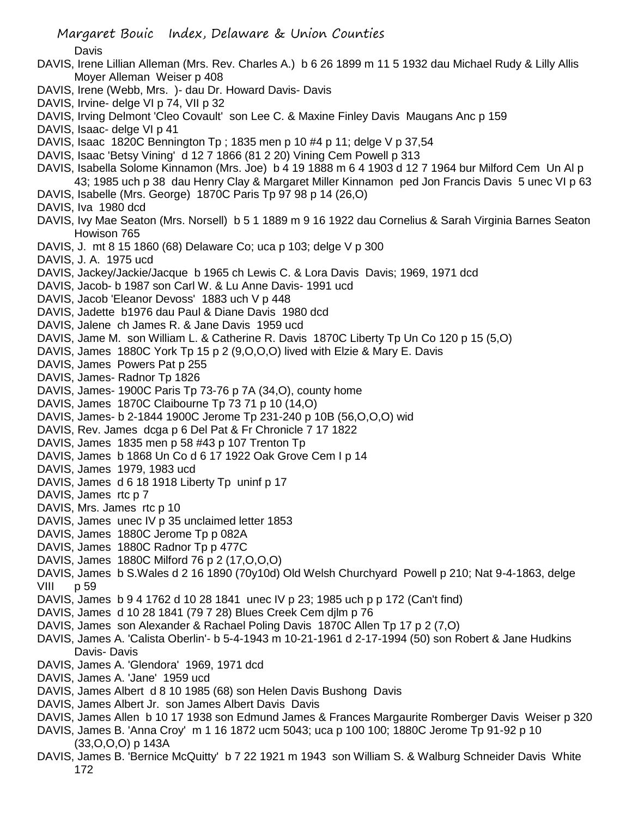- Margaret Bouic Index, Delaware & Union Counties Davis DAVIS, Irene Lillian Alleman (Mrs. Rev. Charles A.) b 6 26 1899 m 11 5 1932 dau Michael Rudy & Lilly Allis Moyer Alleman Weiser p 408 DAVIS, Irene (Webb, Mrs. )- dau Dr. Howard Davis- Davis DAVIS, Irvine- delge VI p 74, VII p 32 DAVIS, Irving Delmont 'Cleo Covault' son Lee C. & Maxine Finley Davis Maugans Anc p 159 DAVIS, Isaac- delge VI p 41 DAVIS, Isaac 1820C Bennington Tp ; 1835 men p 10 #4 p 11; delge V p 37,54 DAVIS, Isaac 'Betsy Vining' d 12 7 1866 (81 2 20) Vining Cem Powell p 313 DAVIS, Isabella Solome Kinnamon (Mrs. Joe) b 4 19 1888 m 6 4 1903 d 12 7 1964 bur Milford Cem Un Al p 43; 1985 uch p 38 dau Henry Clay & Margaret Miller Kinnamon ped Jon Francis Davis 5 unec VI p 63 DAVIS, Isabelle (Mrs. George) 1870C Paris Tp 97 98 p 14 (26,O) DAVIS, Iva 1980 dcd DAVIS, Ivy Mae Seaton (Mrs. Norsell) b 5 1 1889 m 9 16 1922 dau Cornelius & Sarah Virginia Barnes Seaton Howison 765 DAVIS, J. mt 8 15 1860 (68) Delaware Co; uca p 103; delge V p 300 DAVIS, J. A. 1975 ucd DAVIS, Jackey/Jackie/Jacque b 1965 ch Lewis C. & Lora Davis Davis; 1969, 1971 dcd DAVIS, Jacob- b 1987 son Carl W. & Lu Anne Davis- 1991 ucd DAVIS, Jacob 'Eleanor Devoss' 1883 uch V p 448 DAVIS, Jadette b1976 dau Paul & Diane Davis 1980 dcd DAVIS, Jalene ch James R. & Jane Davis 1959 ucd DAVIS, Jame M. son William L. & Catherine R. Davis 1870C Liberty Tp Un Co 120 p 15 (5,O) DAVIS, James 1880C York Tp 15 p 2 (9,O,O,O) lived with Elzie & Mary E. Davis DAVIS, James Powers Pat p 255 DAVIS, James- Radnor Tp 1826 DAVIS, James- 1900C Paris Tp 73-76 p 7A (34,O), county home DAVIS, James 1870C Claibourne Tp 73 71 p 10 (14,O) DAVIS, James- b 2-1844 1900C Jerome Tp 231-240 p 10B (56,O,O,O) wid DAVIS, Rev. James dcga p 6 Del Pat & Fr Chronicle 7 17 1822 DAVIS, James 1835 men p 58 #43 p 107 Trenton Tp DAVIS, James b 1868 Un Co d 6 17 1922 Oak Grove Cem I p 14 DAVIS, James 1979, 1983 ucd DAVIS, James d 6 18 1918 Liberty Tp uninf p 17 DAVIS, James rtc p 7 DAVIS, Mrs. James rtc p 10 DAVIS, James unec IV p 35 unclaimed letter 1853 DAVIS, James 1880C Jerome Tp p 082A DAVIS, James 1880C Radnor Tp p 477C DAVIS, James 1880C Milford 76 p 2 (17,O,O,O) DAVIS, James b S.Wales d 2 16 1890 (70y10d) Old Welsh Churchyard Powell p 210; Nat 9-4-1863, delge VIII p 59 DAVIS, James b 9 4 1762 d 10 28 1841 unec IV p 23; 1985 uch p p 172 (Can't find) DAVIS, James d 10 28 1841 (79 7 28) Blues Creek Cem djlm p 76 DAVIS, James son Alexander & Rachael Poling Davis 1870C Allen Tp 17 p 2 (7,O) DAVIS, James A. 'Calista Oberlin'- b 5-4-1943 m 10-21-1961 d 2-17-1994 (50) son Robert & Jane Hudkins Davis- Davis DAVIS, James A. 'Glendora' 1969, 1971 dcd DAVIS, James A. 'Jane' 1959 ucd DAVIS, James Albert d 8 10 1985 (68) son Helen Davis Bushong Davis DAVIS, James Albert Jr. son James Albert Davis Davis DAVIS, James Allen b 10 17 1938 son Edmund James & Frances Margaurite Romberger Davis Weiser p 320 DAVIS, James B. 'Anna Croy' m 1 16 1872 ucm 5043; uca p 100 100; 1880C Jerome Tp 91-92 p 10 (33,O,O,O) p 143A
- DAVIS, James B. 'Bernice McQuitty' b 7 22 1921 m 1943 son William S. & Walburg Schneider Davis White 172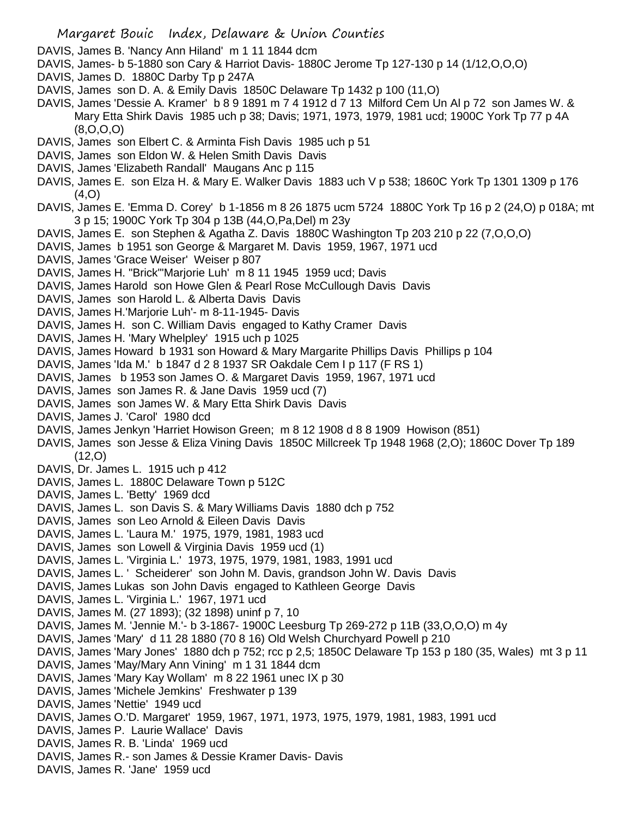DAVIS, James B. 'Nancy Ann Hiland' m 1 11 1844 dcm

- DAVIS, James- b 5-1880 son Cary & Harriot Davis- 1880C Jerome Tp 127-130 p 14 (1/12,O,O,O)
- DAVIS, James D. 1880C Darby Tp p 247A
- DAVIS, James son D. A. & Emily Davis 1850C Delaware Tp 1432 p 100 (11,O)
- DAVIS, James 'Dessie A. Kramer' b 8 9 1891 m 7 4 1912 d 7 13 Milford Cem Un Al p 72 son James W. & Mary Etta Shirk Davis 1985 uch p 38; Davis; 1971, 1973, 1979, 1981 ucd; 1900C York Tp 77 p 4A (8,O,O,O)
- DAVIS, James son Elbert C. & Arminta Fish Davis 1985 uch p 51
- DAVIS, James son Eldon W. & Helen Smith Davis Davis
- DAVIS, James 'Elizabeth Randall' Maugans Anc p 115
- DAVIS, James E. son Elza H. & Mary E. Walker Davis 1883 uch V p 538; 1860C York Tp 1301 1309 p 176 (4,O)
- DAVIS, James E. 'Emma D. Corey' b 1-1856 m 8 26 1875 ucm 5724 1880C York Tp 16 p 2 (24,O) p 018A; mt 3 p 15; 1900C York Tp 304 p 13B (44,O,Pa,Del) m 23y
- DAVIS, James E. son Stephen & Agatha Z. Davis 1880C Washington Tp 203 210 p 22 (7,O,O,O)
- DAVIS, James b 1951 son George & Margaret M. Davis 1959, 1967, 1971 ucd
- DAVIS, James 'Grace Weiser' Weiser p 807
- DAVIS, James H. "Brick"'Marjorie Luh' m 8 11 1945 1959 ucd; Davis
- DAVIS, James Harold son Howe Glen & Pearl Rose McCullough Davis Davis
- DAVIS, James son Harold L. & Alberta Davis Davis
- DAVIS, James H.'Marjorie Luh'- m 8-11-1945- Davis
- DAVIS, James H. son C. William Davis engaged to Kathy Cramer Davis
- DAVIS, James H. 'Mary Whelpley' 1915 uch p 1025
- DAVIS, James Howard b 1931 son Howard & Mary Margarite Phillips Davis Phillips p 104
- DAVIS, James 'Ida M.' b 1847 d 2 8 1937 SR Oakdale Cem I p 117 (F RS 1)
- DAVIS, James b 1953 son James O. & Margaret Davis 1959, 1967, 1971 ucd
- DAVIS, James son James R. & Jane Davis 1959 ucd (7)
- DAVIS, James son James W. & Mary Etta Shirk Davis Davis
- DAVIS, James J. 'Carol' 1980 dcd
- DAVIS, James Jenkyn 'Harriet Howison Green; m 8 12 1908 d 8 8 1909 Howison (851)
- DAVIS, James son Jesse & Eliza Vining Davis 1850C Millcreek Tp 1948 1968 (2,O); 1860C Dover Tp 189  $(12, 0)$
- DAVIS, Dr. James L. 1915 uch p 412
- DAVIS, James L. 1880C Delaware Town p 512C
- DAVIS, James L. 'Betty' 1969 dcd
- DAVIS, James L. son Davis S. & Mary Williams Davis 1880 dch p 752
- DAVIS, James son Leo Arnold & Eileen Davis Davis
- DAVIS, James L. 'Laura M.' 1975, 1979, 1981, 1983 ucd
- DAVIS, James son Lowell & Virginia Davis 1959 ucd (1)
- DAVIS, James L. 'Virginia L.' 1973, 1975, 1979, 1981, 1983, 1991 ucd
- DAVIS, James L. ' Scheiderer' son John M. Davis, grandson John W. Davis Davis
- DAVIS, James Lukas son John Davis engaged to Kathleen George Davis
- DAVIS, James L. 'Virginia L.' 1967, 1971 ucd
- DAVIS, James M. (27 1893); (32 1898) uninf p 7, 10
- DAVIS, James M. 'Jennie M.'- b 3-1867- 1900C Leesburg Tp 269-272 p 11B (33,O,O,O) m 4y
- DAVIS, James 'Mary' d 11 28 1880 (70 8 16) Old Welsh Churchyard Powell p 210
- DAVIS, James 'Mary Jones' 1880 dch p 752; rcc p 2,5; 1850C Delaware Tp 153 p 180 (35, Wales) mt 3 p 11
- DAVIS, James 'May/Mary Ann Vining' m 1 31 1844 dcm
- DAVIS, James 'Mary Kay Wollam' m 8 22 1961 unec IX p 30
- DAVIS, James 'Michele Jemkins' Freshwater p 139
- DAVIS, James 'Nettie' 1949 ucd
- DAVIS, James O.'D. Margaret' 1959, 1967, 1971, 1973, 1975, 1979, 1981, 1983, 1991 ucd
- DAVIS, James P. Laurie Wallace' Davis
- DAVIS, James R. B. 'Linda' 1969 ucd
- DAVIS, James R.- son James & Dessie Kramer Davis- Davis
- DAVIS, James R. 'Jane' 1959 ucd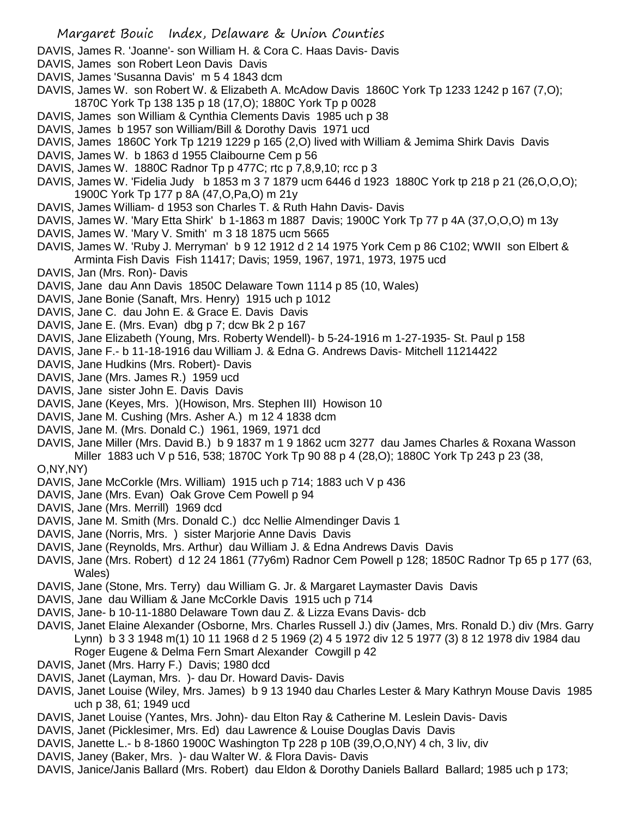- DAVIS, James R. 'Joanne'- son William H. & Cora C. Haas Davis- Davis
- DAVIS, James son Robert Leon Davis Davis
- DAVIS, James 'Susanna Davis' m 5 4 1843 dcm
- DAVIS, James W. son Robert W. & Elizabeth A. McAdow Davis 1860C York Tp 1233 1242 p 167 (7,O); 1870C York Tp 138 135 p 18 (17,O); 1880C York Tp p 0028
- DAVIS, James son William & Cynthia Clements Davis 1985 uch p 38
- DAVIS, James b 1957 son William/Bill & Dorothy Davis 1971 ucd
- DAVIS, James 1860C York Tp 1219 1229 p 165 (2,O) lived with William & Jemima Shirk Davis Davis
- DAVIS, James W. b 1863 d 1955 Claibourne Cem p 56
- DAVIS, James W. 1880C Radnor Tp p 477C; rtc p 7,8,9,10; rcc p 3
- DAVIS, James W. 'Fidelia Judy b 1853 m 3 7 1879 ucm 6446 d 1923 1880C York tp 218 p 21 (26,O,O,O); 1900C York Tp 177 p 8A (47,O,Pa,O) m 21y
- DAVIS, James William- d 1953 son Charles T. & Ruth Hahn Davis- Davis
- DAVIS, James W. 'Mary Etta Shirk' b 1-1863 m 1887 Davis; 1900C York Tp 77 p 4A (37,O,O,O) m 13y
- DAVIS, James W. 'Mary V. Smith' m 3 18 1875 ucm 5665
- DAVIS, James W. 'Ruby J. Merryman' b 9 12 1912 d 2 14 1975 York Cem p 86 C102; WWII son Elbert & Arminta Fish Davis Fish 11417; Davis; 1959, 1967, 1971, 1973, 1975 ucd
- DAVIS, Jan (Mrs. Ron)- Davis
- DAVIS, Jane dau Ann Davis 1850C Delaware Town 1114 p 85 (10, Wales)
- DAVIS, Jane Bonie (Sanaft, Mrs. Henry) 1915 uch p 1012
- DAVIS, Jane C. dau John E. & Grace E. Davis Davis
- DAVIS, Jane E. (Mrs. Evan) dbg p 7; dcw Bk 2 p 167
- DAVIS, Jane Elizabeth (Young, Mrs. Roberty Wendell)- b 5-24-1916 m 1-27-1935- St. Paul p 158
- DAVIS, Jane F.- b 11-18-1916 dau William J. & Edna G. Andrews Davis- Mitchell 11214422
- DAVIS, Jane Hudkins (Mrs. Robert)- Davis
- DAVIS, Jane (Mrs. James R.) 1959 ucd
- DAVIS, Jane sister John E. Davis Davis
- DAVIS, Jane (Keyes, Mrs. )(Howison, Mrs. Stephen III) Howison 10
- DAVIS, Jane M. Cushing (Mrs. Asher A.) m 12 4 1838 dcm
- DAVIS, Jane M. (Mrs. Donald C.) 1961, 1969, 1971 dcd
- DAVIS, Jane Miller (Mrs. David B.) b 9 1837 m 1 9 1862 ucm 3277 dau James Charles & Roxana Wasson Miller 1883 uch V p 516, 538; 1870C York Tp 90 88 p 4 (28,O); 1880C York Tp 243 p 23 (38, O,NY,NY)
- DAVIS, Jane McCorkle (Mrs. William) 1915 uch p 714; 1883 uch V p 436
- DAVIS, Jane (Mrs. Evan) Oak Grove Cem Powell p 94
- DAVIS, Jane (Mrs. Merrill) 1969 dcd
- DAVIS, Jane M. Smith (Mrs. Donald C.) dcc Nellie Almendinger Davis 1
- DAVIS, Jane (Norris, Mrs. ) sister Marjorie Anne Davis Davis
- DAVIS, Jane (Reynolds, Mrs. Arthur) dau William J. & Edna Andrews Davis Davis
- DAVIS, Jane (Mrs. Robert) d 12 24 1861 (77y6m) Radnor Cem Powell p 128; 1850C Radnor Tp 65 p 177 (63, Wales)
- DAVIS, Jane (Stone, Mrs. Terry) dau William G. Jr. & Margaret Laymaster Davis Davis
- DAVIS, Jane dau William & Jane McCorkle Davis 1915 uch p 714
- DAVIS, Jane- b 10-11-1880 Delaware Town dau Z. & Lizza Evans Davis- dcb
- DAVIS, Janet Elaine Alexander (Osborne, Mrs. Charles Russell J.) div (James, Mrs. Ronald D.) div (Mrs. Garry Lynn) b 3 3 1948 m(1) 10 11 1968 d 2 5 1969 (2) 4 5 1972 div 12 5 1977 (3) 8 12 1978 div 1984 dau Roger Eugene & Delma Fern Smart Alexander Cowgill p 42
- DAVIS, Janet (Mrs. Harry F.) Davis; 1980 dcd
- DAVIS, Janet (Layman, Mrs. )- dau Dr. Howard Davis- Davis
- DAVIS, Janet Louise (Wiley, Mrs. James) b 9 13 1940 dau Charles Lester & Mary Kathryn Mouse Davis 1985 uch p 38, 61; 1949 ucd
- DAVIS, Janet Louise (Yantes, Mrs. John)- dau Elton Ray & Catherine M. Leslein Davis- Davis
- DAVIS, Janet (Picklesimer, Mrs. Ed) dau Lawrence & Louise Douglas Davis Davis
- DAVIS, Janette L.- b 8-1860 1900C Washington Tp 228 p 10B (39,O,O,NY) 4 ch, 3 liv, div
- DAVIS, Janey (Baker, Mrs. )- dau Walter W. & Flora Davis- Davis
- DAVIS, Janice/Janis Ballard (Mrs. Robert) dau Eldon & Dorothy Daniels Ballard Ballard; 1985 uch p 173;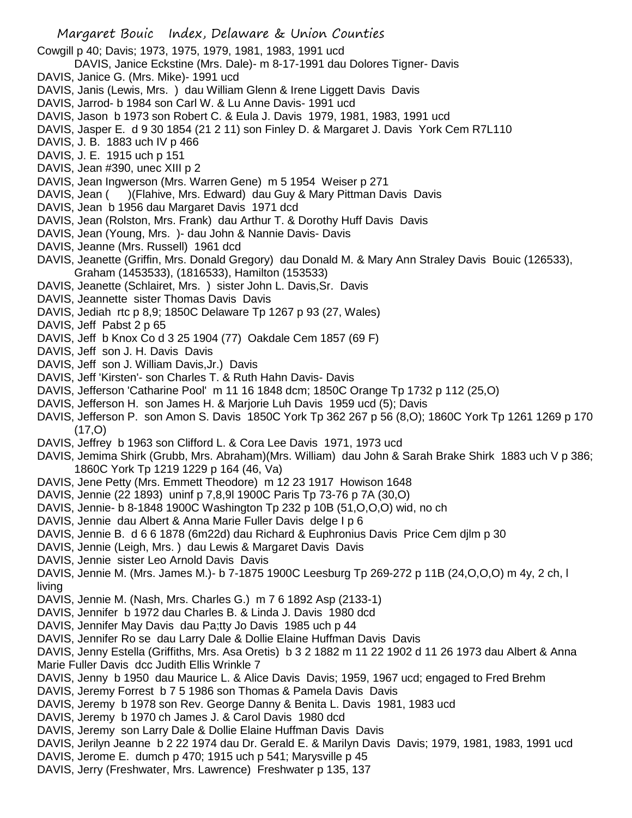- Margaret Bouic Index, Delaware & Union Counties Cowgill p 40; Davis; 1973, 1975, 1979, 1981, 1983, 1991 ucd DAVIS, Janice Eckstine (Mrs. Dale)- m 8-17-1991 dau Dolores Tigner- Davis DAVIS, Janice G. (Mrs. Mike)- 1991 ucd DAVIS, Janis (Lewis, Mrs. ) dau William Glenn & Irene Liggett Davis Davis DAVIS, Jarrod- b 1984 son Carl W. & Lu Anne Davis- 1991 ucd DAVIS, Jason b 1973 son Robert C. & Eula J. Davis 1979, 1981, 1983, 1991 ucd DAVIS, Jasper E. d 9 30 1854 (21 2 11) son Finley D. & Margaret J. Davis York Cem R7L110 DAVIS, J. B. 1883 uch IV p 466 DAVIS, J. E. 1915 uch p 151 DAVIS, Jean #390, unec XIII p 2 DAVIS, Jean Ingwerson (Mrs. Warren Gene) m 5 1954 Weiser p 271 DAVIS, Jean ( )(Flahive, Mrs. Edward) dau Guy & Mary Pittman Davis Davis DAVIS, Jean b 1956 dau Margaret Davis 1971 dcd DAVIS, Jean (Rolston, Mrs. Frank) dau Arthur T. & Dorothy Huff Davis Davis DAVIS, Jean (Young, Mrs. )- dau John & Nannie Davis- Davis DAVIS, Jeanne (Mrs. Russell) 1961 dcd DAVIS, Jeanette (Griffin, Mrs. Donald Gregory) dau Donald M. & Mary Ann Straley Davis Bouic (126533), Graham (1453533), (1816533), Hamilton (153533) DAVIS, Jeanette (Schlairet, Mrs. ) sister John L. Davis,Sr. Davis DAVIS, Jeannette sister Thomas Davis Davis DAVIS, Jediah rtc p 8,9; 1850C Delaware Tp 1267 p 93 (27, Wales) DAVIS, Jeff Pabst 2 p 65 DAVIS, Jeff b Knox Co d 3 25 1904 (77) Oakdale Cem 1857 (69 F) DAVIS, Jeff son J. H. Davis Davis DAVIS, Jeff son J. William Davis,Jr.) Davis DAVIS, Jeff 'Kirsten'- son Charles T. & Ruth Hahn Davis- Davis DAVIS, Jefferson 'Catharine Pool' m 11 16 1848 dcm; 1850C Orange Tp 1732 p 112 (25,O) DAVIS, Jefferson H. son James H. & Marjorie Luh Davis 1959 ucd (5); Davis
- DAVIS, Jefferson P. son Amon S. Davis 1850C York Tp 362 267 p 56 (8,O); 1860C York Tp 1261 1269 p 170 (17,O)
- DAVIS, Jeffrey b 1963 son Clifford L. & Cora Lee Davis 1971, 1973 ucd
- DAVIS, Jemima Shirk (Grubb, Mrs. Abraham)(Mrs. William) dau John & Sarah Brake Shirk 1883 uch V p 386; 1860C York Tp 1219 1229 p 164 (46, Va)
- DAVIS, Jene Petty (Mrs. Emmett Theodore) m 12 23 1917 Howison 1648
- DAVIS, Jennie (22 1893) uninf p 7,8,9l 1900C Paris Tp 73-76 p 7A (30,O)
- DAVIS, Jennie- b 8-1848 1900C Washington Tp 232 p 10B (51,O,O,O) wid, no ch
- DAVIS, Jennie dau Albert & Anna Marie Fuller Davis delge I p 6
- DAVIS, Jennie B. d 6 6 1878 (6m22d) dau Richard & Euphronius Davis Price Cem djlm p 30
- DAVIS, Jennie (Leigh, Mrs. ) dau Lewis & Margaret Davis Davis
- DAVIS, Jennie sister Leo Arnold Davis Davis
- DAVIS, Jennie M. (Mrs. James M.)- b 7-1875 1900C Leesburg Tp 269-272 p 11B (24,O,O,O) m 4y, 2 ch, l living
- DAVIS, Jennie M. (Nash, Mrs. Charles G.) m 7 6 1892 Asp (2133-1)
- DAVIS, Jennifer b 1972 dau Charles B. & Linda J. Davis 1980 dcd
- DAVIS, Jennifer May Davis dau Pa;tty Jo Davis 1985 uch p 44
- DAVIS, Jennifer Ro se dau Larry Dale & Dollie Elaine Huffman Davis Davis
- DAVIS, Jenny Estella (Griffiths, Mrs. Asa Oretis) b 3 2 1882 m 11 22 1902 d 11 26 1973 dau Albert & Anna Marie Fuller Davis dcc Judith Ellis Wrinkle 7
- DAVIS, Jenny b 1950 dau Maurice L. & Alice Davis Davis; 1959, 1967 ucd; engaged to Fred Brehm
- DAVIS, Jeremy Forrest b 7 5 1986 son Thomas & Pamela Davis Davis
- DAVIS, Jeremy b 1978 son Rev. George Danny & Benita L. Davis 1981, 1983 ucd
- DAVIS, Jeremy b 1970 ch James J. & Carol Davis 1980 dcd
- DAVIS, Jeremy son Larry Dale & Dollie Elaine Huffman Davis Davis
- DAVIS, Jerilyn Jeanne b 2 22 1974 dau Dr. Gerald E. & Marilyn Davis Davis; 1979, 1981, 1983, 1991 ucd
- DAVIS, Jerome E. dumch p 470; 1915 uch p 541; Marysville p 45
- DAVIS, Jerry (Freshwater, Mrs. Lawrence) Freshwater p 135, 137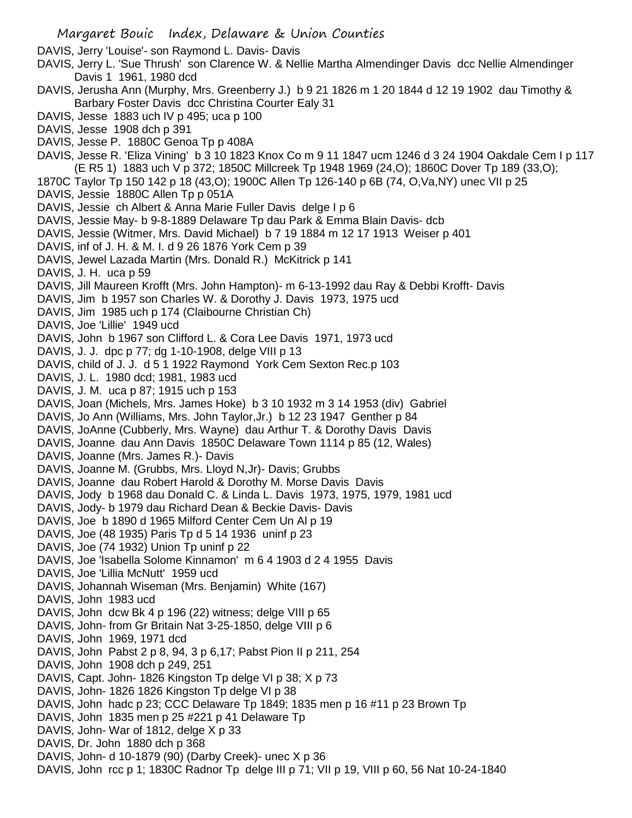DAVIS, Jerry 'Louise'- son Raymond L. Davis- Davis

- DAVIS, Jerry L. 'Sue Thrush' son Clarence W. & Nellie Martha Almendinger Davis dcc Nellie Almendinger Davis 1 1961, 1980 dcd
- DAVIS, Jerusha Ann (Murphy, Mrs. Greenberry J.) b 9 21 1826 m 1 20 1844 d 12 19 1902 dau Timothy & Barbary Foster Davis dcc Christina Courter Ealy 31
- DAVIS, Jesse 1883 uch IV p 495; uca p 100
- DAVIS, Jesse 1908 dch p 391
- DAVIS, Jesse P. 1880C Genoa Tp p 408A
- DAVIS, Jesse R. 'Eliza Vining' b 3 10 1823 Knox Co m 9 11 1847 ucm 1246 d 3 24 1904 Oakdale Cem I p 117 (E R5 1) 1883 uch V p 372; 1850C Millcreek Tp 1948 1969 (24,O); 1860C Dover Tp 189 (33,O);
- 1870C Taylor Tp 150 142 p 18 (43,O); 1900C Allen Tp 126-140 p 6B (74, O,Va,NY) unec VII p 25
- DAVIS, Jessie 1880C Allen Tp p 051A
- DAVIS, Jessie ch Albert & Anna Marie Fuller Davis delge I p 6
- DAVIS, Jessie May- b 9-8-1889 Delaware Tp dau Park & Emma Blain Davis- dcb
- DAVIS, Jessie (Witmer, Mrs. David Michael) b 7 19 1884 m 12 17 1913 Weiser p 401
- DAVIS, inf of J. H. & M. I. d 9 26 1876 York Cem p 39
- DAVIS, Jewel Lazada Martin (Mrs. Donald R.) McKitrick p 141
- DAVIS, J. H. uca p 59
- DAVIS, Jill Maureen Krofft (Mrs. John Hampton)- m 6-13-1992 dau Ray & Debbi Krofft- Davis
- DAVIS, Jim b 1957 son Charles W. & Dorothy J. Davis 1973, 1975 ucd
- DAVIS, Jim 1985 uch p 174 (Claibourne Christian Ch)
- DAVIS, Joe 'Lillie' 1949 ucd
- DAVIS, John b 1967 son Clifford L. & Cora Lee Davis 1971, 1973 ucd
- DAVIS, J. J. dpc p 77; dg 1-10-1908, delge VIII p 13
- DAVIS, child of J. J. d 5 1 1922 Raymond York Cem Sexton Rec.p 103
- DAVIS, J. L. 1980 dcd; 1981, 1983 ucd
- DAVIS, J. M. uca p 87; 1915 uch p 153
- DAVIS, Joan (Michels, Mrs. James Hoke) b 3 10 1932 m 3 14 1953 (div) Gabriel
- DAVIS, Jo Ann (Williams, Mrs. John Taylor,Jr.) b 12 23 1947 Genther p 84
- DAVIS, JoAnne (Cubberly, Mrs. Wayne) dau Arthur T. & Dorothy Davis Davis
- DAVIS, Joanne dau Ann Davis 1850C Delaware Town 1114 p 85 (12, Wales)
- DAVIS, Joanne (Mrs. James R.)- Davis
- DAVIS, Joanne M. (Grubbs, Mrs. Lloyd N,Jr)- Davis; Grubbs
- DAVIS, Joanne dau Robert Harold & Dorothy M. Morse Davis Davis
- DAVIS, Jody b 1968 dau Donald C. & Linda L. Davis 1973, 1975, 1979, 1981 ucd
- DAVIS, Jody- b 1979 dau Richard Dean & Beckie Davis- Davis
- DAVIS, Joe b 1890 d 1965 Milford Center Cem Un Al p 19
- DAVIS, Joe (48 1935) Paris Tp d 5 14 1936 uninf p 23
- DAVIS, Joe (74 1932) Union Tp uninf p 22
- DAVIS, Joe 'Isabella Solome Kinnamon' m 6 4 1903 d 2 4 1955 Davis
- DAVIS, Joe 'Lillia McNutt' 1959 ucd
- DAVIS, Johannah Wiseman (Mrs. Benjamin) White (167)
- DAVIS, John 1983 ucd
- DAVIS, John dcw Bk 4 p 196 (22) witness; delge VIII p 65
- DAVIS, John- from Gr Britain Nat 3-25-1850, delge VIII p 6
- DAVIS, John 1969, 1971 dcd
- DAVIS, John Pabst 2 p 8, 94, 3 p 6,17; Pabst Pion II p 211, 254
- DAVIS, John 1908 dch p 249, 251
- DAVIS, Capt. John- 1826 Kingston Tp delge VI p 38; X p 73
- DAVIS, John- 1826 1826 Kingston Tp delge VI p 38
- DAVIS, John hadc p 23; CCC Delaware Tp 1849; 1835 men p 16 #11 p 23 Brown Tp
- DAVIS, John 1835 men p 25 #221 p 41 Delaware Tp
- DAVIS, John- War of 1812, delge X p 33
- DAVIS, Dr. John 1880 dch p 368
- DAVIS, John- d 10-1879 (90) (Darby Creek)- unec X p 36
- DAVIS, John rcc p 1; 1830C Radnor Tp delge III p 71; VII p 19, VIII p 60, 56 Nat 10-24-1840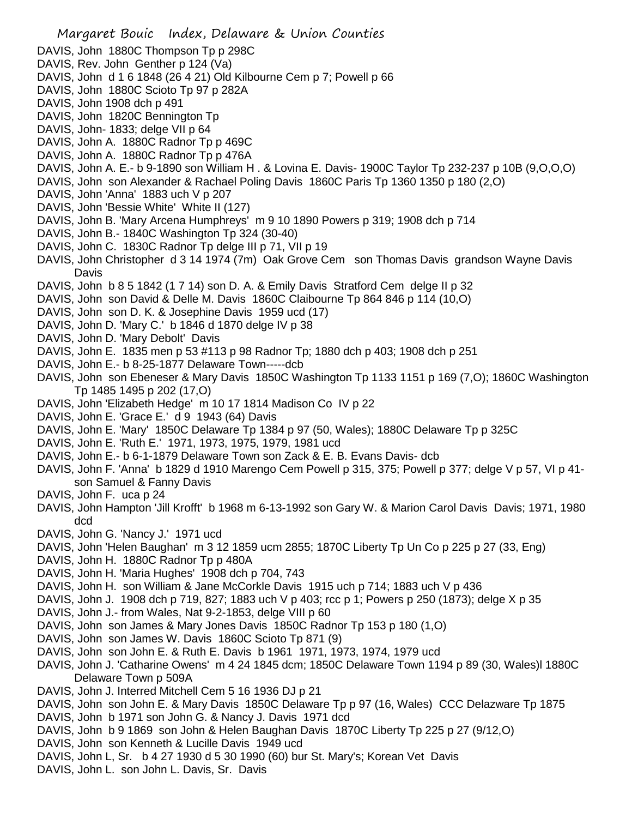- DAVIS, John 1880C Thompson Tp p 298C
- DAVIS, Rev. John Genther p 124 (Va)
- DAVIS, John d 1 6 1848 (26 4 21) Old Kilbourne Cem p 7; Powell p 66
- DAVIS, John 1880C Scioto Tp 97 p 282A
- DAVIS, John 1908 dch p 491
- DAVIS, John 1820C Bennington Tp
- DAVIS, John- 1833; delge VII p 64
- DAVIS, John A. 1880C Radnor Tp p 469C
- DAVIS, John A. 1880C Radnor Tp p 476A
- DAVIS, John A. E.- b 9-1890 son William H . & Lovina E. Davis- 1900C Taylor Tp 232-237 p 10B (9,O,O,O)
- DAVIS, John son Alexander & Rachael Poling Davis 1860C Paris Tp 1360 1350 p 180 (2,O)
- DAVIS, John 'Anna' 1883 uch V p 207
- DAVIS, John 'Bessie White' White II (127)
- DAVIS, John B. 'Mary Arcena Humphreys' m 9 10 1890 Powers p 319; 1908 dch p 714
- DAVIS, John B.- 1840C Washington Tp 324 (30-40)
- DAVIS, John C. 1830C Radnor Tp delge III p 71, VII p 19
- DAVIS, John Christopher d 3 14 1974 (7m) Oak Grove Cem son Thomas Davis grandson Wayne Davis Davis
- DAVIS, John b 8 5 1842 (1 7 14) son D. A. & Emily Davis Stratford Cem delge II p 32
- DAVIS, John son David & Delle M. Davis 1860C Claibourne Tp 864 846 p 114 (10,O)
- DAVIS, John son D. K. & Josephine Davis 1959 ucd (17)
- DAVIS, John D. 'Mary C.' b 1846 d 1870 delge IV p 38
- DAVIS, John D. 'Mary Debolt' Davis
- DAVIS, John E. 1835 men p 53 #113 p 98 Radnor Tp; 1880 dch p 403; 1908 dch p 251
- DAVIS, John E.- b 8-25-1877 Delaware Town-----dcb
- DAVIS, John son Ebeneser & Mary Davis 1850C Washington Tp 1133 1151 p 169 (7,O); 1860C Washington Tp 1485 1495 p 202 (17,O)
- DAVIS, John 'Elizabeth Hedge' m 10 17 1814 Madison Co IV p 22
- DAVIS, John E. 'Grace E.' d 9 1943 (64) Davis
- DAVIS, John E. 'Mary' 1850C Delaware Tp 1384 p 97 (50, Wales); 1880C Delaware Tp p 325C
- DAVIS, John E. 'Ruth E.' 1971, 1973, 1975, 1979, 1981 ucd
- DAVIS, John E.- b 6-1-1879 Delaware Town son Zack & E. B. Evans Davis- dcb
- DAVIS, John F. 'Anna' b 1829 d 1910 Marengo Cem Powell p 315, 375; Powell p 377; delge V p 57, VI p 41son Samuel & Fanny Davis
- DAVIS, John F. uca p 24
- DAVIS, John Hampton 'Jill Krofft' b 1968 m 6-13-1992 son Gary W. & Marion Carol Davis Davis; 1971, 1980 dcd
- DAVIS, John G. 'Nancy J.' 1971 ucd
- DAVIS, John 'Helen Baughan' m 3 12 1859 ucm 2855; 1870C Liberty Tp Un Co p 225 p 27 (33, Eng)
- DAVIS, John H. 1880C Radnor Tp p 480A
- DAVIS, John H. 'Maria Hughes' 1908 dch p 704, 743
- DAVIS, John H. son William & Jane McCorkle Davis 1915 uch p 714; 1883 uch V p 436
- DAVIS, John J. 1908 dch p 719, 827; 1883 uch V p 403; rcc p 1; Powers p 250 (1873); delge X p 35
- DAVIS, John J.- from Wales, Nat 9-2-1853, delge VIII p 60
- DAVIS, John son James & Mary Jones Davis 1850C Radnor Tp 153 p 180 (1,O)
- DAVIS, John son James W. Davis 1860C Scioto Tp 871 (9)
- DAVIS, John son John E. & Ruth E. Davis b 1961 1971, 1973, 1974, 1979 ucd
- DAVIS, John J. 'Catharine Owens' m 4 24 1845 dcm; 1850C Delaware Town 1194 p 89 (30, Wales)l 1880C Delaware Town p 509A
- DAVIS, John J. Interred Mitchell Cem 5 16 1936 DJ p 21
- DAVIS, John son John E. & Mary Davis 1850C Delaware Tp p 97 (16, Wales) CCC Delazware Tp 1875
- DAVIS, John b 1971 son John G. & Nancy J. Davis 1971 dcd
- DAVIS, John b 9 1869 son John & Helen Baughan Davis 1870C Liberty Tp 225 p 27 (9/12,O)
- DAVIS, John son Kenneth & Lucille Davis 1949 ucd
- DAVIS, John L, Sr. b 4 27 1930 d 5 30 1990 (60) bur St. Mary's; Korean Vet Davis
- DAVIS, John L. son John L. Davis, Sr. Davis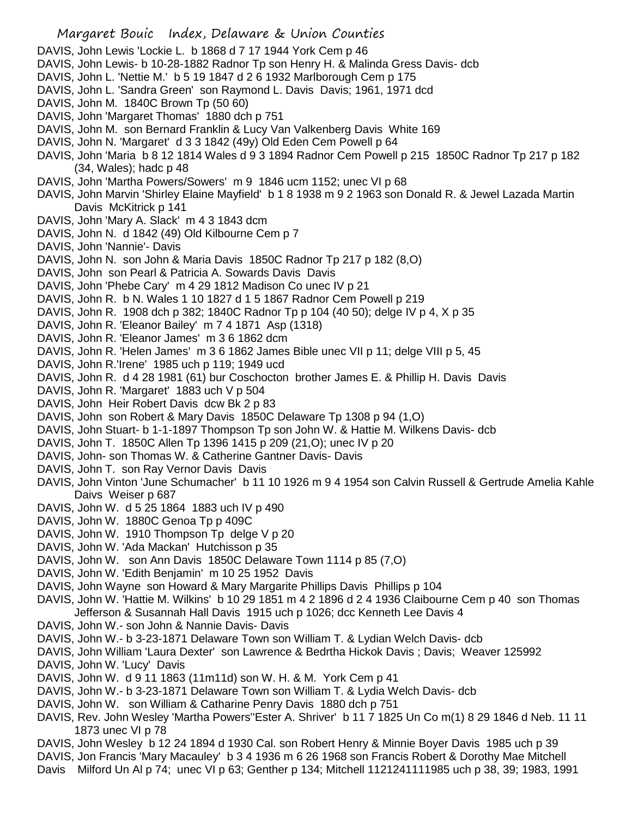DAVIS, John Lewis 'Lockie L. b 1868 d 7 17 1944 York Cem p 46 DAVIS, John Lewis- b 10-28-1882 Radnor Tp son Henry H. & Malinda Gress Davis- dcb DAVIS, John L. 'Nettie M.' b 5 19 1847 d 2 6 1932 Marlborough Cem p 175 DAVIS, John L. 'Sandra Green' son Raymond L. Davis Davis; 1961, 1971 dcd DAVIS, John M. 1840C Brown Tp (50 60) DAVIS, John 'Margaret Thomas' 1880 dch p 751 DAVIS, John M. son Bernard Franklin & Lucy Van Valkenberg Davis White 169 DAVIS, John N. 'Margaret' d 3 3 1842 (49y) Old Eden Cem Powell p 64 DAVIS, John 'Maria b 8 12 1814 Wales d 9 3 1894 Radnor Cem Powell p 215 1850C Radnor Tp 217 p 182 (34, Wales); hadc p 48 DAVIS, John 'Martha Powers/Sowers' m 9 1846 ucm 1152; unec VI p 68 DAVIS, John Marvin 'Shirley Elaine Mayfield' b 1 8 1938 m 9 2 1963 son Donald R. & Jewel Lazada Martin Davis McKitrick p 141 DAVIS, John 'Mary A. Slack' m 4 3 1843 dcm DAVIS, John N. d 1842 (49) Old Kilbourne Cem p 7 DAVIS, John 'Nannie'- Davis DAVIS, John N. son John & Maria Davis 1850C Radnor Tp 217 p 182 (8,O) DAVIS, John son Pearl & Patricia A. Sowards Davis Davis DAVIS, John 'Phebe Cary' m 4 29 1812 Madison Co unec IV p 21 DAVIS, John R. b N. Wales 1 10 1827 d 1 5 1867 Radnor Cem Powell p 219 DAVIS, John R. 1908 dch p 382; 1840C Radnor Tp p 104 (40 50); delge IV p 4, X p 35 DAVIS, John R. 'Eleanor Bailey' m 7 4 1871 Asp (1318) DAVIS, John R. 'Eleanor James' m 3 6 1862 dcm DAVIS, John R. 'Helen James' m 3 6 1862 James Bible unec VII p 11; delge VIII p 5, 45 DAVIS, John R.'Irene' 1985 uch p 119; 1949 ucd DAVIS, John R. d 4 28 1981 (61) bur Coschocton brother James E. & Phillip H. Davis Davis DAVIS, John R. 'Margaret' 1883 uch V p 504 DAVIS, John Heir Robert Davis dcw Bk 2 p 83 DAVIS, John son Robert & Mary Davis 1850C Delaware Tp 1308 p 94 (1,O) DAVIS, John Stuart- b 1-1-1897 Thompson Tp son John W. & Hattie M. Wilkens Davis- dcb DAVIS, John T. 1850C Allen Tp 1396 1415 p 209 (21,O); unec IV p 20 DAVIS, John- son Thomas W. & Catherine Gantner Davis- Davis DAVIS, John T. son Ray Vernor Davis Davis DAVIS, John Vinton 'June Schumacher' b 11 10 1926 m 9 4 1954 son Calvin Russell & Gertrude Amelia Kahle Daivs Weiser p 687 DAVIS, John W. d 5 25 1864 1883 uch IV p 490 DAVIS, John W. 1880C Genoa Tp p 409C DAVIS, John W. 1910 Thompson Tp delge V p 20 DAVIS, John W. 'Ada Mackan' Hutchisson p 35 DAVIS, John W. son Ann Davis 1850C Delaware Town 1114 p 85 (7,O) DAVIS, John W. 'Edith Benjamin' m 10 25 1952 Davis DAVIS, John Wayne son Howard & Mary Margarite Phillips Davis Phillips p 104 DAVIS, John W. 'Hattie M. Wilkins' b 10 29 1851 m 4 2 1896 d 2 4 1936 Claibourne Cem p 40 son Thomas Jefferson & Susannah Hall Davis 1915 uch p 1026; dcc Kenneth Lee Davis 4 DAVIS, John W.- son John & Nannie Davis- Davis DAVIS, John W.- b 3-23-1871 Delaware Town son William T. & Lydian Welch Davis- dcb DAVIS, John William 'Laura Dexter' son Lawrence & Bedrtha Hickok Davis ; Davis; Weaver 125992 DAVIS, John W. 'Lucy' Davis DAVIS, John W. d 9 11 1863 (11m11d) son W. H. & M. York Cem p 41 DAVIS, John W.- b 3-23-1871 Delaware Town son William T. & Lydia Welch Davis- dcb DAVIS, John W. son William & Catharine Penry Davis 1880 dch p 751 DAVIS, Rev. John Wesley 'Martha Powers''Ester A. Shriver' b 11 7 1825 Un Co m(1) 8 29 1846 d Neb. 11 11 1873 unec VI p 78

- DAVIS, John Wesley b 12 24 1894 d 1930 Cal. son Robert Henry & Minnie Boyer Davis 1985 uch p 39
- DAVIS, Jon Francis 'Mary Macauley' b 3 4 1936 m 6 26 1968 son Francis Robert & Dorothy Mae Mitchell
- Davis Milford Un Al p 74; unec VI p 63; Genther p 134; Mitchell 1121241111985 uch p 38, 39; 1983, 1991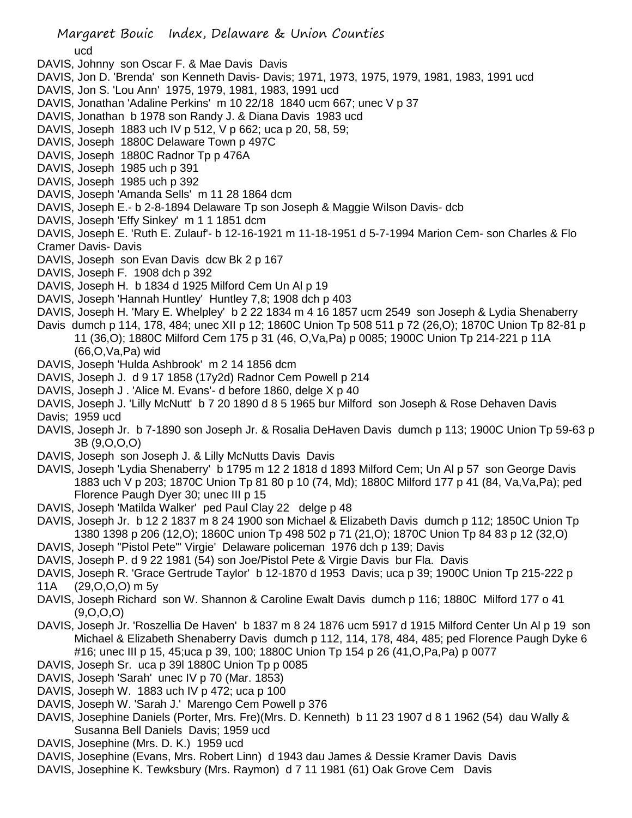ucd

- DAVIS, Johnny son Oscar F. & Mae Davis Davis
- DAVIS, Jon D. 'Brenda' son Kenneth Davis- Davis; 1971, 1973, 1975, 1979, 1981, 1983, 1991 ucd
- DAVIS, Jon S. 'Lou Ann' 1975, 1979, 1981, 1983, 1991 ucd
- DAVIS, Jonathan 'Adaline Perkins' m 10 22/18 1840 ucm 667; unec V p 37
- DAVIS, Jonathan b 1978 son Randy J. & Diana Davis 1983 ucd
- DAVIS, Joseph 1883 uch IV p 512, V p 662; uca p 20, 58, 59;
- DAVIS, Joseph 1880C Delaware Town p 497C
- DAVIS, Joseph 1880C Radnor Tp p 476A
- DAVIS, Joseph 1985 uch p 391
- DAVIS, Joseph 1985 uch p 392
- DAVIS, Joseph 'Amanda Sells' m 11 28 1864 dcm
- DAVIS, Joseph E.- b 2-8-1894 Delaware Tp son Joseph & Maggie Wilson Davis- dcb
- DAVIS, Joseph 'Effy Sinkey' m 1 1 1851 dcm
- DAVIS, Joseph E. 'Ruth E. Zulauf'- b 12-16-1921 m 11-18-1951 d 5-7-1994 Marion Cem- son Charles & Flo Cramer Davis- Davis
- 
- DAVIS, Joseph son Evan Davis dcw Bk 2 p 167
- DAVIS, Joseph F. 1908 dch p 392
- DAVIS, Joseph H. b 1834 d 1925 Milford Cem Un Al p 19
- DAVIS, Joseph 'Hannah Huntley' Huntley 7,8; 1908 dch p 403
- DAVIS, Joseph H. 'Mary E. Whelpley' b 2 22 1834 m 4 16 1857 ucm 2549 son Joseph & Lydia Shenaberry
- Davis dumch p 114, 178, 484; unec XII p 12; 1860C Union Tp 508 511 p 72 (26,O); 1870C Union Tp 82-81 p 11 (36,O); 1880C Milford Cem 175 p 31 (46, O,Va,Pa) p 0085; 1900C Union Tp 214-221 p 11A (66,O,Va,Pa) wid
- DAVIS, Joseph 'Hulda Ashbrook' m 2 14 1856 dcm
- DAVIS, Joseph J. d 9 17 1858 (17y2d) Radnor Cem Powell p 214
- DAVIS, Joseph J . 'Alice M. Evans'- d before 1860, delge X p 40
- DAVIS, Joseph J. 'Lilly McNutt' b 7 20 1890 d 8 5 1965 bur Milford son Joseph & Rose Dehaven Davis Davis; 1959 ucd
- DAVIS, Joseph Jr. b 7-1890 son Joseph Jr. & Rosalia DeHaven Davis dumch p 113; 1900C Union Tp 59-63 p 3B (9,O,O,O)
- DAVIS, Joseph son Joseph J. & Lilly McNutts Davis Davis
- DAVIS, Joseph 'Lydia Shenaberry' b 1795 m 12 2 1818 d 1893 Milford Cem; Un Al p 57 son George Davis 1883 uch V p 203; 1870C Union Tp 81 80 p 10 (74, Md); 1880C Milford 177 p 41 (84, Va,Va,Pa); ped Florence Paugh Dyer 30; unec III p 15
- DAVIS, Joseph 'Matilda Walker' ped Paul Clay 22 delge p 48
- DAVIS, Joseph Jr. b 12 2 1837 m 8 24 1900 son Michael & Elizabeth Davis dumch p 112; 1850C Union Tp 1380 1398 p 206 (12,O); 1860C union Tp 498 502 p 71 (21,O); 1870C Union Tp 84 83 p 12 (32,O)
- DAVIS, Joseph "Pistol Pete"' Virgie' Delaware policeman 1976 dch p 139; Davis
- DAVIS, Joseph P. d 9 22 1981 (54) son Joe/Pistol Pete & Virgie Davis bur Fla. Davis
- DAVIS, Joseph R. 'Grace Gertrude Taylor' b 12-1870 d 1953 Davis; uca p 39; 1900C Union Tp 215-222 p 11A (29,O,O,O) m 5y
- DAVIS, Joseph Richard son W. Shannon & Caroline Ewalt Davis dumch p 116; 1880C Milford 177 o 41 (9,O,O,O)
- DAVIS, Joseph Jr. 'Roszellia De Haven' b 1837 m 8 24 1876 ucm 5917 d 1915 Milford Center Un Al p 19 son Michael & Elizabeth Shenaberry Davis dumch p 112, 114, 178, 484, 485; ped Florence Paugh Dyke 6 #16; unec III p 15, 45;uca p 39, 100; 1880C Union Tp 154 p 26 (41,O,Pa,Pa) p 0077
- DAVIS, Joseph Sr. uca p 39l 1880C Union Tp p 0085
- DAVIS, Joseph 'Sarah' unec IV p 70 (Mar. 1853)
- DAVIS, Joseph W. 1883 uch IV p 472; uca p 100
- DAVIS, Joseph W. 'Sarah J.' Marengo Cem Powell p 376
- DAVIS, Josephine Daniels (Porter, Mrs. Fre)(Mrs. D. Kenneth) b 11 23 1907 d 8 1 1962 (54) dau Wally & Susanna Bell Daniels Davis; 1959 ucd
- DAVIS, Josephine (Mrs. D. K.) 1959 ucd
- DAVIS, Josephine (Evans, Mrs. Robert Linn) d 1943 dau James & Dessie Kramer Davis Davis
- DAVIS, Josephine K. Tewksbury (Mrs. Raymon) d 7 11 1981 (61) Oak Grove Cem Davis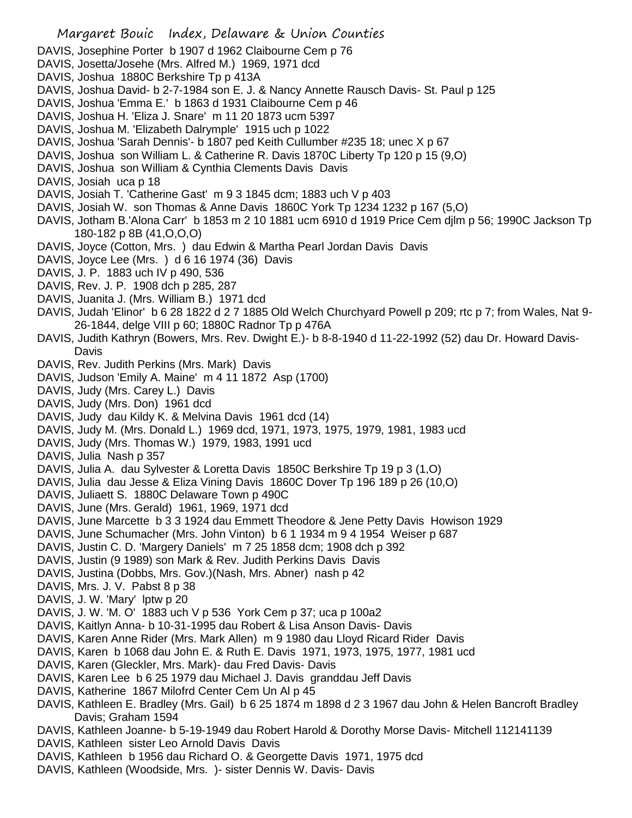DAVIS, Josephine Porter b 1907 d 1962 Claibourne Cem p 76

- DAVIS, Josetta/Josehe (Mrs. Alfred M.) 1969, 1971 dcd
- DAVIS, Joshua 1880C Berkshire Tp p 413A
- DAVIS, Joshua David- b 2-7-1984 son E. J. & Nancy Annette Rausch Davis- St. Paul p 125
- DAVIS, Joshua 'Emma E.' b 1863 d 1931 Claibourne Cem p 46
- DAVIS, Joshua H. 'Eliza J. Snare' m 11 20 1873 ucm 5397
- DAVIS, Joshua M. 'Elizabeth Dalrymple' 1915 uch p 1022
- DAVIS, Joshua 'Sarah Dennis'- b 1807 ped Keith Cullumber #235 18; unec X p 67
- DAVIS, Joshua son William L. & Catherine R. Davis 1870C Liberty Tp 120 p 15 (9,O)
- DAVIS, Joshua son William & Cynthia Clements Davis Davis
- DAVIS, Josiah uca p 18
- DAVIS, Josiah T. 'Catherine Gast' m 9 3 1845 dcm; 1883 uch V p 403
- DAVIS, Josiah W. son Thomas & Anne Davis 1860C York Tp 1234 1232 p 167 (5,O)
- DAVIS, Jotham B.'Alona Carr' b 1853 m 2 10 1881 ucm 6910 d 1919 Price Cem djlm p 56; 1990C Jackson Tp 180-182 p 8B (41,O,O,O)
- DAVIS, Joyce (Cotton, Mrs. ) dau Edwin & Martha Pearl Jordan Davis Davis
- DAVIS, Joyce Lee (Mrs. ) d 6 16 1974 (36) Davis
- DAVIS, J. P. 1883 uch IV p 490, 536
- DAVIS, Rev. J. P. 1908 dch p 285, 287
- DAVIS, Juanita J. (Mrs. William B.) 1971 dcd
- DAVIS, Judah 'Elinor' b 6 28 1822 d 2 7 1885 Old Welch Churchyard Powell p 209; rtc p 7; from Wales, Nat 9- 26-1844, delge VIII p 60; 1880C Radnor Tp p 476A
- DAVIS, Judith Kathryn (Bowers, Mrs. Rev. Dwight E.)- b 8-8-1940 d 11-22-1992 (52) dau Dr. Howard Davis-Davis
- DAVIS, Rev. Judith Perkins (Mrs. Mark) Davis
- DAVIS, Judson 'Emily A. Maine' m 4 11 1872 Asp (1700)
- DAVIS, Judy (Mrs. Carey L.) Davis
- DAVIS, Judy (Mrs. Don) 1961 dcd
- DAVIS, Judy dau Kildy K. & Melvina Davis 1961 dcd (14)
- DAVIS, Judy M. (Mrs. Donald L.) 1969 dcd, 1971, 1973, 1975, 1979, 1981, 1983 ucd
- DAVIS, Judy (Mrs. Thomas W.) 1979, 1983, 1991 ucd
- DAVIS, Julia Nash p 357
- DAVIS, Julia A. dau Sylvester & Loretta Davis 1850C Berkshire Tp 19 p 3 (1,O)
- DAVIS, Julia dau Jesse & Eliza Vining Davis 1860C Dover Tp 196 189 p 26 (10,O)
- DAVIS, Juliaett S. 1880C Delaware Town p 490C
- DAVIS, June (Mrs. Gerald) 1961, 1969, 1971 dcd
- DAVIS, June Marcette b 3 3 1924 dau Emmett Theodore & Jene Petty Davis Howison 1929
- DAVIS, June Schumacher (Mrs. John Vinton) b 6 1 1934 m 9 4 1954 Weiser p 687
- DAVIS, Justin C. D. 'Margery Daniels' m 7 25 1858 dcm; 1908 dch p 392
- DAVIS, Justin (9 1989) son Mark & Rev. Judith Perkins Davis Davis
- DAVIS, Justina (Dobbs, Mrs. Gov.)(Nash, Mrs. Abner) nash p 42
- DAVIS, Mrs. J. V. Pabst 8 p 38
- DAVIS, J. W. 'Mary' lptw p 20
- DAVIS, J. W. 'M. O' 1883 uch V p 536 York Cem p 37; uca p 100a2
- DAVIS, Kaitlyn Anna- b 10-31-1995 dau Robert & Lisa Anson Davis- Davis
- DAVIS, Karen Anne Rider (Mrs. Mark Allen) m 9 1980 dau Lloyd Ricard Rider Davis
- DAVIS, Karen b 1068 dau John E. & Ruth E. Davis 1971, 1973, 1975, 1977, 1981 ucd
- DAVIS, Karen (Gleckler, Mrs. Mark)- dau Fred Davis- Davis
- DAVIS, Karen Lee b 6 25 1979 dau Michael J. Davis granddau Jeff Davis
- DAVIS, Katherine 1867 Milofrd Center Cem Un Al p 45
- DAVIS, Kathleen E. Bradley (Mrs. Gail) b 6 25 1874 m 1898 d 2 3 1967 dau John & Helen Bancroft Bradley Davis; Graham 1594
- DAVIS, Kathleen Joanne- b 5-19-1949 dau Robert Harold & Dorothy Morse Davis- Mitchell 112141139
- DAVIS, Kathleen sister Leo Arnold Davis Davis
- DAVIS, Kathleen b 1956 dau Richard O. & Georgette Davis 1971, 1975 dcd
- DAVIS, Kathleen (Woodside, Mrs. )- sister Dennis W. Davis- Davis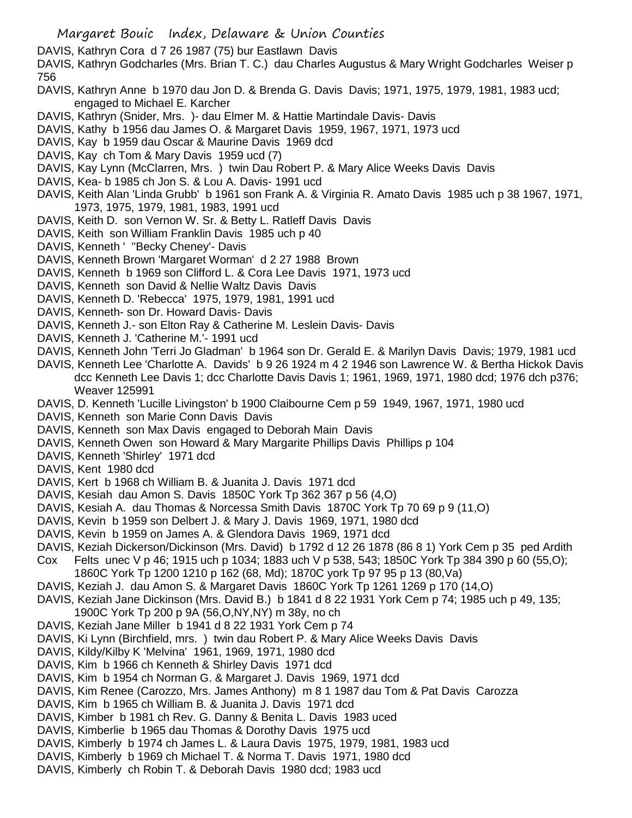DAVIS, Kathryn Cora d 7 26 1987 (75) bur Eastlawn Davis

DAVIS, Kathryn Godcharles (Mrs. Brian T. C.) dau Charles Augustus & Mary Wright Godcharles Weiser p 756

- DAVIS, Kathryn Anne b 1970 dau Jon D. & Brenda G. Davis Davis; 1971, 1975, 1979, 1981, 1983 ucd; engaged to Michael E. Karcher
- DAVIS, Kathryn (Snider, Mrs. )- dau Elmer M. & Hattie Martindale Davis- Davis
- DAVIS, Kathy b 1956 dau James O. & Margaret Davis 1959, 1967, 1971, 1973 ucd
- DAVIS, Kay b 1959 dau Oscar & Maurine Davis 1969 dcd
- DAVIS, Kay ch Tom & Mary Davis 1959 ucd (7)
- DAVIS, Kay Lynn (McClarren, Mrs. ) twin Dau Robert P. & Mary Alice Weeks Davis Davis
- DAVIS, Kea- b 1985 ch Jon S. & Lou A. Davis- 1991 ucd
- DAVIS, Keith Alan 'Linda Grubb' b 1961 son Frank A. & Virginia R. Amato Davis 1985 uch p 38 1967, 1971, 1973, 1975, 1979, 1981, 1983, 1991 ucd
- DAVIS, Keith D. son Vernon W. Sr. & Betty L. Ratleff Davis Davis
- DAVIS, Keith son William Franklin Davis 1985 uch p 40
- DAVIS, Kenneth ' ''Becky Cheney'- Davis
- DAVIS, Kenneth Brown 'Margaret Worman' d 2 27 1988 Brown
- DAVIS, Kenneth b 1969 son Clifford L. & Cora Lee Davis 1971, 1973 ucd
- DAVIS, Kenneth son David & Nellie Waltz Davis Davis
- DAVIS, Kenneth D. 'Rebecca' 1975, 1979, 1981, 1991 ucd
- DAVIS, Kenneth- son Dr. Howard Davis- Davis
- DAVIS, Kenneth J.- son Elton Ray & Catherine M. Leslein Davis- Davis
- DAVIS, Kenneth J. 'Catherine M.'- 1991 ucd
- DAVIS, Kenneth John 'Terri Jo Gladman' b 1964 son Dr. Gerald E. & Marilyn Davis Davis; 1979, 1981 ucd
- DAVIS, Kenneth Lee 'Charlotte A. Davids' b 9 26 1924 m 4 2 1946 son Lawrence W. & Bertha Hickok Davis dcc Kenneth Lee Davis 1; dcc Charlotte Davis Davis 1; 1961, 1969, 1971, 1980 dcd; 1976 dch p376; Weaver 125991
- DAVIS, D. Kenneth 'Lucille Livingston' b 1900 Claibourne Cem p 59 1949, 1967, 1971, 1980 ucd
- DAVIS, Kenneth son Marie Conn Davis Davis
- DAVIS, Kenneth son Max Davis engaged to Deborah Main Davis
- DAVIS, Kenneth Owen son Howard & Mary Margarite Phillips Davis Phillips p 104
- DAVIS, Kenneth 'Shirley' 1971 dcd
- DAVIS, Kent 1980 dcd
- DAVIS, Kert b 1968 ch William B. & Juanita J. Davis 1971 dcd
- DAVIS, Kesiah dau Amon S. Davis 1850C York Tp 362 367 p 56 (4,O)
- DAVIS, Kesiah A. dau Thomas & Norcessa Smith Davis 1870C York Tp 70 69 p 9 (11,O)
- DAVIS, Kevin b 1959 son Delbert J. & Mary J. Davis 1969, 1971, 1980 dcd
- DAVIS, Kevin b 1959 on James A. & Glendora Davis 1969, 1971 dcd
- DAVIS, Keziah Dickerson/Dickinson (Mrs. David) b 1792 d 12 26 1878 (86 8 1) York Cem p 35 ped Ardith
- Cox Felts unec V p 46; 1915 uch p 1034; 1883 uch V p 538, 543; 1850C York Tp 384 390 p 60 (55,O); 1860C York Tp 1200 1210 p 162 (68, Md); 1870C york Tp 97 95 p 13 (80,Va)
- DAVIS, Keziah J. dau Amon S. & Margaret Davis 1860C York Tp 1261 1269 p 170 (14,O)
- DAVIS, Keziah Jane Dickinson (Mrs. David B.) b 1841 d 8 22 1931 York Cem p 74; 1985 uch p 49, 135; 1900C York Tp 200 p 9A (56,O,NY,NY) m 38y, no ch
- DAVIS, Keziah Jane Miller b 1941 d 8 22 1931 York Cem p 74
- DAVIS, Ki Lynn (Birchfield, mrs. ) twin dau Robert P. & Mary Alice Weeks Davis Davis
- DAVIS, Kildy/Kilby K 'Melvina' 1961, 1969, 1971, 1980 dcd
- DAVIS, Kim b 1966 ch Kenneth & Shirley Davis 1971 dcd
- DAVIS, Kim b 1954 ch Norman G. & Margaret J. Davis 1969, 1971 dcd
- DAVIS, Kim Renee (Carozzo, Mrs. James Anthony) m 8 1 1987 dau Tom & Pat Davis Carozza
- DAVIS, Kim b 1965 ch William B. & Juanita J. Davis 1971 dcd
- DAVIS, Kimber b 1981 ch Rev. G. Danny & Benita L. Davis 1983 uced
- DAVIS, Kimberlie b 1965 dau Thomas & Dorothy Davis 1975 ucd
- DAVIS, Kimberly b 1974 ch James L. & Laura Davis 1975, 1979, 1981, 1983 ucd
- DAVIS, Kimberly b 1969 ch Michael T. & Norma T. Davis 1971, 1980 dcd
- DAVIS, Kimberly ch Robin T. & Deborah Davis 1980 dcd; 1983 ucd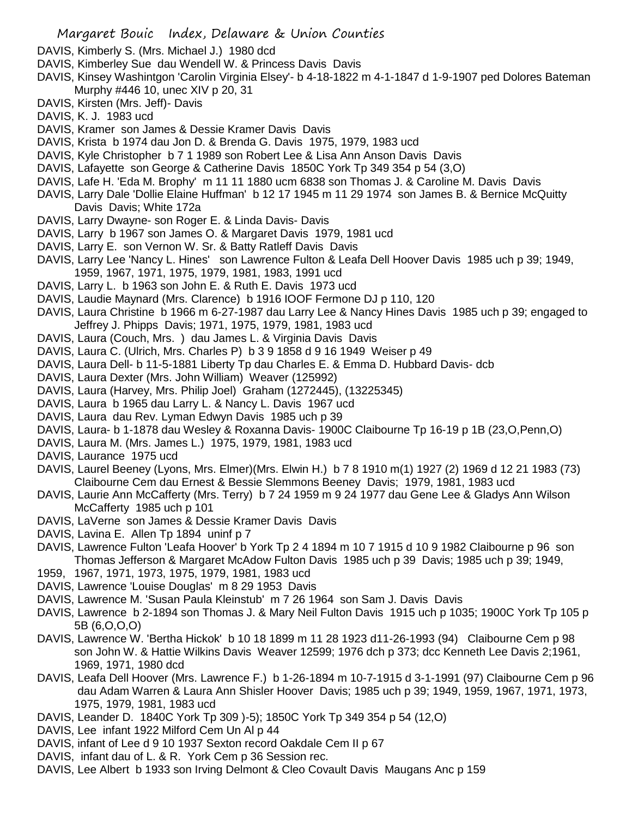- DAVIS, Kimberly S. (Mrs. Michael J.) 1980 dcd
- DAVIS, Kimberley Sue dau Wendell W. & Princess Davis Davis
- DAVIS, Kinsey Washintgon 'Carolin Virginia Elsey'- b 4-18-1822 m 4-1-1847 d 1-9-1907 ped Dolores Bateman Murphy #446 10, unec XIV p 20, 31
- DAVIS, Kirsten (Mrs. Jeff)- Davis
- DAVIS, K. J. 1983 ucd
- DAVIS, Kramer son James & Dessie Kramer Davis Davis
- DAVIS, Krista b 1974 dau Jon D. & Brenda G. Davis 1975, 1979, 1983 ucd
- DAVIS, Kyle Christopher b 7 1 1989 son Robert Lee & Lisa Ann Anson Davis Davis
- DAVIS, Lafayette son George & Catherine Davis 1850C York Tp 349 354 p 54 (3,O)
- DAVIS, Lafe H. 'Eda M. Brophy' m 11 11 1880 ucm 6838 son Thomas J. & Caroline M. Davis Davis
- DAVIS, Larry Dale 'Dollie Elaine Huffman' b 12 17 1945 m 11 29 1974 son James B. & Bernice McQuitty Davis Davis; White 172a
- DAVIS, Larry Dwayne- son Roger E. & Linda Davis- Davis
- DAVIS, Larry b 1967 son James O. & Margaret Davis 1979, 1981 ucd
- DAVIS, Larry E. son Vernon W. Sr. & Batty Ratleff Davis Davis
- DAVIS, Larry Lee 'Nancy L. Hines' son Lawrence Fulton & Leafa Dell Hoover Davis 1985 uch p 39; 1949, 1959, 1967, 1971, 1975, 1979, 1981, 1983, 1991 ucd
- DAVIS, Larry L. b 1963 son John E. & Ruth E. Davis 1973 ucd
- DAVIS, Laudie Maynard (Mrs. Clarence) b 1916 IOOF Fermone DJ p 110, 120
- DAVIS, Laura Christine b 1966 m 6-27-1987 dau Larry Lee & Nancy Hines Davis 1985 uch p 39; engaged to Jeffrey J. Phipps Davis; 1971, 1975, 1979, 1981, 1983 ucd
- DAVIS, Laura (Couch, Mrs. ) dau James L. & Virginia Davis Davis
- DAVIS, Laura C. (Ulrich, Mrs. Charles P) b 3 9 1858 d 9 16 1949 Weiser p 49
- DAVIS, Laura Dell- b 11-5-1881 Liberty Tp dau Charles E. & Emma D. Hubbard Davis- dcb
- DAVIS, Laura Dexter (Mrs. John William) Weaver (125992)
- DAVIS, Laura (Harvey, Mrs. Philip Joel) Graham (1272445), (13225345)
- DAVIS, Laura b 1965 dau Larry L. & Nancy L. Davis 1967 ucd
- DAVIS, Laura dau Rev. Lyman Edwyn Davis 1985 uch p 39
- DAVIS, Laura- b 1-1878 dau Wesley & Roxanna Davis- 1900C Claibourne Tp 16-19 p 1B (23,O,Penn,O)
- DAVIS, Laura M. (Mrs. James L.) 1975, 1979, 1981, 1983 ucd
- DAVIS, Laurance 1975 ucd
- DAVIS, Laurel Beeney (Lyons, Mrs. Elmer)(Mrs. Elwin H.) b 7 8 1910 m(1) 1927 (2) 1969 d 12 21 1983 (73) Claibourne Cem dau Ernest & Bessie Slemmons Beeney Davis; 1979, 1981, 1983 ucd
- DAVIS, Laurie Ann McCafferty (Mrs. Terry) b 7 24 1959 m 9 24 1977 dau Gene Lee & Gladys Ann Wilson McCafferty 1985 uch p 101
- DAVIS, LaVerne son James & Dessie Kramer Davis Davis
- DAVIS, Lavina E. Allen Tp 1894 uninf p 7
- DAVIS, Lawrence Fulton 'Leafa Hoover' b York Tp 2 4 1894 m 10 7 1915 d 10 9 1982 Claibourne p 96 son Thomas Jefferson & Margaret McAdow Fulton Davis 1985 uch p 39 Davis; 1985 uch p 39; 1949,
- 1959, 1967, 1971, 1973, 1975, 1979, 1981, 1983 ucd
- DAVIS, Lawrence 'Louise Douglas' m 8 29 1953 Davis
- DAVIS, Lawrence M. 'Susan Paula Kleinstub' m 7 26 1964 son Sam J. Davis Davis
- DAVIS, Lawrence b 2-1894 son Thomas J. & Mary Neil Fulton Davis 1915 uch p 1035; 1900C York Tp 105 p 5B (6,O,O,O)
- DAVIS, Lawrence W. 'Bertha Hickok' b 10 18 1899 m 11 28 1923 d11-26-1993 (94) Claibourne Cem p 98 son John W. & Hattie Wilkins Davis Weaver 12599; 1976 dch p 373; dcc Kenneth Lee Davis 2;1961, 1969, 1971, 1980 dcd
- DAVIS, Leafa Dell Hoover (Mrs. Lawrence F.) b 1-26-1894 m 10-7-1915 d 3-1-1991 (97) Claibourne Cem p 96 dau Adam Warren & Laura Ann Shisler Hoover Davis; 1985 uch p 39; 1949, 1959, 1967, 1971, 1973, 1975, 1979, 1981, 1983 ucd
- DAVIS, Leander D. 1840C York Tp 309 )-5); 1850C York Tp 349 354 p 54 (12,O)
- DAVIS, Lee infant 1922 Milford Cem Un Al p 44
- DAVIS, infant of Lee d 9 10 1937 Sexton record Oakdale Cem II p 67
- DAVIS, infant dau of L. & R. York Cem p 36 Session rec.
- DAVIS, Lee Albert b 1933 son Irving Delmont & Cleo Covault Davis Maugans Anc p 159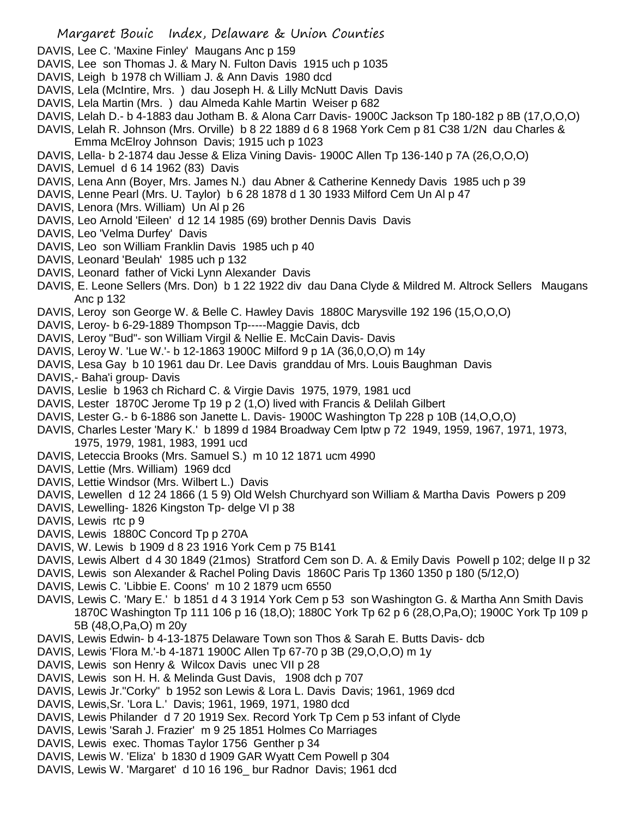- DAVIS, Lee C. 'Maxine Finley' Maugans Anc p 159
- DAVIS, Lee son Thomas J. & Mary N. Fulton Davis 1915 uch p 1035
- DAVIS, Leigh b 1978 ch William J. & Ann Davis 1980 dcd
- DAVIS, Lela (McIntire, Mrs. ) dau Joseph H. & Lilly McNutt Davis Davis
- DAVIS, Lela Martin (Mrs. ) dau Almeda Kahle Martin Weiser p 682
- DAVIS, Lelah D.- b 4-1883 dau Jotham B. & Alona Carr Davis- 1900C Jackson Tp 180-182 p 8B (17,O,O,O)
- DAVIS, Lelah R. Johnson (Mrs. Orville) b 8 22 1889 d 6 8 1968 York Cem p 81 C38 1/2N dau Charles & Emma McElroy Johnson Davis; 1915 uch p 1023
- DAVIS, Lella- b 2-1874 dau Jesse & Eliza Vining Davis- 1900C Allen Tp 136-140 p 7A (26,O,O,O)
- DAVIS, Lemuel d 6 14 1962 (83) Davis
- DAVIS, Lena Ann (Boyer, Mrs. James N.) dau Abner & Catherine Kennedy Davis 1985 uch p 39
- DAVIS, Lenne Pearl (Mrs. U. Taylor) b 6 28 1878 d 1 30 1933 Milford Cem Un Al p 47
- DAVIS, Lenora (Mrs. William) Un Al p 26
- DAVIS, Leo Arnold 'Eileen' d 12 14 1985 (69) brother Dennis Davis Davis
- DAVIS, Leo 'Velma Durfey' Davis
- DAVIS, Leo son William Franklin Davis 1985 uch p 40
- DAVIS, Leonard 'Beulah' 1985 uch p 132
- DAVIS, Leonard father of Vicki Lynn Alexander Davis
- DAVIS, E. Leone Sellers (Mrs. Don) b 1 22 1922 div dau Dana Clyde & Mildred M. Altrock Sellers Maugans Anc p 132
- DAVIS, Leroy son George W. & Belle C. Hawley Davis 1880C Marysville 192 196 (15,O,O,O)
- DAVIS, Leroy- b 6-29-1889 Thompson Tp-----Maggie Davis, dcb
- DAVIS, Leroy "Bud"- son William Virgil & Nellie E. McCain Davis- Davis
- DAVIS, Leroy W. 'Lue W.'- b 12-1863 1900C Milford 9 p 1A (36,0,O,O) m 14y
- DAVIS, Lesa Gay b 10 1961 dau Dr. Lee Davis granddau of Mrs. Louis Baughman Davis
- DAVIS,- Baha'i group- Davis
- DAVIS, Leslie b 1963 ch Richard C. & Virgie Davis 1975, 1979, 1981 ucd
- DAVIS, Lester 1870C Jerome Tp 19 p 2 (1,O) lived with Francis & Delilah Gilbert
- DAVIS, Lester G.- b 6-1886 son Janette L. Davis- 1900C Washington Tp 228 p 10B (14,O,O,O)
- DAVIS, Charles Lester 'Mary K.' b 1899 d 1984 Broadway Cem lptw p 72 1949, 1959, 1967, 1971, 1973, 1975, 1979, 1981, 1983, 1991 ucd
- DAVIS, Leteccia Brooks (Mrs. Samuel S.) m 10 12 1871 ucm 4990
- DAVIS, Lettie (Mrs. William) 1969 dcd
- DAVIS, Lettie Windsor (Mrs. Wilbert L.) Davis
- DAVIS, Lewellen d 12 24 1866 (1 5 9) Old Welsh Churchyard son William & Martha Davis Powers p 209
- DAVIS, Lewelling- 1826 Kingston Tp- delge VI p 38
- DAVIS, Lewis rtc p 9
- DAVIS, Lewis 1880C Concord Tp p 270A
- DAVIS, W. Lewis b 1909 d 8 23 1916 York Cem p 75 B141
- DAVIS, Lewis Albert d 4 30 1849 (21mos) Stratford Cem son D. A. & Emily Davis Powell p 102; delge II p 32
- DAVIS, Lewis son Alexander & Rachel Poling Davis 1860C Paris Tp 1360 1350 p 180 (5/12,O)
- DAVIS, Lewis C. 'Libbie E. Coons' m 10 2 1879 ucm 6550
- DAVIS, Lewis C. 'Mary E.' b 1851 d 4 3 1914 York Cem p 53 son Washington G. & Martha Ann Smith Davis 1870C Washington Tp 111 106 p 16 (18,O); 1880C York Tp 62 p 6 (28,O,Pa,O); 1900C York Tp 109 p 5B (48,O,Pa,O) m 20y
- DAVIS, Lewis Edwin- b 4-13-1875 Delaware Town son Thos & Sarah E. Butts Davis- dcb
- DAVIS, Lewis 'Flora M.'-b 4-1871 1900C Allen Tp 67-70 p 3B (29,O,O,O) m 1y
- DAVIS, Lewis son Henry & Wilcox Davis unec VII p 28
- DAVIS, Lewis son H. H. & Melinda Gust Davis, 1908 dch p 707
- DAVIS, Lewis Jr."Corky" b 1952 son Lewis & Lora L. Davis Davis; 1961, 1969 dcd
- DAVIS, Lewis,Sr. 'Lora L.' Davis; 1961, 1969, 1971, 1980 dcd
- DAVIS, Lewis Philander d 7 20 1919 Sex. Record York Tp Cem p 53 infant of Clyde
- DAVIS, Lewis 'Sarah J. Frazier' m 9 25 1851 Holmes Co Marriages
- DAVIS, Lewis exec. Thomas Taylor 1756 Genther p 34
- DAVIS, Lewis W. 'Eliza' b 1830 d 1909 GAR Wyatt Cem Powell p 304
- DAVIS, Lewis W. 'Margaret' d 10 16 196\_ bur Radnor Davis; 1961 dcd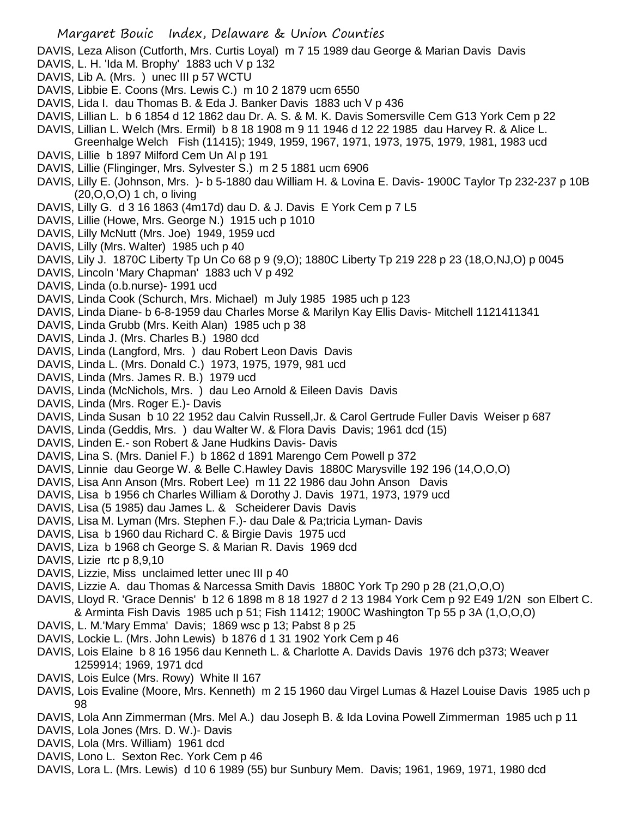DAVIS, Leza Alison (Cutforth, Mrs. Curtis Loyal) m 7 15 1989 dau George & Marian Davis Davis

- DAVIS, L. H. 'Ida M. Brophy' 1883 uch V p 132
- DAVIS, Lib A. (Mrs. ) unec III p 57 WCTU
- DAVIS, Libbie E. Coons (Mrs. Lewis C.) m 10 2 1879 ucm 6550
- DAVIS, Lida I. dau Thomas B. & Eda J. Banker Davis 1883 uch V p 436
- DAVIS, Lillian L. b 6 1854 d 12 1862 dau Dr. A. S. & M. K. Davis Somersville Cem G13 York Cem p 22
- DAVIS, Lillian L. Welch (Mrs. Ermil) b 8 18 1908 m 9 11 1946 d 12 22 1985 dau Harvey R. & Alice L. Greenhalge Welch Fish (11415); 1949, 1959, 1967, 1971, 1973, 1975, 1979, 1981, 1983 ucd
- DAVIS, Lillie b 1897 Milford Cem Un Al p 191
- DAVIS, Lillie (Flinginger, Mrs. Sylvester S.) m 2 5 1881 ucm 6906
- DAVIS, Lilly E. (Johnson, Mrs. )- b 5-1880 dau William H. & Lovina E. Davis- 1900C Taylor Tp 232-237 p 10B (20,O,O,O) 1 ch, o living
- DAVIS, Lilly G. d 3 16 1863 (4m17d) dau D. & J. Davis E York Cem p 7 L5
- DAVIS, Lillie (Howe, Mrs. George N.) 1915 uch p 1010
- DAVIS, Lilly McNutt (Mrs. Joe) 1949, 1959 ucd
- DAVIS, Lilly (Mrs. Walter) 1985 uch p 40
- DAVIS, Lily J. 1870C Liberty Tp Un Co 68 p 9 (9,O); 1880C Liberty Tp 219 228 p 23 (18,O,NJ,O) p 0045
- DAVIS, Lincoln 'Mary Chapman' 1883 uch V p 492
- DAVIS, Linda (o.b.nurse)- 1991 ucd
- DAVIS, Linda Cook (Schurch, Mrs. Michael) m July 1985 1985 uch p 123
- DAVIS, Linda Diane- b 6-8-1959 dau Charles Morse & Marilyn Kay Ellis Davis- Mitchell 1121411341
- DAVIS, Linda Grubb (Mrs. Keith Alan) 1985 uch p 38
- DAVIS, Linda J. (Mrs. Charles B.) 1980 dcd
- DAVIS, Linda (Langford, Mrs. ) dau Robert Leon Davis Davis
- DAVIS, Linda L. (Mrs. Donald C.) 1973, 1975, 1979, 981 ucd
- DAVIS, Linda (Mrs. James R. B.) 1979 ucd
- DAVIS, Linda (McNichols, Mrs. ) dau Leo Arnold & Eileen Davis Davis
- DAVIS, Linda (Mrs. Roger E.)- Davis
- DAVIS, Linda Susan b 10 22 1952 dau Calvin Russell,Jr. & Carol Gertrude Fuller Davis Weiser p 687
- DAVIS, Linda (Geddis, Mrs. ) dau Walter W. & Flora Davis Davis; 1961 dcd (15)
- DAVIS, Linden E.- son Robert & Jane Hudkins Davis- Davis
- DAVIS, Lina S. (Mrs. Daniel F.) b 1862 d 1891 Marengo Cem Powell p 372
- DAVIS, Linnie dau George W. & Belle C.Hawley Davis 1880C Marysville 192 196 (14,O,O,O)
- DAVIS, Lisa Ann Anson (Mrs. Robert Lee) m 11 22 1986 dau John Anson Davis
- DAVIS, Lisa b 1956 ch Charles William & Dorothy J. Davis 1971, 1973, 1979 ucd
- DAVIS, Lisa (5 1985) dau James L. & Scheiderer Davis Davis
- DAVIS, Lisa M. Lyman (Mrs. Stephen F.)- dau Dale & Pa;tricia Lyman- Davis
- DAVIS, Lisa b 1960 dau Richard C. & Birgie Davis 1975 ucd
- DAVIS, Liza b 1968 ch George S. & Marian R. Davis 1969 dcd
- DAVIS, Lizie rtc p 8,9,10
- DAVIS, Lizzie, Miss unclaimed letter unec III p 40
- DAVIS, Lizzie A. dau Thomas & Narcessa Smith Davis 1880C York Tp 290 p 28 (21,O,O,O)
- DAVIS, Lloyd R. 'Grace Dennis' b 12 6 1898 m 8 18 1927 d 2 13 1984 York Cem p 92 E49 1/2N son Elbert C. & Arminta Fish Davis 1985 uch p 51; Fish 11412; 1900C Washington Tp 55 p 3A (1,O,O,O)
- DAVIS, L. M.'Mary Emma' Davis; 1869 wsc p 13; Pabst 8 p 25
- DAVIS, Lockie L. (Mrs. John Lewis) b 1876 d 1 31 1902 York Cem p 46
- DAVIS, Lois Elaine b 8 16 1956 dau Kenneth L. & Charlotte A. Davids Davis 1976 dch p373; Weaver 1259914; 1969, 1971 dcd
- DAVIS, Lois Eulce (Mrs. Rowy) White II 167
- DAVIS, Lois Evaline (Moore, Mrs. Kenneth) m 2 15 1960 dau Virgel Lumas & Hazel Louise Davis 1985 uch p 98
- DAVIS, Lola Ann Zimmerman (Mrs. Mel A.) dau Joseph B. & Ida Lovina Powell Zimmerman 1985 uch p 11
- DAVIS, Lola Jones (Mrs. D. W.)- Davis
- DAVIS, Lola (Mrs. William) 1961 dcd
- DAVIS, Lono L. Sexton Rec. York Cem p 46
- DAVIS, Lora L. (Mrs. Lewis) d 10 6 1989 (55) bur Sunbury Mem. Davis; 1961, 1969, 1971, 1980 dcd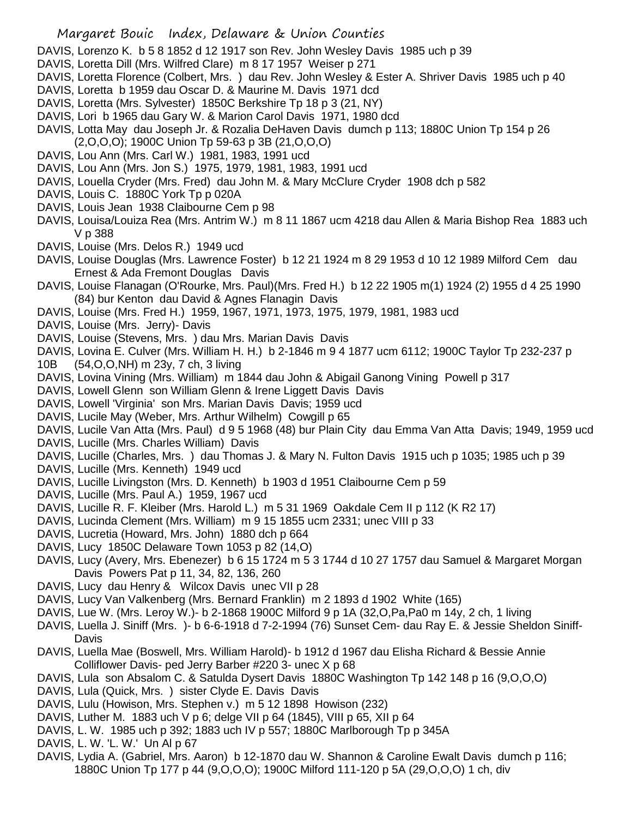- DAVIS, Lorenzo K. b 5 8 1852 d 12 1917 son Rev. John Wesley Davis 1985 uch p 39
- DAVIS, Loretta Dill (Mrs. Wilfred Clare) m 8 17 1957 Weiser p 271
- DAVIS, Loretta Florence (Colbert, Mrs. ) dau Rev. John Wesley & Ester A. Shriver Davis 1985 uch p 40
- DAVIS, Loretta b 1959 dau Oscar D. & Maurine M. Davis 1971 dcd
- DAVIS, Loretta (Mrs. Sylvester) 1850C Berkshire Tp 18 p 3 (21, NY)
- DAVIS, Lori b 1965 dau Gary W. & Marion Carol Davis 1971, 1980 dcd
- DAVIS, Lotta May dau Joseph Jr. & Rozalia DeHaven Davis dumch p 113; 1880C Union Tp 154 p 26 (2,O,O,O); 1900C Union Tp 59-63 p 3B (21,O,O,O)
- DAVIS, Lou Ann (Mrs. Carl W.) 1981, 1983, 1991 ucd
- DAVIS, Lou Ann (Mrs. Jon S.) 1975, 1979, 1981, 1983, 1991 ucd
- DAVIS, Louella Cryder (Mrs. Fred) dau John M. & Mary McClure Cryder 1908 dch p 582
- DAVIS, Louis C. 1880C York Tp p 020A
- DAVIS, Louis Jean 1938 Claibourne Cem p 98
- DAVIS, Louisa/Louiza Rea (Mrs. Antrim W.) m 8 11 1867 ucm 4218 dau Allen & Maria Bishop Rea 1883 uch V p 388
- DAVIS, Louise (Mrs. Delos R.) 1949 ucd
- DAVIS, Louise Douglas (Mrs. Lawrence Foster) b 12 21 1924 m 8 29 1953 d 10 12 1989 Milford Cem dau Ernest & Ada Fremont Douglas Davis
- DAVIS, Louise Flanagan (O'Rourke, Mrs. Paul)(Mrs. Fred H.) b 12 22 1905 m(1) 1924 (2) 1955 d 4 25 1990 (84) bur Kenton dau David & Agnes Flanagin Davis
- DAVIS, Louise (Mrs. Fred H.) 1959, 1967, 1971, 1973, 1975, 1979, 1981, 1983 ucd
- DAVIS, Louise (Mrs. Jerry)- Davis
- DAVIS, Louise (Stevens, Mrs. ) dau Mrs. Marian Davis Davis
- DAVIS, Lovina E. Culver (Mrs. William H. H.) b 2-1846 m 9 4 1877 ucm 6112; 1900C Taylor Tp 232-237 p 10B (54,O,O,NH) m 23y, 7 ch, 3 living
- DAVIS, Lovina Vining (Mrs. William) m 1844 dau John & Abigail Ganong Vining Powell p 317
- DAVIS, Lowell Glenn son William Glenn & Irene Liggett Davis Davis
- DAVIS, Lowell 'Virginia' son Mrs. Marian Davis Davis; 1959 ucd
- DAVIS, Lucile May (Weber, Mrs. Arthur Wilhelm) Cowgill p 65
- DAVIS, Lucile Van Atta (Mrs. Paul) d 9 5 1968 (48) bur Plain City dau Emma Van Atta Davis; 1949, 1959 ucd
- DAVIS, Lucille (Mrs. Charles William) Davis
- DAVIS, Lucille (Charles, Mrs. ) dau Thomas J. & Mary N. Fulton Davis 1915 uch p 1035; 1985 uch p 39
- DAVIS, Lucille (Mrs. Kenneth) 1949 ucd
- DAVIS, Lucille Livingston (Mrs. D. Kenneth) b 1903 d 1951 Claibourne Cem p 59
- DAVIS, Lucille (Mrs. Paul A.) 1959, 1967 ucd
- DAVIS, Lucille R. F. Kleiber (Mrs. Harold L.) m 5 31 1969 Oakdale Cem II p 112 (K R2 17)
- DAVIS, Lucinda Clement (Mrs. William) m 9 15 1855 ucm 2331; unec VIII p 33
- DAVIS, Lucretia (Howard, Mrs. John) 1880 dch p 664
- DAVIS, Lucy 1850C Delaware Town 1053 p 82 (14,O)
- DAVIS, Lucy (Avery, Mrs. Ebenezer) b 6 15 1724 m 5 3 1744 d 10 27 1757 dau Samuel & Margaret Morgan Davis Powers Pat p 11, 34, 82, 136, 260
- DAVIS, Lucy dau Henry & Wilcox Davis unec VII p 28
- DAVIS, Lucy Van Valkenberg (Mrs. Bernard Franklin) m 2 1893 d 1902 White (165)
- DAVIS, Lue W. (Mrs. Leroy W.)- b 2-1868 1900C Milford 9 p 1A (32,O,Pa,Pa0 m 14y, 2 ch, 1 living
- DAVIS, Luella J. Siniff (Mrs. )- b 6-6-1918 d 7-2-1994 (76) Sunset Cem- dau Ray E. & Jessie Sheldon Siniff-Davis
- DAVIS, Luella Mae (Boswell, Mrs. William Harold)- b 1912 d 1967 dau Elisha Richard & Bessie Annie Colliflower Davis- ped Jerry Barber #220 3- unec X p 68
- DAVIS, Lula son Absalom C. & Satulda Dysert Davis 1880C Washington Tp 142 148 p 16 (9,O,O,O)
- DAVIS, Lula (Quick, Mrs. ) sister Clyde E. Davis Davis
- DAVIS, Lulu (Howison, Mrs. Stephen v.) m 5 12 1898 Howison (232)
- DAVIS, Luther M. 1883 uch V p 6; delge VII p 64 (1845), VIII p 65, XII p 64
- DAVIS, L. W. 1985 uch p 392; 1883 uch IV p 557; 1880C Marlborough Tp p 345A
- DAVIS, L. W. 'L. W.' Un Al p 67
- DAVIS, Lydia A. (Gabriel, Mrs. Aaron) b 12-1870 dau W. Shannon & Caroline Ewalt Davis dumch p 116; 1880C Union Tp 177 p 44 (9,O,O,O); 1900C Milford 111-120 p 5A (29,O,O,O) 1 ch, div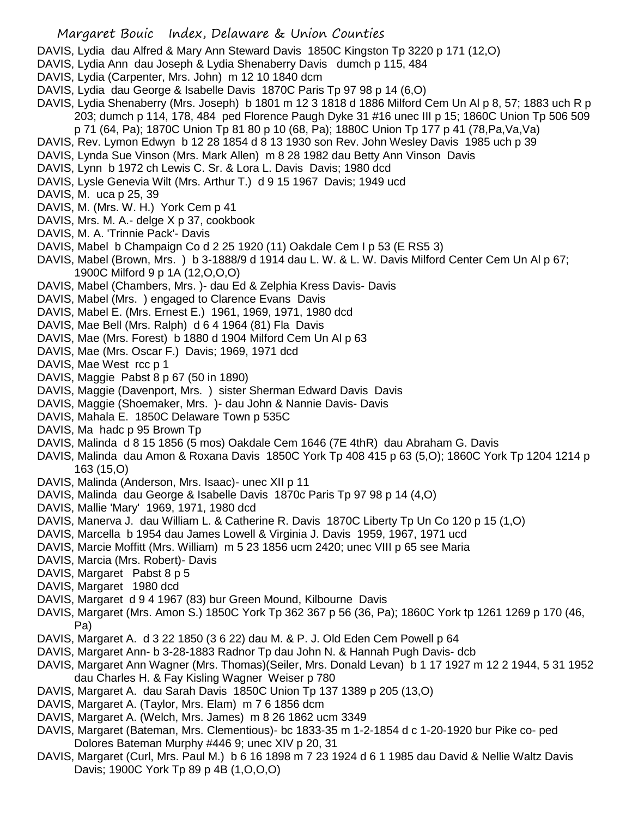- DAVIS, Lydia dau Alfred & Mary Ann Steward Davis 1850C Kingston Tp 3220 p 171 (12,O)
- DAVIS, Lydia Ann dau Joseph & Lydia Shenaberry Davis dumch p 115, 484
- DAVIS, Lydia (Carpenter, Mrs. John) m 12 10 1840 dcm
- DAVIS, Lydia dau George & Isabelle Davis 1870C Paris Tp 97 98 p 14 (6,O)
- DAVIS, Lydia Shenaberry (Mrs. Joseph) b 1801 m 12 3 1818 d 1886 Milford Cem Un Al p 8, 57; 1883 uch R p 203; dumch p 114, 178, 484 ped Florence Paugh Dyke 31 #16 unec III p 15; 1860C Union Tp 506 509 p 71 (64, Pa); 1870C Union Tp 81 80 p 10 (68, Pa); 1880C Union Tp 177 p 41 (78,Pa,Va,Va)
- 
- DAVIS, Rev. Lymon Edwyn b 12 28 1854 d 8 13 1930 son Rev. John Wesley Davis 1985 uch p 39
- DAVIS, Lynda Sue Vinson (Mrs. Mark Allen) m 8 28 1982 dau Betty Ann Vinson Davis
- DAVIS, Lynn b 1972 ch Lewis C. Sr. & Lora L. Davis Davis; 1980 dcd
- DAVIS, Lysle Genevia Wilt (Mrs. Arthur T.) d 9 15 1967 Davis; 1949 ucd
- DAVIS, M. uca p 25, 39
- DAVIS, M. (Mrs. W. H.) York Cem p 41
- DAVIS, Mrs. M. A.- delge X p 37, cookbook
- DAVIS, M. A. 'Trinnie Pack'- Davis
- DAVIS, Mabel b Champaign Co d 2 25 1920 (11) Oakdale Cem I p 53 (E RS5 3)
- DAVIS, Mabel (Brown, Mrs. ) b 3-1888/9 d 1914 dau L. W. & L. W. Davis Milford Center Cem Un Al p 67; 1900C Milford 9 p 1A (12,O,O,O)
- DAVIS, Mabel (Chambers, Mrs. )- dau Ed & Zelphia Kress Davis- Davis
- DAVIS, Mabel (Mrs. ) engaged to Clarence Evans Davis
- DAVIS, Mabel E. (Mrs. Ernest E.) 1961, 1969, 1971, 1980 dcd
- DAVIS, Mae Bell (Mrs. Ralph) d 6 4 1964 (81) Fla Davis
- DAVIS, Mae (Mrs. Forest) b 1880 d 1904 Milford Cem Un Al p 63
- DAVIS, Mae (Mrs. Oscar F.) Davis; 1969, 1971 dcd
- DAVIS, Mae West rcc p 1
- DAVIS, Maggie Pabst 8 p 67 (50 in 1890)
- DAVIS, Maggie (Davenport, Mrs. ) sister Sherman Edward Davis Davis
- DAVIS, Maggie (Shoemaker, Mrs. )- dau John & Nannie Davis- Davis
- DAVIS, Mahala E. 1850C Delaware Town p 535C
- DAVIS, Ma hadc p 95 Brown Tp
- DAVIS, Malinda d 8 15 1856 (5 mos) Oakdale Cem 1646 (7E 4thR) dau Abraham G. Davis
- DAVIS, Malinda dau Amon & Roxana Davis 1850C York Tp 408 415 p 63 (5,O); 1860C York Tp 1204 1214 p 163 (15,O)
- DAVIS, Malinda (Anderson, Mrs. Isaac)- unec XII p 11
- DAVIS, Malinda dau George & Isabelle Davis 1870c Paris Tp 97 98 p 14 (4,O)
- DAVIS, Mallie 'Mary' 1969, 1971, 1980 dcd
- DAVIS, Manerva J. dau William L. & Catherine R. Davis 1870C Liberty Tp Un Co 120 p 15 (1,O)
- DAVIS, Marcella b 1954 dau James Lowell & Virginia J. Davis 1959, 1967, 1971 ucd
- DAVIS, Marcie Moffitt (Mrs. William) m 5 23 1856 ucm 2420; unec VIII p 65 see Maria
- DAVIS, Marcia (Mrs. Robert)- Davis
- DAVIS, Margaret Pabst 8 p 5
- DAVIS, Margaret 1980 dcd
- DAVIS, Margaret d 9 4 1967 (83) bur Green Mound, Kilbourne Davis
- DAVIS, Margaret (Mrs. Amon S.) 1850C York Tp 362 367 p 56 (36, Pa); 1860C York tp 1261 1269 p 170 (46, Pa)
- DAVIS, Margaret A. d 3 22 1850 (3 6 22) dau M. & P. J. Old Eden Cem Powell p 64
- DAVIS, Margaret Ann- b 3-28-1883 Radnor Tp dau John N. & Hannah Pugh Davis- dcb
- DAVIS, Margaret Ann Wagner (Mrs. Thomas)(Seiler, Mrs. Donald Levan) b 1 17 1927 m 12 2 1944, 5 31 1952 dau Charles H. & Fay Kisling Wagner Weiser p 780
- DAVIS, Margaret A. dau Sarah Davis 1850C Union Tp 137 1389 p 205 (13,O)
- DAVIS, Margaret A. (Taylor, Mrs. Elam) m 7 6 1856 dcm
- DAVIS, Margaret A. (Welch, Mrs. James) m 8 26 1862 ucm 3349
- DAVIS, Margaret (Bateman, Mrs. Clementious)- bc 1833-35 m 1-2-1854 d c 1-20-1920 bur Pike co- ped Dolores Bateman Murphy #446 9; unec XIV p 20, 31
- DAVIS, Margaret (Curl, Mrs. Paul M.) b 6 16 1898 m 7 23 1924 d 6 1 1985 dau David & Nellie Waltz Davis Davis; 1900C York Tp 89 p 4B (1,O,O,O)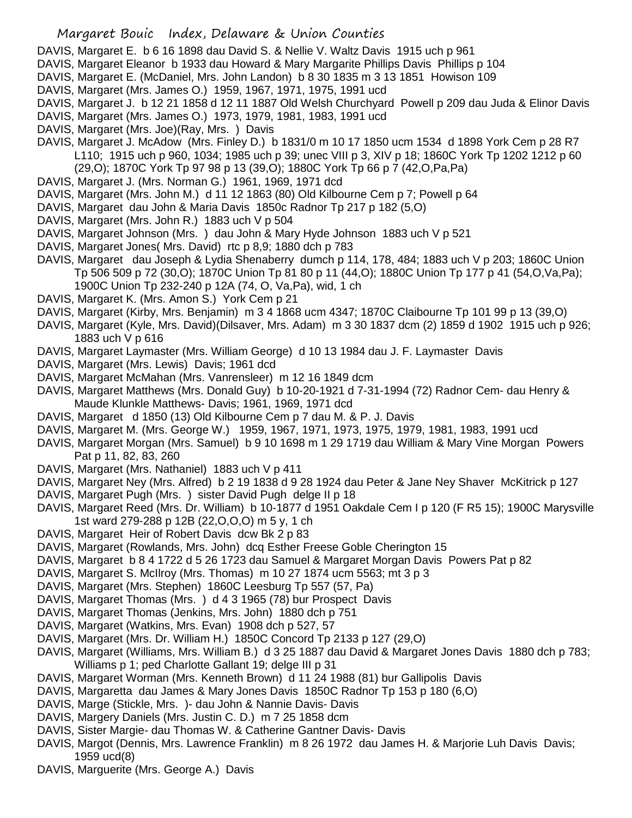- DAVIS, Margaret E. b 6 16 1898 dau David S. & Nellie V. Waltz Davis 1915 uch p 961
- DAVIS, Margaret Eleanor b 1933 dau Howard & Mary Margarite Phillips Davis Phillips p 104
- DAVIS, Margaret E. (McDaniel, Mrs. John Landon) b 8 30 1835 m 3 13 1851 Howison 109
- DAVIS, Margaret (Mrs. James O.) 1959, 1967, 1971, 1975, 1991 ucd
- DAVIS, Margaret J. b 12 21 1858 d 12 11 1887 Old Welsh Churchyard Powell p 209 dau Juda & Elinor Davis
- DAVIS, Margaret (Mrs. James O.) 1973, 1979, 1981, 1983, 1991 ucd
- DAVIS, Margaret (Mrs. Joe)(Ray, Mrs. ) Davis
- DAVIS, Margaret J. McAdow (Mrs. Finley D.) b 1831/0 m 10 17 1850 ucm 1534 d 1898 York Cem p 28 R7 L110; 1915 uch p 960, 1034; 1985 uch p 39; unec VIII p 3, XIV p 18; 1860C York Tp 1202 1212 p 60 (29,O); 1870C York Tp 97 98 p 13 (39,O); 1880C York Tp 66 p 7 (42,O,Pa,Pa)
- DAVIS, Margaret J. (Mrs. Norman G.) 1961, 1969, 1971 dcd
- DAVIS, Margaret (Mrs. John M.) d 11 12 1863 (80) Old Kilbourne Cem p 7; Powell p 64
- DAVIS, Margaret dau John & Maria Davis 1850c Radnor Tp 217 p 182 (5,O)
- DAVIS, Margaret (Mrs. John R.) 1883 uch V p 504
- DAVIS, Margaret Johnson (Mrs. ) dau John & Mary Hyde Johnson 1883 uch V p 521
- DAVIS, Margaret Jones( Mrs. David) rtc p 8,9; 1880 dch p 783
- DAVIS, Margaret dau Joseph & Lydia Shenaberry dumch p 114, 178, 484; 1883 uch V p 203; 1860C Union Tp 506 509 p 72 (30,O); 1870C Union Tp 81 80 p 11 (44,O); 1880C Union Tp 177 p 41 (54,O,Va,Pa); 1900C Union Tp 232-240 p 12A (74, O, Va,Pa), wid, 1 ch
- DAVIS, Margaret K. (Mrs. Amon S.) York Cem p 21
- DAVIS, Margaret (Kirby, Mrs. Benjamin) m 3 4 1868 ucm 4347; 1870C Claibourne Tp 101 99 p 13 (39,O)
- DAVIS, Margaret (Kyle, Mrs. David)(Dilsaver, Mrs. Adam) m 3 30 1837 dcm (2) 1859 d 1902 1915 uch p 926; 1883 uch V p 616
- DAVIS, Margaret Laymaster (Mrs. William George) d 10 13 1984 dau J. F. Laymaster Davis
- DAVIS, Margaret (Mrs. Lewis) Davis; 1961 dcd
- DAVIS, Margaret McMahan (Mrs. Vanrensleer) m 12 16 1849 dcm
- DAVIS, Margaret Matthews (Mrs. Donald Guy) b 10-20-1921 d 7-31-1994 (72) Radnor Cem- dau Henry & Maude Klunkle Matthews- Davis; 1961, 1969, 1971 dcd
- DAVIS, Margaret d 1850 (13) Old Kilbourne Cem p 7 dau M. & P. J. Davis
- DAVIS, Margaret M. (Mrs. George W.) 1959, 1967, 1971, 1973, 1975, 1979, 1981, 1983, 1991 ucd
- DAVIS, Margaret Morgan (Mrs. Samuel) b 9 10 1698 m 1 29 1719 dau William & Mary Vine Morgan Powers Pat p 11, 82, 83, 260
- DAVIS, Margaret (Mrs. Nathaniel) 1883 uch V p 411
- DAVIS, Margaret Ney (Mrs. Alfred) b 2 19 1838 d 9 28 1924 dau Peter & Jane Ney Shaver McKitrick p 127
- DAVIS, Margaret Pugh (Mrs. ) sister David Pugh delge II p 18
- DAVIS, Margaret Reed (Mrs. Dr. William) b 10-1877 d 1951 Oakdale Cem I p 120 (F R5 15); 1900C Marysville 1st ward 279-288 p 12B (22,O,O,O) m 5 y, 1 ch
- DAVIS, Margaret Heir of Robert Davis dcw Bk 2 p 83
- DAVIS, Margaret (Rowlands, Mrs. John) dcq Esther Freese Goble Cherington 15
- DAVIS, Margaret b 8 4 1722 d 5 26 1723 dau Samuel & Margaret Morgan Davis Powers Pat p 82
- DAVIS, Margaret S. McIlroy (Mrs. Thomas) m 10 27 1874 ucm 5563; mt 3 p 3
- DAVIS, Margaret (Mrs. Stephen) 1860C Leesburg Tp 557 (57, Pa)
- DAVIS, Margaret Thomas (Mrs. ) d 4 3 1965 (78) bur Prospect Davis
- DAVIS, Margaret Thomas (Jenkins, Mrs. John) 1880 dch p 751
- DAVIS, Margaret (Watkins, Mrs. Evan) 1908 dch p 527, 57
- DAVIS, Margaret (Mrs. Dr. William H.) 1850C Concord Tp 2133 p 127 (29,O)
- DAVIS, Margaret (Williams, Mrs. William B.) d 3 25 1887 dau David & Margaret Jones Davis 1880 dch p 783; Williams p 1; ped Charlotte Gallant 19; delge III p 31
- DAVIS, Margaret Worman (Mrs. Kenneth Brown) d 11 24 1988 (81) bur Gallipolis Davis
- DAVIS, Margaretta dau James & Mary Jones Davis 1850C Radnor Tp 153 p 180 (6,O)
- DAVIS, Marge (Stickle, Mrs. )- dau John & Nannie Davis- Davis
- DAVIS, Margery Daniels (Mrs. Justin C. D.) m 7 25 1858 dcm
- DAVIS, Sister Margie- dau Thomas W. & Catherine Gantner Davis- Davis
- DAVIS, Margot (Dennis, Mrs. Lawrence Franklin) m 8 26 1972 dau James H. & Marjorie Luh Davis Davis; 1959 ucd(8)
- DAVIS, Marguerite (Mrs. George A.) Davis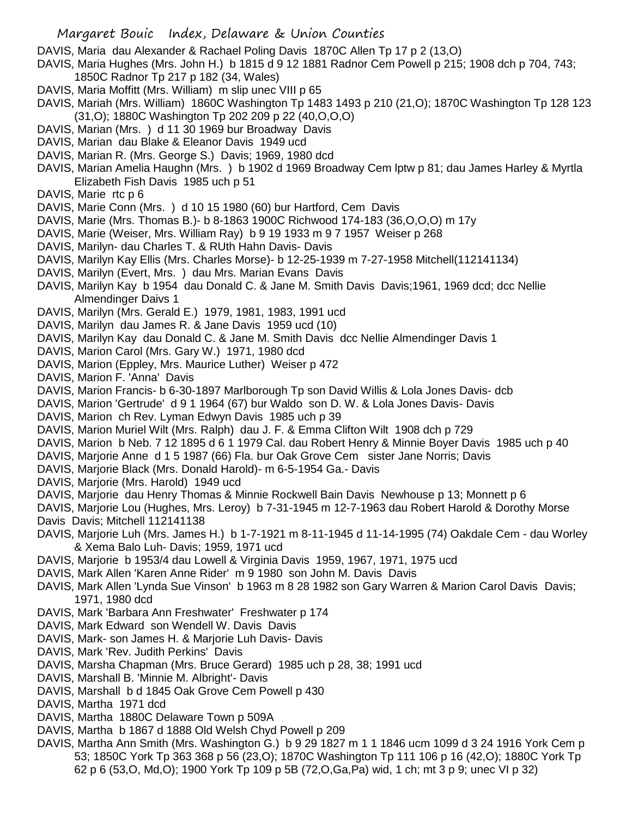DAVIS, Maria dau Alexander & Rachael Poling Davis 1870C Allen Tp 17 p 2 (13,O)

- DAVIS, Maria Hughes (Mrs. John H.) b 1815 d 9 12 1881 Radnor Cem Powell p 215; 1908 dch p 704, 743; 1850C Radnor Tp 217 p 182 (34, Wales)
- DAVIS, Maria Moffitt (Mrs. William) m slip unec VIII p 65
- DAVIS, Mariah (Mrs. William) 1860C Washington Tp 1483 1493 p 210 (21,O); 1870C Washington Tp 128 123 (31,O); 1880C Washington Tp 202 209 p 22 (40,O,O,O)
- DAVIS, Marian (Mrs. ) d 11 30 1969 bur Broadway Davis
- DAVIS, Marian dau Blake & Eleanor Davis 1949 ucd
- DAVIS, Marian R. (Mrs. George S.) Davis; 1969, 1980 dcd
- DAVIS, Marian Amelia Haughn (Mrs. ) b 1902 d 1969 Broadway Cem lptw p 81; dau James Harley & Myrtla Elizabeth Fish Davis 1985 uch p 51
- DAVIS, Marie rtc p 6
- DAVIS, Marie Conn (Mrs. ) d 10 15 1980 (60) bur Hartford, Cem Davis
- DAVIS, Marie (Mrs. Thomas B.)- b 8-1863 1900C Richwood 174-183 (36,O,O,O) m 17y
- DAVIS, Marie (Weiser, Mrs. William Ray) b 9 19 1933 m 9 7 1957 Weiser p 268
- DAVIS, Marilyn- dau Charles T. & RUth Hahn Davis- Davis
- DAVIS, Marilyn Kay Ellis (Mrs. Charles Morse)- b 12-25-1939 m 7-27-1958 Mitchell(112141134)
- DAVIS, Marilyn (Evert, Mrs. ) dau Mrs. Marian Evans Davis
- DAVIS, Marilyn Kay b 1954 dau Donald C. & Jane M. Smith Davis Davis;1961, 1969 dcd; dcc Nellie Almendinger Daivs 1
- DAVIS, Marilyn (Mrs. Gerald E.) 1979, 1981, 1983, 1991 ucd
- DAVIS, Marilyn dau James R. & Jane Davis 1959 ucd (10)
- DAVIS, Marilyn Kay dau Donald C. & Jane M. Smith Davis dcc Nellie Almendinger Davis 1
- DAVIS, Marion Carol (Mrs. Gary W.) 1971, 1980 dcd
- DAVIS, Marion (Eppley, Mrs. Maurice Luther) Weiser p 472
- DAVIS, Marion F. 'Anna' Davis
- DAVIS, Marion Francis- b 6-30-1897 Marlborough Tp son David Willis & Lola Jones Davis- dcb
- DAVIS, Marion 'Gertrude' d 9 1 1964 (67) bur Waldo son D. W. & Lola Jones Davis- Davis
- DAVIS, Marion ch Rev. Lyman Edwyn Davis 1985 uch p 39
- DAVIS, Marion Muriel Wilt (Mrs. Ralph) dau J. F. & Emma Clifton Wilt 1908 dch p 729
- DAVIS, Marion b Neb. 7 12 1895 d 6 1 1979 Cal. dau Robert Henry & Minnie Boyer Davis 1985 uch p 40
- DAVIS, Marjorie Anne d 1 5 1987 (66) Fla. bur Oak Grove Cem sister Jane Norris; Davis
- DAVIS, Marjorie Black (Mrs. Donald Harold)- m 6-5-1954 Ga.- Davis
- DAVIS, Marjorie (Mrs. Harold) 1949 ucd
- DAVIS, Marjorie dau Henry Thomas & Minnie Rockwell Bain Davis Newhouse p 13; Monnett p 6
- DAVIS, Marjorie Lou (Hughes, Mrs. Leroy) b 7-31-1945 m 12-7-1963 dau Robert Harold & Dorothy Morse Davis Davis; Mitchell 112141138
- DAVIS, Marjorie Luh (Mrs. James H.) b 1-7-1921 m 8-11-1945 d 11-14-1995 (74) Oakdale Cem dau Worley & Xema Balo Luh- Davis; 1959, 1971 ucd
- DAVIS, Marjorie b 1953/4 dau Lowell & Virginia Davis 1959, 1967, 1971, 1975 ucd
- DAVIS, Mark Allen 'Karen Anne Rider' m 9 1980 son John M. Davis Davis
- DAVIS, Mark Allen 'Lynda Sue Vinson' b 1963 m 8 28 1982 son Gary Warren & Marion Carol Davis Davis; 1971, 1980 dcd
- DAVIS, Mark 'Barbara Ann Freshwater' Freshwater p 174
- DAVIS, Mark Edward son Wendell W. Davis Davis
- DAVIS, Mark- son James H. & Marjorie Luh Davis- Davis
- DAVIS, Mark 'Rev. Judith Perkins' Davis
- DAVIS, Marsha Chapman (Mrs. Bruce Gerard) 1985 uch p 28, 38; 1991 ucd
- DAVIS, Marshall B. 'Minnie M. Albright'- Davis
- DAVIS, Marshall b d 1845 Oak Grove Cem Powell p 430
- DAVIS, Martha 1971 dcd
- DAVIS, Martha 1880C Delaware Town p 509A
- DAVIS, Martha b 1867 d 1888 Old Welsh Chyd Powell p 209
- DAVIS, Martha Ann Smith (Mrs. Washington G.) b 9 29 1827 m 1 1 1846 ucm 1099 d 3 24 1916 York Cem p 53; 1850C York Tp 363 368 p 56 (23,O); 1870C Washington Tp 111 106 p 16 (42,O); 1880C York Tp 62 p 6 (53,O, Md,O); 1900 York Tp 109 p 5B (72,O,Ga,Pa) wid, 1 ch; mt 3 p 9; unec VI p 32)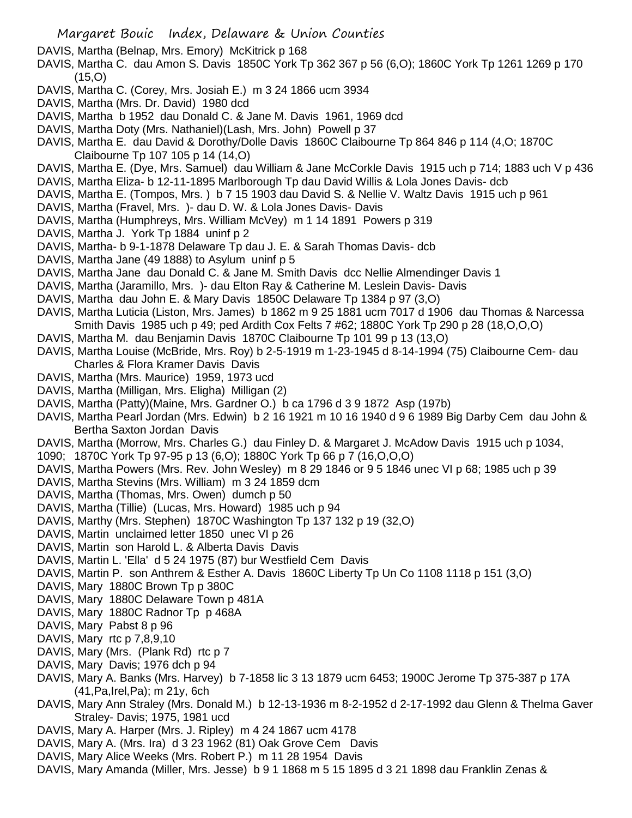- DAVIS, Martha (Belnap, Mrs. Emory) McKitrick p 168
- DAVIS, Martha C. dau Amon S. Davis 1850C York Tp 362 367 p 56 (6,O); 1860C York Tp 1261 1269 p 170 (15,O)
- DAVIS, Martha C. (Corey, Mrs. Josiah E.) m 3 24 1866 ucm 3934
- DAVIS, Martha (Mrs. Dr. David) 1980 dcd
- DAVIS, Martha b 1952 dau Donald C. & Jane M. Davis 1961, 1969 dcd
- DAVIS, Martha Doty (Mrs. Nathaniel)(Lash, Mrs. John) Powell p 37
- DAVIS, Martha E. dau David & Dorothy/Dolle Davis 1860C Claibourne Tp 864 846 p 114 (4,O; 1870C Claibourne Tp 107 105 p 14 (14,O)
- DAVIS, Martha E. (Dye, Mrs. Samuel) dau William & Jane McCorkle Davis 1915 uch p 714; 1883 uch V p 436
- DAVIS, Martha Eliza- b 12-11-1895 Marlborough Tp dau David Willis & Lola Jones Davis- dcb
- DAVIS, Martha E. (Tompos, Mrs. ) b 7 15 1903 dau David S. & Nellie V. Waltz Davis 1915 uch p 961
- DAVIS, Martha (Fravel, Mrs. )- dau D. W. & Lola Jones Davis- Davis
- DAVIS, Martha (Humphreys, Mrs. William McVey) m 1 14 1891 Powers p 319
- DAVIS, Martha J. York Tp 1884 uninf p 2
- DAVIS, Martha- b 9-1-1878 Delaware Tp dau J. E. & Sarah Thomas Davis- dcb
- DAVIS, Martha Jane (49 1888) to Asylum uninf p 5
- DAVIS, Martha Jane dau Donald C. & Jane M. Smith Davis dcc Nellie Almendinger Davis 1
- DAVIS, Martha (Jaramillo, Mrs. )- dau Elton Ray & Catherine M. Leslein Davis- Davis
- DAVIS, Martha dau John E. & Mary Davis 1850C Delaware Tp 1384 p 97 (3,O)
- DAVIS, Martha Luticia (Liston, Mrs. James) b 1862 m 9 25 1881 ucm 7017 d 1906 dau Thomas & Narcessa Smith Davis 1985 uch p 49; ped Ardith Cox Felts 7 #62; 1880C York Tp 290 p 28 (18,O,O,O)
- DAVIS, Martha M. dau Benjamin Davis 1870C Claibourne Tp 101 99 p 13 (13,O)
- DAVIS, Martha Louise (McBride, Mrs. Roy) b 2-5-1919 m 1-23-1945 d 8-14-1994 (75) Claibourne Cem- dau Charles & Flora Kramer Davis Davis
- DAVIS, Martha (Mrs. Maurice) 1959, 1973 ucd
- DAVIS, Martha (Milligan, Mrs. Eligha) Milligan (2)
- DAVIS, Martha (Patty)(Maine, Mrs. Gardner O.) b ca 1796 d 3 9 1872 Asp (197b)
- DAVIS, Martha Pearl Jordan (Mrs. Edwin) b 2 16 1921 m 10 16 1940 d 9 6 1989 Big Darby Cem dau John & Bertha Saxton Jordan Davis
- DAVIS, Martha (Morrow, Mrs. Charles G.) dau Finley D. & Margaret J. McAdow Davis 1915 uch p 1034,
- 1090; 1870C York Tp 97-95 p 13 (6,O); 1880C York Tp 66 p 7 (16,O,O,O)
- DAVIS, Martha Powers (Mrs. Rev. John Wesley) m 8 29 1846 or 9 5 1846 unec VI p 68; 1985 uch p 39
- DAVIS, Martha Stevins (Mrs. William) m 3 24 1859 dcm
- DAVIS, Martha (Thomas, Mrs. Owen) dumch p 50
- DAVIS, Martha (Tillie) (Lucas, Mrs. Howard) 1985 uch p 94
- DAVIS, Marthy (Mrs. Stephen) 1870C Washington Tp 137 132 p 19 (32,O)
- DAVIS, Martin unclaimed letter 1850 unec VI p 26
- DAVIS, Martin son Harold L. & Alberta Davis Davis
- DAVIS, Martin L. 'Ella' d 5 24 1975 (87) bur Westfield Cem Davis
- DAVIS, Martin P. son Anthrem & Esther A. Davis 1860C Liberty Tp Un Co 1108 1118 p 151 (3,O)
- DAVIS, Mary 1880C Brown Tp p 380C
- DAVIS, Mary 1880C Delaware Town p 481A
- DAVIS, Mary 1880C Radnor Tp p 468A
- DAVIS, Mary Pabst 8 p 96
- DAVIS, Mary rtc p 7,8,9,10
- DAVIS, Mary (Mrs. (Plank Rd) rtc p 7
- DAVIS, Mary Davis; 1976 dch p 94
- DAVIS, Mary A. Banks (Mrs. Harvey) b 7-1858 lic 3 13 1879 ucm 6453; 1900C Jerome Tp 375-387 p 17A (41,Pa,Irel,Pa); m 21y, 6ch
- DAVIS, Mary Ann Straley (Mrs. Donald M.) b 12-13-1936 m 8-2-1952 d 2-17-1992 dau Glenn & Thelma Gaver Straley- Davis; 1975, 1981 ucd
- DAVIS, Mary A. Harper (Mrs. J. Ripley) m 4 24 1867 ucm 4178
- DAVIS, Mary A. (Mrs. Ira) d 3 23 1962 (81) Oak Grove Cem Davis
- DAVIS, Mary Alice Weeks (Mrs. Robert P.) m 11 28 1954 Davis
- DAVIS, Mary Amanda (Miller, Mrs. Jesse) b 9 1 1868 m 5 15 1895 d 3 21 1898 dau Franklin Zenas &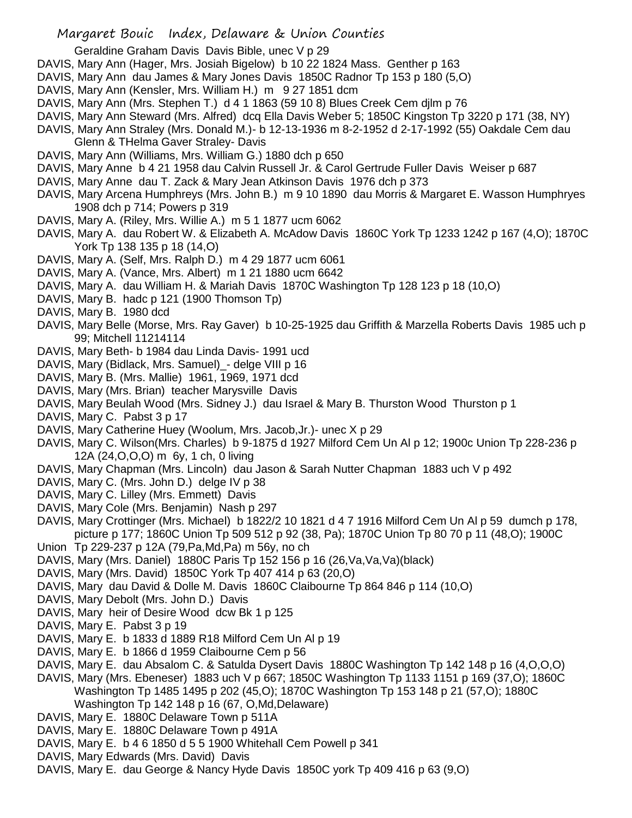Geraldine Graham Davis Davis Bible, unec V p 29

- DAVIS, Mary Ann (Hager, Mrs. Josiah Bigelow) b 10 22 1824 Mass. Genther p 163
- DAVIS, Mary Ann dau James & Mary Jones Davis 1850C Radnor Tp 153 p 180 (5,O)
- DAVIS, Mary Ann (Kensler, Mrs. William H.) m 9 27 1851 dcm
- DAVIS, Mary Ann (Mrs. Stephen T.) d 4 1 1863 (59 10 8) Blues Creek Cem djlm p 76
- DAVIS, Mary Ann Steward (Mrs. Alfred) dcq Ella Davis Weber 5; 1850C Kingston Tp 3220 p 171 (38, NY)
- DAVIS, Mary Ann Straley (Mrs. Donald M.)- b 12-13-1936 m 8-2-1952 d 2-17-1992 (55) Oakdale Cem dau Glenn & THelma Gaver Straley- Davis
- DAVIS, Mary Ann (Williams, Mrs. William G.) 1880 dch p 650
- DAVIS, Mary Anne b 4 21 1958 dau Calvin Russell Jr. & Carol Gertrude Fuller Davis Weiser p 687
- DAVIS, Mary Anne dau T. Zack & Mary Jean Atkinson Davis 1976 dch p 373
- DAVIS, Mary Arcena Humphreys (Mrs. John B.) m 9 10 1890 dau Morris & Margaret E. Wasson Humphryes 1908 dch p 714; Powers p 319
- DAVIS, Mary A. (Riley, Mrs. Willie A.) m 5 1 1877 ucm 6062
- DAVIS, Mary A. dau Robert W. & Elizabeth A. McAdow Davis 1860C York Tp 1233 1242 p 167 (4,O); 1870C York Tp 138 135 p 18 (14,O)
- DAVIS, Mary A. (Self, Mrs. Ralph D.) m 4 29 1877 ucm 6061
- DAVIS, Mary A. (Vance, Mrs. Albert) m 1 21 1880 ucm 6642
- DAVIS, Mary A. dau William H. & Mariah Davis 1870C Washington Tp 128 123 p 18 (10,O)
- DAVIS, Mary B. hadc p 121 (1900 Thomson Tp)
- DAVIS, Mary B. 1980 dcd
- DAVIS, Mary Belle (Morse, Mrs. Ray Gaver) b 10-25-1925 dau Griffith & Marzella Roberts Davis 1985 uch p 99; Mitchell 11214114
- DAVIS, Mary Beth- b 1984 dau Linda Davis- 1991 ucd
- DAVIS, Mary (Bidlack, Mrs. Samuel) delge VIII p 16
- DAVIS, Mary B. (Mrs. Mallie) 1961, 1969, 1971 dcd
- DAVIS, Mary (Mrs. Brian) teacher Marysville Davis
- DAVIS, Mary Beulah Wood (Mrs. Sidney J.) dau Israel & Mary B. Thurston Wood Thurston p 1
- DAVIS, Mary C. Pabst 3 p 17
- DAVIS, Mary Catherine Huey (Woolum, Mrs. Jacob,Jr.)- unec X p 29
- DAVIS, Mary C. Wilson(Mrs. Charles) b 9-1875 d 1927 Milford Cem Un Al p 12; 1900c Union Tp 228-236 p 12A (24,O,O,O) m 6y, 1 ch, 0 living
- DAVIS, Mary Chapman (Mrs. Lincoln) dau Jason & Sarah Nutter Chapman 1883 uch V p 492
- DAVIS, Mary C. (Mrs. John D.) delge IV p 38
- DAVIS, Mary C. Lilley (Mrs. Emmett) Davis
- DAVIS, Mary Cole (Mrs. Benjamin) Nash p 297
- DAVIS, Mary Crottinger (Mrs. Michael) b 1822/2 10 1821 d 4 7 1916 Milford Cem Un Al p 59 dumch p 178, picture p 177; 1860C Union Tp 509 512 p 92 (38, Pa); 1870C Union Tp 80 70 p 11 (48,O); 1900C
- Union Tp 229-237 p 12A (79,Pa,Md,Pa) m 56y, no ch
- DAVIS, Mary (Mrs. Daniel) 1880C Paris Tp 152 156 p 16 (26,Va,Va,Va)(black)
- DAVIS, Mary (Mrs. David) 1850C York Tp 407 414 p 63 (20,O)
- DAVIS, Mary dau David & Dolle M. Davis 1860C Claibourne Tp 864 846 p 114 (10,O)
- DAVIS, Mary Debolt (Mrs. John D.) Davis
- DAVIS, Mary heir of Desire Wood dcw Bk 1 p 125
- DAVIS, Mary E. Pabst 3 p 19
- DAVIS, Mary E. b 1833 d 1889 R18 Milford Cem Un Al p 19
- DAVIS, Mary E. b 1866 d 1959 Claibourne Cem p 56
- DAVIS, Mary E. dau Absalom C. & Satulda Dysert Davis 1880C Washington Tp 142 148 p 16 (4,O,O,O)
- DAVIS, Mary (Mrs. Ebeneser) 1883 uch V p 667; 1850C Washington Tp 1133 1151 p 169 (37,O); 1860C Washington Tp 1485 1495 p 202 (45,O); 1870C Washington Tp 153 148 p 21 (57,O); 1880C Washington Tp 142 148 p 16 (67, O,Md,Delaware)
- DAVIS, Mary E. 1880C Delaware Town p 511A
- DAVIS, Mary E. 1880C Delaware Town p 491A
- DAVIS, Mary E. b 4 6 1850 d 5 5 1900 Whitehall Cem Powell p 341
- DAVIS, Mary Edwards (Mrs. David) Davis
- DAVIS, Mary E. dau George & Nancy Hyde Davis 1850C york Tp 409 416 p 63 (9,O)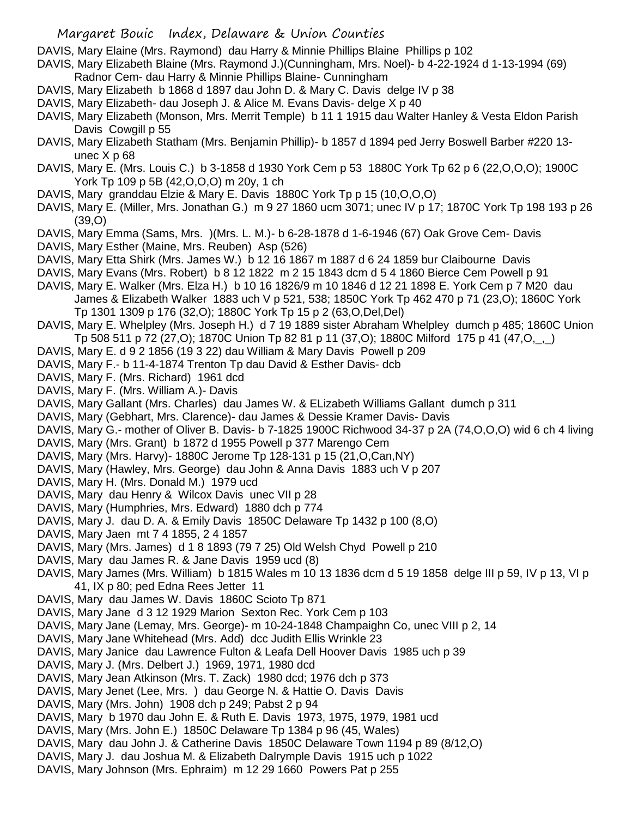DAVIS, Mary Elaine (Mrs. Raymond) dau Harry & Minnie Phillips Blaine Phillips p 102

- DAVIS, Mary Elizabeth Blaine (Mrs. Raymond J.)(Cunningham, Mrs. Noel)- b 4-22-1924 d 1-13-1994 (69) Radnor Cem- dau Harry & Minnie Phillips Blaine- Cunningham
- DAVIS, Mary Elizabeth b 1868 d 1897 dau John D. & Mary C. Davis delge IV p 38
- DAVIS, Mary Elizabeth- dau Joseph J. & Alice M. Evans Davis- delge X p 40
- DAVIS, Mary Elizabeth (Monson, Mrs. Merrit Temple) b 11 1 1915 dau Walter Hanley & Vesta Eldon Parish Davis Cowgill p 55
- DAVIS, Mary Elizabeth Statham (Mrs. Benjamin Phillip)- b 1857 d 1894 ped Jerry Boswell Barber #220 13 unec X p 68
- DAVIS, Mary E. (Mrs. Louis C.) b 3-1858 d 1930 York Cem p 53 1880C York Tp 62 p 6 (22,O,O,O); 1900C York Tp 109 p 5B (42,O,O,O) m 20y, 1 ch
- DAVIS, Mary granddau Elzie & Mary E. Davis 1880C York Tp p 15 (10,O,O,O)
- DAVIS, Mary E. (Miller, Mrs. Jonathan G.) m 9 27 1860 ucm 3071; unec IV p 17; 1870C York Tp 198 193 p 26 (39,O)
- DAVIS, Mary Emma (Sams, Mrs. )(Mrs. L. M.)- b 6-28-1878 d 1-6-1946 (67) Oak Grove Cem- Davis
- DAVIS, Mary Esther (Maine, Mrs. Reuben) Asp (526)
- DAVIS, Mary Etta Shirk (Mrs. James W.) b 12 16 1867 m 1887 d 6 24 1859 bur Claibourne Davis
- DAVIS, Mary Evans (Mrs. Robert) b 8 12 1822 m 2 15 1843 dcm d 5 4 1860 Bierce Cem Powell p 91
- DAVIS, Mary E. Walker (Mrs. Elza H.) b 10 16 1826/9 m 10 1846 d 12 21 1898 E. York Cem p 7 M20 dau James & Elizabeth Walker 1883 uch V p 521, 538; 1850C York Tp 462 470 p 71 (23,O); 1860C York Tp 1301 1309 p 176 (32,O); 1880C York Tp 15 p 2 (63,O,Del,Del)
- DAVIS, Mary E. Whelpley (Mrs. Joseph H.) d 7 19 1889 sister Abraham Whelpley dumch p 485; 1860C Union Tp 508 511 p 72 (27,O); 1870C Union Tp 82 81 p 11 (37,O); 1880C Milford 175 p 41 (47,O,\_,\_)
- DAVIS, Mary E. d 9 2 1856 (19 3 22) dau William & Mary Davis Powell p 209
- DAVIS, Mary F.- b 11-4-1874 Trenton Tp dau David & Esther Davis- dcb
- DAVIS, Mary F. (Mrs. Richard) 1961 dcd
- DAVIS, Mary F. (Mrs. William A.)- Davis
- DAVIS, Mary Gallant (Mrs. Charles) dau James W. & ELizabeth Williams Gallant dumch p 311
- DAVIS, Mary (Gebhart, Mrs. Clarence)- dau James & Dessie Kramer Davis- Davis
- DAVIS, Mary G.- mother of Oliver B. Davis- b 7-1825 1900C Richwood 34-37 p 2A (74,O,O,O) wid 6 ch 4 living
- DAVIS, Mary (Mrs. Grant) b 1872 d 1955 Powell p 377 Marengo Cem
- DAVIS, Mary (Mrs. Harvy)- 1880C Jerome Tp 128-131 p 15 (21,O,Can,NY)
- DAVIS, Mary (Hawley, Mrs. George) dau John & Anna Davis 1883 uch V p 207
- DAVIS, Mary H. (Mrs. Donald M.) 1979 ucd
- DAVIS, Mary dau Henry & Wilcox Davis unec VII p 28
- DAVIS, Mary (Humphries, Mrs. Edward) 1880 dch p 774
- DAVIS, Mary J. dau D. A. & Emily Davis 1850C Delaware Tp 1432 p 100 (8,O)
- DAVIS, Mary Jaen mt 7 4 1855, 2 4 1857
- DAVIS, Mary (Mrs. James) d 1 8 1893 (79 7 25) Old Welsh Chyd Powell p 210
- DAVIS, Mary dau James R. & Jane Davis 1959 ucd (8)
- DAVIS, Mary James (Mrs. William) b 1815 Wales m 10 13 1836 dcm d 5 19 1858 delge III p 59, IV p 13, VI p 41, IX p 80; ped Edna Rees Jetter 11
- DAVIS, Mary dau James W. Davis 1860C Scioto Tp 871
- DAVIS, Mary Jane d 3 12 1929 Marion Sexton Rec. York Cem p 103
- DAVIS, Mary Jane (Lemay, Mrs. George)- m 10-24-1848 Champaighn Co, unec VIII p 2, 14
- DAVIS, Mary Jane Whitehead (Mrs. Add) dcc Judith Ellis Wrinkle 23
- DAVIS, Mary Janice dau Lawrence Fulton & Leafa Dell Hoover Davis 1985 uch p 39
- DAVIS, Mary J. (Mrs. Delbert J.) 1969, 1971, 1980 dcd
- DAVIS, Mary Jean Atkinson (Mrs. T. Zack) 1980 dcd; 1976 dch p 373
- DAVIS, Mary Jenet (Lee, Mrs. ) dau George N. & Hattie O. Davis Davis
- DAVIS, Mary (Mrs. John) 1908 dch p 249; Pabst 2 p 94
- DAVIS, Mary b 1970 dau John E. & Ruth E. Davis 1973, 1975, 1979, 1981 ucd
- DAVIS, Mary (Mrs. John E.) 1850C Delaware Tp 1384 p 96 (45, Wales)
- DAVIS, Mary dau John J. & Catherine Davis 1850C Delaware Town 1194 p 89 (8/12,O)
- DAVIS, Mary J. dau Joshua M. & Elizabeth Dalrymple Davis 1915 uch p 1022
- DAVIS, Mary Johnson (Mrs. Ephraim) m 12 29 1660 Powers Pat p 255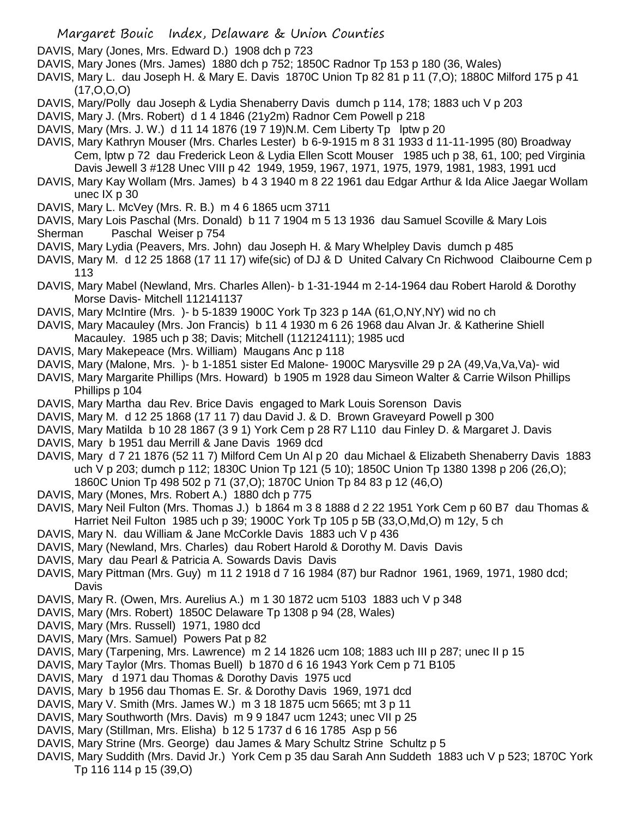DAVIS, Mary (Jones, Mrs. Edward D.) 1908 dch p 723

- DAVIS, Mary Jones (Mrs. James) 1880 dch p 752; 1850C Radnor Tp 153 p 180 (36, Wales)
- DAVIS, Mary L. dau Joseph H. & Mary E. Davis 1870C Union Tp 82 81 p 11 (7,O); 1880C Milford 175 p 41 (17,O,O,O)
- DAVIS, Mary/Polly dau Joseph & Lydia Shenaberry Davis dumch p 114, 178; 1883 uch V p 203
- DAVIS, Mary J. (Mrs. Robert) d 1 4 1846 (21y2m) Radnor Cem Powell p 218
- DAVIS, Mary (Mrs. J. W.) d 11 14 1876 (19 7 19)N.M. Cem Liberty Tp lptw p 20
- DAVIS, Mary Kathryn Mouser (Mrs. Charles Lester) b 6-9-1915 m 8 31 1933 d 11-11-1995 (80) Broadway Cem, lptw p 72 dau Frederick Leon & Lydia Ellen Scott Mouser 1985 uch p 38, 61, 100; ped Virginia Davis Jewell 3 #128 Unec VIII p 42 1949, 1959, 1967, 1971, 1975, 1979, 1981, 1983, 1991 ucd
- DAVIS, Mary Kay Wollam (Mrs. James) b 4 3 1940 m 8 22 1961 dau Edgar Arthur & Ida Alice Jaegar Wollam unec IX p 30
- DAVIS, Mary L. McVey (Mrs. R. B.) m 4 6 1865 ucm 3711
- DAVIS, Mary Lois Paschal (Mrs. Donald) b 11 7 1904 m 5 13 1936 dau Samuel Scoville & Mary Lois Sherman Paschal Weiser p 754
- DAVIS, Mary Lydia (Peavers, Mrs. John) dau Joseph H. & Mary Whelpley Davis dumch p 485
- DAVIS, Mary M. d 12 25 1868 (17 11 17) wife(sic) of DJ & D United Calvary Cn Richwood Claibourne Cem p 113
- DAVIS, Mary Mabel (Newland, Mrs. Charles Allen)- b 1-31-1944 m 2-14-1964 dau Robert Harold & Dorothy Morse Davis- Mitchell 112141137
- DAVIS, Mary McIntire (Mrs. )- b 5-1839 1900C York Tp 323 p 14A (61,O,NY,NY) wid no ch
- DAVIS, Mary Macauley (Mrs. Jon Francis) b 11 4 1930 m 6 26 1968 dau Alvan Jr. & Katherine Shiell Macauley. 1985 uch p 38; Davis; Mitchell (112124111); 1985 ucd
- DAVIS, Mary Makepeace (Mrs. William) Maugans Anc p 118
- DAVIS, Mary (Malone, Mrs. )- b 1-1851 sister Ed Malone- 1900C Marysville 29 p 2A (49,Va,Va,Va)- wid
- DAVIS, Mary Margarite Phillips (Mrs. Howard) b 1905 m 1928 dau Simeon Walter & Carrie Wilson Phillips Phillips p 104
- DAVIS, Mary Martha dau Rev. Brice Davis engaged to Mark Louis Sorenson Davis
- DAVIS, Mary M. d 12 25 1868 (17 11 7) dau David J. & D. Brown Graveyard Powell p 300
- DAVIS, Mary Matilda b 10 28 1867 (3 9 1) York Cem p 28 R7 L110 dau Finley D. & Margaret J. Davis
- DAVIS, Mary b 1951 dau Merrill & Jane Davis 1969 dcd
- DAVIS, Mary d 7 21 1876 (52 11 7) Milford Cem Un Al p 20 dau Michael & Elizabeth Shenaberry Davis 1883 uch V p 203; dumch p 112; 1830C Union Tp 121 (5 10); 1850C Union Tp 1380 1398 p 206 (26,O); 1860C Union Tp 498 502 p 71 (37,O); 1870C Union Tp 84 83 p 12 (46,O)
- DAVIS, Mary (Mones, Mrs. Robert A.) 1880 dch p 775
- DAVIS, Mary Neil Fulton (Mrs. Thomas J.) b 1864 m 3 8 1888 d 2 22 1951 York Cem p 60 B7 dau Thomas & Harriet Neil Fulton 1985 uch p 39; 1900C York Tp 105 p 5B (33,O,Md,O) m 12y, 5 ch
- DAVIS, Mary N. dau William & Jane McCorkle Davis 1883 uch V p 436
- DAVIS, Mary (Newland, Mrs. Charles) dau Robert Harold & Dorothy M. Davis Davis
- DAVIS, Mary dau Pearl & Patricia A. Sowards Davis Davis
- DAVIS, Mary Pittman (Mrs. Guy) m 11 2 1918 d 7 16 1984 (87) bur Radnor 1961, 1969, 1971, 1980 dcd; **Davis**
- DAVIS, Mary R. (Owen, Mrs. Aurelius A.) m 1 30 1872 ucm 5103 1883 uch V p 348
- DAVIS, Mary (Mrs. Robert) 1850C Delaware Tp 1308 p 94 (28, Wales)
- DAVIS, Mary (Mrs. Russell) 1971, 1980 dcd
- DAVIS, Mary (Mrs. Samuel) Powers Pat p 82
- DAVIS, Mary (Tarpening, Mrs. Lawrence) m 2 14 1826 ucm 108; 1883 uch III p 287; unec II p 15
- DAVIS, Mary Taylor (Mrs. Thomas Buell) b 1870 d 6 16 1943 York Cem p 71 B105
- DAVIS, Mary d 1971 dau Thomas & Dorothy Davis 1975 ucd
- DAVIS, Mary b 1956 dau Thomas E. Sr. & Dorothy Davis 1969, 1971 dcd
- DAVIS, Mary V. Smith (Mrs. James W.) m 3 18 1875 ucm 5665; mt 3 p 11
- DAVIS, Mary Southworth (Mrs. Davis) m 9 9 1847 ucm 1243; unec VII p 25
- DAVIS, Mary (Stillman, Mrs. Elisha) b 12 5 1737 d 6 16 1785 Asp p 56
- DAVIS, Mary Strine (Mrs. George) dau James & Mary Schultz Strine Schultz p 5
- DAVIS, Mary Suddith (Mrs. David Jr.) York Cem p 35 dau Sarah Ann Suddeth 1883 uch V p 523; 1870C York Tp 116 114 p 15 (39,O)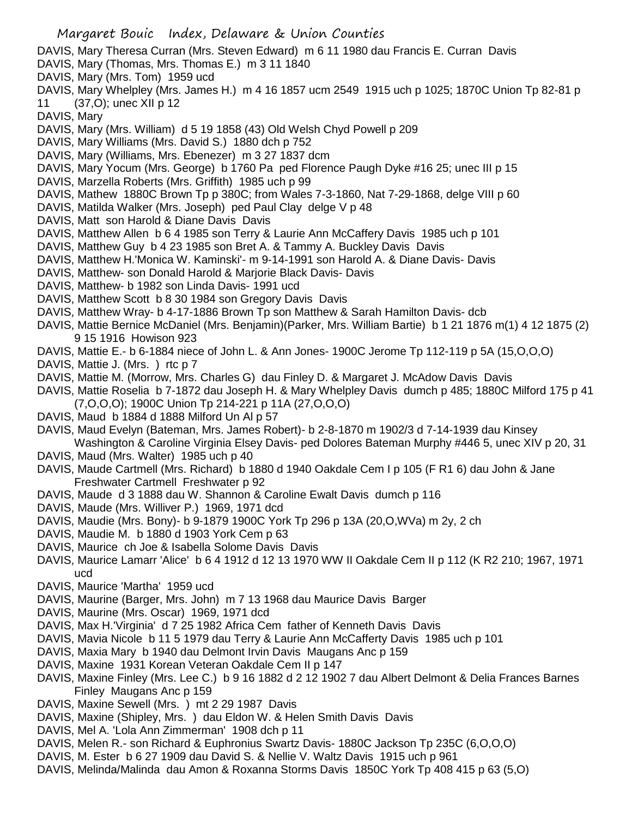- DAVIS, Mary Theresa Curran (Mrs. Steven Edward) m 6 11 1980 dau Francis E. Curran Davis
- DAVIS, Mary (Thomas, Mrs. Thomas E.) m 3 11 1840
- DAVIS, Mary (Mrs. Tom) 1959 ucd
- DAVIS, Mary Whelpley (Mrs. James H.) m 4 16 1857 ucm 2549 1915 uch p 1025; 1870C Union Tp 82-81 p 11 (37,O); unec XII p 12

DAVIS, Mary

- DAVIS, Mary (Mrs. William) d 5 19 1858 (43) Old Welsh Chyd Powell p 209
- DAVIS, Mary Williams (Mrs. David S.) 1880 dch p 752
- DAVIS, Mary (Williams, Mrs. Ebenezer) m 3 27 1837 dcm
- DAVIS, Mary Yocum (Mrs. George) b 1760 Pa ped Florence Paugh Dyke #16 25; unec III p 15
- DAVIS, Marzella Roberts (Mrs. Griffith) 1985 uch p 99
- DAVIS, Mathew 1880C Brown Tp p 380C; from Wales 7-3-1860, Nat 7-29-1868, delge VIII p 60
- DAVIS, Matilda Walker (Mrs. Joseph) ped Paul Clay delge V p 48
- DAVIS, Matt son Harold & Diane Davis Davis
- DAVIS, Matthew Allen b 6 4 1985 son Terry & Laurie Ann McCaffery Davis 1985 uch p 101
- DAVIS, Matthew Guy b 4 23 1985 son Bret A. & Tammy A. Buckley Davis Davis
- DAVIS, Matthew H.'Monica W. Kaminski'- m 9-14-1991 son Harold A. & Diane Davis- Davis
- DAVIS, Matthew- son Donald Harold & Marjorie Black Davis- Davis
- DAVIS, Matthew- b 1982 son Linda Davis- 1991 ucd
- DAVIS, Matthew Scott b 8 30 1984 son Gregory Davis Davis
- DAVIS, Matthew Wray- b 4-17-1886 Brown Tp son Matthew & Sarah Hamilton Davis- dcb
- DAVIS, Mattie Bernice McDaniel (Mrs. Benjamin)(Parker, Mrs. William Bartie) b 1 21 1876 m(1) 4 12 1875 (2) 9 15 1916 Howison 923
- DAVIS, Mattie E.- b 6-1884 niece of John L. & Ann Jones- 1900C Jerome Tp 112-119 p 5A (15,O,O,O)
- DAVIS, Mattie J. (Mrs.) rtc p 7
- DAVIS, Mattie M. (Morrow, Mrs. Charles G) dau Finley D. & Margaret J. McAdow Davis Davis
- DAVIS, Mattie Roselia b 7-1872 dau Joseph H. & Mary Whelpley Davis dumch p 485; 1880C Milford 175 p 41 (7,O,O,O); 1900C Union Tp 214-221 p 11A (27,O,O,O)
- DAVIS, Maud b 1884 d 1888 Milford Un Al p 57
- DAVIS, Maud Evelyn (Bateman, Mrs. James Robert)- b 2-8-1870 m 1902/3 d 7-14-1939 dau Kinsey Washington & Caroline Virginia Elsey Davis- ped Dolores Bateman Murphy #446 5, unec XIV p 20, 31
- DAVIS, Maud (Mrs. Walter) 1985 uch p 40
- DAVIS, Maude Cartmell (Mrs. Richard) b 1880 d 1940 Oakdale Cem I p 105 (F R1 6) dau John & Jane Freshwater Cartmell Freshwater p 92
- DAVIS, Maude d 3 1888 dau W. Shannon & Caroline Ewalt Davis dumch p 116
- DAVIS, Maude (Mrs. Williver P.) 1969, 1971 dcd
- DAVIS, Maudie (Mrs. Bony)- b 9-1879 1900C York Tp 296 p 13A (20,O,WVa) m 2y, 2 ch
- DAVIS, Maudie M. b 1880 d 1903 York Cem p 63
- DAVIS, Maurice ch Joe & Isabella Solome Davis Davis
- DAVIS, Maurice Lamarr 'Alice' b 6 4 1912 d 12 13 1970 WW II Oakdale Cem II p 112 (K R2 210; 1967, 1971 ucd
- DAVIS, Maurice 'Martha' 1959 ucd
- DAVIS, Maurine (Barger, Mrs. John) m 7 13 1968 dau Maurice Davis Barger
- DAVIS, Maurine (Mrs. Oscar) 1969, 1971 dcd
- DAVIS, Max H.'Virginia' d 7 25 1982 Africa Cem father of Kenneth Davis Davis
- DAVIS, Mavia Nicole b 11 5 1979 dau Terry & Laurie Ann McCafferty Davis 1985 uch p 101
- DAVIS, Maxia Mary b 1940 dau Delmont Irvin Davis Maugans Anc p 159
- DAVIS, Maxine 1931 Korean Veteran Oakdale Cem II p 147
- DAVIS, Maxine Finley (Mrs. Lee C.) b 9 16 1882 d 2 12 1902 7 dau Albert Delmont & Delia Frances Barnes Finley Maugans Anc p 159
- DAVIS, Maxine Sewell (Mrs. ) mt 2 29 1987 Davis
- DAVIS, Maxine (Shipley, Mrs. ) dau Eldon W. & Helen Smith Davis Davis
- DAVIS, Mel A. 'Lola Ann Zimmerman' 1908 dch p 11
- DAVIS, Melen R.- son Richard & Euphronius Swartz Davis- 1880C Jackson Tp 235C (6,O,O,O)
- DAVIS, M. Ester b 6 27 1909 dau David S. & Nellie V. Waltz Davis 1915 uch p 961
- DAVIS, Melinda/Malinda dau Amon & Roxanna Storms Davis 1850C York Tp 408 415 p 63 (5,O)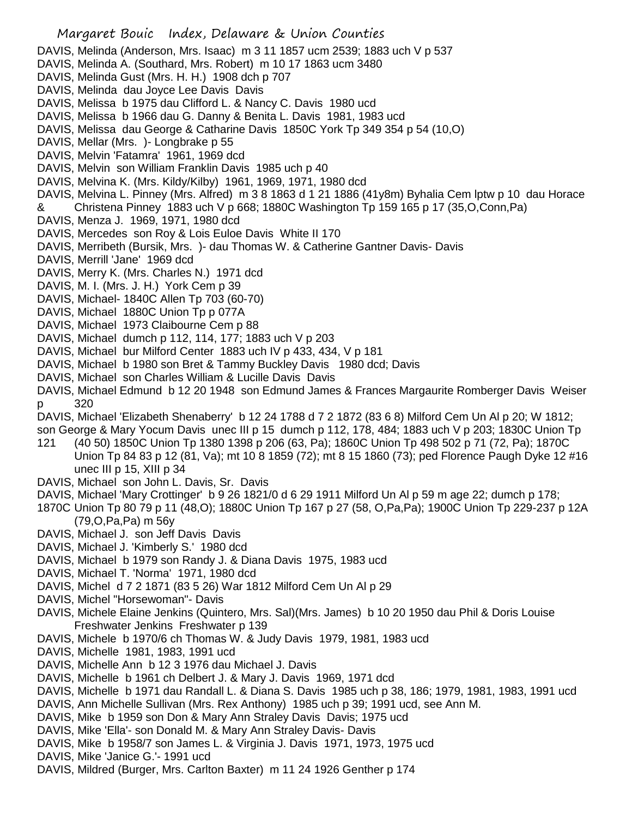- Margaret Bouic Index, Delaware & Union Counties DAVIS, Melinda (Anderson, Mrs. Isaac) m 3 11 1857 ucm 2539; 1883 uch V p 537 DAVIS, Melinda A. (Southard, Mrs. Robert) m 10 17 1863 ucm 3480 DAVIS, Melinda Gust (Mrs. H. H.) 1908 dch p 707 DAVIS, Melinda dau Joyce Lee Davis Davis DAVIS, Melissa b 1975 dau Clifford L. & Nancy C. Davis 1980 ucd DAVIS, Melissa b 1966 dau G. Danny & Benita L. Davis 1981, 1983 ucd DAVIS, Melissa dau George & Catharine Davis 1850C York Tp 349 354 p 54 (10,O) DAVIS, Mellar (Mrs. )- Longbrake p 55 DAVIS, Melvin 'Fatamra' 1961, 1969 dcd DAVIS, Melvin son William Franklin Davis 1985 uch p 40 DAVIS, Melvina K. (Mrs. Kildy/Kilby) 1961, 1969, 1971, 1980 dcd DAVIS, Melvina L. Pinney (Mrs. Alfred) m 3 8 1863 d 1 21 1886 (41y8m) Byhalia Cem lptw p 10 dau Horace & Christena Pinney 1883 uch V p 668; 1880C Washington Tp 159 165 p 17 (35,O,Conn,Pa) DAVIS, Menza J. 1969, 1971, 1980 dcd DAVIS, Mercedes son Roy & Lois Euloe Davis White II 170 DAVIS, Merribeth (Bursik, Mrs. )- dau Thomas W. & Catherine Gantner Davis- Davis DAVIS, Merrill 'Jane' 1969 dcd DAVIS, Merry K. (Mrs. Charles N.) 1971 dcd DAVIS, M. I. (Mrs. J. H.) York Cem p 39 DAVIS, Michael- 1840C Allen Tp 703 (60-70) DAVIS, Michael 1880C Union Tp p 077A DAVIS, Michael 1973 Claibourne Cem p 88 DAVIS, Michael dumch p 112, 114, 177; 1883 uch V p 203 DAVIS, Michael bur Milford Center 1883 uch IV p 433, 434, V p 181 DAVIS, Michael b 1980 son Bret & Tammy Buckley Davis 1980 dcd; Davis DAVIS, Michael son Charles William & Lucille Davis Davis DAVIS, Michael Edmund b 12 20 1948 son Edmund James & Frances Margaurite Romberger Davis Weiser p 320 DAVIS, Michael 'Elizabeth Shenaberry' b 12 24 1788 d 7 2 1872 (83 6 8) Milford Cem Un Al p 20; W 1812; son George & Mary Yocum Davis unec III p 15 dumch p 112, 178, 484; 1883 uch V p 203; 1830C Union Tp 121 (40 50) 1850C Union Tp 1380 1398 p 206 (63, Pa); 1860C Union Tp 498 502 p 71 (72, Pa); 1870C Union Tp 84 83 p 12 (81, Va); mt 10 8 1859 (72); mt 8 15 1860 (73); ped Florence Paugh Dyke 12 #16 unec III p 15, XIII p 34 DAVIS, Michael son John L. Davis, Sr. Davis DAVIS, Michael 'Mary Crottinger' b 9 26 1821/0 d 6 29 1911 Milford Un Al p 59 m age 22; dumch p 178; 1870C Union Tp 80 79 p 11 (48,O); 1880C Union Tp 167 p 27 (58, O,Pa,Pa); 1900C Union Tp 229-237 p 12A (79,O,Pa,Pa) m 56y
- DAVIS, Michael J. son Jeff Davis Davis
- DAVIS, Michael J. 'Kimberly S.' 1980 dcd
- DAVIS, Michael b 1979 son Randy J. & Diana Davis 1975, 1983 ucd
- DAVIS, Michael T. 'Norma' 1971, 1980 dcd
- DAVIS, Michel d 7 2 1871 (83 5 26) War 1812 Milford Cem Un Al p 29
- DAVIS, Michel "Horsewoman"- Davis
- DAVIS, Michele Elaine Jenkins (Quintero, Mrs. Sal)(Mrs. James) b 10 20 1950 dau Phil & Doris Louise Freshwater Jenkins Freshwater p 139
- DAVIS, Michele b 1970/6 ch Thomas W. & Judy Davis 1979, 1981, 1983 ucd
- DAVIS, Michelle 1981, 1983, 1991 ucd
- DAVIS, Michelle Ann b 12 3 1976 dau Michael J. Davis
- DAVIS, Michelle b 1961 ch Delbert J. & Mary J. Davis 1969, 1971 dcd
- DAVIS, Michelle b 1971 dau Randall L. & Diana S. Davis 1985 uch p 38, 186; 1979, 1981, 1983, 1991 ucd
- DAVIS, Ann Michelle Sullivan (Mrs. Rex Anthony) 1985 uch p 39; 1991 ucd, see Ann M.
- DAVIS, Mike b 1959 son Don & Mary Ann Straley Davis Davis; 1975 ucd
- DAVIS, Mike 'Ella'- son Donald M. & Mary Ann Straley Davis- Davis
- DAVIS, Mike b 1958/7 son James L. & Virginia J. Davis 1971, 1973, 1975 ucd
- DAVIS, Mike 'Janice G.'- 1991 ucd
- DAVIS, Mildred (Burger, Mrs. Carlton Baxter) m 11 24 1926 Genther p 174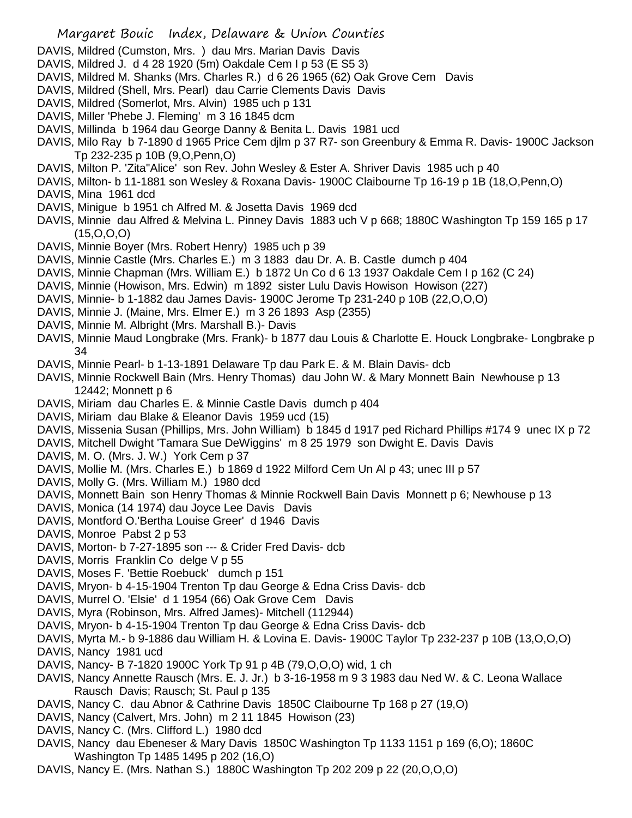- DAVIS, Mildred (Cumston, Mrs. ) dau Mrs. Marian Davis Davis
- DAVIS, Mildred J. d 4 28 1920 (5m) Oakdale Cem I p 53 (E S5 3)
- DAVIS, Mildred M. Shanks (Mrs. Charles R.) d 6 26 1965 (62) Oak Grove Cem Davis
- DAVIS, Mildred (Shell, Mrs. Pearl) dau Carrie Clements Davis Davis
- DAVIS, Mildred (Somerlot, Mrs. Alvin) 1985 uch p 131
- DAVIS, Miller 'Phebe J. Fleming' m 3 16 1845 dcm
- DAVIS, Millinda b 1964 dau George Danny & Benita L. Davis 1981 ucd
- DAVIS, Milo Ray b 7-1890 d 1965 Price Cem djlm p 37 R7- son Greenbury & Emma R. Davis- 1900C Jackson Tp 232-235 p 10B (9,O,Penn,O)
- DAVIS, Milton P. 'Zita''Alice' son Rev. John Wesley & Ester A. Shriver Davis 1985 uch p 40
- DAVIS, Milton- b 11-1881 son Wesley & Roxana Davis- 1900C Claibourne Tp 16-19 p 1B (18,O,Penn,O) DAVIS, Mina 1961 dcd
- DAVIS, Minigue b 1951 ch Alfred M. & Josetta Davis 1969 dcd
- DAVIS, Minnie dau Alfred & Melvina L. Pinney Davis 1883 uch V p 668; 1880C Washington Tp 159 165 p 17 (15,O,O,O)
- DAVIS, Minnie Boyer (Mrs. Robert Henry) 1985 uch p 39
- DAVIS, Minnie Castle (Mrs. Charles E.) m 3 1883 dau Dr. A. B. Castle dumch p 404
- DAVIS, Minnie Chapman (Mrs. William E.) b 1872 Un Co d 6 13 1937 Oakdale Cem I p 162 (C 24)
- DAVIS, Minnie (Howison, Mrs. Edwin) m 1892 sister Lulu Davis Howison Howison (227)
- DAVIS, Minnie- b 1-1882 dau James Davis- 1900C Jerome Tp 231-240 p 10B (22,O,O,O)
- DAVIS, Minnie J. (Maine, Mrs. Elmer E.) m 3 26 1893 Asp (2355)
- DAVIS, Minnie M. Albright (Mrs. Marshall B.)- Davis
- DAVIS, Minnie Maud Longbrake (Mrs. Frank)- b 1877 dau Louis & Charlotte E. Houck Longbrake- Longbrake p 34
- DAVIS, Minnie Pearl- b 1-13-1891 Delaware Tp dau Park E. & M. Blain Davis- dcb
- DAVIS, Minnie Rockwell Bain (Mrs. Henry Thomas) dau John W. & Mary Monnett Bain Newhouse p 13 12442; Monnett p 6
- DAVIS, Miriam dau Charles E. & Minnie Castle Davis dumch p 404
- DAVIS, Miriam dau Blake & Eleanor Davis 1959 ucd (15)
- DAVIS, Missenia Susan (Phillips, Mrs. John William) b 1845 d 1917 ped Richard Phillips #174 9 unec IX p 72
- DAVIS, Mitchell Dwight 'Tamara Sue DeWiggins' m 8 25 1979 son Dwight E. Davis Davis
- DAVIS, M. O. (Mrs. J. W.) York Cem p 37
- DAVIS, Mollie M. (Mrs. Charles E.) b 1869 d 1922 Milford Cem Un Al p 43; unec III p 57
- DAVIS, Molly G. (Mrs. William M.) 1980 dcd
- DAVIS, Monnett Bain son Henry Thomas & Minnie Rockwell Bain Davis Monnett p 6; Newhouse p 13
- DAVIS, Monica (14 1974) dau Joyce Lee Davis Davis
- DAVIS, Montford O.'Bertha Louise Greer' d 1946 Davis
- DAVIS, Monroe Pabst 2 p 53
- DAVIS, Morton- b 7-27-1895 son --- & Crider Fred Davis- dcb
- DAVIS, Morris Franklin Co delge V p 55
- DAVIS, Moses F. 'Bettie Roebuck' dumch p 151
- DAVIS, Mryon- b 4-15-1904 Trenton Tp dau George & Edna Criss Davis- dcb
- DAVIS, Murrel O. 'Elsie' d 1 1954 (66) Oak Grove Cem Davis
- DAVIS, Myra (Robinson, Mrs. Alfred James)- Mitchell (112944)
- DAVIS, Mryon- b 4-15-1904 Trenton Tp dau George & Edna Criss Davis- dcb
- DAVIS, Myrta M.- b 9-1886 dau William H. & Lovina E. Davis- 1900C Taylor Tp 232-237 p 10B (13,O,O,O)
- DAVIS, Nancy 1981 ucd
- DAVIS, Nancy- B 7-1820 1900C York Tp 91 p 4B (79,O,O,O) wid, 1 ch
- DAVIS, Nancy Annette Rausch (Mrs. E. J. Jr.) b 3-16-1958 m 9 3 1983 dau Ned W. & C. Leona Wallace Rausch Davis; Rausch; St. Paul p 135
- DAVIS, Nancy C. dau Abnor & Cathrine Davis 1850C Claibourne Tp 168 p 27 (19,O)
- DAVIS, Nancy (Calvert, Mrs. John) m 2 11 1845 Howison (23)
- DAVIS, Nancy C. (Mrs. Clifford L.) 1980 dcd
- DAVIS, Nancy dau Ebeneser & Mary Davis 1850C Washington Tp 1133 1151 p 169 (6,O); 1860C Washington Tp 1485 1495 p 202 (16,O)
- DAVIS, Nancy E. (Mrs. Nathan S.) 1880C Washington Tp 202 209 p 22 (20,O,O,O)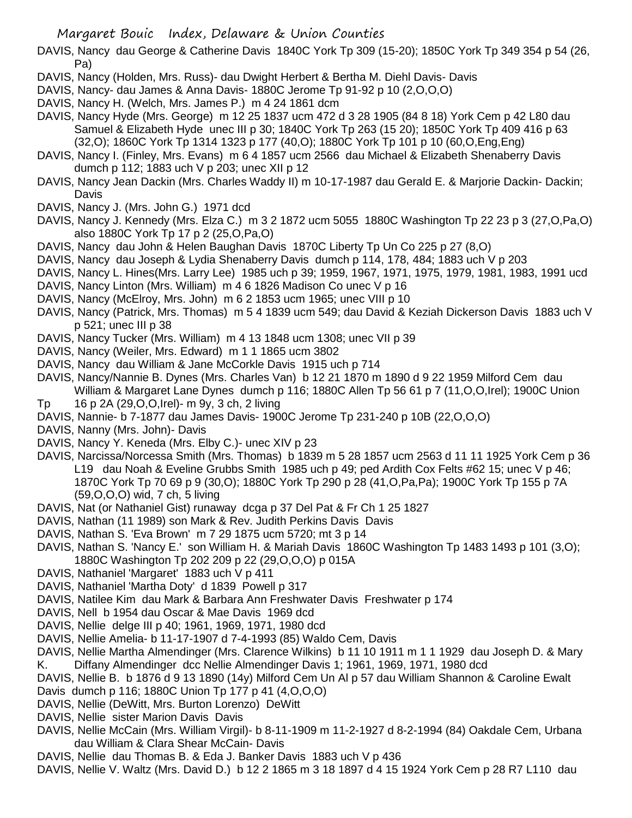DAVIS, Nancy dau George & Catherine Davis 1840C York Tp 309 (15-20); 1850C York Tp 349 354 p 54 (26, Pa)

DAVIS, Nancy (Holden, Mrs. Russ)- dau Dwight Herbert & Bertha M. Diehl Davis- Davis

- DAVIS, Nancy- dau James & Anna Davis- 1880C Jerome Tp 91-92 p 10 (2,O,O,O)
- DAVIS, Nancy H. (Welch, Mrs. James P.) m 4 24 1861 dcm
- DAVIS, Nancy Hyde (Mrs. George) m 12 25 1837 ucm 472 d 3 28 1905 (84 8 18) York Cem p 42 L80 dau Samuel & Elizabeth Hyde unec III p 30; 1840C York Tp 263 (15 20); 1850C York Tp 409 416 p 63 (32,O); 1860C York Tp 1314 1323 p 177 (40,O); 1880C York Tp 101 p 10 (60,O,Eng,Eng)
- DAVIS, Nancy I. (Finley, Mrs. Evans) m 6 4 1857 ucm 2566 dau Michael & Elizabeth Shenaberry Davis dumch p 112; 1883 uch V p 203; unec XII p 12
- DAVIS, Nancy Jean Dackin (Mrs. Charles Waddy II) m 10-17-1987 dau Gerald E. & Marjorie Dackin- Dackin; Davis
- DAVIS, Nancy J. (Mrs. John G.) 1971 dcd
- DAVIS, Nancy J. Kennedy (Mrs. Elza C.) m 3 2 1872 ucm 5055 1880C Washington Tp 22 23 p 3 (27,O,Pa,O) also 1880C York Tp 17 p 2 (25,O,Pa,O)
- DAVIS, Nancy dau John & Helen Baughan Davis 1870C Liberty Tp Un Co 225 p 27 (8,O)
- DAVIS, Nancy dau Joseph & Lydia Shenaberry Davis dumch p 114, 178, 484; 1883 uch V p 203
- DAVIS, Nancy L. Hines(Mrs. Larry Lee) 1985 uch p 39; 1959, 1967, 1971, 1975, 1979, 1981, 1983, 1991 ucd
- DAVIS, Nancy Linton (Mrs. William) m 4 6 1826 Madison Co unec V p 16
- DAVIS, Nancy (McElroy, Mrs. John) m 6 2 1853 ucm 1965; unec VIII p 10
- DAVIS, Nancy (Patrick, Mrs. Thomas) m 5 4 1839 ucm 549; dau David & Keziah Dickerson Davis 1883 uch V p 521; unec III p 38
- DAVIS, Nancy Tucker (Mrs. William) m 4 13 1848 ucm 1308; unec VII p 39
- DAVIS, Nancy (Weiler, Mrs. Edward) m 1 1 1865 ucm 3802
- DAVIS, Nancy dau William & Jane McCorkle Davis 1915 uch p 714
- DAVIS, Nancy/Nannie B. Dynes (Mrs. Charles Van) b 12 21 1870 m 1890 d 9 22 1959 Milford Cem dau William & Margaret Lane Dynes dumch p 116; 1880C Allen Tp 56 61 p 7 (11, O, O, Irel); 1900C Union
- Tp 16 p 2A (29,O,O,Irel)- m 9y, 3 ch, 2 living
- DAVIS, Nannie- b 7-1877 dau James Davis- 1900C Jerome Tp 231-240 p 10B (22,O,O,O)
- DAVIS, Nanny (Mrs. John)- Davis
- DAVIS, Nancy Y. Keneda (Mrs. Elby C.)- unec XIV p 23
- DAVIS, Narcissa/Norcessa Smith (Mrs. Thomas) b 1839 m 5 28 1857 ucm 2563 d 11 11 1925 York Cem p 36 L19 dau Noah & Eveline Grubbs Smith 1985 uch p 49; ped Ardith Cox Felts #62 15; unec V p 46; 1870C York Tp 70 69 p 9 (30,O); 1880C York Tp 290 p 28 (41,O,Pa,Pa); 1900C York Tp 155 p 7A (59,O,O,O) wid, 7 ch, 5 living
- DAVIS, Nat (or Nathaniel Gist) runaway dcga p 37 Del Pat & Fr Ch 1 25 1827
- DAVIS, Nathan (11 1989) son Mark & Rev. Judith Perkins Davis Davis
- DAVIS, Nathan S. 'Eva Brown' m 7 29 1875 ucm 5720; mt 3 p 14
- DAVIS, Nathan S. 'Nancy E.' son William H. & Mariah Davis 1860C Washington Tp 1483 1493 p 101 (3,O); 1880C Washington Tp 202 209 p 22 (29,O,O,O) p 015A
- DAVIS, Nathaniel 'Margaret' 1883 uch V p 411
- DAVIS, Nathaniel 'Martha Doty' d 1839 Powell p 317
- DAVIS, Natilee Kim dau Mark & Barbara Ann Freshwater Davis Freshwater p 174
- DAVIS, Nell b 1954 dau Oscar & Mae Davis 1969 dcd
- DAVIS, Nellie delge III p 40; 1961, 1969, 1971, 1980 dcd
- DAVIS, Nellie Amelia- b 11-17-1907 d 7-4-1993 (85) Waldo Cem, Davis
- DAVIS, Nellie Martha Almendinger (Mrs. Clarence Wilkins) b 11 10 1911 m 1 1 1929 dau Joseph D. & Mary K. Diffany Almendinger dcc Nellie Almendinger Davis 1; 1961, 1969, 1971, 1980 dcd
- DAVIS, Nellie B. b 1876 d 9 13 1890 (14y) Milford Cem Un Al p 57 dau William Shannon & Caroline Ewalt
- Davis dumch p 116; 1880C Union Tp 177 p 41 (4,O,O,O)
- DAVIS, Nellie (DeWitt, Mrs. Burton Lorenzo) DeWitt
- DAVIS, Nellie sister Marion Davis Davis
- DAVIS, Nellie McCain (Mrs. William Virgil)- b 8-11-1909 m 11-2-1927 d 8-2-1994 (84) Oakdale Cem, Urbana dau William & Clara Shear McCain- Davis
- DAVIS, Nellie dau Thomas B. & Eda J. Banker Davis 1883 uch V p 436
- DAVIS, Nellie V. Waltz (Mrs. David D.) b 12 2 1865 m 3 18 1897 d 4 15 1924 York Cem p 28 R7 L110 dau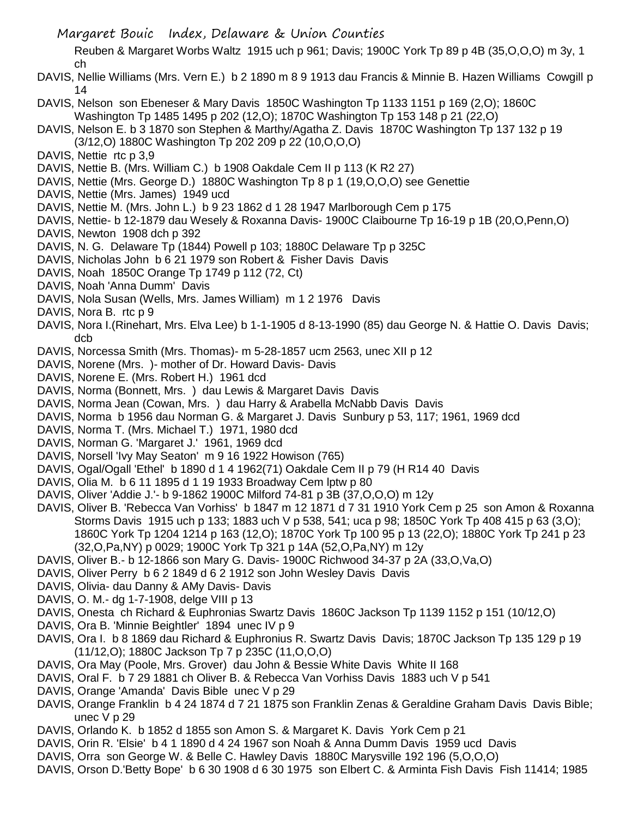Reuben & Margaret Worbs Waltz 1915 uch p 961; Davis; 1900C York Tp 89 p 4B (35,O,O,O) m 3y, 1 ch

- DAVIS, Nellie Williams (Mrs. Vern E.) b 2 1890 m 8 9 1913 dau Francis & Minnie B. Hazen Williams Cowgill p 14
- DAVIS, Nelson son Ebeneser & Mary Davis 1850C Washington Tp 1133 1151 p 169 (2,O); 1860C Washington Tp 1485 1495 p 202 (12,O); 1870C Washington Tp 153 148 p 21 (22,O)
- DAVIS, Nelson E. b 3 1870 son Stephen & Marthy/Agatha Z. Davis 1870C Washington Tp 137 132 p 19 (3/12,O) 1880C Washington Tp 202 209 p 22 (10,O,O,O)
- DAVIS, Nettie rtc p 3,9
- DAVIS, Nettie B. (Mrs. William C.) b 1908 Oakdale Cem II p 113 (K R2 27)
- DAVIS, Nettie (Mrs. George D.) 1880C Washington Tp 8 p 1 (19,O,O,O) see Genettie
- DAVIS, Nettie (Mrs. James) 1949 ucd
- DAVIS, Nettie M. (Mrs. John L.) b 9 23 1862 d 1 28 1947 Marlborough Cem p 175
- DAVIS, Nettie- b 12-1879 dau Wesely & Roxanna Davis- 1900C Claibourne Tp 16-19 p 1B (20,O,Penn,O)
- DAVIS, Newton 1908 dch p 392
- DAVIS, N. G. Delaware Tp (1844) Powell p 103; 1880C Delaware Tp p 325C
- DAVIS, Nicholas John b 6 21 1979 son Robert & Fisher Davis Davis
- DAVIS, Noah 1850C Orange Tp 1749 p 112 (72, Ct)
- DAVIS, Noah 'Anna Dumm' Davis
- DAVIS, Nola Susan (Wells, Mrs. James William) m 1 2 1976 Davis
- DAVIS, Nora B. rtc p 9
- DAVIS, Nora I. (Rinehart, Mrs. Elva Lee) b 1-1-1905 d 8-13-1990 (85) dau George N. & Hattie O. Davis Davis; dcb
- DAVIS, Norcessa Smith (Mrs. Thomas)- m 5-28-1857 ucm 2563, unec XII p 12
- DAVIS, Norene (Mrs. )- mother of Dr. Howard Davis- Davis
- DAVIS, Norene E. (Mrs. Robert H.) 1961 dcd
- DAVIS, Norma (Bonnett, Mrs. ) dau Lewis & Margaret Davis Davis
- DAVIS, Norma Jean (Cowan, Mrs. ) dau Harry & Arabella McNabb Davis Davis
- DAVIS, Norma b 1956 dau Norman G. & Margaret J. Davis Sunbury p 53, 117; 1961, 1969 dcd
- DAVIS, Norma T. (Mrs. Michael T.) 1971, 1980 dcd
- DAVIS, Norman G. 'Margaret J.' 1961, 1969 dcd
- DAVIS, Norsell 'Ivy May Seaton' m 9 16 1922 Howison (765)
- DAVIS, Ogal/Ogall 'Ethel' b 1890 d 1 4 1962(71) Oakdale Cem II p 79 (H R14 40 Davis
- DAVIS, Olia M. b 6 11 1895 d 1 19 1933 Broadway Cem lptw p 80
- DAVIS, Oliver 'Addie J.'- b 9-1862 1900C Milford 74-81 p 3B (37,O,O,O) m 12y
- DAVIS, Oliver B. 'Rebecca Van Vorhiss' b 1847 m 12 1871 d 7 31 1910 York Cem p 25 son Amon & Roxanna Storms Davis 1915 uch p 133; 1883 uch V p 538, 541; uca p 98; 1850C York Tp 408 415 p 63 (3,O); 1860C York Tp 1204 1214 p 163 (12,O); 1870C York Tp 100 95 p 13 (22,O); 1880C York Tp 241 p 23 (32,O,Pa,NY) p 0029; 1900C York Tp 321 p 14A (52,O,Pa,NY) m 12y
- DAVIS, Oliver B.- b 12-1866 son Mary G. Davis- 1900C Richwood 34-37 p 2A (33,O,Va,O)
- DAVIS, Oliver Perry b 6 2 1849 d 6 2 1912 son John Wesley Davis Davis
- DAVIS, Olivia- dau Danny & AMy Davis- Davis
- DAVIS, O. M.- dg 1-7-1908, delge VIII p 13
- DAVIS, Onesta ch Richard & Euphronias Swartz Davis 1860C Jackson Tp 1139 1152 p 151 (10/12,O)
- DAVIS, Ora B. 'Minnie Beightler' 1894 unec IV p 9
- DAVIS, Ora I. b 8 1869 dau Richard & Euphronius R. Swartz Davis Davis; 1870C Jackson Tp 135 129 p 19 (11/12,O); 1880C Jackson Tp 7 p 235C (11,O,O,O)
- DAVIS, Ora May (Poole, Mrs. Grover) dau John & Bessie White Davis White II 168
- DAVIS, Oral F. b 7 29 1881 ch Oliver B. & Rebecca Van Vorhiss Davis 1883 uch V p 541
- DAVIS, Orange 'Amanda' Davis Bible unec V p 29
- DAVIS, Orange Franklin b 4 24 1874 d 7 21 1875 son Franklin Zenas & Geraldine Graham Davis Davis Bible; unec V p 29
- DAVIS, Orlando K. b 1852 d 1855 son Amon S. & Margaret K. Davis York Cem p 21
- DAVIS, Orin R. 'Elsie' b 4 1 1890 d 4 24 1967 son Noah & Anna Dumm Davis 1959 ucd Davis
- DAVIS, Orra son George W. & Belle C. Hawley Davis 1880C Marysville 192 196 (5,O,O,O)
- DAVIS, Orson D.'Betty Bope' b 6 30 1908 d 6 30 1975 son Elbert C. & Arminta Fish Davis Fish 11414; 1985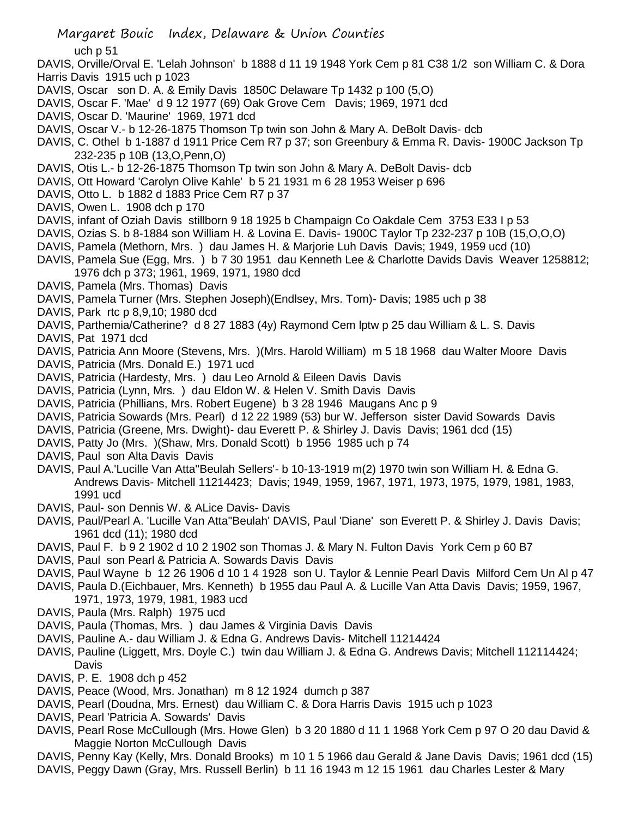uch p 51

- DAVIS, Orville/Orval E. 'Lelah Johnson' b 1888 d 11 19 1948 York Cem p 81 C38 1/2 son William C. & Dora Harris Davis 1915 uch p 1023
- DAVIS, Oscar son D. A. & Emily Davis 1850C Delaware Tp 1432 p 100 (5,O)
- DAVIS, Oscar F. 'Mae' d 9 12 1977 (69) Oak Grove Cem Davis; 1969, 1971 dcd
- DAVIS, Oscar D. 'Maurine' 1969, 1971 dcd
- DAVIS, Oscar V.- b 12-26-1875 Thomson Tp twin son John & Mary A. DeBolt Davis- dcb
- DAVIS, C. Othel b 1-1887 d 1911 Price Cem R7 p 37; son Greenbury & Emma R. Davis- 1900C Jackson Tp 232-235 p 10B (13,O,Penn,O)
- DAVIS, Otis L.- b 12-26-1875 Thomson Tp twin son John & Mary A. DeBolt Davis- dcb
- DAVIS, Ott Howard 'Carolyn Olive Kahle' b 5 21 1931 m 6 28 1953 Weiser p 696
- DAVIS, Otto L. b 1882 d 1883 Price Cem R7 p 37
- DAVIS, Owen L. 1908 dch p 170
- DAVIS, infant of Oziah Davis stillborn 9 18 1925 b Champaign Co Oakdale Cem 3753 E33 I p 53
- DAVIS, Ozias S. b 8-1884 son William H. & Lovina E. Davis- 1900C Taylor Tp 232-237 p 10B (15,O,O,O)
- DAVIS, Pamela (Methorn, Mrs. ) dau James H. & Marjorie Luh Davis Davis; 1949, 1959 ucd (10)
- DAVIS, Pamela Sue (Egg, Mrs. ) b 7 30 1951 dau Kenneth Lee & Charlotte Davids Davis Weaver 1258812; 1976 dch p 373; 1961, 1969, 1971, 1980 dcd
- DAVIS, Pamela (Mrs. Thomas) Davis
- DAVIS, Pamela Turner (Mrs. Stephen Joseph)(Endlsey, Mrs. Tom)- Davis; 1985 uch p 38
- DAVIS, Park rtc p 8,9,10; 1980 dcd
- DAVIS, Parthemia/Catherine? d 8 27 1883 (4y) Raymond Cem lptw p 25 dau William & L. S. Davis
- DAVIS, Pat 1971 dcd
- DAVIS, Patricia Ann Moore (Stevens, Mrs. )(Mrs. Harold William) m 5 18 1968 dau Walter Moore Davis
- DAVIS, Patricia (Mrs. Donald E.) 1971 ucd
- DAVIS, Patricia (Hardesty, Mrs. ) dau Leo Arnold & Eileen Davis Davis
- DAVIS, Patricia (Lynn, Mrs. ) dau Eldon W. & Helen V. Smith Davis Davis
- DAVIS, Patricia (Phillians, Mrs. Robert Eugene) b 3 28 1946 Maugans Anc p 9
- DAVIS, Patricia Sowards (Mrs. Pearl) d 12 22 1989 (53) bur W. Jefferson sister David Sowards Davis
- DAVIS, Patricia (Greene, Mrs. Dwight)- dau Everett P. & Shirley J. Davis Davis; 1961 dcd (15)
- DAVIS, Patty Jo (Mrs. )(Shaw, Mrs. Donald Scott) b 1956 1985 uch p 74
- DAVIS, Paul son Alta Davis Davis
- DAVIS, Paul A.'Lucille Van Atta''Beulah Sellers'- b 10-13-1919 m(2) 1970 twin son William H. & Edna G. Andrews Davis- Mitchell 11214423; Davis; 1949, 1959, 1967, 1971, 1973, 1975, 1979, 1981, 1983, 1991 ucd
- DAVIS, Paul- son Dennis W. & ALice Davis- Davis
- DAVIS, Paul/Pearl A. 'Lucille Van Atta''Beulah' DAVIS, Paul 'Diane' son Everett P. & Shirley J. Davis Davis; 1961 dcd (11); 1980 dcd
- DAVIS, Paul F. b 9 2 1902 d 10 2 1902 son Thomas J. & Mary N. Fulton Davis York Cem p 60 B7
- DAVIS, Paul son Pearl & Patricia A. Sowards Davis Davis
- DAVIS, Paul Wayne b 12 26 1906 d 10 1 4 1928 son U. Taylor & Lennie Pearl Davis Milford Cem Un Al p 47
- DAVIS, Paula D.(Eichbauer, Mrs. Kenneth) b 1955 dau Paul A. & Lucille Van Atta Davis Davis; 1959, 1967, 1971, 1973, 1979, 1981, 1983 ucd
- DAVIS, Paula (Mrs. Ralph) 1975 ucd
- DAVIS, Paula (Thomas, Mrs. ) dau James & Virginia Davis Davis
- DAVIS, Pauline A.- dau William J. & Edna G. Andrews Davis- Mitchell 11214424
- DAVIS, Pauline (Liggett, Mrs. Doyle C.) twin dau William J. & Edna G. Andrews Davis; Mitchell 112114424; Davis
- DAVIS, P. E. 1908 dch p 452
- DAVIS, Peace (Wood, Mrs. Jonathan) m 8 12 1924 dumch p 387
- DAVIS, Pearl (Doudna, Mrs. Ernest) dau William C. & Dora Harris Davis 1915 uch p 1023
- DAVIS, Pearl 'Patricia A. Sowards' Davis
- DAVIS, Pearl Rose McCullough (Mrs. Howe Glen) b 3 20 1880 d 11 1 1968 York Cem p 97 O 20 dau David & Maggie Norton McCullough Davis
- DAVIS, Penny Kay (Kelly, Mrs. Donald Brooks) m 10 1 5 1966 dau Gerald & Jane Davis Davis; 1961 dcd (15)
- DAVIS, Peggy Dawn (Gray, Mrs. Russell Berlin) b 11 16 1943 m 12 15 1961 dau Charles Lester & Mary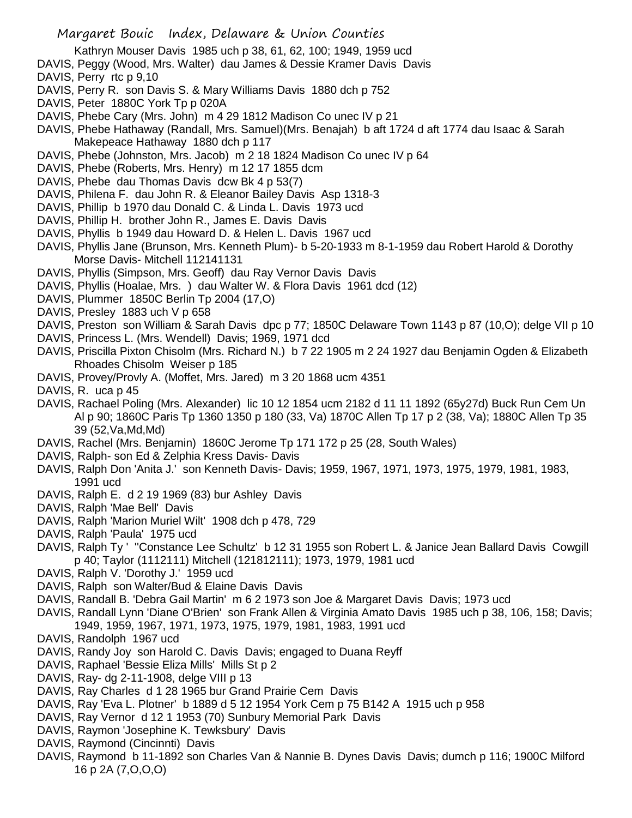- Kathryn Mouser Davis 1985 uch p 38, 61, 62, 100; 1949, 1959 ucd
- DAVIS, Peggy (Wood, Mrs. Walter) dau James & Dessie Kramer Davis Davis
- DAVIS, Perry rtc p 9,10
- DAVIS, Perry R. son Davis S. & Mary Williams Davis 1880 dch p 752
- DAVIS, Peter 1880C York Tp p 020A
- DAVIS, Phebe Cary (Mrs. John) m 4 29 1812 Madison Co unec IV p 21
- DAVIS, Phebe Hathaway (Randall, Mrs. Samuel)(Mrs. Benajah) b aft 1724 d aft 1774 dau Isaac & Sarah Makepeace Hathaway 1880 dch p 117
- DAVIS, Phebe (Johnston, Mrs. Jacob) m 2 18 1824 Madison Co unec IV p 64
- DAVIS, Phebe (Roberts, Mrs. Henry) m 12 17 1855 dcm
- DAVIS, Phebe dau Thomas Davis dcw Bk 4 p 53(7)
- DAVIS, Philena F. dau John R. & Eleanor Bailey Davis Asp 1318-3
- DAVIS, Phillip b 1970 dau Donald C. & Linda L. Davis 1973 ucd
- DAVIS, Phillip H. brother John R., James E. Davis Davis
- DAVIS, Phyllis b 1949 dau Howard D. & Helen L. Davis 1967 ucd
- DAVIS, Phyllis Jane (Brunson, Mrs. Kenneth Plum)- b 5-20-1933 m 8-1-1959 dau Robert Harold & Dorothy Morse Davis- Mitchell 112141131
- DAVIS, Phyllis (Simpson, Mrs. Geoff) dau Ray Vernor Davis Davis
- DAVIS, Phyllis (Hoalae, Mrs. ) dau Walter W. & Flora Davis 1961 dcd (12)
- DAVIS, Plummer 1850C Berlin Tp 2004 (17,O)
- DAVIS, Presley 1883 uch V p 658
- DAVIS, Preston son William & Sarah Davis dpc p 77; 1850C Delaware Town 1143 p 87 (10,O); delge VII p 10
- DAVIS, Princess L. (Mrs. Wendell) Davis; 1969, 1971 dcd
- DAVIS, Priscilla Pixton Chisolm (Mrs. Richard N.) b 7 22 1905 m 2 24 1927 dau Benjamin Ogden & Elizabeth Rhoades Chisolm Weiser p 185
- DAVIS, Provey/Provly A. (Moffet, Mrs. Jared) m 3 20 1868 ucm 4351
- DAVIS, R. uca p 45
- DAVIS, Rachael Poling (Mrs. Alexander) lic 10 12 1854 ucm 2182 d 11 11 1892 (65y27d) Buck Run Cem Un Al p 90; 1860C Paris Tp 1360 1350 p 180 (33, Va) 1870C Allen Tp 17 p 2 (38, Va); 1880C Allen Tp 35 39 (52,Va,Md,Md)
- DAVIS, Rachel (Mrs. Benjamin) 1860C Jerome Tp 171 172 p 25 (28, South Wales)
- DAVIS, Ralph- son Ed & Zelphia Kress Davis- Davis
- DAVIS, Ralph Don 'Anita J.' son Kenneth Davis- Davis; 1959, 1967, 1971, 1973, 1975, 1979, 1981, 1983, 1991 ucd
- DAVIS, Ralph E. d 2 19 1969 (83) bur Ashley Davis
- DAVIS, Ralph 'Mae Bell' Davis
- DAVIS, Ralph 'Marion Muriel Wilt' 1908 dch p 478, 729
- DAVIS, Ralph 'Paula' 1975 ucd
- DAVIS, Ralph Ty ' "Constance Lee Schultz' b 12 31 1955 son Robert L. & Janice Jean Ballard Davis Cowgill p 40; Taylor (1112111) Mitchell (121812111); 1973, 1979, 1981 ucd
- DAVIS, Ralph V. 'Dorothy J.' 1959 ucd
- DAVIS, Ralph son Walter/Bud & Elaine Davis Davis
- DAVIS, Randall B. 'Debra Gail Martin' m 6 2 1973 son Joe & Margaret Davis Davis; 1973 ucd
- DAVIS, Randall Lynn 'Diane O'Brien' son Frank Allen & Virginia Amato Davis 1985 uch p 38, 106, 158; Davis; 1949, 1959, 1967, 1971, 1973, 1975, 1979, 1981, 1983, 1991 ucd
- DAVIS, Randolph 1967 ucd
- DAVIS, Randy Joy son Harold C. Davis Davis; engaged to Duana Reyff
- DAVIS, Raphael 'Bessie Eliza Mills' Mills St p 2
- DAVIS, Ray- dg 2-11-1908, delge VIII p 13
- DAVIS, Ray Charles d 1 28 1965 bur Grand Prairie Cem Davis
- DAVIS, Ray 'Eva L. Plotner' b 1889 d 5 12 1954 York Cem p 75 B142 A 1915 uch p 958
- DAVIS, Ray Vernor d 12 1 1953 (70) Sunbury Memorial Park Davis
- DAVIS, Raymon 'Josephine K. Tewksbury' Davis
- DAVIS, Raymond (Cincinnti) Davis
- DAVIS, Raymond b 11-1892 son Charles Van & Nannie B. Dynes Davis Davis; dumch p 116; 1900C Milford 16 p 2A (7,O,O,O)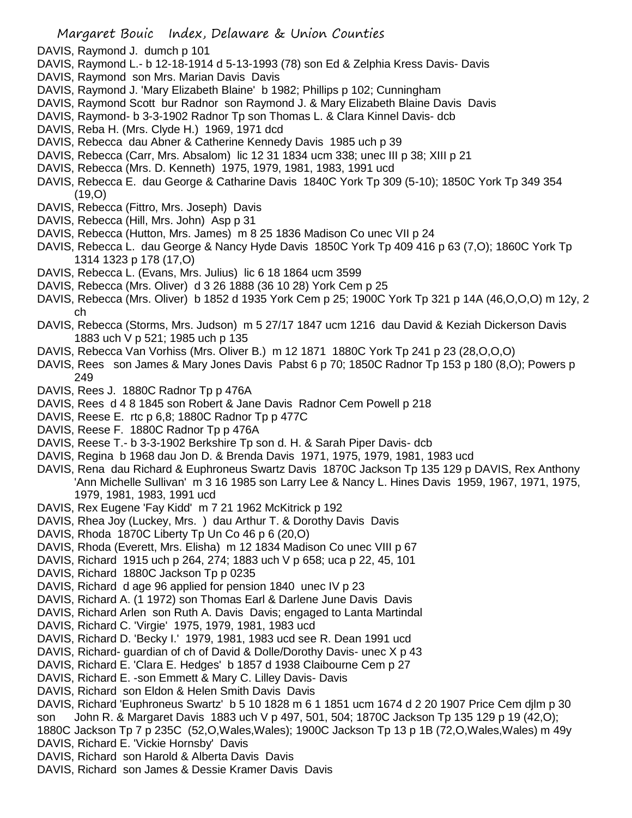- DAVIS, Raymond J. dumch p 101
- DAVIS, Raymond L.- b 12-18-1914 d 5-13-1993 (78) son Ed & Zelphia Kress Davis- Davis
- DAVIS, Raymond son Mrs. Marian Davis Davis
- DAVIS, Raymond J. 'Mary Elizabeth Blaine' b 1982; Phillips p 102; Cunningham
- DAVIS, Raymond Scott bur Radnor son Raymond J. & Mary Elizabeth Blaine Davis Davis
- DAVIS, Raymond- b 3-3-1902 Radnor Tp son Thomas L. & Clara Kinnel Davis- dcb
- DAVIS, Reba H. (Mrs. Clyde H.) 1969, 1971 dcd
- DAVIS, Rebecca dau Abner & Catherine Kennedy Davis 1985 uch p 39
- DAVIS, Rebecca (Carr, Mrs. Absalom) lic 12 31 1834 ucm 338; unec III p 38; XIII p 21
- DAVIS, Rebecca (Mrs. D. Kenneth) 1975, 1979, 1981, 1983, 1991 ucd
- DAVIS, Rebecca E. dau George & Catharine Davis 1840C York Tp 309 (5-10); 1850C York Tp 349 354  $(19, 0)$
- DAVIS, Rebecca (Fittro, Mrs. Joseph) Davis
- DAVIS, Rebecca (Hill, Mrs. John) Asp p 31
- DAVIS, Rebecca (Hutton, Mrs. James) m 8 25 1836 Madison Co unec VII p 24
- DAVIS, Rebecca L. dau George & Nancy Hyde Davis 1850C York Tp 409 416 p 63 (7,O); 1860C York Tp 1314 1323 p 178 (17,O)
- DAVIS, Rebecca L. (Evans, Mrs. Julius) lic 6 18 1864 ucm 3599
- DAVIS, Rebecca (Mrs. Oliver) d 3 26 1888 (36 10 28) York Cem p 25
- DAVIS, Rebecca (Mrs. Oliver) b 1852 d 1935 York Cem p 25; 1900C York Tp 321 p 14A (46,O,O,O) m 12y, 2 ch
- DAVIS, Rebecca (Storms, Mrs. Judson) m 5 27/17 1847 ucm 1216 dau David & Keziah Dickerson Davis 1883 uch V p 521; 1985 uch p 135
- DAVIS, Rebecca Van Vorhiss (Mrs. Oliver B.) m 12 1871 1880C York Tp 241 p 23 (28,O,O,O)
- DAVIS, Rees son James & Mary Jones Davis Pabst 6 p 70; 1850C Radnor Tp 153 p 180 (8,O); Powers p 249
- DAVIS, Rees J. 1880C Radnor Tp p 476A
- DAVIS, Rees d 4 8 1845 son Robert & Jane Davis Radnor Cem Powell p 218
- DAVIS, Reese E. rtc p 6,8; 1880C Radnor Tp p 477C
- DAVIS, Reese F. 1880C Radnor Tp p 476A
- DAVIS, Reese T.- b 3-3-1902 Berkshire Tp son d. H. & Sarah Piper Davis- dcb
- DAVIS, Regina b 1968 dau Jon D. & Brenda Davis 1971, 1975, 1979, 1981, 1983 ucd
- DAVIS, Rena dau Richard & Euphroneus Swartz Davis 1870C Jackson Tp 135 129 p DAVIS, Rex Anthony 'Ann Michelle Sullivan' m 3 16 1985 son Larry Lee & Nancy L. Hines Davis 1959, 1967, 1971, 1975, 1979, 1981, 1983, 1991 ucd
- DAVIS, Rex Eugene 'Fay Kidd' m 7 21 1962 McKitrick p 192
- DAVIS, Rhea Joy (Luckey, Mrs. ) dau Arthur T. & Dorothy Davis Davis
- DAVIS, Rhoda 1870C Liberty Tp Un Co 46 p 6 (20,O)
- DAVIS, Rhoda (Everett, Mrs. Elisha) m 12 1834 Madison Co unec VIII p 67
- DAVIS, Richard 1915 uch p 264, 274; 1883 uch V p 658; uca p 22, 45, 101
- DAVIS, Richard 1880C Jackson Tp p 0235
- DAVIS, Richard d age 96 applied for pension 1840 unec IV p 23
- DAVIS, Richard A. (1 1972) son Thomas Earl & Darlene June Davis Davis
- DAVIS, Richard Arlen son Ruth A. Davis Davis; engaged to Lanta Martindal
- DAVIS, Richard C. 'Virgie' 1975, 1979, 1981, 1983 ucd
- DAVIS, Richard D. 'Becky I.' 1979, 1981, 1983 ucd see R. Dean 1991 ucd
- DAVIS, Richard- guardian of ch of David & Dolle/Dorothy Davis- unec X p 43
- DAVIS, Richard E. 'Clara E. Hedges' b 1857 d 1938 Claibourne Cem p 27
- DAVIS, Richard E. -son Emmett & Mary C. Lilley Davis- Davis
- DAVIS, Richard son Eldon & Helen Smith Davis Davis
- DAVIS, Richard 'Euphroneus Swartz' b 5 10 1828 m 6 1 1851 ucm 1674 d 2 20 1907 Price Cem djlm p 30 son John R. & Margaret Davis 1883 uch V p 497, 501, 504; 1870C Jackson Tp 135 129 p 19 (42,O);
- 1880C Jackson Tp 7 p 235C (52,O,Wales,Wales); 1900C Jackson Tp 13 p 1B (72,O,Wales,Wales) m 49y
- DAVIS, Richard E. 'Vickie Hornsby' Davis
- DAVIS, Richard son Harold & Alberta Davis Davis
- DAVIS, Richard son James & Dessie Kramer Davis Davis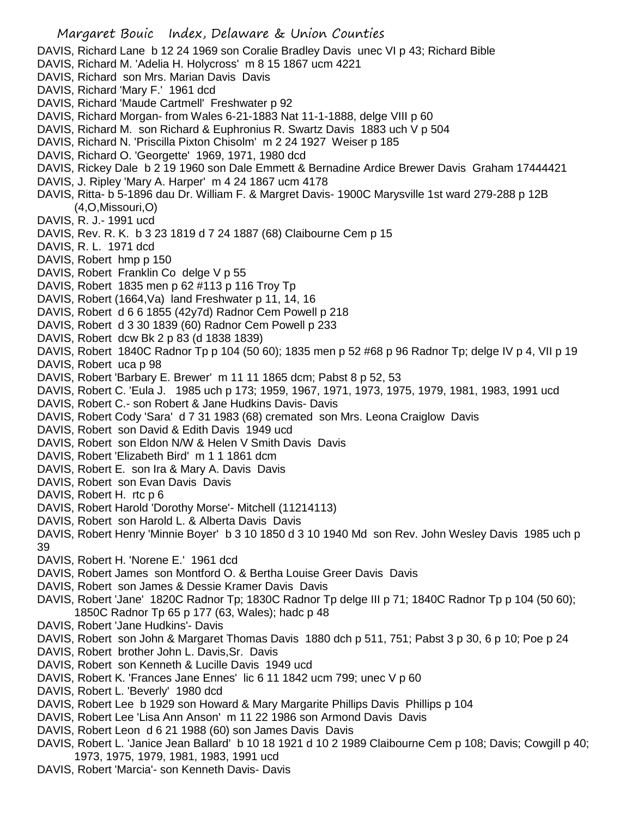Margaret Bouic Index, Delaware & Union Counties DAVIS, Richard Lane b 12 24 1969 son Coralie Bradley Davis unec VI p 43; Richard Bible DAVIS, Richard M. 'Adelia H. Holycross' m 8 15 1867 ucm 4221 DAVIS, Richard son Mrs. Marian Davis Davis DAVIS, Richard 'Mary F.' 1961 dcd DAVIS, Richard 'Maude Cartmell' Freshwater p 92 DAVIS, Richard Morgan- from Wales 6-21-1883 Nat 11-1-1888, delge VIII p 60 DAVIS, Richard M. son Richard & Euphronius R. Swartz Davis 1883 uch V p 504 DAVIS, Richard N. 'Priscilla Pixton Chisolm' m 2 24 1927 Weiser p 185 DAVIS, Richard O. 'Georgette' 1969, 1971, 1980 dcd DAVIS, Rickey Dale b 2 19 1960 son Dale Emmett & Bernadine Ardice Brewer Davis Graham 17444421 DAVIS, J. Ripley 'Mary A. Harper' m 4 24 1867 ucm 4178 DAVIS, Ritta- b 5-1896 dau Dr. William F. & Margret Davis- 1900C Marysville 1st ward 279-288 p 12B (4,O,Missouri,O) DAVIS, R. J.- 1991 ucd DAVIS, Rev. R. K. b 3 23 1819 d 7 24 1887 (68) Claibourne Cem p 15 DAVIS, R. L. 1971 dcd DAVIS, Robert hmp p 150 DAVIS, Robert Franklin Co delge V p 55 DAVIS, Robert 1835 men p 62 #113 p 116 Troy Tp DAVIS, Robert (1664,Va) land Freshwater p 11, 14, 16 DAVIS, Robert d 6 6 1855 (42y7d) Radnor Cem Powell p 218 DAVIS, Robert d 3 30 1839 (60) Radnor Cem Powell p 233 DAVIS, Robert dcw Bk 2 p 83 (d 1838 1839) DAVIS, Robert 1840C Radnor Tp p 104 (50 60); 1835 men p 52 #68 p 96 Radnor Tp; delge IV p 4, VII p 19 DAVIS, Robert uca p 98 DAVIS, Robert 'Barbary E. Brewer' m 11 11 1865 dcm; Pabst 8 p 52, 53 DAVIS, Robert C. 'Eula J. 1985 uch p 173; 1959, 1967, 1971, 1973, 1975, 1979, 1981, 1983, 1991 ucd DAVIS, Robert C.- son Robert & Jane Hudkins Davis- Davis DAVIS, Robert Cody 'Sara' d 7 31 1983 (68) cremated son Mrs. Leona Craiglow Davis DAVIS, Robert son David & Edith Davis 1949 ucd DAVIS, Robert son Eldon N/W & Helen V Smith Davis Davis DAVIS, Robert 'Elizabeth Bird' m 1 1 1861 dcm DAVIS, Robert E. son Ira & Mary A. Davis Davis DAVIS, Robert son Evan Davis Davis DAVIS, Robert H. rtc p 6 DAVIS, Robert Harold 'Dorothy Morse'- Mitchell (11214113) DAVIS, Robert son Harold L. & Alberta Davis Davis DAVIS, Robert Henry 'Minnie Boyer' b 3 10 1850 d 3 10 1940 Md son Rev. John Wesley Davis 1985 uch p 39 DAVIS, Robert H. 'Norene E.' 1961 dcd DAVIS, Robert James son Montford O. & Bertha Louise Greer Davis Davis DAVIS, Robert son James & Dessie Kramer Davis Davis DAVIS, Robert 'Jane' 1820C Radnor Tp; 1830C Radnor Tp delge III p 71; 1840C Radnor Tp p 104 (50 60); 1850C Radnor Tp 65 p 177 (63, Wales); hadc p 48 DAVIS, Robert 'Jane Hudkins'- Davis DAVIS, Robert son John & Margaret Thomas Davis 1880 dch p 511, 751; Pabst 3 p 30, 6 p 10; Poe p 24 DAVIS, Robert brother John L. Davis,Sr. Davis DAVIS, Robert son Kenneth & Lucille Davis 1949 ucd DAVIS, Robert K. 'Frances Jane Ennes' lic 6 11 1842 ucm 799; unec V p 60 DAVIS, Robert L. 'Beverly' 1980 dcd DAVIS, Robert Lee b 1929 son Howard & Mary Margarite Phillips Davis Phillips p 104 DAVIS, Robert Lee 'Lisa Ann Anson' m 11 22 1986 son Armond Davis Davis DAVIS, Robert Leon d 6 21 1988 (60) son James Davis Davis DAVIS, Robert L. 'Janice Jean Ballard' b 10 18 1921 d 10 2 1989 Claibourne Cem p 108; Davis; Cowgill p 40; 1973, 1975, 1979, 1981, 1983, 1991 ucd

DAVIS, Robert 'Marcia'- son Kenneth Davis- Davis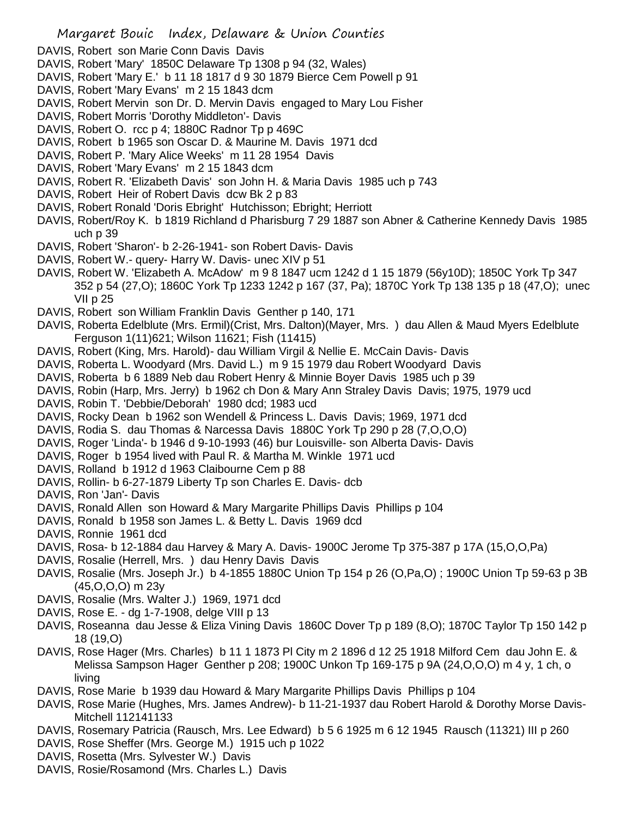- DAVIS, Robert son Marie Conn Davis Davis
- DAVIS, Robert 'Mary' 1850C Delaware Tp 1308 p 94 (32, Wales)
- DAVIS, Robert 'Mary E.' b 11 18 1817 d 9 30 1879 Bierce Cem Powell p 91
- DAVIS, Robert 'Mary Evans' m 2 15 1843 dcm
- DAVIS, Robert Mervin son Dr. D. Mervin Davis engaged to Mary Lou Fisher
- DAVIS, Robert Morris 'Dorothy Middleton'- Davis
- DAVIS, Robert O. rcc p 4; 1880C Radnor Tp p 469C
- DAVIS, Robert b 1965 son Oscar D. & Maurine M. Davis 1971 dcd
- DAVIS, Robert P. 'Mary Alice Weeks' m 11 28 1954 Davis
- DAVIS, Robert 'Mary Evans' m 2 15 1843 dcm
- DAVIS, Robert R. 'Elizabeth Davis' son John H. & Maria Davis 1985 uch p 743
- DAVIS, Robert Heir of Robert Davis dcw Bk 2 p 83
- DAVIS, Robert Ronald 'Doris Ebright' Hutchisson; Ebright; Herriott
- DAVIS, Robert/Roy K. b 1819 Richland d Pharisburg 7 29 1887 son Abner & Catherine Kennedy Davis 1985 uch p 39
- DAVIS, Robert 'Sharon'- b 2-26-1941- son Robert Davis- Davis
- DAVIS, Robert W.- query- Harry W. Davis- unec XIV p 51
- DAVIS, Robert W. 'Elizabeth A. McAdow' m 9 8 1847 ucm 1242 d 1 15 1879 (56y10D); 1850C York Tp 347 352 p 54 (27,O); 1860C York Tp 1233 1242 p 167 (37, Pa); 1870C York Tp 138 135 p 18 (47,O); unec VII p 25
- DAVIS, Robert son William Franklin Davis Genther p 140, 171
- DAVIS, Roberta Edelblute (Mrs. Ermil)(Crist, Mrs. Dalton)(Mayer, Mrs. ) dau Allen & Maud Myers Edelblute Ferguson 1(11)621; Wilson 11621; Fish (11415)
- DAVIS, Robert (King, Mrs. Harold)- dau William Virgil & Nellie E. McCain Davis- Davis
- DAVIS, Roberta L. Woodyard (Mrs. David L.) m 9 15 1979 dau Robert Woodyard Davis
- DAVIS, Roberta b 6 1889 Neb dau Robert Henry & Minnie Boyer Davis 1985 uch p 39
- DAVIS, Robin (Harp, Mrs. Jerry) b 1962 ch Don & Mary Ann Straley Davis Davis; 1975, 1979 ucd
- DAVIS, Robin T. 'Debbie/Deborah' 1980 dcd; 1983 ucd
- DAVIS, Rocky Dean b 1962 son Wendell & Princess L. Davis Davis; 1969, 1971 dcd
- DAVIS, Rodia S. dau Thomas & Narcessa Davis 1880C York Tp 290 p 28 (7,O,O,O)
- DAVIS, Roger 'Linda'- b 1946 d 9-10-1993 (46) bur Louisville- son Alberta Davis- Davis
- DAVIS, Roger b 1954 lived with Paul R. & Martha M. Winkle 1971 ucd
- DAVIS, Rolland b 1912 d 1963 Claibourne Cem p 88
- DAVIS, Rollin- b 6-27-1879 Liberty Tp son Charles E. Davis- dcb
- DAVIS, Ron 'Jan'- Davis
- DAVIS, Ronald Allen son Howard & Mary Margarite Phillips Davis Phillips p 104
- DAVIS, Ronald b 1958 son James L. & Betty L. Davis 1969 dcd
- DAVIS, Ronnie 1961 dcd
- DAVIS, Rosa- b 12-1884 dau Harvey & Mary A. Davis- 1900C Jerome Tp 375-387 p 17A (15,O,O,Pa)
- DAVIS, Rosalie (Herrell, Mrs. ) dau Henry Davis Davis
- DAVIS, Rosalie (Mrs. Joseph Jr.) b 4-1855 1880C Union Tp 154 p 26 (O,Pa,O) ; 1900C Union Tp 59-63 p 3B (45,O,O,O) m 23y
- DAVIS, Rosalie (Mrs. Walter J.) 1969, 1971 dcd
- DAVIS, Rose E. dg 1-7-1908, delge VIII p 13
- DAVIS, Roseanna dau Jesse & Eliza Vining Davis 1860C Dover Tp p 189 (8,O); 1870C Taylor Tp 150 142 p 18 (19,O)
- DAVIS, Rose Hager (Mrs. Charles) b 11 1 1873 Pl City m 2 1896 d 12 25 1918 Milford Cem dau John E. & Melissa Sampson Hager Genther p 208; 1900C Unkon Tp 169-175 p 9A (24,O,O,O) m 4 y, 1 ch, o living
- DAVIS, Rose Marie b 1939 dau Howard & Mary Margarite Phillips Davis Phillips p 104
- DAVIS, Rose Marie (Hughes, Mrs. James Andrew)- b 11-21-1937 dau Robert Harold & Dorothy Morse Davis-Mitchell 112141133
- DAVIS, Rosemary Patricia (Rausch, Mrs. Lee Edward) b 5 6 1925 m 6 12 1945 Rausch (11321) III p 260
- DAVIS, Rose Sheffer (Mrs. George M.) 1915 uch p 1022
- DAVIS, Rosetta (Mrs. Sylvester W.) Davis
- DAVIS, Rosie/Rosamond (Mrs. Charles L.) Davis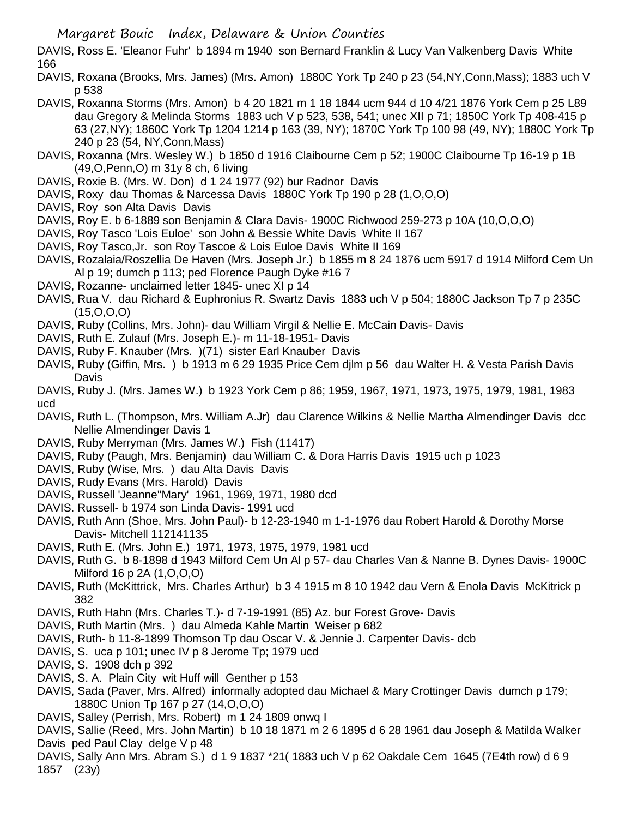DAVIS, Ross E. 'Eleanor Fuhr' b 1894 m 1940 son Bernard Franklin & Lucy Van Valkenberg Davis White 166

- DAVIS, Roxana (Brooks, Mrs. James) (Mrs. Amon) 1880C York Tp 240 p 23 (54,NY,Conn,Mass); 1883 uch V p 538
- DAVIS, Roxanna Storms (Mrs. Amon) b 4 20 1821 m 1 18 1844 ucm 944 d 10 4/21 1876 York Cem p 25 L89 dau Gregory & Melinda Storms 1883 uch V p 523, 538, 541; unec XII p 71; 1850C York Tp 408-415 p 63 (27,NY); 1860C York Tp 1204 1214 p 163 (39, NY); 1870C York Tp 100 98 (49, NY); 1880C York Tp 240 p 23 (54, NY,Conn,Mass)
- DAVIS, Roxanna (Mrs. Wesley W.) b 1850 d 1916 Claibourne Cem p 52; 1900C Claibourne Tp 16-19 p 1B (49,O,Penn,O) m 31y 8 ch, 6 living
- DAVIS, Roxie B. (Mrs. W. Don) d 1 24 1977 (92) bur Radnor Davis
- DAVIS, Roxy dau Thomas & Narcessa Davis 1880C York Tp 190 p 28 (1,O,O,O)
- DAVIS, Roy son Alta Davis Davis
- DAVIS, Roy E. b 6-1889 son Benjamin & Clara Davis- 1900C Richwood 259-273 p 10A (10,O,O,O)
- DAVIS, Roy Tasco 'Lois Euloe' son John & Bessie White Davis White II 167
- DAVIS, Roy Tasco,Jr. son Roy Tascoe & Lois Euloe Davis White II 169
- DAVIS, Rozalaia/Roszellia De Haven (Mrs. Joseph Jr.) b 1855 m 8 24 1876 ucm 5917 d 1914 Milford Cem Un Al p 19; dumch p 113; ped Florence Paugh Dyke #16 7
- DAVIS, Rozanne- unclaimed letter 1845- unec XI p 14
- DAVIS, Rua V. dau Richard & Euphronius R. Swartz Davis 1883 uch V p 504; 1880C Jackson Tp 7 p 235C (15,O,O,O)
- DAVIS, Ruby (Collins, Mrs. John)- dau William Virgil & Nellie E. McCain Davis- Davis
- DAVIS, Ruth E. Zulauf (Mrs. Joseph E.)- m 11-18-1951- Davis
- DAVIS, Ruby F. Knauber (Mrs. )(71) sister Earl Knauber Davis
- DAVIS, Ruby (Giffin, Mrs. ) b 1913 m 6 29 1935 Price Cem djlm p 56 dau Walter H. & Vesta Parish Davis **Davis**
- DAVIS, Ruby J. (Mrs. James W.) b 1923 York Cem p 86; 1959, 1967, 1971, 1973, 1975, 1979, 1981, 1983 ucd
- DAVIS, Ruth L. (Thompson, Mrs. William A.Jr) dau Clarence Wilkins & Nellie Martha Almendinger Davis dcc Nellie Almendinger Davis 1
- DAVIS, Ruby Merryman (Mrs. James W.) Fish (11417)
- DAVIS, Ruby (Paugh, Mrs. Benjamin) dau William C. & Dora Harris Davis 1915 uch p 1023
- DAVIS, Ruby (Wise, Mrs. ) dau Alta Davis Davis
- DAVIS, Rudy Evans (Mrs. Harold) Davis
- DAVIS, Russell 'Jeanne''Mary' 1961, 1969, 1971, 1980 dcd
- DAVIS. Russell- b 1974 son Linda Davis- 1991 ucd
- DAVIS, Ruth Ann (Shoe, Mrs. John Paul)- b 12-23-1940 m 1-1-1976 dau Robert Harold & Dorothy Morse Davis- Mitchell 112141135
- DAVIS, Ruth E. (Mrs. John E.) 1971, 1973, 1975, 1979, 1981 ucd
- DAVIS, Ruth G. b 8-1898 d 1943 Milford Cem Un Al p 57- dau Charles Van & Nanne B. Dynes Davis- 1900C Milford 16 p 2A (1,O,O,O)
- DAVIS, Ruth (McKittrick, Mrs. Charles Arthur) b 3 4 1915 m 8 10 1942 dau Vern & Enola Davis McKitrick p 382
- DAVIS, Ruth Hahn (Mrs. Charles T.)- d 7-19-1991 (85) Az. bur Forest Grove- Davis
- DAVIS, Ruth Martin (Mrs. ) dau Almeda Kahle Martin Weiser p 682
- DAVIS, Ruth- b 11-8-1899 Thomson Tp dau Oscar V. & Jennie J. Carpenter Davis- dcb
- DAVIS, S. uca p 101; unec IV p 8 Jerome Tp; 1979 ucd
- DAVIS, S. 1908 dch p 392
- DAVIS, S. A. Plain City wit Huff will Genther p 153
- DAVIS, Sada (Paver, Mrs. Alfred) informally adopted dau Michael & Mary Crottinger Davis dumch p 179; 1880C Union Tp 167 p 27 (14,O,O,O)
- DAVIS, Salley (Perrish, Mrs. Robert) m 1 24 1809 onwq I

DAVIS, Sallie (Reed, Mrs. John Martin) b 10 18 1871 m 2 6 1895 d 6 28 1961 dau Joseph & Matilda Walker Davis ped Paul Clay delge V p 48

DAVIS, Sally Ann Mrs. Abram S.) d 1 9 1837 \*21( 1883 uch V p 62 Oakdale Cem 1645 (7E4th row) d 6 9 1857 (23y)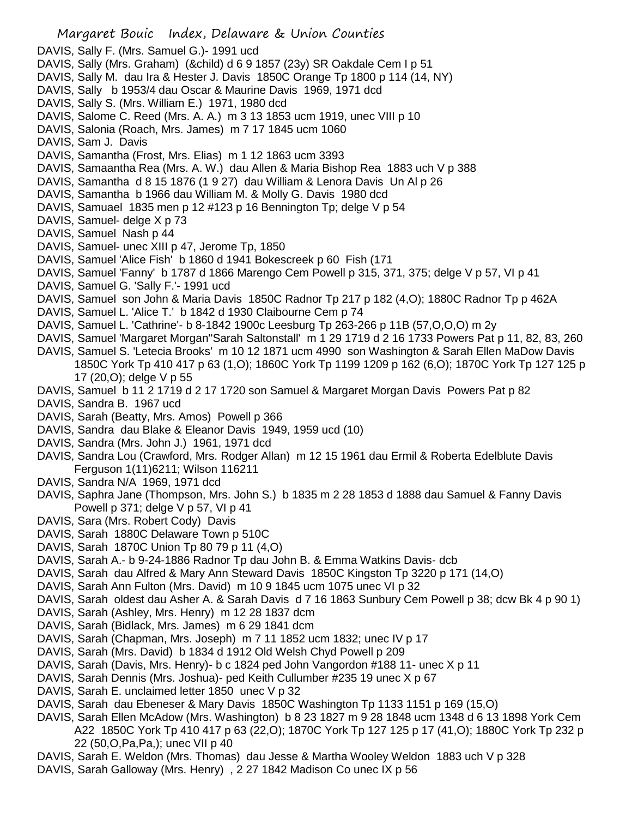- Margaret Bouic Index, Delaware & Union Counties DAVIS, Sally F. (Mrs. Samuel G.)- 1991 ucd DAVIS, Sally (Mrs. Graham) (&child) d 6 9 1857 (23y) SR Oakdale Cem I p 51 DAVIS, Sally M. dau Ira & Hester J. Davis 1850C Orange Tp 1800 p 114 (14, NY) DAVIS, Sally b 1953/4 dau Oscar & Maurine Davis 1969, 1971 dcd DAVIS, Sally S. (Mrs. William E.) 1971, 1980 dcd DAVIS, Salome C. Reed (Mrs. A. A.) m 3 13 1853 ucm 1919, unec VIII p 10 DAVIS, Salonia (Roach, Mrs. James) m 7 17 1845 ucm 1060 DAVIS, Sam J. Davis DAVIS, Samantha (Frost, Mrs. Elias) m 1 12 1863 ucm 3393 DAVIS, Samaantha Rea (Mrs. A. W.) dau Allen & Maria Bishop Rea 1883 uch V p 388 DAVIS, Samantha d 8 15 1876 (1 9 27) dau William & Lenora Davis Un Al p 26 DAVIS, Samantha b 1966 dau William M. & Molly G. Davis 1980 dcd DAVIS, Samuael 1835 men p 12 #123 p 16 Bennington Tp; delge V p 54 DAVIS, Samuel- delge X p 73 DAVIS, Samuel Nash p 44 DAVIS, Samuel- unec XIII p 47, Jerome Tp, 1850 DAVIS, Samuel 'Alice Fish' b 1860 d 1941 Bokescreek p 60 Fish (171 DAVIS, Samuel 'Fanny' b 1787 d 1866 Marengo Cem Powell p 315, 371, 375; delge V p 57, VI p 41 DAVIS, Samuel G. 'Sally F.'- 1991 ucd DAVIS, Samuel son John & Maria Davis 1850C Radnor Tp 217 p 182 (4,O); 1880C Radnor Tp p 462A DAVIS, Samuel L. 'Alice T.' b 1842 d 1930 Claibourne Cem p 74 DAVIS, Samuel L. 'Cathrine'- b 8-1842 1900c Leesburg Tp 263-266 p 11B (57,O,O,O) m 2y DAVIS, Samuel 'Margaret Morgan''Sarah Saltonstall' m 1 29 1719 d 2 16 1733 Powers Pat p 11, 82, 83, 260 DAVIS, Samuel S. 'Letecia Brooks' m 10 12 1871 ucm 4990 son Washington & Sarah Ellen MaDow Davis 1850C York Tp 410 417 p 63 (1,O); 1860C York Tp 1199 1209 p 162 (6,O); 1870C York Tp 127 125 p 17 (20,O); delge V p 55 DAVIS, Samuel b 11 2 1719 d 2 17 1720 son Samuel & Margaret Morgan Davis Powers Pat p 82 DAVIS, Sandra B. 1967 ucd DAVIS, Sarah (Beatty, Mrs. Amos) Powell p 366 DAVIS, Sandra dau Blake & Eleanor Davis 1949, 1959 ucd (10) DAVIS, Sandra (Mrs. John J.) 1961, 1971 dcd DAVIS, Sandra Lou (Crawford, Mrs. Rodger Allan) m 12 15 1961 dau Ermil & Roberta Edelblute Davis Ferguson 1(11)6211; Wilson 116211 DAVIS, Sandra N/A 1969, 1971 dcd DAVIS, Saphra Jane (Thompson, Mrs. John S.) b 1835 m 2 28 1853 d 1888 dau Samuel & Fanny Davis Powell  $p$  371; delge  $V$   $p$  57,  $V$ l  $p$  41 DAVIS, Sara (Mrs. Robert Cody) Davis DAVIS, Sarah 1880C Delaware Town p 510C DAVIS, Sarah 1870C Union Tp 80 79 p 11 (4,O) DAVIS, Sarah A.- b 9-24-1886 Radnor Tp dau John B. & Emma Watkins Davis- dcb
- DAVIS, Sarah dau Alfred & Mary Ann Steward Davis 1850C Kingston Tp 3220 p 171 (14,O)
- DAVIS, Sarah Ann Fulton (Mrs. David) m 10 9 1845 ucm 1075 unec VI p 32
- DAVIS, Sarah oldest dau Asher A. & Sarah Davis d 7 16 1863 Sunbury Cem Powell p 38; dcw Bk 4 p 90 1)
- DAVIS, Sarah (Ashley, Mrs. Henry) m 12 28 1837 dcm
- DAVIS, Sarah (Bidlack, Mrs. James) m 6 29 1841 dcm
- DAVIS, Sarah (Chapman, Mrs. Joseph) m 7 11 1852 ucm 1832; unec IV p 17
- DAVIS, Sarah (Mrs. David) b 1834 d 1912 Old Welsh Chyd Powell p 209
- DAVIS, Sarah (Davis, Mrs. Henry)- b c 1824 ped John Vangordon #188 11- unec X p 11
- DAVIS, Sarah Dennis (Mrs. Joshua)- ped Keith Cullumber #235 19 unec X p 67
- DAVIS, Sarah E. unclaimed letter 1850 unec V p 32
- DAVIS, Sarah dau Ebeneser & Mary Davis 1850C Washington Tp 1133 1151 p 169 (15,O)
- DAVIS, Sarah Ellen McAdow (Mrs. Washington) b 8 23 1827 m 9 28 1848 ucm 1348 d 6 13 1898 York Cem A22 1850C York Tp 410 417 p 63 (22,O); 1870C York Tp 127 125 p 17 (41,O); 1880C York Tp 232 p 22 (50,O,Pa,Pa,); unec VII p 40
- DAVIS, Sarah E. Weldon (Mrs. Thomas) dau Jesse & Martha Wooley Weldon 1883 uch V p 328
- DAVIS, Sarah Galloway (Mrs. Henry) , 2 27 1842 Madison Co unec IX p 56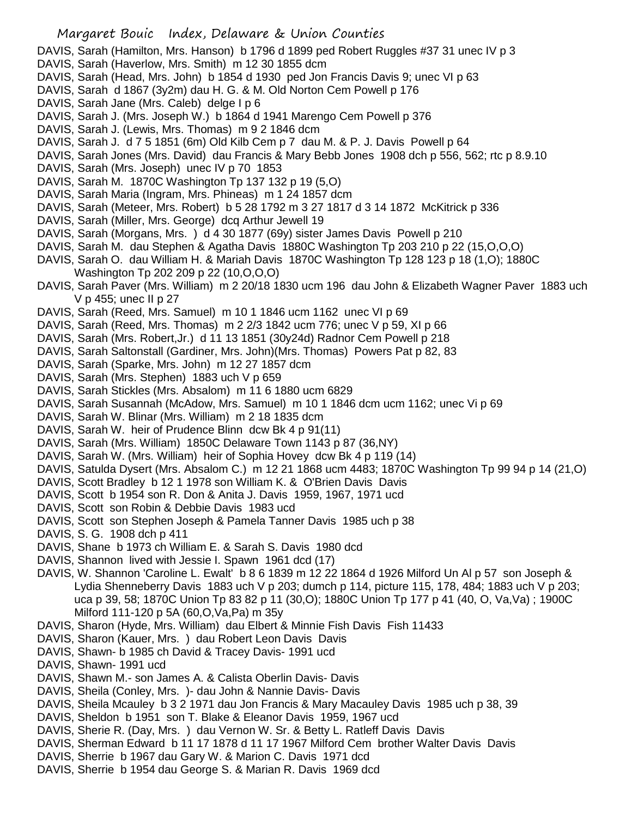DAVIS, Sarah (Hamilton, Mrs. Hanson) b 1796 d 1899 ped Robert Ruggles #37 31 unec IV p 3

- DAVIS, Sarah (Haverlow, Mrs. Smith) m 12 30 1855 dcm
- DAVIS, Sarah (Head, Mrs. John) b 1854 d 1930 ped Jon Francis Davis 9; unec VI p 63
- DAVIS, Sarah d 1867 (3y2m) dau H. G. & M. Old Norton Cem Powell p 176
- DAVIS, Sarah Jane (Mrs. Caleb) delge I p 6
- DAVIS, Sarah J. (Mrs. Joseph W.) b 1864 d 1941 Marengo Cem Powell p 376
- DAVIS, Sarah J. (Lewis, Mrs. Thomas) m 9 2 1846 dcm
- DAVIS, Sarah J. d 7 5 1851 (6m) Old Kilb Cem p 7 dau M. & P. J. Davis Powell p 64
- DAVIS, Sarah Jones (Mrs. David) dau Francis & Mary Bebb Jones 1908 dch p 556, 562; rtc p 8.9.10
- DAVIS, Sarah (Mrs. Joseph) unec IV p 70 1853
- DAVIS, Sarah M. 1870C Washington Tp 137 132 p 19 (5,O)
- DAVIS, Sarah Maria (Ingram, Mrs. Phineas) m 1 24 1857 dcm
- DAVIS, Sarah (Meteer, Mrs. Robert) b 5 28 1792 m 3 27 1817 d 3 14 1872 McKitrick p 336
- DAVIS, Sarah (Miller, Mrs. George) dcq Arthur Jewell 19
- DAVIS, Sarah (Morgans, Mrs. ) d 4 30 1877 (69y) sister James Davis Powell p 210
- DAVIS, Sarah M. dau Stephen & Agatha Davis 1880C Washington Tp 203 210 p 22 (15,O,O,O)
- DAVIS, Sarah O. dau William H. & Mariah Davis 1870C Washington Tp 128 123 p 18 (1,O); 1880C Washington Tp 202 209 p 22 (10,O,O,O)
- DAVIS, Sarah Paver (Mrs. William) m 2 20/18 1830 ucm 196 dau John & Elizabeth Wagner Paver 1883 uch V p 455; unec II p 27
- DAVIS, Sarah (Reed, Mrs. Samuel) m 10 1 1846 ucm 1162 unec VI p 69
- DAVIS, Sarah (Reed, Mrs. Thomas) m 2 2/3 1842 ucm 776; unec V p 59, XI p 66
- DAVIS, Sarah (Mrs. Robert,Jr.) d 11 13 1851 (30y24d) Radnor Cem Powell p 218
- DAVIS, Sarah Saltonstall (Gardiner, Mrs. John)(Mrs. Thomas) Powers Pat p 82, 83
- DAVIS, Sarah (Sparke, Mrs. John) m 12 27 1857 dcm
- DAVIS, Sarah (Mrs. Stephen) 1883 uch V p 659
- DAVIS, Sarah Stickles (Mrs. Absalom) m 11 6 1880 ucm 6829
- DAVIS, Sarah Susannah (McAdow, Mrs. Samuel) m 10 1 1846 dcm ucm 1162; unec Vi p 69
- DAVIS, Sarah W. Blinar (Mrs. William) m 2 18 1835 dcm
- DAVIS, Sarah W. heir of Prudence Blinn dcw Bk 4 p 91(11)
- DAVIS, Sarah (Mrs. William) 1850C Delaware Town 1143 p 87 (36,NY)
- DAVIS, Sarah W. (Mrs. William) heir of Sophia Hovey dcw Bk 4 p 119 (14)
- DAVIS, Satulda Dysert (Mrs. Absalom C.) m 12 21 1868 ucm 4483; 1870C Washington Tp 99 94 p 14 (21,O)
- DAVIS, Scott Bradley b 12 1 1978 son William K. & O'Brien Davis Davis
- DAVIS, Scott b 1954 son R. Don & Anita J. Davis 1959, 1967, 1971 ucd
- DAVIS, Scott son Robin & Debbie Davis 1983 ucd
- DAVIS, Scott son Stephen Joseph & Pamela Tanner Davis 1985 uch p 38
- DAVIS, S. G. 1908 dch p 411
- DAVIS, Shane b 1973 ch William E. & Sarah S. Davis 1980 dcd
- DAVIS, Shannon lived with Jessie I. Spawn 1961 dcd (17)
- DAVIS, W. Shannon 'Caroline L. Ewalt' b 8 6 1839 m 12 22 1864 d 1926 Milford Un Al p 57 son Joseph & Lydia Shenneberry Davis 1883 uch V p 203; dumch p 114, picture 115, 178, 484; 1883 uch V p 203; uca p 39, 58; 1870C Union Tp 83 82 p 11 (30,O); 1880C Union Tp 177 p 41 (40, O, Va,Va) ; 1900C Milford 111-120 p 5A (60,O,Va,Pa) m 35y
- DAVIS, Sharon (Hyde, Mrs. William) dau Elbert & Minnie Fish Davis Fish 11433
- DAVIS, Sharon (Kauer, Mrs. ) dau Robert Leon Davis Davis
- DAVIS, Shawn- b 1985 ch David & Tracey Davis- 1991 ucd
- DAVIS, Shawn- 1991 ucd
- DAVIS, Shawn M.- son James A. & Calista Oberlin Davis- Davis
- DAVIS, Sheila (Conley, Mrs. )- dau John & Nannie Davis- Davis
- DAVIS, Sheila Mcauley b 3 2 1971 dau Jon Francis & Mary Macauley Davis 1985 uch p 38, 39
- DAVIS, Sheldon b 1951 son T. Blake & Eleanor Davis 1959, 1967 ucd
- DAVIS, Sherie R. (Day, Mrs. ) dau Vernon W. Sr. & Betty L. Ratleff Davis Davis
- DAVIS, Sherman Edward b 11 17 1878 d 11 17 1967 Milford Cem brother Walter Davis Davis
- DAVIS, Sherrie b 1967 dau Gary W. & Marion C. Davis 1971 dcd
- DAVIS, Sherrie b 1954 dau George S. & Marian R. Davis 1969 dcd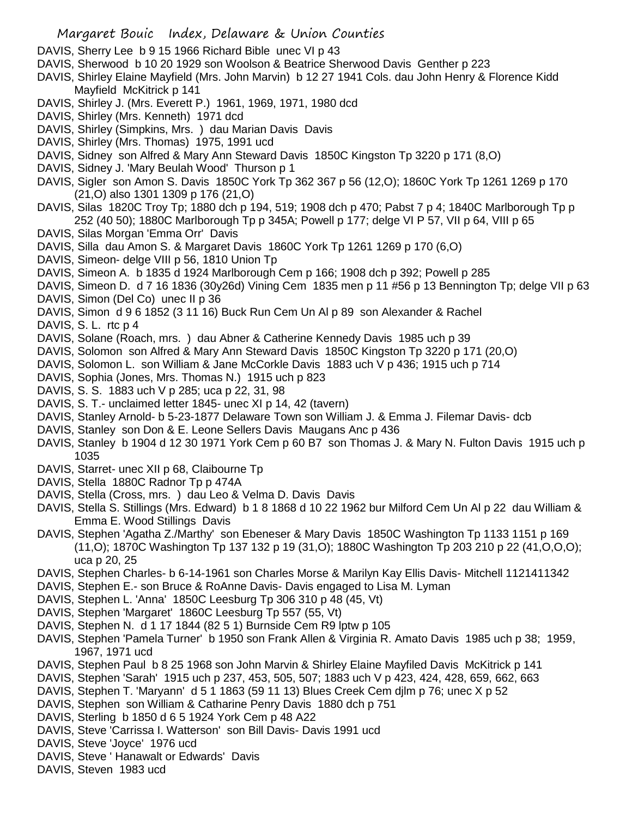DAVIS, Sherry Lee b 9 15 1966 Richard Bible unec VI p 43

- DAVIS, Sherwood b 10 20 1929 son Woolson & Beatrice Sherwood Davis Genther p 223
- DAVIS, Shirley Elaine Mayfield (Mrs. John Marvin) b 12 27 1941 Cols. dau John Henry & Florence Kidd Mayfield McKitrick p 141
- DAVIS, Shirley J. (Mrs. Everett P.) 1961, 1969, 1971, 1980 dcd
- DAVIS, Shirley (Mrs. Kenneth) 1971 dcd
- DAVIS, Shirley (Simpkins, Mrs. ) dau Marian Davis Davis
- DAVIS, Shirley (Mrs. Thomas) 1975, 1991 ucd
- DAVIS, Sidney son Alfred & Mary Ann Steward Davis 1850C Kingston Tp 3220 p 171 (8,O)
- DAVIS, Sidney J. 'Mary Beulah Wood' Thurson p 1
- DAVIS, Sigler son Amon S. Davis 1850C York Tp 362 367 p 56 (12,O); 1860C York Tp 1261 1269 p 170 (21,O) also 1301 1309 p 176 (21,O)
- DAVIS, Silas 1820C Troy Tp; 1880 dch p 194, 519; 1908 dch p 470; Pabst 7 p 4; 1840C Marlborough Tp p 252 (40 50); 1880C Marlborough Tp p 345A; Powell p 177; delge VI P 57, VII p 64, VIII p 65
- DAVIS, Silas Morgan 'Emma Orr' Davis
- DAVIS, Silla dau Amon S. & Margaret Davis 1860C York Tp 1261 1269 p 170 (6,O)
- DAVIS, Simeon- delge VIII p 56, 1810 Union Tp
- DAVIS, Simeon A. b 1835 d 1924 Marlborough Cem p 166; 1908 dch p 392; Powell p 285
- DAVIS, Simeon D. d 7 16 1836 (30y26d) Vining Cem 1835 men p 11 #56 p 13 Bennington Tp; delge VII p 63
- DAVIS, Simon (Del Co) unec II p 36
- DAVIS, Simon d 9 6 1852 (3 11 16) Buck Run Cem Un Al p 89 son Alexander & Rachel
- DAVIS, S. L. rtc p 4
- DAVIS, Solane (Roach, mrs. ) dau Abner & Catherine Kennedy Davis 1985 uch p 39
- DAVIS, Solomon son Alfred & Mary Ann Steward Davis 1850C Kingston Tp 3220 p 171 (20,O)
- DAVIS, Solomon L. son William & Jane McCorkle Davis 1883 uch V p 436; 1915 uch p 714
- DAVIS, Sophia (Jones, Mrs. Thomas N.) 1915 uch p 823
- DAVIS, S. S. 1883 uch V p 285; uca p 22, 31, 98
- DAVIS, S. T.- unclaimed letter 1845- unec XI p 14, 42 (tavern)
- DAVIS, Stanley Arnold- b 5-23-1877 Delaware Town son William J. & Emma J. Filemar Davis- dcb
- DAVIS, Stanley son Don & E. Leone Sellers Davis Maugans Anc p 436
- DAVIS, Stanley b 1904 d 12 30 1971 York Cem p 60 B7 son Thomas J. & Mary N. Fulton Davis 1915 uch p 1035
- DAVIS, Starret- unec XII p 68, Claibourne Tp
- DAVIS, Stella 1880C Radnor Tp p 474A
- DAVIS, Stella (Cross, mrs. ) dau Leo & Velma D. Davis Davis
- DAVIS, Stella S. Stillings (Mrs. Edward) b 1 8 1868 d 10 22 1962 bur Milford Cem Un Al p 22 dau William & Emma E. Wood Stillings Davis
- DAVIS, Stephen 'Agatha Z./Marthy' son Ebeneser & Mary Davis 1850C Washington Tp 1133 1151 p 169 (11,O); 1870C Washington Tp 137 132 p 19 (31,O); 1880C Washington Tp 203 210 p 22 (41,O,O,O); uca p 20, 25
- DAVIS, Stephen Charles- b 6-14-1961 son Charles Morse & Marilyn Kay Ellis Davis- Mitchell 1121411342
- DAVIS, Stephen E.- son Bruce & RoAnne Davis- Davis engaged to Lisa M. Lyman
- DAVIS, Stephen L. 'Anna' 1850C Leesburg Tp 306 310 p 48 (45, Vt)
- DAVIS, Stephen 'Margaret' 1860C Leesburg Tp 557 (55, Vt)
- DAVIS, Stephen N. d 1 17 1844 (82 5 1) Burnside Cem R9 lptw p 105
- DAVIS, Stephen 'Pamela Turner' b 1950 son Frank Allen & Virginia R. Amato Davis 1985 uch p 38; 1959, 1967, 1971 ucd
- DAVIS, Stephen Paul b 8 25 1968 son John Marvin & Shirley Elaine Mayfiled Davis McKitrick p 141
- DAVIS, Stephen 'Sarah' 1915 uch p 237, 453, 505, 507; 1883 uch V p 423, 424, 428, 659, 662, 663
- DAVIS, Stephen T. 'Maryann' d 5 1 1863 (59 11 13) Blues Creek Cem djlm p 76; unec X p 52
- DAVIS, Stephen son William & Catharine Penry Davis 1880 dch p 751
- DAVIS, Sterling b 1850 d 6 5 1924 York Cem p 48 A22
- DAVIS, Steve 'Carrissa I. Watterson' son Bill Davis- Davis 1991 ucd
- DAVIS, Steve 'Joyce' 1976 ucd
- DAVIS, Steve ' Hanawalt or Edwards' Davis
- DAVIS, Steven 1983 ucd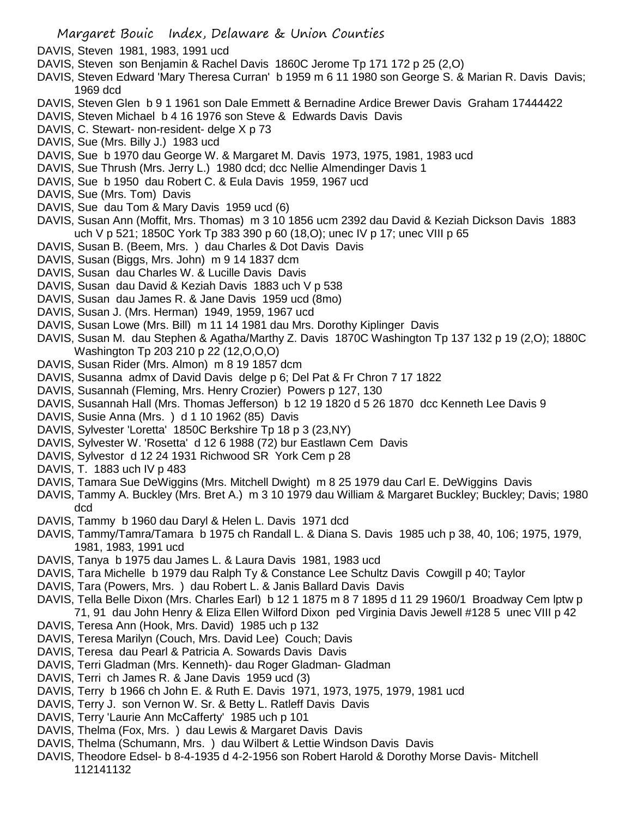- DAVIS, Steven 1981, 1983, 1991 ucd
- DAVIS, Steven son Benjamin & Rachel Davis 1860C Jerome Tp 171 172 p 25 (2,O)
- DAVIS, Steven Edward 'Mary Theresa Curran' b 1959 m 6 11 1980 son George S. & Marian R. Davis Davis; 1969 dcd
- DAVIS, Steven Glen b 9 1 1961 son Dale Emmett & Bernadine Ardice Brewer Davis Graham 17444422
- DAVIS, Steven Michael b 4 16 1976 son Steve & Edwards Davis Davis
- DAVIS, C. Stewart- non-resident- delge X p 73
- DAVIS, Sue (Mrs. Billy J.) 1983 ucd
- DAVIS, Sue b 1970 dau George W. & Margaret M. Davis 1973, 1975, 1981, 1983 ucd
- DAVIS, Sue Thrush (Mrs. Jerry L.) 1980 dcd; dcc Nellie Almendinger Davis 1
- DAVIS, Sue b 1950 dau Robert C. & Eula Davis 1959, 1967 ucd
- DAVIS, Sue (Mrs. Tom) Davis
- DAVIS, Sue dau Tom & Mary Davis 1959 ucd (6)
- DAVIS, Susan Ann (Moffit, Mrs. Thomas) m 3 10 1856 ucm 2392 dau David & Keziah Dickson Davis 1883 uch V p 521; 1850C York Tp 383 390 p 60 (18,O); unec IV p 17; unec VIII p 65
- DAVIS, Susan B. (Beem, Mrs. ) dau Charles & Dot Davis Davis
- DAVIS, Susan (Biggs, Mrs. John) m 9 14 1837 dcm
- DAVIS, Susan dau Charles W. & Lucille Davis Davis
- DAVIS, Susan dau David & Keziah Davis 1883 uch V p 538
- DAVIS, Susan dau James R. & Jane Davis 1959 ucd (8mo)
- DAVIS, Susan J. (Mrs. Herman) 1949, 1959, 1967 ucd
- DAVIS, Susan Lowe (Mrs. Bill) m 11 14 1981 dau Mrs. Dorothy Kiplinger Davis
- DAVIS, Susan M. dau Stephen & Agatha/Marthy Z. Davis 1870C Washington Tp 137 132 p 19 (2,O); 1880C Washington Tp 203 210 p 22 (12,O,O,O)
- DAVIS, Susan Rider (Mrs. Almon) m 8 19 1857 dcm
- DAVIS, Susanna admx of David Davis delge p 6; Del Pat & Fr Chron 7 17 1822
- DAVIS, Susannah (Fleming, Mrs. Henry Crozier) Powers p 127, 130
- DAVIS, Susannah Hall (Mrs. Thomas Jefferson) b 12 19 1820 d 5 26 1870 dcc Kenneth Lee Davis 9
- DAVIS, Susie Anna (Mrs. ) d 1 10 1962 (85) Davis
- DAVIS, Sylvester 'Loretta' 1850C Berkshire Tp 18 p 3 (23,NY)
- DAVIS, Sylvester W. 'Rosetta' d 12 6 1988 (72) bur Eastlawn Cem Davis
- DAVIS, Sylvestor d 12 24 1931 Richwood SR York Cem p 28
- DAVIS, T. 1883 uch IV p 483
- DAVIS, Tamara Sue DeWiggins (Mrs. Mitchell Dwight) m 8 25 1979 dau Carl E. DeWiggins Davis
- DAVIS, Tammy A. Buckley (Mrs. Bret A.) m 3 10 1979 dau William & Margaret Buckley; Buckley; Davis; 1980 dcd
- DAVIS, Tammy b 1960 dau Daryl & Helen L. Davis 1971 dcd
- DAVIS, Tammy/Tamra/Tamara b 1975 ch Randall L. & Diana S. Davis 1985 uch p 38, 40, 106; 1975, 1979, 1981, 1983, 1991 ucd
- DAVIS, Tanya b 1975 dau James L. & Laura Davis 1981, 1983 ucd
- DAVIS, Tara Michelle b 1979 dau Ralph Ty & Constance Lee Schultz Davis Cowgill p 40; Taylor
- DAVIS, Tara (Powers, Mrs. ) dau Robert L. & Janis Ballard Davis Davis
- DAVIS, Tella Belle Dixon (Mrs. Charles Earl) b 12 1 1875 m 8 7 1895 d 11 29 1960/1 Broadway Cem lptw p 71, 91 dau John Henry & Eliza Ellen Wilford Dixon ped Virginia Davis Jewell #128 5 unec VIII p 42
- DAVIS, Teresa Ann (Hook, Mrs. David) 1985 uch p 132
- DAVIS, Teresa Marilyn (Couch, Mrs. David Lee) Couch; Davis
- DAVIS, Teresa dau Pearl & Patricia A. Sowards Davis Davis
- DAVIS, Terri Gladman (Mrs. Kenneth)- dau Roger Gladman- Gladman
- DAVIS, Terri ch James R. & Jane Davis 1959 ucd (3)
- DAVIS, Terry b 1966 ch John E. & Ruth E. Davis 1971, 1973, 1975, 1979, 1981 ucd
- DAVIS, Terry J. son Vernon W. Sr. & Betty L. Ratleff Davis Davis
- DAVIS, Terry 'Laurie Ann McCafferty' 1985 uch p 101
- DAVIS, Thelma (Fox, Mrs. ) dau Lewis & Margaret Davis Davis
- DAVIS, Thelma (Schumann, Mrs. ) dau Wilbert & Lettie Windson Davis Davis
- DAVIS, Theodore Edsel- b 8-4-1935 d 4-2-1956 son Robert Harold & Dorothy Morse Davis- Mitchell 112141132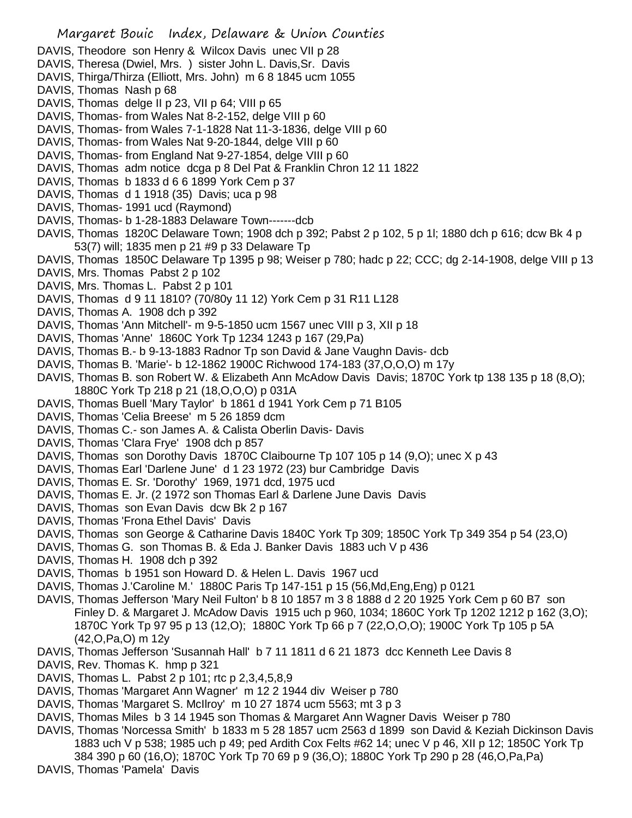Margaret Bouic Index, Delaware & Union Counties DAVIS, Theodore son Henry & Wilcox Davis unec VII p 28 DAVIS, Theresa (Dwiel, Mrs.) sister John L. Davis, Sr. Davis DAVIS, Thirga/Thirza (Elliott, Mrs. John) m 6 8 1845 ucm 1055 DAVIS, Thomas Nash p 68 DAVIS, Thomas delge II p 23, VII p 64; VIII p 65 DAVIS, Thomas- from Wales Nat 8-2-152, delge VIII p 60 DAVIS, Thomas- from Wales 7-1-1828 Nat 11-3-1836, delge VIII p 60 DAVIS, Thomas- from Wales Nat 9-20-1844, delge VIII p 60 DAVIS, Thomas- from England Nat 9-27-1854, delge VIII p 60 DAVIS, Thomas adm notice dcga p 8 Del Pat & Franklin Chron 12 11 1822 DAVIS, Thomas b 1833 d 6 6 1899 York Cem p 37 DAVIS, Thomas d 1 1918 (35) Davis; uca p 98 DAVIS, Thomas- 1991 ucd (Raymond) DAVIS, Thomas- b 1-28-1883 Delaware Town-------dcb DAVIS, Thomas 1820C Delaware Town; 1908 dch p 392; Pabst 2 p 102, 5 p 1l; 1880 dch p 616; dcw Bk 4 p 53(7) will; 1835 men p 21 #9 p 33 Delaware Tp DAVIS, Thomas 1850C Delaware Tp 1395 p 98; Weiser p 780; hadc p 22; CCC; dg 2-14-1908, delge VIII p 13

- DAVIS, Mrs. Thomas Pabst 2 p 102
- DAVIS, Mrs. Thomas L. Pabst 2 p 101
- DAVIS, Thomas d 9 11 1810? (70/80y 11 12) York Cem p 31 R11 L128
- DAVIS, Thomas A. 1908 dch p 392
- DAVIS, Thomas 'Ann Mitchell'- m 9-5-1850 ucm 1567 unec VIII p 3, XII p 18
- DAVIS, Thomas 'Anne' 1860C York Tp 1234 1243 p 167 (29,Pa)
- DAVIS, Thomas B.- b 9-13-1883 Radnor Tp son David & Jane Vaughn Davis- dcb
- DAVIS, Thomas B. 'Marie'- b 12-1862 1900C Richwood 174-183 (37,O,O,O) m 17y
- DAVIS, Thomas B. son Robert W. & Elizabeth Ann McAdow Davis Davis; 1870C York tp 138 135 p 18 (8,O); 1880C York Tp 218 p 21 (18,O,O,O) p 031A
- DAVIS, Thomas Buell 'Mary Taylor' b 1861 d 1941 York Cem p 71 B105
- DAVIS, Thomas 'Celia Breese' m 5 26 1859 dcm
- DAVIS, Thomas C.- son James A. & Calista Oberlin Davis- Davis
- DAVIS, Thomas 'Clara Frye' 1908 dch p 857
- DAVIS, Thomas son Dorothy Davis 1870C Claibourne Tp 107 105 p 14 (9,O); unec X p 43
- DAVIS, Thomas Earl 'Darlene June' d 1 23 1972 (23) bur Cambridge Davis
- DAVIS, Thomas E. Sr. 'Dorothy' 1969, 1971 dcd, 1975 ucd
- DAVIS, Thomas E. Jr. (2 1972 son Thomas Earl & Darlene June Davis Davis
- DAVIS, Thomas son Evan Davis dcw Bk 2 p 167
- DAVIS, Thomas 'Frona Ethel Davis' Davis
- DAVIS, Thomas son George & Catharine Davis 1840C York Tp 309; 1850C York Tp 349 354 p 54 (23,O)
- DAVIS, Thomas G. son Thomas B. & Eda J. Banker Davis 1883 uch V p 436
- DAVIS, Thomas H. 1908 dch p 392
- DAVIS, Thomas b 1951 son Howard D. & Helen L. Davis 1967 ucd
- DAVIS, Thomas J.'Caroline M.' 1880C Paris Tp 147-151 p 15 (56,Md,Eng,Eng) p 0121
- DAVIS, Thomas Jefferson 'Mary Neil Fulton' b 8 10 1857 m 3 8 1888 d 2 20 1925 York Cem p 60 B7 son Finley D. & Margaret J. McAdow Davis 1915 uch p 960, 1034; 1860C York Tp 1202 1212 p 162 (3,O); 1870C York Tp 97 95 p 13 (12,O); 1880C York Tp 66 p 7 (22,O,O,O); 1900C York Tp 105 p 5A (42,O,Pa,O) m 12y
- DAVIS, Thomas Jefferson 'Susannah Hall' b 7 11 1811 d 6 21 1873 dcc Kenneth Lee Davis 8
- DAVIS, Rev. Thomas K. hmp p 321
- DAVIS, Thomas L. Pabst 2 p 101; rtc p 2,3,4,5,8,9
- DAVIS, Thomas 'Margaret Ann Wagner' m 12 2 1944 div Weiser p 780
- DAVIS, Thomas 'Margaret S. McIlroy' m 10 27 1874 ucm 5563; mt 3 p 3
- DAVIS, Thomas Miles b 3 14 1945 son Thomas & Margaret Ann Wagner Davis Weiser p 780
- DAVIS, Thomas 'Norcessa Smith' b 1833 m 5 28 1857 ucm 2563 d 1899 son David & Keziah Dickinson Davis 1883 uch V p 538; 1985 uch p 49; ped Ardith Cox Felts #62 14; unec V p 46, XII p 12; 1850C York Tp 384 390 p 60 (16,O); 1870C York Tp 70 69 p 9 (36,O); 1880C York Tp 290 p 28 (46,O,Pa,Pa)
- DAVIS, Thomas 'Pamela' Davis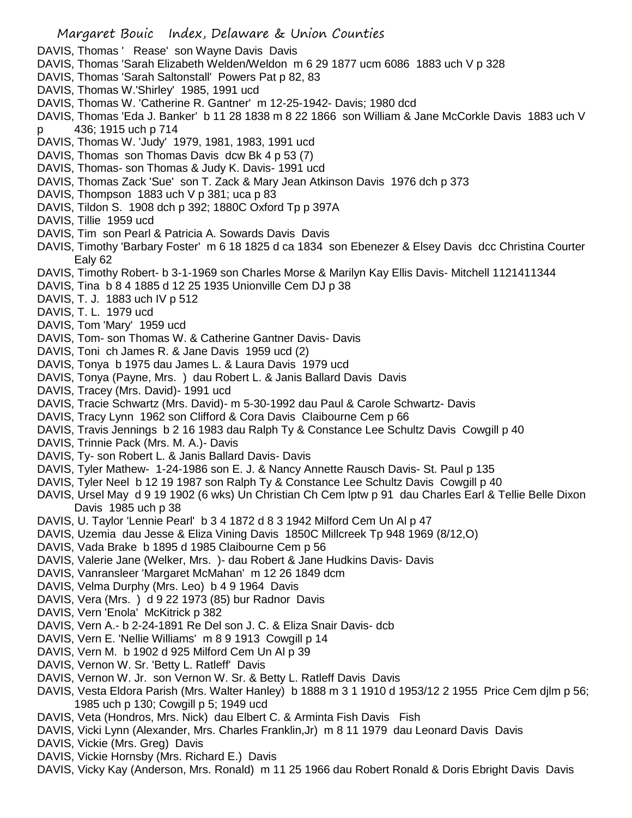- DAVIS, Thomas ' Rease' son Wayne Davis Davis
- DAVIS, Thomas 'Sarah Elizabeth Welden/Weldon m 6 29 1877 ucm 6086 1883 uch V p 328
- DAVIS, Thomas 'Sarah Saltonstall' Powers Pat p 82, 83
- DAVIS, Thomas W.'Shirley' 1985, 1991 ucd
- DAVIS, Thomas W. 'Catherine R. Gantner' m 12-25-1942- Davis; 1980 dcd
- DAVIS, Thomas 'Eda J. Banker' b 11 28 1838 m 8 22 1866 son William & Jane McCorkle Davis 1883 uch V p 436; 1915 uch p 714
- DAVIS, Thomas W. 'Judy' 1979, 1981, 1983, 1991 ucd
- DAVIS, Thomas son Thomas Davis dcw Bk 4 p 53 (7)
- DAVIS, Thomas- son Thomas & Judy K. Davis- 1991 ucd
- DAVIS, Thomas Zack 'Sue' son T. Zack & Mary Jean Atkinson Davis 1976 dch p 373
- DAVIS, Thompson 1883 uch V p 381; uca p 83
- DAVIS, Tildon S. 1908 dch p 392; 1880C Oxford Tp p 397A
- DAVIS, Tillie 1959 ucd
- DAVIS, Tim son Pearl & Patricia A. Sowards Davis Davis
- DAVIS, Timothy 'Barbary Foster' m 6 18 1825 d ca 1834 son Ebenezer & Elsey Davis dcc Christina Courter Ealy 62
- DAVIS, Timothy Robert- b 3-1-1969 son Charles Morse & Marilyn Kay Ellis Davis- Mitchell 1121411344
- DAVIS, Tina b 8 4 1885 d 12 25 1935 Unionville Cem DJ p 38
- DAVIS, T. J. 1883 uch IV p 512
- DAVIS, T. L. 1979 ucd
- DAVIS, Tom 'Mary' 1959 ucd
- DAVIS, Tom- son Thomas W. & Catherine Gantner Davis- Davis
- DAVIS, Toni ch James R. & Jane Davis 1959 ucd (2)
- DAVIS, Tonya b 1975 dau James L. & Laura Davis 1979 ucd
- DAVIS, Tonya (Payne, Mrs. ) dau Robert L. & Janis Ballard Davis Davis
- DAVIS, Tracey (Mrs. David)- 1991 ucd
- DAVIS, Tracie Schwartz (Mrs. David)- m 5-30-1992 dau Paul & Carole Schwartz- Davis
- DAVIS, Tracy Lynn 1962 son Clifford & Cora Davis Claibourne Cem p 66
- DAVIS, Travis Jennings b 2 16 1983 dau Ralph Ty & Constance Lee Schultz Davis Cowgill p 40
- DAVIS, Trinnie Pack (Mrs. M. A.)- Davis
- DAVIS, Ty- son Robert L. & Janis Ballard Davis- Davis
- DAVIS, Tyler Mathew- 1-24-1986 son E. J. & Nancy Annette Rausch Davis- St. Paul p 135
- DAVIS, Tyler Neel b 12 19 1987 son Ralph Ty & Constance Lee Schultz Davis Cowgill p 40
- DAVIS, Ursel May d 9 19 1902 (6 wks) Un Christian Ch Cem lptw p 91 dau Charles Earl & Tellie Belle Dixon Davis 1985 uch p 38
- DAVIS, U. Taylor 'Lennie Pearl' b 3 4 1872 d 8 3 1942 Milford Cem Un Al p 47
- DAVIS, Uzemia dau Jesse & Eliza Vining Davis 1850C Millcreek Tp 948 1969 (8/12,O)
- DAVIS, Vada Brake b 1895 d 1985 Claibourne Cem p 56
- DAVIS, Valerie Jane (Welker, Mrs. )- dau Robert & Jane Hudkins Davis- Davis
- DAVIS, Vanransleer 'Margaret McMahan' m 12 26 1849 dcm
- DAVIS, Velma Durphy (Mrs. Leo) b 4 9 1964 Davis
- DAVIS, Vera (Mrs. ) d 9 22 1973 (85) bur Radnor Davis
- DAVIS, Vern 'Enola' McKitrick p 382
- DAVIS, Vern A.- b 2-24-1891 Re Del son J. C. & Eliza Snair Davis- dcb
- DAVIS, Vern E. 'Nellie Williams' m 8 9 1913 Cowgill p 14
- DAVIS, Vern M. b 1902 d 925 Milford Cem Un Al p 39
- DAVIS, Vernon W. Sr. 'Betty L. Ratleff' Davis
- DAVIS, Vernon W. Jr. son Vernon W. Sr. & Betty L. Ratleff Davis Davis
- DAVIS, Vesta Eldora Parish (Mrs. Walter Hanley) b 1888 m 3 1 1910 d 1953/12 2 1955 Price Cem djlm p 56; 1985 uch p 130; Cowgill p 5; 1949 ucd
- DAVIS, Veta (Hondros, Mrs. Nick) dau Elbert C. & Arminta Fish Davis Fish
- DAVIS, Vicki Lynn (Alexander, Mrs. Charles Franklin,Jr) m 8 11 1979 dau Leonard Davis Davis
- DAVIS, Vickie (Mrs. Greg) Davis
- DAVIS, Vickie Hornsby (Mrs. Richard E.) Davis
- DAVIS, Vicky Kay (Anderson, Mrs. Ronald) m 11 25 1966 dau Robert Ronald & Doris Ebright Davis Davis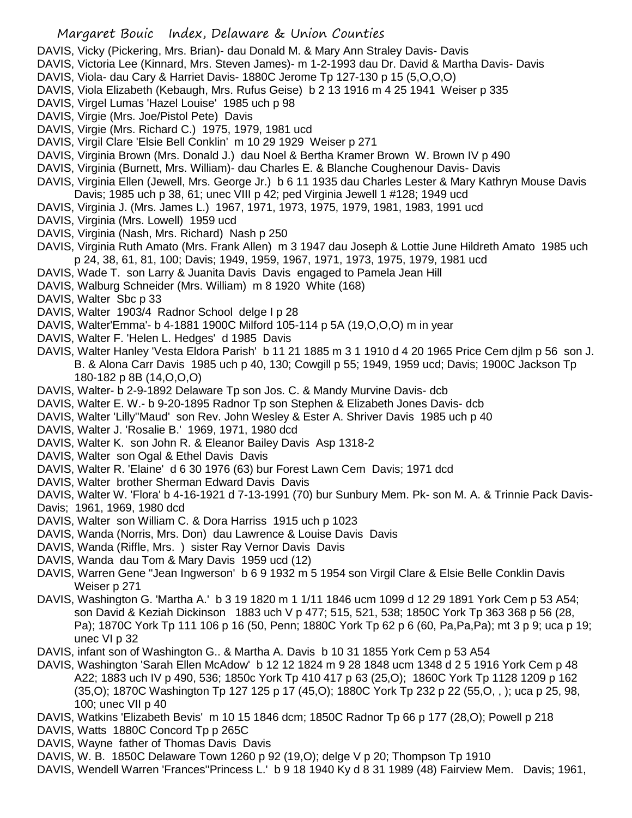- DAVIS, Vicky (Pickering, Mrs. Brian)- dau Donald M. & Mary Ann Straley Davis- Davis
- DAVIS, Victoria Lee (Kinnard, Mrs. Steven James)- m 1-2-1993 dau Dr. David & Martha Davis- Davis
- DAVIS, Viola- dau Cary & Harriet Davis- 1880C Jerome Tp 127-130 p 15 (5,O,O,O)
- DAVIS, Viola Elizabeth (Kebaugh, Mrs. Rufus Geise) b 2 13 1916 m 4 25 1941 Weiser p 335
- DAVIS, Virgel Lumas 'Hazel Louise' 1985 uch p 98
- DAVIS, Virgie (Mrs. Joe/Pistol Pete) Davis
- DAVIS, Virgie (Mrs. Richard C.) 1975, 1979, 1981 ucd
- DAVIS, Virgil Clare 'Elsie Bell Conklin' m 10 29 1929 Weiser p 271
- DAVIS, Virginia Brown (Mrs. Donald J.) dau Noel & Bertha Kramer Brown W. Brown IV p 490
- DAVIS, Virginia (Burnett, Mrs. William)- dau Charles E. & Blanche Coughenour Davis- Davis
- DAVIS, Virginia Ellen (Jewell, Mrs. George Jr.) b 6 11 1935 dau Charles Lester & Mary Kathryn Mouse Davis Davis; 1985 uch p 38, 61; unec VIII p 42; ped Virginia Jewell 1 #128; 1949 ucd
- DAVIS, Virginia J. (Mrs. James L.) 1967, 1971, 1973, 1975, 1979, 1981, 1983, 1991 ucd
- DAVIS, Virginia (Mrs. Lowell) 1959 ucd
- DAVIS, Virginia (Nash, Mrs. Richard) Nash p 250
- DAVIS, Virginia Ruth Amato (Mrs. Frank Allen) m 3 1947 dau Joseph & Lottie June Hildreth Amato 1985 uch p 24, 38, 61, 81, 100; Davis; 1949, 1959, 1967, 1971, 1973, 1975, 1979, 1981 ucd
- DAVIS, Wade T. son Larry & Juanita Davis Davis engaged to Pamela Jean Hill
- DAVIS, Walburg Schneider (Mrs. William) m 8 1920 White (168)
- DAVIS, Walter Sbc p 33
- DAVIS, Walter 1903/4 Radnor School delge I p 28
- DAVIS, Walter'Emma'- b 4-1881 1900C Milford 105-114 p 5A (19,O,O,O) m in year
- DAVIS, Walter F. 'Helen L. Hedges' d 1985 Davis
- DAVIS, Walter Hanley 'Vesta Eldora Parish' b 11 21 1885 m 3 1 1910 d 4 20 1965 Price Cem djlm p 56 son J. B. & Alona Carr Davis 1985 uch p 40, 130; Cowgill p 55; 1949, 1959 ucd; Davis; 1900C Jackson Tp 180-182 p 8B (14,O,O,O)
- DAVIS, Walter- b 2-9-1892 Delaware Tp son Jos. C. & Mandy Murvine Davis- dcb
- DAVIS, Walter E. W.- b 9-20-1895 Radnor Tp son Stephen & Elizabeth Jones Davis- dcb
- DAVIS, Walter 'Lilly''Maud' son Rev. John Wesley & Ester A. Shriver Davis 1985 uch p 40
- DAVIS, Walter J. 'Rosalie B.' 1969, 1971, 1980 dcd
- DAVIS, Walter K. son John R. & Eleanor Bailey Davis Asp 1318-2
- DAVIS, Walter son Ogal & Ethel Davis Davis
- DAVIS, Walter R. 'Elaine' d 6 30 1976 (63) bur Forest Lawn Cem Davis; 1971 dcd
- DAVIS, Walter brother Sherman Edward Davis Davis
- DAVIS, Walter W. 'Flora' b 4-16-1921 d 7-13-1991 (70) bur Sunbury Mem. Pk- son M. A. & Trinnie Pack Davis-
- Davis; 1961, 1969, 1980 dcd
- DAVIS, Walter son William C. & Dora Harriss 1915 uch p 1023
- DAVIS, Wanda (Norris, Mrs. Don) dau Lawrence & Louise Davis Davis
- DAVIS, Wanda (Riffle, Mrs. ) sister Ray Vernor Davis Davis
- DAVIS, Wanda dau Tom & Mary Davis 1959 ucd (12)
- DAVIS, Warren Gene "Jean Ingwerson' b 6 9 1932 m 5 1954 son Virgil Clare & Elsie Belle Conklin Davis Weiser p 271
- DAVIS, Washington G. 'Martha A.' b 3 19 1820 m 1 1/11 1846 ucm 1099 d 12 29 1891 York Cem p 53 A54; son David & Keziah Dickinson 1883 uch V p 477; 515, 521, 538; 1850C York Tp 363 368 p 56 (28, Pa); 1870C York Tp 111 106 p 16 (50, Penn; 1880C York Tp 62 p 6 (60, Pa,Pa,Pa); mt 3 p 9; uca p 19; unec VI p 32
- DAVIS, infant son of Washington G.. & Martha A. Davis b 10 31 1855 York Cem p 53 A54
- DAVIS, Washington 'Sarah Ellen McAdow' b 12 12 1824 m 9 28 1848 ucm 1348 d 2 5 1916 York Cem p 48 A22; 1883 uch IV p 490, 536; 1850c York Tp 410 417 p 63 (25,O); 1860C York Tp 1128 1209 p 162 (35,O); 1870C Washington Tp 127 125 p 17 (45,O); 1880C York Tp 232 p 22 (55,O, , ); uca p 25, 98, 100; unec VII p 40
- DAVIS, Watkins 'Elizabeth Bevis' m 10 15 1846 dcm; 1850C Radnor Tp 66 p 177 (28,O); Powell p 218
- DAVIS, Watts 1880C Concord Tp p 265C
- DAVIS, Wayne father of Thomas Davis Davis
- DAVIS, W. B. 1850C Delaware Town 1260 p 92 (19,O); delge V p 20; Thompson Tp 1910
- DAVIS, Wendell Warren 'Frances''Princess L.' b 9 18 1940 Ky d 8 31 1989 (48) Fairview Mem. Davis; 1961,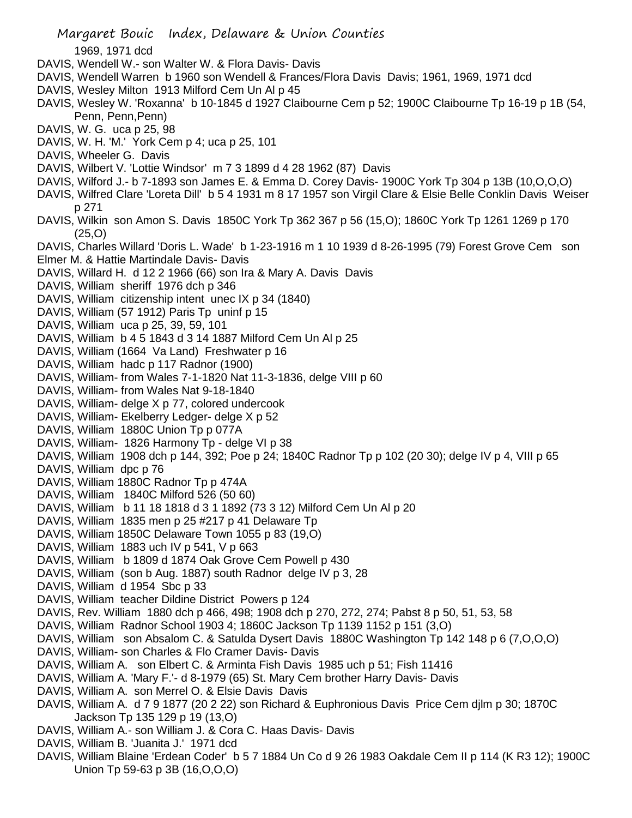Margaret Bouic Index, Delaware & Union Counties 1969, 1971 dcd DAVIS, Wendell W.- son Walter W. & Flora Davis- Davis DAVIS, Wendell Warren b 1960 son Wendell & Frances/Flora Davis Davis; 1961, 1969, 1971 dcd DAVIS, Wesley Milton 1913 Milford Cem Un Al p 45 DAVIS, Wesley W. 'Roxanna' b 10-1845 d 1927 Claibourne Cem p 52; 1900C Claibourne Tp 16-19 p 1B (54, Penn, Penn, Penn) DAVIS, W. G. uca p 25, 98 DAVIS, W. H. 'M.' York Cem p 4; uca p 25, 101 DAVIS, Wheeler G. Davis DAVIS, Wilbert V. 'Lottie Windsor' m 7 3 1899 d 4 28 1962 (87) Davis DAVIS, Wilford J.- b 7-1893 son James E. & Emma D. Corey Davis- 1900C York Tp 304 p 13B (10,O,O,O) DAVIS, Wilfred Clare 'Loreta Dill' b 5 4 1931 m 8 17 1957 son Virgil Clare & Elsie Belle Conklin Davis Weiser p 271 DAVIS, Wilkin son Amon S. Davis 1850C York Tp 362 367 p 56 (15,O); 1860C York Tp 1261 1269 p 170 (25,O) DAVIS, Charles Willard 'Doris L. Wade' b 1-23-1916 m 1 10 1939 d 8-26-1995 (79) Forest Grove Cem son Elmer M. & Hattie Martindale Davis- Davis DAVIS, Willard H. d 12 2 1966 (66) son Ira & Mary A. Davis Davis DAVIS, William sheriff 1976 dch p 346 DAVIS, William citizenship intent unec IX p 34 (1840) DAVIS, William (57 1912) Paris Tp uninf p 15 DAVIS, William uca p 25, 39, 59, 101 DAVIS, William b 4 5 1843 d 3 14 1887 Milford Cem Un Al p 25 DAVIS, William (1664 Va Land) Freshwater p 16 DAVIS, William hadc p 117 Radnor (1900) DAVIS, William- from Wales 7-1-1820 Nat 11-3-1836, delge VIII p 60 DAVIS, William- from Wales Nat 9-18-1840 DAVIS, William- delge X p 77, colored undercook DAVIS, William- Ekelberry Ledger- delge X p 52 DAVIS, William 1880C Union Tp p 077A DAVIS, William- 1826 Harmony Tp - delge VI p 38 DAVIS, William 1908 dch p 144, 392; Poe p 24; 1840C Radnor Tp p 102 (20 30); delge IV p 4, VIII p 65 DAVIS, William dpc p 76 DAVIS, William 1880C Radnor Tp p 474A DAVIS, William 1840C Milford 526 (50 60) DAVIS, William b 11 18 1818 d 3 1 1892 (73 3 12) Milford Cem Un Al p 20 DAVIS, William 1835 men p 25 #217 p 41 Delaware Tp DAVIS, William 1850C Delaware Town 1055 p 83 (19,O) DAVIS, William 1883 uch IV p 541, V p 663 DAVIS, William b 1809 d 1874 Oak Grove Cem Powell p 430 DAVIS, William (son b Aug. 1887) south Radnor delge IV p 3, 28 DAVIS, William d 1954 Sbc p 33 DAVIS, William teacher Dildine District Powers p 124 DAVIS, Rev. William 1880 dch p 466, 498; 1908 dch p 270, 272, 274; Pabst 8 p 50, 51, 53, 58 DAVIS, William Radnor School 1903 4; 1860C Jackson Tp 1139 1152 p 151 (3,O) DAVIS, William son Absalom C. & Satulda Dysert Davis 1880C Washington Tp 142 148 p 6 (7,O,O,O) DAVIS, William- son Charles & Flo Cramer Davis- Davis DAVIS, William A. son Elbert C. & Arminta Fish Davis 1985 uch p 51; Fish 11416 DAVIS, William A. 'Mary F.'- d 8-1979 (65) St. Mary Cem brother Harry Davis- Davis DAVIS, William A. son Merrel O. & Elsie Davis Davis DAVIS, William A. d 7 9 1877 (20 2 22) son Richard & Euphronious Davis Price Cem djlm p 30; 1870C Jackson Tp 135 129 p 19 (13,O) DAVIS, William A.- son William J. & Cora C. Haas Davis- Davis DAVIS, William B. 'Juanita J.' 1971 dcd DAVIS, William Blaine 'Erdean Coder' b 5 7 1884 Un Co d 9 26 1983 Oakdale Cem II p 114 (K R3 12); 1900C

Union Tp 59-63 p 3B (16,O,O,O)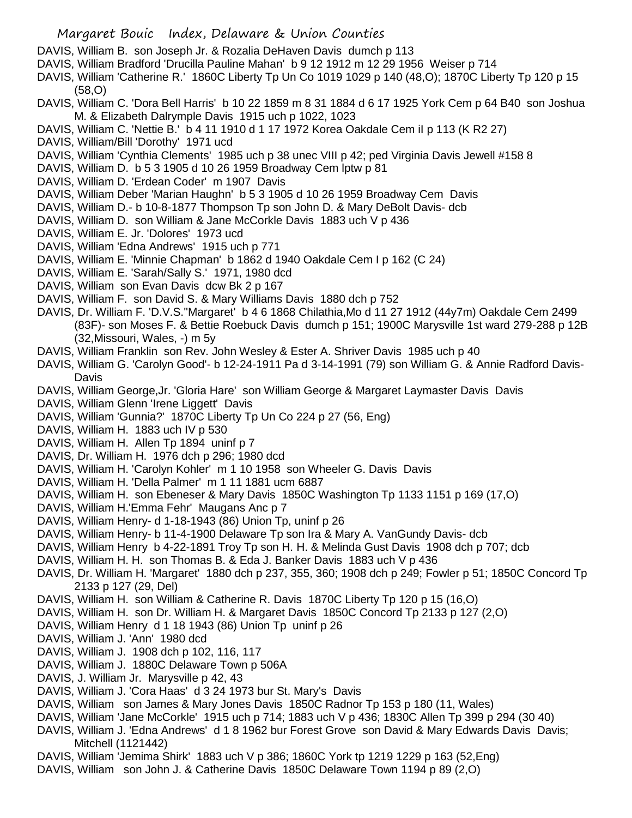- Margaret Bouic Index, Delaware & Union Counties
- DAVIS, William B. son Joseph Jr. & Rozalia DeHaven Davis dumch p 113
- DAVIS, William Bradford 'Drucilla Pauline Mahan' b 9 12 1912 m 12 29 1956 Weiser p 714
- DAVIS, William 'Catherine R.' 1860C Liberty Tp Un Co 1019 1029 p 140 (48,O); 1870C Liberty Tp 120 p 15 (58,O)
- DAVIS, William C. 'Dora Bell Harris' b 10 22 1859 m 8 31 1884 d 6 17 1925 York Cem p 64 B40 son Joshua M. & Elizabeth Dalrymple Davis 1915 uch p 1022, 1023
- DAVIS, William C. 'Nettie B.' b 4 11 1910 d 1 17 1972 Korea Oakdale Cem iI p 113 (K R2 27)
- DAVIS, William/Bill 'Dorothy' 1971 ucd
- DAVIS, William 'Cynthia Clements' 1985 uch p 38 unec VIII p 42; ped Virginia Davis Jewell #158 8
- DAVIS, William D. b 5 3 1905 d 10 26 1959 Broadway Cem lptw p 81
- DAVIS, William D. 'Erdean Coder' m 1907 Davis
- DAVIS, William Deber 'Marian Haughn' b 5 3 1905 d 10 26 1959 Broadway Cem Davis
- DAVIS, William D.- b 10-8-1877 Thompson Tp son John D. & Mary DeBolt Davis- dcb
- DAVIS, William D. son William & Jane McCorkle Davis 1883 uch V p 436
- DAVIS, William E. Jr. 'Dolores' 1973 ucd
- DAVIS, William 'Edna Andrews' 1915 uch p 771
- DAVIS, William E. 'Minnie Chapman' b 1862 d 1940 Oakdale Cem I p 162 (C 24)
- DAVIS, William E. 'Sarah/Sally S.' 1971, 1980 dcd
- DAVIS, William son Evan Davis dcw Bk 2 p 167
- DAVIS, William F. son David S. & Mary Williams Davis 1880 dch p 752
- DAVIS, Dr. William F. 'D.V.S.''Margaret' b 4 6 1868 Chilathia,Mo d 11 27 1912 (44y7m) Oakdale Cem 2499 (83F)- son Moses F. & Bettie Roebuck Davis dumch p 151; 1900C Marysville 1st ward 279-288 p 12B (32,Missouri, Wales, -) m 5y
- DAVIS, William Franklin son Rev. John Wesley & Ester A. Shriver Davis 1985 uch p 40
- DAVIS, William G. 'Carolyn Good'- b 12-24-1911 Pa d 3-14-1991 (79) son William G. & Annie Radford Davis-**Davis**
- DAVIS, William George,Jr. 'Gloria Hare' son William George & Margaret Laymaster Davis Davis
- DAVIS, William Glenn 'Irene Liggett' Davis
- DAVIS, William 'Gunnia?' 1870C Liberty Tp Un Co 224 p 27 (56, Eng)
- DAVIS, William H. 1883 uch IV p 530
- DAVIS, William H. Allen Tp 1894 uninf p 7
- DAVIS, Dr. William H. 1976 dch p 296; 1980 dcd
- DAVIS, William H. 'Carolyn Kohler' m 1 10 1958 son Wheeler G. Davis Davis
- DAVIS, William H. 'Della Palmer' m 1 11 1881 ucm 6887
- DAVIS, William H. son Ebeneser & Mary Davis 1850C Washington Tp 1133 1151 p 169 (17,O)
- DAVIS, William H.'Emma Fehr' Maugans Anc p 7
- DAVIS, William Henry- d 1-18-1943 (86) Union Tp, uninf p 26
- DAVIS, William Henry- b 11-4-1900 Delaware Tp son Ira & Mary A. VanGundy Davis- dcb
- DAVIS, William Henry b 4-22-1891 Troy Tp son H. H. & Melinda Gust Davis 1908 dch p 707; dcb
- DAVIS, William H. H. son Thomas B. & Eda J. Banker Davis 1883 uch V p 436
- DAVIS, Dr. William H. 'Margaret' 1880 dch p 237, 355, 360; 1908 dch p 249; Fowler p 51; 1850C Concord Tp 2133 p 127 (29, Del)
- DAVIS, William H. son William & Catherine R. Davis 1870C Liberty Tp 120 p 15 (16,O)
- DAVIS, William H. son Dr. William H. & Margaret Davis 1850C Concord Tp 2133 p 127 (2,O)
- DAVIS, William Henry d 1 18 1943 (86) Union Tp uninf p 26
- DAVIS, William J. 'Ann' 1980 dcd
- DAVIS, William J. 1908 dch p 102, 116, 117
- DAVIS, William J. 1880C Delaware Town p 506A
- DAVIS, J. William Jr. Marysville p 42, 43
- DAVIS, William J. 'Cora Haas' d 3 24 1973 bur St. Mary's Davis
- DAVIS, William son James & Mary Jones Davis 1850C Radnor Tp 153 p 180 (11, Wales)
- DAVIS, William 'Jane McCorkle' 1915 uch p 714; 1883 uch V p 436; 1830C Allen Tp 399 p 294 (30 40)
- DAVIS, William J. 'Edna Andrews' d 1 8 1962 bur Forest Grove son David & Mary Edwards Davis Davis; Mitchell (1121442)
- DAVIS, William 'Jemima Shirk' 1883 uch V p 386; 1860C York tp 1219 1229 p 163 (52,Eng)
- DAVIS, William son John J. & Catherine Davis 1850C Delaware Town 1194 p 89 (2,O)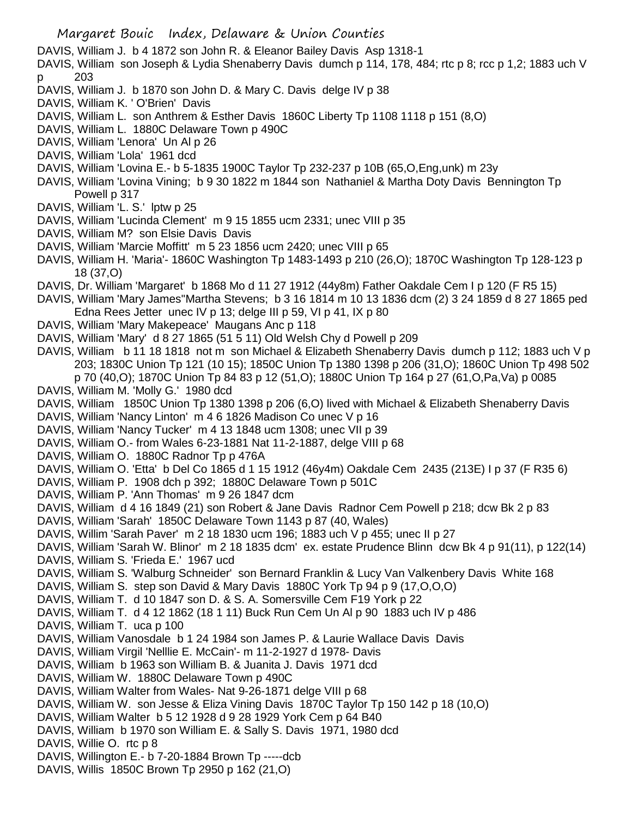DAVIS, William J. b 4 1872 son John R. & Eleanor Bailey Davis Asp 1318-1

DAVIS, William son Joseph & Lydia Shenaberry Davis dumch p 114, 178, 484; rtc p 8; rcc p 1,2; 1883 uch V p 203

- DAVIS, William J. b 1870 son John D. & Mary C. Davis delge IV p 38
- DAVIS, William K. ' O'Brien' Davis
- DAVIS, William L. son Anthrem & Esther Davis 1860C Liberty Tp 1108 1118 p 151 (8,O)
- DAVIS, William L. 1880C Delaware Town p 490C
- DAVIS, William 'Lenora' Un Al p 26
- DAVIS, William 'Lola' 1961 dcd
- DAVIS, William 'Lovina E.- b 5-1835 1900C Taylor Tp 232-237 p 10B (65,O,Eng,unk) m 23y
- DAVIS, William 'Lovina Vining; b 9 30 1822 m 1844 son Nathaniel & Martha Doty Davis Bennington Tp Powell p 317
- DAVIS, William 'L. S.' lptw p 25
- DAVIS, William 'Lucinda Clement' m 9 15 1855 ucm 2331; unec VIII p 35
- DAVIS, William M? son Elsie Davis Davis
- DAVIS, William 'Marcie Moffitt' m 5 23 1856 ucm 2420; unec VIII p 65
- DAVIS, William H. 'Maria'- 1860C Washington Tp 1483-1493 p 210 (26,O); 1870C Washington Tp 128-123 p 18 (37,O)
- DAVIS, Dr. William 'Margaret' b 1868 Mo d 11 27 1912 (44y8m) Father Oakdale Cem I p 120 (F R5 15)
- DAVIS, William 'Mary James''Martha Stevens; b 3 16 1814 m 10 13 1836 dcm (2) 3 24 1859 d 8 27 1865 ped Edna Rees Jetter unec IV p 13; delge III p 59, VI p 41, IX p 80
- DAVIS, William 'Mary Makepeace' Maugans Anc p 118
- DAVIS, William 'Mary' d 8 27 1865 (51 5 11) Old Welsh Chy d Powell p 209
- DAVIS, William b 11 18 1818 not m son Michael & Elizabeth Shenaberry Davis dumch p 112; 1883 uch V p 203; 1830C Union Tp 121 (10 15); 1850C Union Tp 1380 1398 p 206 (31,O); 1860C Union Tp 498 502 p 70 (40,O); 1870C Union Tp 84 83 p 12 (51,O); 1880C Union Tp 164 p 27 (61,O,Pa,Va) p 0085
- DAVIS, William M. 'Molly G.' 1980 dcd
- DAVIS, William 1850C Union Tp 1380 1398 p 206 (6,O) lived with Michael & Elizabeth Shenaberry Davis
- DAVIS, William 'Nancy Linton' m 4 6 1826 Madison Co unec V p 16
- DAVIS, William 'Nancy Tucker' m 4 13 1848 ucm 1308; unec VII p 39
- DAVIS, William O.- from Wales 6-23-1881 Nat 11-2-1887, delge VIII p 68
- DAVIS, William O. 1880C Radnor Tp p 476A
- DAVIS, William O. 'Etta' b Del Co 1865 d 1 15 1912 (46y4m) Oakdale Cem 2435 (213E) I p 37 (F R35 6)
- DAVIS, William P. 1908 dch p 392; 1880C Delaware Town p 501C
- DAVIS, William P. 'Ann Thomas' m 9 26 1847 dcm
- DAVIS, William d 4 16 1849 (21) son Robert & Jane Davis Radnor Cem Powell p 218; dcw Bk 2 p 83
- DAVIS, William 'Sarah' 1850C Delaware Town 1143 p 87 (40, Wales)
- DAVIS, Willim 'Sarah Paver' m 2 18 1830 ucm 196; 1883 uch V p 455; unec II p 27
- DAVIS, William 'Sarah W. Blinor' m 2 18 1835 dcm' ex. estate Prudence Blinn dcw Bk 4 p 91(11), p 122(14)
- DAVIS, William S. 'Frieda E.' 1967 ucd
- DAVIS, William S. 'Walburg Schneider' son Bernard Franklin & Lucy Van Valkenbery Davis White 168
- DAVIS, William S. step son David & Mary Davis 1880C York Tp 94 p 9 (17,O,O,O)
- DAVIS, William T. d 10 1847 son D. & S. A. Somersville Cem F19 York p 22
- DAVIS, William T. d 4 12 1862 (18 1 11) Buck Run Cem Un Al p 90 1883 uch IV p 486
- DAVIS, William T. uca p 100
- DAVIS, William Vanosdale b 1 24 1984 son James P. & Laurie Wallace Davis Davis
- DAVIS, William Virgil 'Nelllie E. McCain'- m 11-2-1927 d 1978- Davis
- DAVIS, William b 1963 son William B. & Juanita J. Davis 1971 dcd
- DAVIS, William W. 1880C Delaware Town p 490C
- DAVIS, William Walter from Wales- Nat 9-26-1871 delge VIII p 68
- DAVIS, William W. son Jesse & Eliza Vining Davis 1870C Taylor Tp 150 142 p 18 (10,O)
- DAVIS, William Walter b 5 12 1928 d 9 28 1929 York Cem p 64 B40
- DAVIS, William b 1970 son William E. & Sally S. Davis 1971, 1980 dcd
- DAVIS, Willie O. rtc p 8
- DAVIS, Willington E.- b 7-20-1884 Brown Tp -----dcb
- DAVIS, Willis 1850C Brown Tp 2950 p 162 (21,O)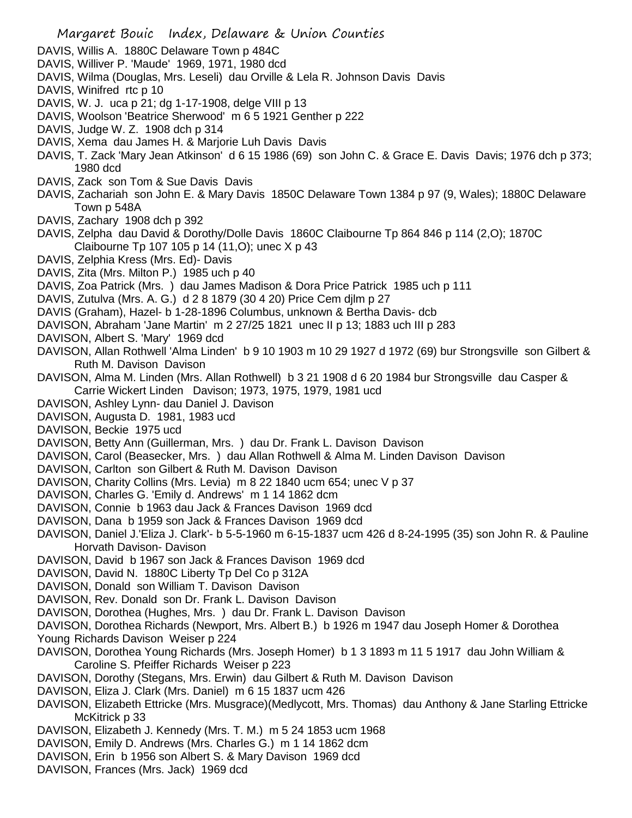- DAVIS, Willis A. 1880C Delaware Town p 484C
- DAVIS, Williver P. 'Maude' 1969, 1971, 1980 dcd
- DAVIS, Wilma (Douglas, Mrs. Leseli) dau Orville & Lela R. Johnson Davis Davis
- DAVIS, Winifred rtc p 10
- DAVIS, W. J. uca p 21; dg 1-17-1908, delge VIII p 13
- DAVIS, Woolson 'Beatrice Sherwood' m 6 5 1921 Genther p 222
- DAVIS, Judge W. Z. 1908 dch p 314
- DAVIS, Xema dau James H. & Marjorie Luh Davis Davis
- DAVIS, T. Zack 'Mary Jean Atkinson' d 6 15 1986 (69) son John C. & Grace E. Davis Davis; 1976 dch p 373; 1980 dcd
- DAVIS, Zack son Tom & Sue Davis Davis
- DAVIS, Zachariah son John E. & Mary Davis 1850C Delaware Town 1384 p 97 (9, Wales); 1880C Delaware Town p 548A
- DAVIS, Zachary 1908 dch p 392
- DAVIS, Zelpha dau David & Dorothy/Dolle Davis 1860C Claibourne Tp 864 846 p 114 (2,O); 1870C Claibourne Tp 107 105 p 14 (11,O); unec X p 43
- DAVIS, Zelphia Kress (Mrs. Ed)- Davis
- DAVIS, Zita (Mrs. Milton P.) 1985 uch p 40
- DAVIS, Zoa Patrick (Mrs. ) dau James Madison & Dora Price Patrick 1985 uch p 111
- DAVIS, Zutulva (Mrs. A. G.) d 2 8 1879 (30 4 20) Price Cem djlm p 27
- DAVIS (Graham), Hazel- b 1-28-1896 Columbus, unknown & Bertha Davis- dcb
- DAVISON, Abraham 'Jane Martin' m 2 27/25 1821 unec II p 13; 1883 uch III p 283
- DAVISON, Albert S. 'Mary' 1969 dcd
- DAVISON, Allan Rothwell 'Alma Linden' b 9 10 1903 m 10 29 1927 d 1972 (69) bur Strongsville son Gilbert & Ruth M. Davison Davison
- DAVISON, Alma M. Linden (Mrs. Allan Rothwell) b 3 21 1908 d 6 20 1984 bur Strongsville dau Casper & Carrie Wickert Linden Davison; 1973, 1975, 1979, 1981 ucd
- DAVISON, Ashley Lynn- dau Daniel J. Davison
- DAVISON, Augusta D. 1981, 1983 ucd
- DAVISON, Beckie 1975 ucd
- DAVISON, Betty Ann (Guillerman, Mrs. ) dau Dr. Frank L. Davison Davison
- DAVISON, Carol (Beasecker, Mrs. ) dau Allan Rothwell & Alma M. Linden Davison Davison
- DAVISON, Carlton son Gilbert & Ruth M. Davison Davison
- DAVISON, Charity Collins (Mrs. Levia) m 8 22 1840 ucm 654; unec V p 37
- DAVISON, Charles G. 'Emily d. Andrews' m 1 14 1862 dcm
- DAVISON, Connie b 1963 dau Jack & Frances Davison 1969 dcd
- DAVISON, Dana b 1959 son Jack & Frances Davison 1969 dcd
- DAVISON, Daniel J.'Eliza J. Clark'- b 5-5-1960 m 6-15-1837 ucm 426 d 8-24-1995 (35) son John R. & Pauline Horvath Davison- Davison
- DAVISON, David b 1967 son Jack & Frances Davison 1969 dcd
- DAVISON, David N. 1880C Liberty Tp Del Co p 312A
- DAVISON, Donald son William T. Davison Davison
- DAVISON, Rev. Donald son Dr. Frank L. Davison Davison
- DAVISON, Dorothea (Hughes, Mrs. ) dau Dr. Frank L. Davison Davison
- DAVISON, Dorothea Richards (Newport, Mrs. Albert B.) b 1926 m 1947 dau Joseph Homer & Dorothea Young Richards Davison Weiser p 224
- DAVISON, Dorothea Young Richards (Mrs. Joseph Homer) b 1 3 1893 m 11 5 1917 dau John William & Caroline S. Pfeiffer Richards Weiser p 223
- DAVISON, Dorothy (Stegans, Mrs. Erwin) dau Gilbert & Ruth M. Davison Davison
- DAVISON, Eliza J. Clark (Mrs. Daniel) m 6 15 1837 ucm 426
- DAVISON, Elizabeth Ettricke (Mrs. Musgrace)(Medlycott, Mrs. Thomas) dau Anthony & Jane Starling Ettricke McKitrick p 33
- DAVISON, Elizabeth J. Kennedy (Mrs. T. M.) m 5 24 1853 ucm 1968
- DAVISON, Emily D. Andrews (Mrs. Charles G.) m 1 14 1862 dcm
- DAVISON, Erin b 1956 son Albert S. & Mary Davison 1969 dcd
- DAVISON, Frances (Mrs. Jack) 1969 dcd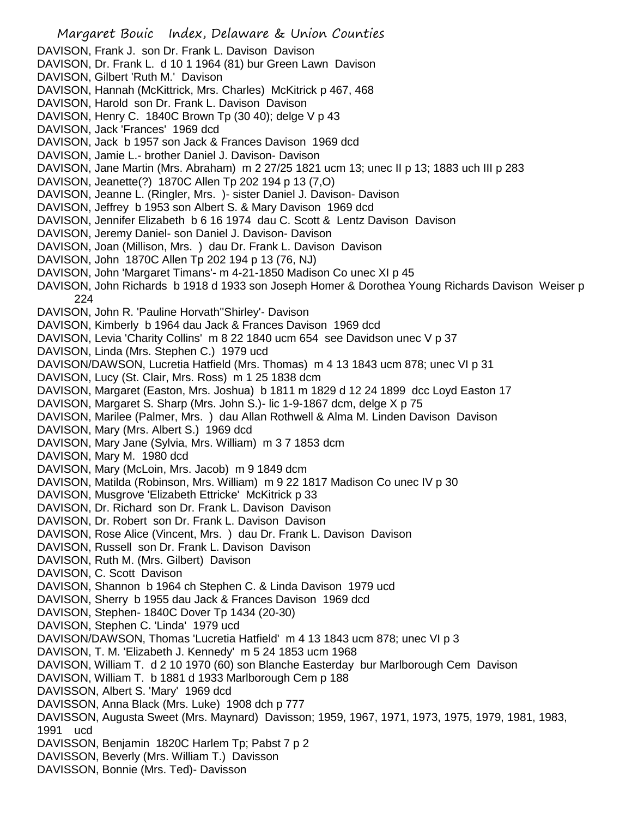Margaret Bouic Index, Delaware & Union Counties DAVISON, Frank J. son Dr. Frank L. Davison Davison DAVISON, Dr. Frank L. d 10 1 1964 (81) bur Green Lawn Davison DAVISON, Gilbert 'Ruth M.' Davison DAVISON, Hannah (McKittrick, Mrs. Charles) McKitrick p 467, 468 DAVISON, Harold son Dr. Frank L. Davison Davison DAVISON, Henry C. 1840C Brown Tp (30 40); delge V p 43 DAVISON, Jack 'Frances' 1969 dcd DAVISON, Jack b 1957 son Jack & Frances Davison 1969 dcd DAVISON, Jamie L.- brother Daniel J. Davison- Davison DAVISON, Jane Martin (Mrs. Abraham) m 2 27/25 1821 ucm 13; unec II p 13; 1883 uch III p 283 DAVISON, Jeanette(?) 1870C Allen Tp 202 194 p 13 (7,O) DAVISON, Jeanne L. (Ringler, Mrs. )- sister Daniel J. Davison- Davison DAVISON, Jeffrey b 1953 son Albert S. & Mary Davison 1969 dcd DAVISON, Jennifer Elizabeth b 6 16 1974 dau C. Scott & Lentz Davison Davison DAVISON, Jeremy Daniel- son Daniel J. Davison- Davison DAVISON, Joan (Millison, Mrs. ) dau Dr. Frank L. Davison Davison DAVISON, John 1870C Allen Tp 202 194 p 13 (76, NJ) DAVISON, John 'Margaret Timans'- m 4-21-1850 Madison Co unec XI p 45 DAVISON, John Richards b 1918 d 1933 son Joseph Homer & Dorothea Young Richards Davison Weiser p 224 DAVISON, John R. 'Pauline Horvath''Shirley'- Davison DAVISON, Kimberly b 1964 dau Jack & Frances Davison 1969 dcd DAVISON, Levia 'Charity Collins' m 8 22 1840 ucm 654 see Davidson unec V p 37 DAVISON, Linda (Mrs. Stephen C.) 1979 ucd DAVISON/DAWSON, Lucretia Hatfield (Mrs. Thomas) m 4 13 1843 ucm 878; unec VI p 31 DAVISON, Lucy (St. Clair, Mrs. Ross) m 1 25 1838 dcm DAVISON, Margaret (Easton, Mrs. Joshua) b 1811 m 1829 d 12 24 1899 dcc Loyd Easton 17 DAVISON, Margaret S. Sharp (Mrs. John S.)- lic 1-9-1867 dcm, delge X p 75 DAVISON, Marilee (Palmer, Mrs. ) dau Allan Rothwell & Alma M. Linden Davison Davison DAVISON, Mary (Mrs. Albert S.) 1969 dcd DAVISON, Mary Jane (Sylvia, Mrs. William) m 3 7 1853 dcm DAVISON, Mary M. 1980 dcd DAVISON, Mary (McLoin, Mrs. Jacob) m 9 1849 dcm DAVISON, Matilda (Robinson, Mrs. William) m 9 22 1817 Madison Co unec IV p 30 DAVISON, Musgrove 'Elizabeth Ettricke' McKitrick p 33 DAVISON, Dr. Richard son Dr. Frank L. Davison Davison DAVISON, Dr. Robert son Dr. Frank L. Davison Davison DAVISON, Rose Alice (Vincent, Mrs. ) dau Dr. Frank L. Davison Davison DAVISON, Russell son Dr. Frank L. Davison Davison DAVISON, Ruth M. (Mrs. Gilbert) Davison DAVISON, C. Scott Davison DAVISON, Shannon b 1964 ch Stephen C. & Linda Davison 1979 ucd DAVISON, Sherry b 1955 dau Jack & Frances Davison 1969 dcd DAVISON, Stephen- 1840C Dover Tp 1434 (20-30) DAVISON, Stephen C. 'Linda' 1979 ucd DAVISON/DAWSON, Thomas 'Lucretia Hatfield' m 4 13 1843 ucm 878; unec VI p 3 DAVISON, T. M. 'Elizabeth J. Kennedy' m 5 24 1853 ucm 1968 DAVISON, William T. d 2 10 1970 (60) son Blanche Easterday bur Marlborough Cem Davison DAVISON, William T. b 1881 d 1933 Marlborough Cem p 188 DAVISSON, Albert S. 'Mary' 1969 dcd DAVISSON, Anna Black (Mrs. Luke) 1908 dch p 777 DAVISSON, Augusta Sweet (Mrs. Maynard) Davisson; 1959, 1967, 1971, 1973, 1975, 1979, 1981, 1983, 1991 ucd DAVISSON, Benjamin 1820C Harlem Tp; Pabst 7 p 2 DAVISSON, Beverly (Mrs. William T.) Davisson DAVISSON, Bonnie (Mrs. Ted)- Davisson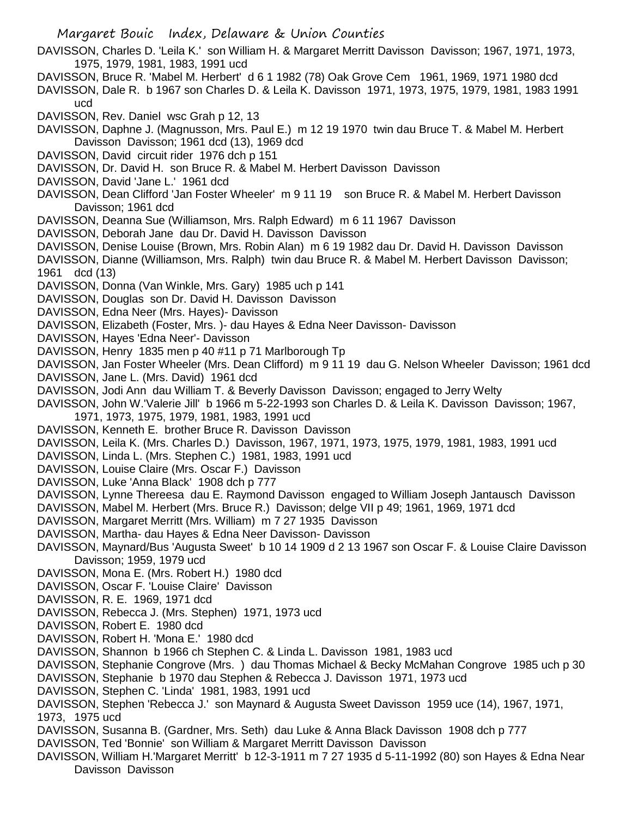- DAVISSON, Charles D. 'Leila K.' son William H. & Margaret Merritt Davisson Davisson; 1967, 1971, 1973, 1975, 1979, 1981, 1983, 1991 ucd
- DAVISSON, Bruce R. 'Mabel M. Herbert' d 6 1 1982 (78) Oak Grove Cem 1961, 1969, 1971 1980 dcd
- DAVISSON, Dale R. b 1967 son Charles D. & Leila K. Davisson 1971, 1973, 1975, 1979, 1981, 1983 1991 ucd

DAVISSON, Rev. Daniel wsc Grah p 12, 13

- DAVISSON, Daphne J. (Magnusson, Mrs. Paul E.) m 12 19 1970 twin dau Bruce T. & Mabel M. Herbert Davisson Davisson; 1961 dcd (13), 1969 dcd
- DAVISSON, David circuit rider 1976 dch p 151

DAVISSON, Dr. David H. son Bruce R. & Mabel M. Herbert Davisson Davisson

- DAVISSON, David 'Jane L.' 1961 dcd
- DAVISSON, Dean Clifford 'Jan Foster Wheeler' m 9 11 19 son Bruce R. & Mabel M. Herbert Davisson Davisson; 1961 dcd
- DAVISSON, Deanna Sue (Williamson, Mrs. Ralph Edward) m 6 11 1967 Davisson
- DAVISSON, Deborah Jane dau Dr. David H. Davisson Davisson
- DAVISSON, Denise Louise (Brown, Mrs. Robin Alan) m 6 19 1982 dau Dr. David H. Davisson Davisson
- DAVISSON, Dianne (Williamson, Mrs. Ralph) twin dau Bruce R. & Mabel M. Herbert Davisson Davisson; 1961 dcd (13)
- DAVISSON, Donna (Van Winkle, Mrs. Gary) 1985 uch p 141
- DAVISSON, Douglas son Dr. David H. Davisson Davisson
- DAVISSON, Edna Neer (Mrs. Hayes)- Davisson
- DAVISSON, Elizabeth (Foster, Mrs. )- dau Hayes & Edna Neer Davisson- Davisson
- DAVISSON, Hayes 'Edna Neer'- Davisson
- DAVISSON, Henry 1835 men p 40 #11 p 71 Marlborough Tp
- DAVISSON, Jan Foster Wheeler (Mrs. Dean Clifford) m 9 11 19 dau G. Nelson Wheeler Davisson; 1961 dcd
- DAVISSON, Jane L. (Mrs. David) 1961 dcd
- DAVISSON, Jodi Ann dau William T. & Beverly Davisson Davisson; engaged to Jerry Welty
- DAVISSON, John W.'Valerie Jill' b 1966 m 5-22-1993 son Charles D. & Leila K. Davisson Davisson; 1967,
- 1971, 1973, 1975, 1979, 1981, 1983, 1991 ucd
- DAVISSON, Kenneth E. brother Bruce R. Davisson Davisson
- DAVISSON, Leila K. (Mrs. Charles D.) Davisson, 1967, 1971, 1973, 1975, 1979, 1981, 1983, 1991 ucd
- DAVISSON, Linda L. (Mrs. Stephen C.) 1981, 1983, 1991 ucd
- DAVISSON, Louise Claire (Mrs. Oscar F.) Davisson
- DAVISSON, Luke 'Anna Black' 1908 dch p 777
- DAVISSON, Lynne Thereesa dau E. Raymond Davisson engaged to William Joseph Jantausch Davisson
- DAVISSON, Mabel M. Herbert (Mrs. Bruce R.) Davisson; delge VII p 49; 1961, 1969, 1971 dcd
- DAVISSON, Margaret Merritt (Mrs. William) m 7 27 1935 Davisson
- DAVISSON, Martha- dau Hayes & Edna Neer Davisson- Davisson
- DAVISSON, Maynard/Bus 'Augusta Sweet' b 10 14 1909 d 2 13 1967 son Oscar F. & Louise Claire Davisson Davisson; 1959, 1979 ucd
- DAVISSON, Mona E. (Mrs. Robert H.) 1980 dcd
- DAVISSON, Oscar F. 'Louise Claire' Davisson
- DAVISSON, R. E. 1969, 1971 dcd
- DAVISSON, Rebecca J. (Mrs. Stephen) 1971, 1973 ucd
- DAVISSON, Robert E. 1980 dcd
- DAVISSON, Robert H. 'Mona E.' 1980 dcd
- DAVISSON, Shannon b 1966 ch Stephen C. & Linda L. Davisson 1981, 1983 ucd
- DAVISSON, Stephanie Congrove (Mrs. ) dau Thomas Michael & Becky McMahan Congrove 1985 uch p 30
- DAVISSON, Stephanie b 1970 dau Stephen & Rebecca J. Davisson 1971, 1973 ucd
- DAVISSON, Stephen C. 'Linda' 1981, 1983, 1991 ucd
- DAVISSON, Stephen 'Rebecca J.' son Maynard & Augusta Sweet Davisson 1959 uce (14), 1967, 1971, 1973, 1975 ucd
- DAVISSON, Susanna B. (Gardner, Mrs. Seth) dau Luke & Anna Black Davisson 1908 dch p 777
- DAVISSON, Ted 'Bonnie' son William & Margaret Merritt Davisson Davisson
- DAVISSON, William H.'Margaret Merritt' b 12-3-1911 m 7 27 1935 d 5-11-1992 (80) son Hayes & Edna Near Davisson Davisson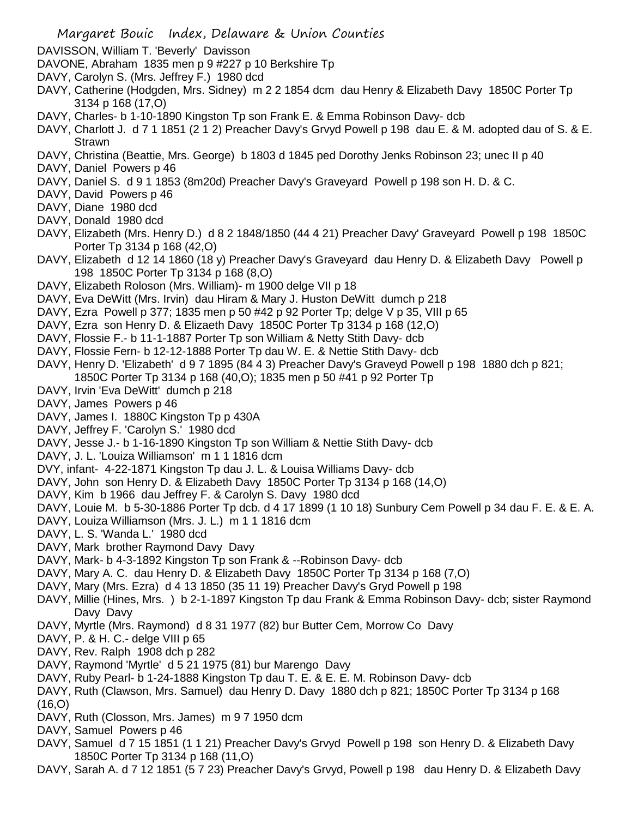- DAVISSON, William T. 'Beverly' Davisson
- DAVONE, Abraham 1835 men p 9 #227 p 10 Berkshire Tp
- DAVY, Carolyn S. (Mrs. Jeffrey F.) 1980 dcd
- DAVY, Catherine (Hodgden, Mrs. Sidney) m 2 2 1854 dcm dau Henry & Elizabeth Davy 1850C Porter Tp 3134 p 168 (17,O)
- DAVY, Charles- b 1-10-1890 Kingston Tp son Frank E. & Emma Robinson Davy- dcb
- DAVY, Charlott J. d 7 1 1851 (2 1 2) Preacher Davy's Grvyd Powell p 198 dau E. & M. adopted dau of S. & E. Strawn
- DAVY, Christina (Beattie, Mrs. George) b 1803 d 1845 ped Dorothy Jenks Robinson 23; unec II p 40
- DAVY, Daniel Powers p 46
- DAVY, Daniel S. d 9 1 1853 (8m20d) Preacher Davy's Graveyard Powell p 198 son H. D. & C.
- DAVY, David Powers p 46
- DAVY, Diane 1980 dcd
- DAVY, Donald 1980 dcd
- DAVY, Elizabeth (Mrs. Henry D.) d 8 2 1848/1850 (44 4 21) Preacher Davy' Graveyard Powell p 198 1850C Porter Tp 3134 p 168 (42,O)
- DAVY, Elizabeth d 12 14 1860 (18 y) Preacher Davy's Graveyard dau Henry D. & Elizabeth Davy Powell p 198 1850C Porter Tp 3134 p 168 (8,O)
- DAVY, Elizabeth Roloson (Mrs. William)- m 1900 delge VII p 18
- DAVY, Eva DeWitt (Mrs. Irvin) dau Hiram & Mary J. Huston DeWitt dumch p 218
- DAVY, Ezra Powell p 377; 1835 men p 50 #42 p 92 Porter Tp; delge V p 35, VIII p 65
- DAVY, Ezra son Henry D. & Elizaeth Davy 1850C Porter Tp 3134 p 168 (12,O)
- DAVY, Flossie F.- b 11-1-1887 Porter Tp son William & Netty Stith Davy- dcb
- DAVY, Flossie Fern- b 12-12-1888 Porter Tp dau W. E. & Nettie Stith Davy- dcb
- DAVY, Henry D. 'Elizabeth' d 9 7 1895 (84 4 3) Preacher Davy's Graveyd Powell p 198 1880 dch p 821;
	- 1850C Porter Tp 3134 p 168 (40,O); 1835 men p 50 #41 p 92 Porter Tp
- DAVY, Irvin 'Eva DeWitt' dumch p 218
- DAVY, James Powers p 46
- DAVY, James I. 1880C Kingston Tp p 430A
- DAVY, Jeffrey F. 'Carolyn S.' 1980 dcd
- DAVY, Jesse J.- b 1-16-1890 Kingston Tp son William & Nettie Stith Davy- dcb
- DAVY, J. L. 'Louiza Williamson' m 1 1 1816 dcm
- DVY, infant- 4-22-1871 Kingston Tp dau J. L. & Louisa Williams Davy- dcb
- DAVY, John son Henry D. & Elizabeth Davy 1850C Porter Tp 3134 p 168 (14,O)
- DAVY, Kim b 1966 dau Jeffrey F. & Carolyn S. Davy 1980 dcd
- DAVY, Louie M. b 5-30-1886 Porter Tp dcb. d 4 17 1899 (1 10 18) Sunbury Cem Powell p 34 dau F. E. & E. A.
- DAVY, Louiza Williamson (Mrs. J. L.) m 1 1 1816 dcm
- DAVY, L. S. 'Wanda L.' 1980 dcd
- DAVY, Mark brother Raymond Davy Davy
- DAVY, Mark- b 4-3-1892 Kingston Tp son Frank & --Robinson Davy- dcb
- DAVY, Mary A. C. dau Henry D. & Elizabeth Davy 1850C Porter Tp 3134 p 168 (7,O)
- DAVY, Mary (Mrs. Ezra) d 4 13 1850 (35 11 19) Preacher Davy's Gryd Powell p 198
- DAVY, Millie (Hines, Mrs. ) b 2-1-1897 Kingston Tp dau Frank & Emma Robinson Davy- dcb; sister Raymond Davy Davy
- DAVY, Myrtle (Mrs. Raymond) d 8 31 1977 (82) bur Butter Cem, Morrow Co Davy
- DAVY, P. & H. C.- delge VIII p 65
- DAVY, Rev. Ralph 1908 dch p 282
- DAVY, Raymond 'Myrtle' d 5 21 1975 (81) bur Marengo Davy
- DAVY, Ruby Pearl- b 1-24-1888 Kingston Tp dau T. E. & E. E. M. Robinson Davy- dcb
- DAVY, Ruth (Clawson, Mrs. Samuel) dau Henry D. Davy 1880 dch p 821; 1850C Porter Tp 3134 p 168 (16,O)
- DAVY, Ruth (Closson, Mrs. James) m 9 7 1950 dcm
- DAVY, Samuel Powers p 46
- DAVY, Samuel d 7 15 1851 (1 1 21) Preacher Davy's Grvyd Powell p 198 son Henry D. & Elizabeth Davy 1850C Porter Tp 3134 p 168 (11,O)
- DAVY, Sarah A. d 7 12 1851 (5 7 23) Preacher Davy's Grvyd, Powell p 198 dau Henry D. & Elizabeth Davy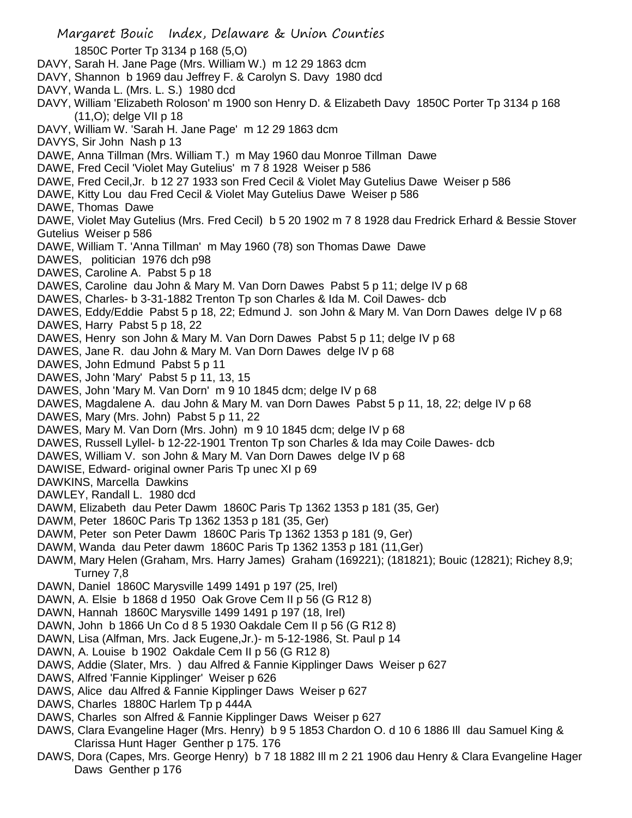Margaret Bouic Index, Delaware & Union Counties 1850C Porter Tp 3134 p 168 (5,O) DAVY, Sarah H. Jane Page (Mrs. William W.) m 12 29 1863 dcm DAVY, Shannon b 1969 dau Jeffrey F. & Carolyn S. Davy 1980 dcd DAVY, Wanda L. (Mrs. L. S.) 1980 dcd DAVY, William 'Elizabeth Roloson' m 1900 son Henry D. & Elizabeth Davy 1850C Porter Tp 3134 p 168 (11,O); delge VII p 18 DAVY, William W. 'Sarah H. Jane Page' m 12 29 1863 dcm DAVYS, Sir John Nash p 13 DAWE, Anna Tillman (Mrs. William T.) m May 1960 dau Monroe Tillman Dawe DAWE, Fred Cecil 'Violet May Gutelius' m 7 8 1928 Weiser p 586 DAWE, Fred Cecil,Jr. b 12 27 1933 son Fred Cecil & Violet May Gutelius Dawe Weiser p 586 DAWE, Kitty Lou dau Fred Cecil & Violet May Gutelius Dawe Weiser p 586 DAWE, Thomas Dawe DAWE, Violet May Gutelius (Mrs. Fred Cecil) b 5 20 1902 m 7 8 1928 dau Fredrick Erhard & Bessie Stover Gutelius Weiser p 586 DAWE, William T. 'Anna Tillman' m May 1960 (78) son Thomas Dawe Dawe DAWES, politician 1976 dch p98 DAWES, Caroline A. Pabst 5 p 18 DAWES, Caroline dau John & Mary M. Van Dorn Dawes Pabst 5 p 11; delge IV p 68 DAWES, Charles- b 3-31-1882 Trenton Tp son Charles & Ida M. Coil Dawes- dcb DAWES, Eddy/Eddie Pabst 5 p 18, 22; Edmund J. son John & Mary M. Van Dorn Dawes delge IV p 68 DAWES, Harry Pabst 5 p 18, 22 DAWES, Henry son John & Mary M. Van Dorn Dawes Pabst 5 p 11; delge IV p 68 DAWES, Jane R. dau John & Mary M. Van Dorn Dawes delge IV p 68 DAWES, John Edmund Pabst 5 p 11 DAWES, John 'Mary' Pabst 5 p 11, 13, 15 DAWES, John 'Mary M. Van Dorn' m 9 10 1845 dcm; delge IV p 68 DAWES, Magdalene A. dau John & Mary M. van Dorn Dawes Pabst 5 p 11, 18, 22; delge IV p 68 DAWES, Mary (Mrs. John) Pabst 5 p 11, 22 DAWES, Mary M. Van Dorn (Mrs. John) m 9 10 1845 dcm; delge IV p 68 DAWES, Russell Lyllel- b 12-22-1901 Trenton Tp son Charles & Ida may Coile Dawes- dcb DAWES, William V. son John & Mary M. Van Dorn Dawes delge IV p 68 DAWISE, Edward- original owner Paris Tp unec XI p 69 DAWKINS, Marcella Dawkins DAWLEY, Randall L. 1980 dcd DAWM, Elizabeth dau Peter Dawm 1860C Paris Tp 1362 1353 p 181 (35, Ger) DAWM, Peter 1860C Paris Tp 1362 1353 p 181 (35, Ger) DAWM, Peter son Peter Dawm 1860C Paris Tp 1362 1353 p 181 (9, Ger) DAWM, Wanda dau Peter dawm 1860C Paris Tp 1362 1353 p 181 (11,Ger) DAWM, Mary Helen (Graham, Mrs. Harry James) Graham (169221); (181821); Bouic (12821); Richey 8,9; Turney 7,8 DAWN, Daniel 1860C Marysville 1499 1491 p 197 (25, Irel) DAWN, A. Elsie b 1868 d 1950 Oak Grove Cem II p 56 (G R12 8) DAWN, Hannah 1860C Marysville 1499 1491 p 197 (18, Irel) DAWN, John b 1866 Un Co d 8 5 1930 Oakdale Cem II p 56 (G R12 8) DAWN, Lisa (Alfman, Mrs. Jack Eugene,Jr.)- m 5-12-1986, St. Paul p 14 DAWN, A. Louise b 1902 Oakdale Cem II p 56 (G R12 8) DAWS, Addie (Slater, Mrs. ) dau Alfred & Fannie Kipplinger Daws Weiser p 627 DAWS, Alfred 'Fannie Kipplinger' Weiser p 626 DAWS, Alice dau Alfred & Fannie Kipplinger Daws Weiser p 627 DAWS, Charles 1880C Harlem Tp p 444A DAWS, Charles son Alfred & Fannie Kipplinger Daws Weiser p 627 DAWS, Clara Evangeline Hager (Mrs. Henry) b 9 5 1853 Chardon O. d 10 6 1886 Ill dau Samuel King & Clarissa Hunt Hager Genther p 175. 176 DAWS, Dora (Capes, Mrs. George Henry) b 7 18 1882 Ill m 2 21 1906 dau Henry & Clara Evangeline Hager

Daws Genther p 176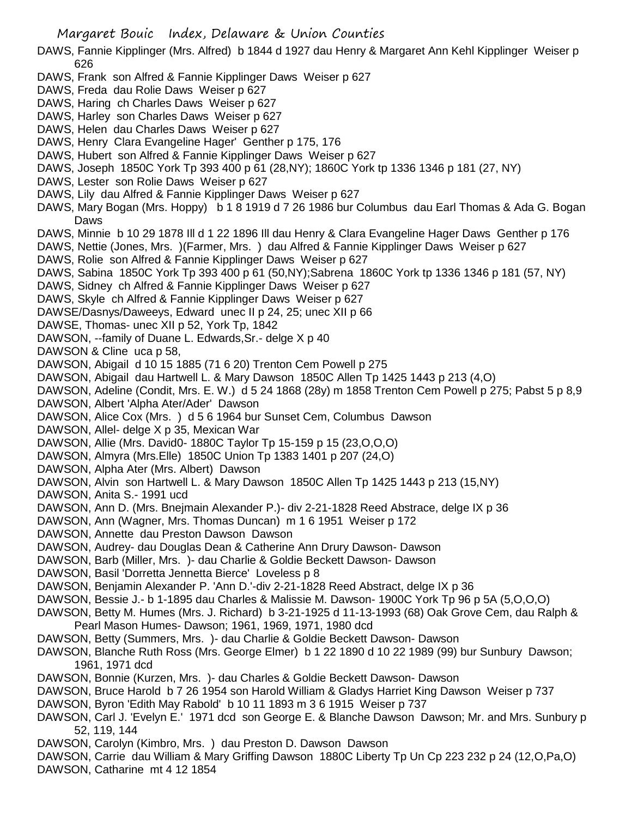- DAWS, Fannie Kipplinger (Mrs. Alfred) b 1844 d 1927 dau Henry & Margaret Ann Kehl Kipplinger Weiser p 626
- DAWS, Frank son Alfred & Fannie Kipplinger Daws Weiser p 627
- DAWS, Freda dau Rolie Daws Weiser p 627
- DAWS, Haring ch Charles Daws Weiser p 627
- DAWS, Harley son Charles Daws Weiser p 627
- DAWS, Helen dau Charles Daws Weiser p 627
- DAWS, Henry Clara Evangeline Hager' Genther p 175, 176
- DAWS, Hubert son Alfred & Fannie Kipplinger Daws Weiser p 627
- DAWS, Joseph 1850C York Tp 393 400 p 61 (28,NY); 1860C York tp 1336 1346 p 181 (27, NY)
- DAWS, Lester son Rolie Daws Weiser p 627
- DAWS, Lily dau Alfred & Fannie Kipplinger Daws Weiser p 627
- DAWS, Mary Bogan (Mrs. Hoppy) b 1 8 1919 d 7 26 1986 bur Columbus dau Earl Thomas & Ada G. Bogan Daws
- DAWS, Minnie b 10 29 1878 Ill d 1 22 1896 Ill dau Henry & Clara Evangeline Hager Daws Genther p 176
- DAWS, Nettie (Jones, Mrs. )(Farmer, Mrs. ) dau Alfred & Fannie Kipplinger Daws Weiser p 627
- DAWS, Rolie son Alfred & Fannie Kipplinger Daws Weiser p 627
- DAWS, Sabina 1850C York Tp 393 400 p 61 (50,NY);Sabrena 1860C York tp 1336 1346 p 181 (57, NY)
- DAWS, Sidney ch Alfred & Fannie Kipplinger Daws Weiser p 627
- DAWS, Skyle ch Alfred & Fannie Kipplinger Daws Weiser p 627
- DAWSE/Dasnys/Daweeys, Edward unec II p 24, 25; unec XII p 66
- DAWSE, Thomas- unec XII p 52, York Tp, 1842
- DAWSON, --family of Duane L. Edwards,Sr.- delge X p 40
- DAWSON & Cline uca p 58,
- DAWSON, Abigail d 10 15 1885 (71 6 20) Trenton Cem Powell p 275
- DAWSON, Abigail dau Hartwell L. & Mary Dawson 1850C Allen Tp 1425 1443 p 213 (4,O)
- DAWSON, Adeline (Condit, Mrs. E. W.) d 5 24 1868 (28y) m 1858 Trenton Cem Powell p 275; Pabst 5 p 8,9
- DAWSON, Albert 'Alpha Ater/Ader' Dawson
- DAWSON, Alice Cox (Mrs. ) d 5 6 1964 bur Sunset Cem, Columbus Dawson
- DAWSON, Allel- delge X p 35, Mexican War
- DAWSON, Allie (Mrs. David0- 1880C Taylor Tp 15-159 p 15 (23,O,O,O)
- DAWSON, Almyra (Mrs.Elle) 1850C Union Tp 1383 1401 p 207 (24,O)
- DAWSON, Alpha Ater (Mrs. Albert) Dawson
- DAWSON, Alvin son Hartwell L. & Mary Dawson 1850C Allen Tp 1425 1443 p 213 (15,NY)
- DAWSON, Anita S.- 1991 ucd
- DAWSON, Ann D. (Mrs. Bnejmain Alexander P.)- div 2-21-1828 Reed Abstrace, delge IX p 36
- DAWSON, Ann (Wagner, Mrs. Thomas Duncan) m 1 6 1951 Weiser p 172
- DAWSON, Annette dau Preston Dawson Dawson
- DAWSON, Audrey- dau Douglas Dean & Catherine Ann Drury Dawson- Dawson
- DAWSON, Barb (Miller, Mrs. )- dau Charlie & Goldie Beckett Dawson- Dawson
- DAWSON, Basil 'Dorretta Jennetta Bierce' Loveless p 8
- DAWSON, Benjamin Alexander P. 'Ann D.'-div 2-21-1828 Reed Abstract, delge IX p 36
- DAWSON, Bessie J.- b 1-1895 dau Charles & Malissie M. Dawson- 1900C York Tp 96 p 5A (5,O,O,O)
- DAWSON, Betty M. Humes (Mrs. J. Richard) b 3-21-1925 d 11-13-1993 (68) Oak Grove Cem, dau Ralph & Pearl Mason Humes- Dawson; 1961, 1969, 1971, 1980 dcd
- DAWSON, Betty (Summers, Mrs. )- dau Charlie & Goldie Beckett Dawson- Dawson
- DAWSON, Blanche Ruth Ross (Mrs. George Elmer) b 1 22 1890 d 10 22 1989 (99) bur Sunbury Dawson; 1961, 1971 dcd
- DAWSON, Bonnie (Kurzen, Mrs. )- dau Charles & Goldie Beckett Dawson- Dawson
- DAWSON, Bruce Harold b 7 26 1954 son Harold William & Gladys Harriet King Dawson Weiser p 737
- DAWSON, Byron 'Edith May Rabold' b 10 11 1893 m 3 6 1915 Weiser p 737
- DAWSON, Carl J. 'Evelyn E.' 1971 dcd son George E. & Blanche Dawson Dawson; Mr. and Mrs. Sunbury p 52, 119, 144
- DAWSON, Carolyn (Kimbro, Mrs. ) dau Preston D. Dawson Dawson
- DAWSON, Carrie dau William & Mary Griffing Dawson 1880C Liberty Tp Un Cp 223 232 p 24 (12,O,Pa,O)
- DAWSON, Catharine mt 4 12 1854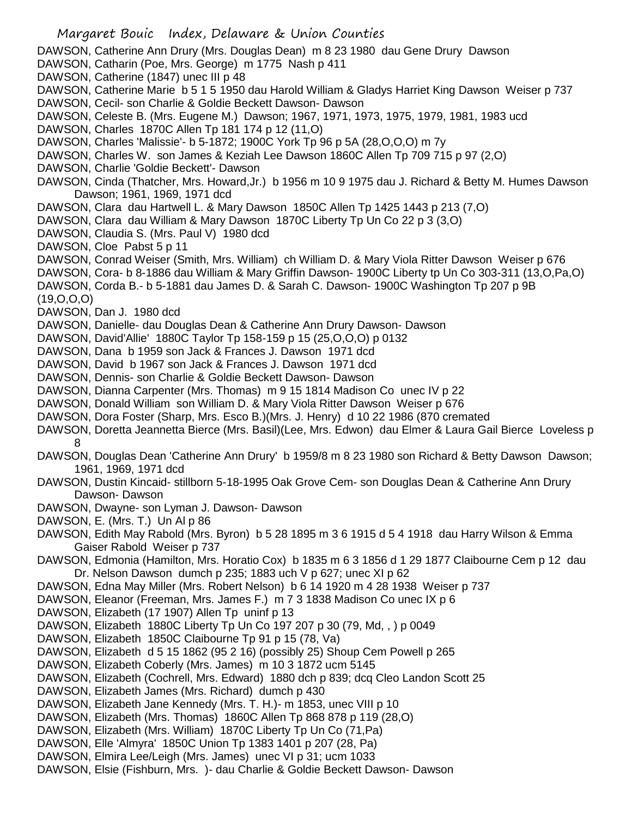DAWSON, Catherine Ann Drury (Mrs. Douglas Dean) m 8 23 1980 dau Gene Drury Dawson

- DAWSON, Catharin (Poe, Mrs. George) m 1775 Nash p 411
- DAWSON, Catherine (1847) unec III p 48
- DAWSON, Catherine Marie b 5 1 5 1950 dau Harold William & Gladys Harriet King Dawson Weiser p 737 DAWSON, Cecil- son Charlie & Goldie Beckett Dawson- Dawson
- DAWSON, Celeste B. (Mrs. Eugene M.) Dawson; 1967, 1971, 1973, 1975, 1979, 1981, 1983 ucd
- DAWSON, Charles 1870C Allen Tp 181 174 p 12 (11,O)
- DAWSON, Charles 'Malissie'- b 5-1872; 1900C York Tp 96 p 5A (28,O,O,O) m 7y
- DAWSON, Charles W. son James & Keziah Lee Dawson 1860C Allen Tp 709 715 p 97 (2,O)
- DAWSON, Charlie 'Goldie Beckett'- Dawson
- DAWSON, Cinda (Thatcher, Mrs. Howard,Jr.) b 1956 m 10 9 1975 dau J. Richard & Betty M. Humes Dawson Dawson; 1961, 1969, 1971 dcd
- DAWSON, Clara dau Hartwell L. & Mary Dawson 1850C Allen Tp 1425 1443 p 213 (7,O)
- DAWSON, Clara dau William & Mary Dawson 1870C Liberty Tp Un Co 22 p 3 (3,O)
- DAWSON, Claudia S. (Mrs. Paul V) 1980 dcd
- DAWSON, Cloe Pabst 5 p 11
- DAWSON, Conrad Weiser (Smith, Mrs. William) ch William D. & Mary Viola Ritter Dawson Weiser p 676
- DAWSON, Cora- b 8-1886 dau William & Mary Griffin Dawson- 1900C Liberty tp Un Co 303-311 (13,O,Pa,O)
- DAWSON, Corda B.- b 5-1881 dau James D. & Sarah C. Dawson- 1900C Washington Tp 207 p 9B (19,O,O,O)
- DAWSON, Dan J. 1980 dcd
- DAWSON, Danielle- dau Douglas Dean & Catherine Ann Drury Dawson- Dawson
- DAWSON, David'Allie' 1880C Taylor Tp 158-159 p 15 (25,O,O,O) p 0132
- DAWSON, Dana b 1959 son Jack & Frances J. Dawson 1971 dcd
- DAWSON, David b 1967 son Jack & Frances J. Dawson 1971 dcd
- DAWSON, Dennis- son Charlie & Goldie Beckett Dawson- Dawson
- DAWSON, Dianna Carpenter (Mrs. Thomas) m 9 15 1814 Madison Co unec IV p 22
- DAWSON, Donald William son William D. & Mary Viola Ritter Dawson Weiser p 676
- DAWSON, Dora Foster (Sharp, Mrs. Esco B.)(Mrs. J. Henry) d 10 22 1986 (870 cremated
- DAWSON, Doretta Jeannetta Bierce (Mrs. Basil)(Lee, Mrs. Edwon) dau Elmer & Laura Gail Bierce Loveless p 8
- DAWSON, Douglas Dean 'Catherine Ann Drury' b 1959/8 m 8 23 1980 son Richard & Betty Dawson Dawson; 1961, 1969, 1971 dcd
- DAWSON, Dustin Kincaid- stillborn 5-18-1995 Oak Grove Cem- son Douglas Dean & Catherine Ann Drury Dawson- Dawson
- DAWSON, Dwayne- son Lyman J. Dawson- Dawson
- DAWSON, E. (Mrs. T.) Un Al p 86
- DAWSON, Edith May Rabold (Mrs. Byron) b 5 28 1895 m 3 6 1915 d 5 4 1918 dau Harry Wilson & Emma Gaiser Rabold Weiser p 737
- DAWSON, Edmonia (Hamilton, Mrs. Horatio Cox) b 1835 m 6 3 1856 d 1 29 1877 Claibourne Cem p 12 dau Dr. Nelson Dawson dumch p 235; 1883 uch V p 627; unec XI p 62
- DAWSON, Edna May Miller (Mrs. Robert Nelson) b 6 14 1920 m 4 28 1938 Weiser p 737
- DAWSON, Eleanor (Freeman, Mrs. James F.) m 7 3 1838 Madison Co unec IX p 6
- DAWSON, Elizabeth (17 1907) Allen Tp uninf p 13
- DAWSON, Elizabeth 1880C Liberty Tp Un Co 197 207 p 30 (79, Md, , ) p 0049
- DAWSON, Elizabeth 1850C Claibourne Tp 91 p 15 (78, Va)
- DAWSON, Elizabeth d 5 15 1862 (95 2 16) (possibly 25) Shoup Cem Powell p 265
- DAWSON, Elizabeth Coberly (Mrs. James) m 10 3 1872 ucm 5145
- DAWSON, Elizabeth (Cochrell, Mrs. Edward) 1880 dch p 839; dcq Cleo Landon Scott 25
- DAWSON, Elizabeth James (Mrs. Richard) dumch p 430
- DAWSON, Elizabeth Jane Kennedy (Mrs. T. H.)- m 1853, unec VIII p 10
- DAWSON, Elizabeth (Mrs. Thomas) 1860C Allen Tp 868 878 p 119 (28,O)
- DAWSON, Elizabeth (Mrs. William) 1870C Liberty Tp Un Co (71,Pa)
- DAWSON, Elle 'Almyra' 1850C Union Tp 1383 1401 p 207 (28, Pa)
- DAWSON, Elmira Lee/Leigh (Mrs. James) unec VI p 31; ucm 1033
- DAWSON, Elsie (Fishburn, Mrs. )- dau Charlie & Goldie Beckett Dawson- Dawson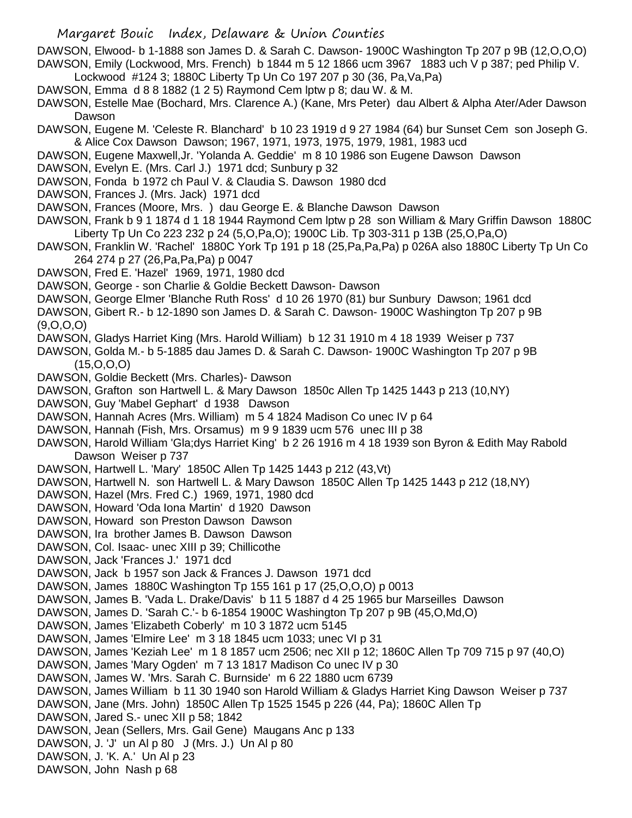DAWSON, Elwood- b 1-1888 son James D. & Sarah C. Dawson- 1900C Washington Tp 207 p 9B (12,O,O,O) DAWSON, Emily (Lockwood, Mrs. French) b 1844 m 5 12 1866 ucm 3967 1883 uch V p 387; ped Philip V.

- Lockwood #124 3; 1880C Liberty Tp Un Co 197 207 p 30 (36, Pa,Va,Pa)
- DAWSON, Emma d 8 8 1882 (1 2 5) Raymond Cem lptw p 8; dau W. & M.
- DAWSON, Estelle Mae (Bochard, Mrs. Clarence A.) (Kane, Mrs Peter) dau Albert & Alpha Ater/Ader Dawson Dawson
- DAWSON, Eugene M. 'Celeste R. Blanchard' b 10 23 1919 d 9 27 1984 (64) bur Sunset Cem son Joseph G. & Alice Cox Dawson Dawson; 1967, 1971, 1973, 1975, 1979, 1981, 1983 ucd
- DAWSON, Eugene Maxwell,Jr. 'Yolanda A. Geddie' m 8 10 1986 son Eugene Dawson Dawson
- DAWSON, Evelyn E. (Mrs. Carl J.) 1971 dcd; Sunbury p 32
- DAWSON, Fonda b 1972 ch Paul V. & Claudia S. Dawson 1980 dcd
- DAWSON, Frances J. (Mrs. Jack) 1971 dcd
- DAWSON, Frances (Moore, Mrs. ) dau George E. & Blanche Dawson Dawson
- DAWSON, Frank b 9 1 1874 d 1 18 1944 Raymond Cem lptw p 28 son William & Mary Griffin Dawson 1880C Liberty Tp Un Co 223 232 p 24 (5,O,Pa,O); 1900C Lib. Tp 303-311 p 13B (25,O,Pa,O)
- DAWSON, Franklin W. 'Rachel' 1880C York Tp 191 p 18 (25,Pa,Pa,Pa) p 026A also 1880C Liberty Tp Un Co 264 274 p 27 (26,Pa,Pa,Pa) p 0047
- DAWSON, Fred E. 'Hazel' 1969, 1971, 1980 dcd
- DAWSON, George son Charlie & Goldie Beckett Dawson- Dawson
- DAWSON, George Elmer 'Blanche Ruth Ross' d 10 26 1970 (81) bur Sunbury Dawson; 1961 dcd
- DAWSON, Gibert R.- b 12-1890 son James D. & Sarah C. Dawson- 1900C Washington Tp 207 p 9B  $(9,0,0,0)$
- DAWSON, Gladys Harriet King (Mrs. Harold William) b 12 31 1910 m 4 18 1939 Weiser p 737
- DAWSON, Golda M.- b 5-1885 dau James D. & Sarah C. Dawson- 1900C Washington Tp 207 p 9B (15,O,O,O)
- DAWSON, Goldie Beckett (Mrs. Charles)- Dawson
- DAWSON, Grafton son Hartwell L. & Mary Dawson 1850c Allen Tp 1425 1443 p 213 (10,NY)
- DAWSON, Guy 'Mabel Gephart' d 1938 Dawson
- DAWSON, Hannah Acres (Mrs. William) m 5 4 1824 Madison Co unec IV p 64
- DAWSON, Hannah (Fish, Mrs. Orsamus) m 9 9 1839 ucm 576 unec III p 38
- DAWSON, Harold William 'Gla;dys Harriet King' b 2 26 1916 m 4 18 1939 son Byron & Edith May Rabold Dawson Weiser p 737
- DAWSON, Hartwell L. 'Mary' 1850C Allen Tp 1425 1443 p 212 (43,Vt)
- DAWSON, Hartwell N. son Hartwell L. & Mary Dawson 1850C Allen Tp 1425 1443 p 212 (18,NY)
- DAWSON, Hazel (Mrs. Fred C.) 1969, 1971, 1980 dcd
- DAWSON, Howard 'Oda Iona Martin' d 1920 Dawson
- DAWSON, Howard son Preston Dawson Dawson
- DAWSON, Ira brother James B. Dawson Dawson
- DAWSON, Col. Isaac- unec XIII p 39; Chillicothe
- DAWSON, Jack 'Frances J.' 1971 dcd
- DAWSON, Jack b 1957 son Jack & Frances J. Dawson 1971 dcd
- DAWSON, James 1880C Washington Tp 155 161 p 17 (25,O,O,O) p 0013
- DAWSON, James B. 'Vada L. Drake/Davis' b 11 5 1887 d 4 25 1965 bur Marseilles Dawson
- DAWSON, James D. 'Sarah C.'- b 6-1854 1900C Washington Tp 207 p 9B (45,O,Md,O)
- DAWSON, James 'Elizabeth Coberly' m 10 3 1872 ucm 5145
- DAWSON, James 'Elmire Lee' m 3 18 1845 ucm 1033; unec VI p 31
- DAWSON, James 'Keziah Lee' m 1 8 1857 ucm 2506; nec XII p 12; 1860C Allen Tp 709 715 p 97 (40,O)
- DAWSON, James 'Mary Ogden' m 7 13 1817 Madison Co unec IV p 30
- DAWSON, James W. 'Mrs. Sarah C. Burnside' m 6 22 1880 ucm 6739
- DAWSON, James William b 11 30 1940 son Harold William & Gladys Harriet King Dawson Weiser p 737
- DAWSON, Jane (Mrs. John) 1850C Allen Tp 1525 1545 p 226 (44, Pa); 1860C Allen Tp
- DAWSON, Jared S.- unec XII p 58: 1842
- DAWSON, Jean (Sellers, Mrs. Gail Gene) Maugans Anc p 133
- DAWSON, J. 'J' un Al p 80 J (Mrs. J.) Un Al p 80
- DAWSON, J. 'K. A.' Un Al p 23
- DAWSON, John Nash p 68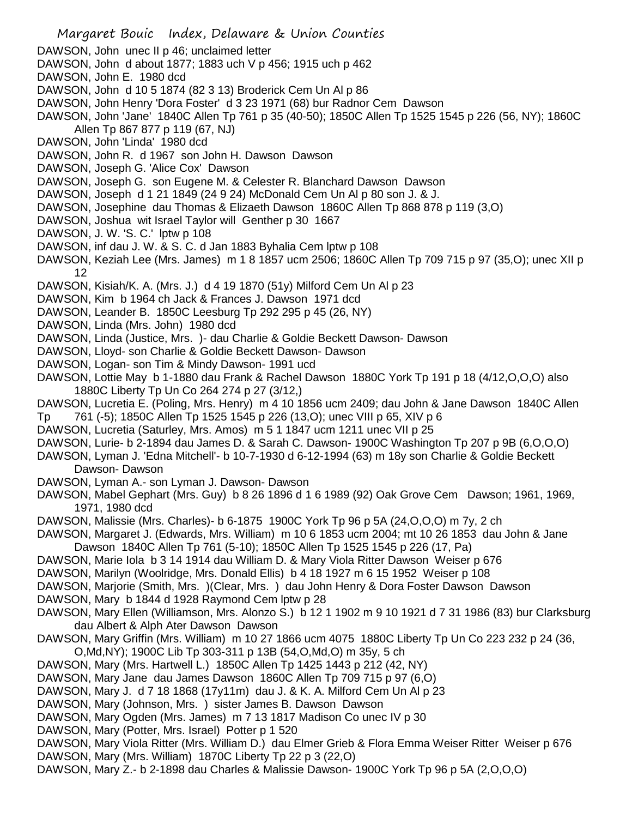Margaret Bouic Index, Delaware & Union Counties DAWSON, John unec II p 46; unclaimed letter DAWSON, John d about 1877; 1883 uch V p 456; 1915 uch p 462 DAWSON, John E. 1980 dcd DAWSON, John d 10 5 1874 (82 3 13) Broderick Cem Un Al p 86 DAWSON, John Henry 'Dora Foster' d 3 23 1971 (68) bur Radnor Cem Dawson DAWSON, John 'Jane' 1840C Allen Tp 761 p 35 (40-50); 1850C Allen Tp 1525 1545 p 226 (56, NY); 1860C Allen Tp 867 877 p 119 (67, NJ) DAWSON, John 'Linda' 1980 dcd DAWSON, John R. d 1967 son John H. Dawson Dawson DAWSON, Joseph G. 'Alice Cox' Dawson DAWSON, Joseph G. son Eugene M. & Celester R. Blanchard Dawson Dawson DAWSON, Joseph d 1 21 1849 (24 9 24) McDonald Cem Un Al p 80 son J. & J. DAWSON, Josephine dau Thomas & Elizaeth Dawson 1860C Allen Tp 868 878 p 119 (3,O) DAWSON, Joshua wit Israel Taylor will Genther p 30 1667 DAWSON, J. W. 'S. C.' lptw p 108 DAWSON, inf dau J. W. & S. C. d Jan 1883 Byhalia Cem lptw p 108 DAWSON, Keziah Lee (Mrs. James) m 1 8 1857 ucm 2506; 1860C Allen Tp 709 715 p 97 (35,O); unec XII p 12 DAWSON, Kisiah/K. A. (Mrs. J.) d 4 19 1870 (51y) Milford Cem Un Al p 23 DAWSON, Kim b 1964 ch Jack & Frances J. Dawson 1971 dcd DAWSON, Leander B. 1850C Leesburg Tp 292 295 p 45 (26, NY) DAWSON, Linda (Mrs. John) 1980 dcd DAWSON, Linda (Justice, Mrs. )- dau Charlie & Goldie Beckett Dawson- Dawson DAWSON, Lloyd- son Charlie & Goldie Beckett Dawson- Dawson DAWSON, Logan- son Tim & Mindy Dawson- 1991 ucd DAWSON, Lottie May b 1-1880 dau Frank & Rachel Dawson 1880C York Tp 191 p 18 (4/12,O,O,O) also 1880C Liberty Tp Un Co 264 274 p 27 (3/12,) DAWSON, Lucretia E. (Poling, Mrs. Henry) m 4 10 1856 ucm 2409; dau John & Jane Dawson 1840C Allen Tp 761 (-5); 1850C Allen Tp 1525 1545 p 226 (13,O); unec VIII p 65, XIV p 6 DAWSON, Lucretia (Saturley, Mrs. Amos) m 5 1 1847 ucm 1211 unec VII p 25 DAWSON, Lurie- b 2-1894 dau James D. & Sarah C. Dawson- 1900C Washington Tp 207 p 9B (6,O,O,O) DAWSON, Lyman J. 'Edna Mitchell'- b 10-7-1930 d 6-12-1994 (63) m 18y son Charlie & Goldie Beckett Dawson- Dawson DAWSON, Lyman A.- son Lyman J. Dawson- Dawson DAWSON, Mabel Gephart (Mrs. Guy) b 8 26 1896 d 1 6 1989 (92) Oak Grove Cem Dawson; 1961, 1969, 1971, 1980 dcd DAWSON, Malissie (Mrs. Charles)- b 6-1875 1900C York Tp 96 p 5A (24,O,O,O) m 7y, 2 ch DAWSON, Margaret J. (Edwards, Mrs. William) m 10 6 1853 ucm 2004; mt 10 26 1853 dau John & Jane Dawson 1840C Allen Tp 761 (5-10); 1850C Allen Tp 1525 1545 p 226 (17, Pa) DAWSON, Marie Iola b 3 14 1914 dau William D. & Mary Viola Ritter Dawson Weiser p 676 DAWSON, Marilyn (Woolridge, Mrs. Donald Ellis) b 4 18 1927 m 6 15 1952 Weiser p 108 DAWSON, Marjorie (Smith, Mrs. )(Clear, Mrs. ) dau John Henry & Dora Foster Dawson Dawson DAWSON, Mary b 1844 d 1928 Raymond Cem lptw p 28 DAWSON, Mary Ellen (Williamson, Mrs. Alonzo S.) b 12 1 1902 m 9 10 1921 d 7 31 1986 (83) bur Clarksburg dau Albert & Alph Ater Dawson Dawson DAWSON, Mary Griffin (Mrs. William) m 10 27 1866 ucm 4075 1880C Liberty Tp Un Co 223 232 p 24 (36, O,Md,NY); 1900C Lib Tp 303-311 p 13B (54,O,Md,O) m 35y, 5 ch DAWSON, Mary (Mrs. Hartwell L.) 1850C Allen Tp 1425 1443 p 212 (42, NY) DAWSON, Mary Jane dau James Dawson 1860C Allen Tp 709 715 p 97 (6,O) DAWSON, Mary J. d 7 18 1868 (17y11m) dau J. & K. A. Milford Cem Un Al p 23 DAWSON, Mary (Johnson, Mrs. ) sister James B. Dawson Dawson DAWSON, Mary Ogden (Mrs. James) m 7 13 1817 Madison Co unec IV p 30 DAWSON, Mary (Potter, Mrs. Israel) Potter p 1 520 DAWSON, Mary Viola Ritter (Mrs. William D.) dau Elmer Grieb & Flora Emma Weiser Ritter Weiser p 676 DAWSON, Mary (Mrs. William) 1870C Liberty Tp 22 p 3 (22,O) DAWSON, Mary Z.- b 2-1898 dau Charles & Malissie Dawson- 1900C York Tp 96 p 5A (2,O,O,O)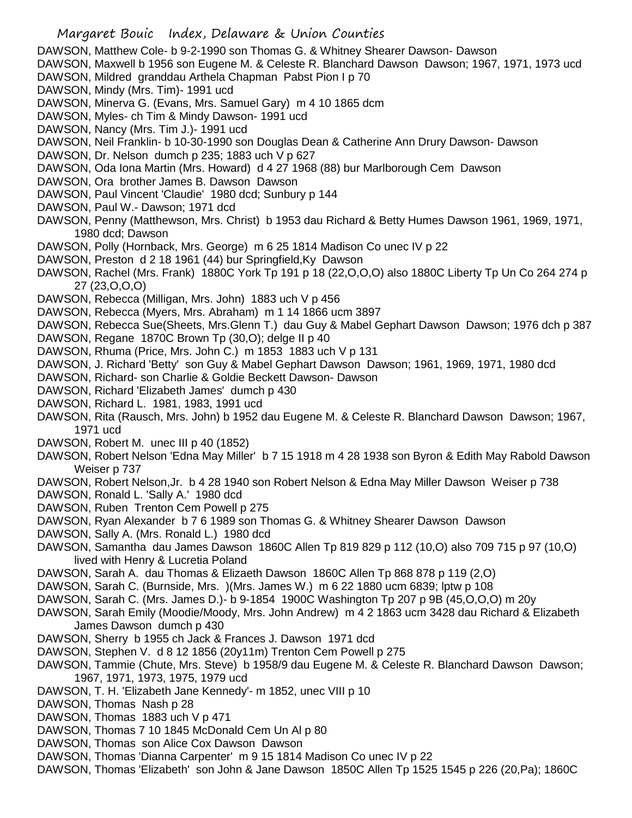- DAWSON, Matthew Cole- b 9-2-1990 son Thomas G. & Whitney Shearer Dawson- Dawson
- DAWSON, Maxwell b 1956 son Eugene M. & Celeste R. Blanchard Dawson Dawson; 1967, 1971, 1973 ucd DAWSON, Mildred granddau Arthela Chapman Pabst Pion I p 70
- 
- DAWSON, Mindy (Mrs. Tim)- 1991 ucd
- DAWSON, Minerva G. (Evans, Mrs. Samuel Gary) m 4 10 1865 dcm
- DAWSON, Myles- ch Tim & Mindy Dawson- 1991 ucd
- DAWSON, Nancy (Mrs. Tim J.)- 1991 ucd
- DAWSON, Neil Franklin- b 10-30-1990 son Douglas Dean & Catherine Ann Drury Dawson- Dawson
- DAWSON, Dr. Nelson dumch p 235; 1883 uch V p 627
- DAWSON, Oda Iona Martin (Mrs. Howard) d 4 27 1968 (88) bur Marlborough Cem Dawson
- DAWSON, Ora brother James B. Dawson Dawson
- DAWSON, Paul Vincent 'Claudie' 1980 dcd; Sunbury p 144
- DAWSON, Paul W.- Dawson; 1971 dcd
- DAWSON, Penny (Matthewson, Mrs. Christ) b 1953 dau Richard & Betty Humes Dawson 1961, 1969, 1971, 1980 dcd; Dawson
- DAWSON, Polly (Hornback, Mrs. George) m 6 25 1814 Madison Co unec IV p 22
- DAWSON, Preston d 2 18 1961 (44) bur Springfield,Ky Dawson
- DAWSON, Rachel (Mrs. Frank) 1880C York Tp 191 p 18 (22,O,O,O) also 1880C Liberty Tp Un Co 264 274 p 27 (23,O,O,O)
- DAWSON, Rebecca (Milligan, Mrs. John) 1883 uch V p 456
- DAWSON, Rebecca (Myers, Mrs. Abraham) m 1 14 1866 ucm 3897
- DAWSON, Rebecca Sue(Sheets, Mrs.Glenn T.) dau Guy & Mabel Gephart Dawson Dawson; 1976 dch p 387
- DAWSON, Regane 1870C Brown Tp (30,O); delge II p 40
- DAWSON, Rhuma (Price, Mrs. John C.) m 1853 1883 uch V p 131
- DAWSON, J. Richard 'Betty' son Guy & Mabel Gephart Dawson Dawson; 1961, 1969, 1971, 1980 dcd
- DAWSON, Richard- son Charlie & Goldie Beckett Dawson- Dawson
- DAWSON, Richard 'Elizabeth James' dumch p 430
- DAWSON, Richard L. 1981, 1983, 1991 ucd
- DAWSON, Rita (Rausch, Mrs. John) b 1952 dau Eugene M. & Celeste R. Blanchard Dawson Dawson; 1967, 1971 ucd
- DAWSON, Robert M. unec III p 40 (1852)
- DAWSON, Robert Nelson 'Edna May Miller' b 7 15 1918 m 4 28 1938 son Byron & Edith May Rabold Dawson Weiser p 737
- DAWSON, Robert Nelson,Jr. b 4 28 1940 son Robert Nelson & Edna May Miller Dawson Weiser p 738
- DAWSON, Ronald L. 'Sally A.' 1980 dcd
- DAWSON, Ruben Trenton Cem Powell p 275
- DAWSON, Ryan Alexander b 7 6 1989 son Thomas G. & Whitney Shearer Dawson Dawson
- DAWSON, Sally A. (Mrs. Ronald L.) 1980 dcd
- DAWSON, Samantha dau James Dawson 1860C Allen Tp 819 829 p 112 (10,O) also 709 715 p 97 (10,O) lived with Henry & Lucretia Poland
- DAWSON, Sarah A. dau Thomas & Elizaeth Dawson 1860C Allen Tp 868 878 p 119 (2,O)
- DAWSON, Sarah C. (Burnside, Mrs. )(Mrs. James W.) m 6 22 1880 ucm 6839; lptw p 108
- DAWSON, Sarah C. (Mrs. James D.)- b 9-1854 1900C Washington Tp 207 p 9B (45,O,O,O) m 20y
- DAWSON, Sarah Emily (Moodie/Moody, Mrs. John Andrew) m 4 2 1863 ucm 3428 dau Richard & Elizabeth James Dawson dumch p 430
- DAWSON, Sherry b 1955 ch Jack & Frances J. Dawson 1971 dcd
- DAWSON, Stephen V. d 8 12 1856 (20y11m) Trenton Cem Powell p 275
- DAWSON, Tammie (Chute, Mrs. Steve) b 1958/9 dau Eugene M. & Celeste R. Blanchard Dawson Dawson; 1967, 1971, 1973, 1975, 1979 ucd
- DAWSON, T. H. 'Elizabeth Jane Kennedy'- m 1852, unec VIII p 10
- DAWSON, Thomas Nash p 28
- DAWSON, Thomas 1883 uch V p 471
- DAWSON, Thomas 7 10 1845 McDonald Cem Un Al p 80
- DAWSON, Thomas son Alice Cox Dawson Dawson
- DAWSON, Thomas 'Dianna Carpenter' m 9 15 1814 Madison Co unec IV p 22
- DAWSON, Thomas 'Elizabeth' son John & Jane Dawson 1850C Allen Tp 1525 1545 p 226 (20,Pa); 1860C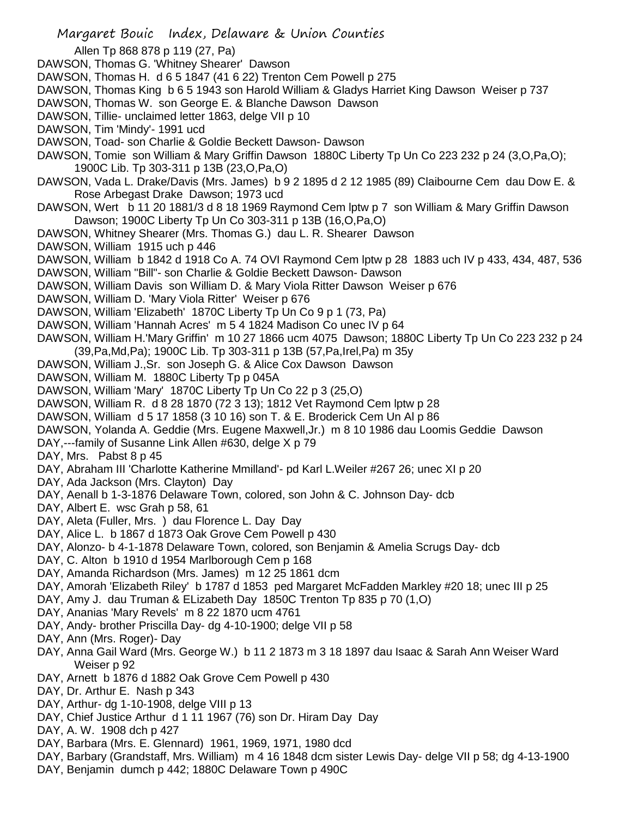- Margaret Bouic Index, Delaware & Union Counties Allen Tp 868 878 p 119 (27, Pa) DAWSON, Thomas G. 'Whitney Shearer' Dawson DAWSON, Thomas H. d 6 5 1847 (41 6 22) Trenton Cem Powell p 275 DAWSON, Thomas King b 6 5 1943 son Harold William & Gladys Harriet King Dawson Weiser p 737 DAWSON, Thomas W. son George E. & Blanche Dawson Dawson DAWSON, Tillie- unclaimed letter 1863, delge VII p 10 DAWSON, Tim 'Mindy'- 1991 ucd DAWSON, Toad- son Charlie & Goldie Beckett Dawson- Dawson DAWSON, Tomie son William & Mary Griffin Dawson 1880C Liberty Tp Un Co 223 232 p 24 (3,O,Pa,O); 1900C Lib. Tp 303-311 p 13B (23,O,Pa,O) DAWSON, Vada L. Drake/Davis (Mrs. James) b 9 2 1895 d 2 12 1985 (89) Claibourne Cem dau Dow E. & Rose Arbegast Drake Dawson; 1973 ucd DAWSON, Wert b 11 20 1881/3 d 8 18 1969 Raymond Cem lptw p 7 son William & Mary Griffin Dawson Dawson; 1900C Liberty Tp Un Co 303-311 p 13B (16,O,Pa,O) DAWSON, Whitney Shearer (Mrs. Thomas G.) dau L. R. Shearer Dawson DAWSON, William 1915 uch p 446 DAWSON, William b 1842 d 1918 Co A. 74 OVI Raymond Cem lptw p 28 1883 uch IV p 433, 434, 487, 536 DAWSON, William "Bill"- son Charlie & Goldie Beckett Dawson- Dawson DAWSON, William Davis son William D. & Mary Viola Ritter Dawson Weiser p 676 DAWSON, William D. 'Mary Viola Ritter' Weiser p 676 DAWSON, William 'Elizabeth' 1870C Liberty Tp Un Co 9 p 1 (73, Pa) DAWSON, William 'Hannah Acres' m 5 4 1824 Madison Co unec IV p 64 DAWSON, William H.'Mary Griffin' m 10 27 1866 ucm 4075 Dawson; 1880C Liberty Tp Un Co 223 232 p 24 (39,Pa,Md,Pa); 1900C Lib. Tp 303-311 p 13B (57,Pa,Irel,Pa) m 35y DAWSON, William J.,Sr. son Joseph G. & Alice Cox Dawson Dawson DAWSON, William M. 1880C Liberty Tp p 045A DAWSON, William 'Mary' 1870C Liberty Tp Un Co 22 p 3 (25,O) DAWSON, William R. d 8 28 1870 (72 3 13); 1812 Vet Raymond Cem lptw p 28 DAWSON, William d 5 17 1858 (3 10 16) son T. & E. Broderick Cem Un Al p 86 DAWSON, Yolanda A. Geddie (Mrs. Eugene Maxwell,Jr.) m 8 10 1986 dau Loomis Geddie Dawson DAY,---family of Susanne Link Allen #630, delge X p 79 DAY, Mrs. Pabst 8 p 45 DAY, Abraham III 'Charlotte Katherine Mmilland'- pd Karl L.Weiler #267 26; unec XI p 20 DAY, Ada Jackson (Mrs. Clayton) Day DAY, Aenall b 1-3-1876 Delaware Town, colored, son John & C. Johnson Day- dcb DAY, Albert E. wsc Grah p 58, 61 DAY, Aleta (Fuller, Mrs. ) dau Florence L. Day Day DAY, Alice L. b 1867 d 1873 Oak Grove Cem Powell p 430 DAY, Alonzo- b 4-1-1878 Delaware Town, colored, son Benjamin & Amelia Scrugs Day- dcb DAY, C. Alton b 1910 d 1954 Marlborough Cem p 168 DAY, Amanda Richardson (Mrs. James) m 12 25 1861 dcm DAY, Amorah 'Elizabeth Riley' b 1787 d 1853 ped Margaret McFadden Markley #20 18; unec III p 25 DAY, Amy J. dau Truman & ELizabeth Day 1850C Trenton Tp 835 p 70 (1,O) DAY, Ananias 'Mary Revels' m 8 22 1870 ucm 4761 DAY, Andy- brother Priscilla Day- dg 4-10-1900; delge VII p 58 DAY, Ann (Mrs. Roger)- Day DAY, Anna Gail Ward (Mrs. George W.) b 11 2 1873 m 3 18 1897 dau Isaac & Sarah Ann Weiser Ward Weiser p 92 DAY, Arnett b 1876 d 1882 Oak Grove Cem Powell p 430 DAY, Dr. Arthur E. Nash p 343 DAY, Arthur- dg 1-10-1908, delge VIII p 13 DAY, Chief Justice Arthur d 1 11 1967 (76) son Dr. Hiram Day Day DAY, A. W. 1908 dch p 427
- DAY, Barbara (Mrs. E. Glennard) 1961, 1969, 1971, 1980 dcd
- DAY, Barbary (Grandstaff, Mrs. William) m 4 16 1848 dcm sister Lewis Day- delge VII p 58; dg 4-13-1900
- DAY, Benjamin dumch p 442; 1880C Delaware Town p 490C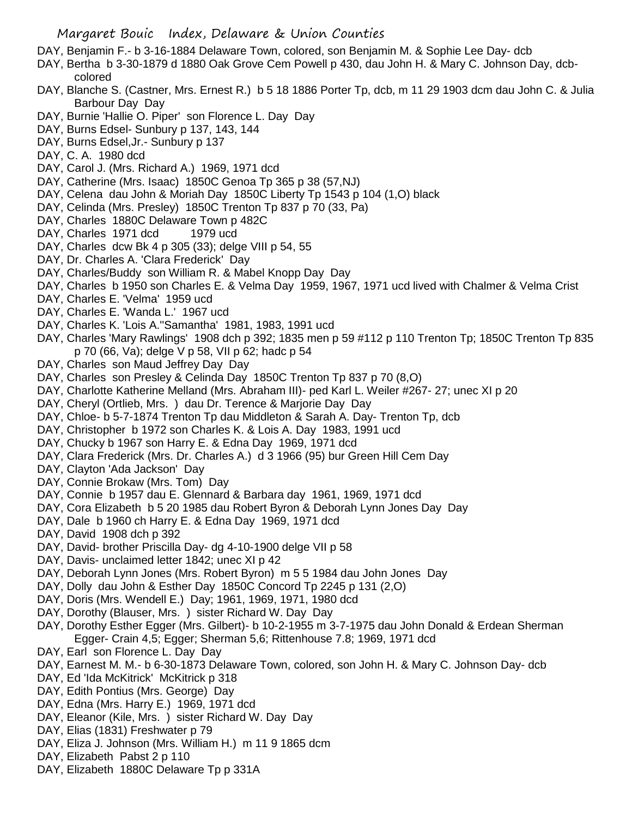- DAY, Benjamin F.- b 3-16-1884 Delaware Town, colored, son Benjamin M. & Sophie Lee Day- dcb
- DAY, Bertha b 3-30-1879 d 1880 Oak Grove Cem Powell p 430, dau John H. & Mary C. Johnson Day, dcbcolored
- DAY, Blanche S. (Castner, Mrs. Ernest R.) b 5 18 1886 Porter Tp, dcb, m 11 29 1903 dcm dau John C. & Julia Barbour Day Day
- DAY, Burnie 'Hallie O. Piper' son Florence L. Day Day
- DAY, Burns Edsel- Sunbury p 137, 143, 144
- DAY, Burns Edsel,Jr.- Sunbury p 137
- DAY, C. A. 1980 dcd
- DAY, Carol J. (Mrs. Richard A.) 1969, 1971 dcd
- DAY, Catherine (Mrs. Isaac) 1850C Genoa Tp 365 p 38 (57,NJ)
- DAY, Celena dau John & Moriah Day 1850C Liberty Tp 1543 p 104 (1,O) black
- DAY, Celinda (Mrs. Presley) 1850C Trenton Tp 837 p 70 (33, Pa)
- DAY, Charles 1880C Delaware Town p 482C
- DAY, Charles 1971 dcd 1979 ucd
- DAY, Charles dcw Bk 4 p 305 (33); delge VIII p 54, 55
- DAY, Dr. Charles A. 'Clara Frederick' Day
- DAY, Charles/Buddy son William R. & Mabel Knopp Day Day
- DAY, Charles b 1950 son Charles E. & Velma Day 1959, 1967, 1971 ucd lived with Chalmer & Velma Crist
- DAY, Charles E. 'Velma' 1959 ucd
- DAY, Charles E. 'Wanda L.' 1967 ucd
- DAY, Charles K. 'Lois A.''Samantha' 1981, 1983, 1991 ucd
- DAY, Charles 'Mary Rawlings' 1908 dch p 392; 1835 men p 59 #112 p 110 Trenton Tp; 1850C Trenton Tp 835 p 70 (66, Va); delge V p 58, VII p 62; hadc p 54
- DAY, Charles son Maud Jeffrey Day Day
- DAY, Charles son Presley & Celinda Day 1850C Trenton Tp 837 p 70 (8,O)
- DAY, Charlotte Katherine Melland (Mrs. Abraham III)- ped Karl L. Weiler #267- 27; unec XI p 20
- DAY, Cheryl (Ortlieb, Mrs. ) dau Dr. Terence & Marjorie Day Day
- DAY, Chloe- b 5-7-1874 Trenton Tp dau Middleton & Sarah A. Day- Trenton Tp, dcb
- DAY, Christopher b 1972 son Charles K. & Lois A. Day 1983, 1991 ucd
- DAY, Chucky b 1967 son Harry E. & Edna Day 1969, 1971 dcd
- DAY, Clara Frederick (Mrs. Dr. Charles A.) d 3 1966 (95) bur Green Hill Cem Day
- DAY, Clayton 'Ada Jackson' Day
- DAY, Connie Brokaw (Mrs. Tom) Day
- DAY, Connie b 1957 dau E. Glennard & Barbara day 1961, 1969, 1971 dcd
- DAY, Cora Elizabeth b 5 20 1985 dau Robert Byron & Deborah Lynn Jones Day Day
- DAY, Dale b 1960 ch Harry E. & Edna Day 1969, 1971 dcd
- DAY, David 1908 dch p 392
- DAY, David- brother Priscilla Day- dg 4-10-1900 delge VII p 58
- DAY, Davis- unclaimed letter 1842; unec XI p 42
- DAY, Deborah Lynn Jones (Mrs. Robert Byron) m 5 5 1984 dau John Jones Day
- DAY, Dolly dau John & Esther Day 1850C Concord Tp 2245 p 131 (2,O)
- DAY, Doris (Mrs. Wendell E.) Day; 1961, 1969, 1971, 1980 dcd
- DAY, Dorothy (Blauser, Mrs. ) sister Richard W. Day Day
- DAY, Dorothy Esther Egger (Mrs. Gilbert)- b 10-2-1955 m 3-7-1975 dau John Donald & Erdean Sherman Egger- Crain 4,5; Egger; Sherman 5,6; Rittenhouse 7.8; 1969, 1971 dcd
- DAY, Earl son Florence L. Day Day
- DAY, Earnest M. M.- b 6-30-1873 Delaware Town, colored, son John H. & Mary C. Johnson Day- dcb
- DAY, Ed 'Ida McKitrick' McKitrick p 318
- DAY, Edith Pontius (Mrs. George) Day
- DAY, Edna (Mrs. Harry E.) 1969, 1971 dcd
- DAY, Eleanor (Kile, Mrs. ) sister Richard W. Day Day
- DAY, Elias (1831) Freshwater p 79
- DAY, Eliza J. Johnson (Mrs. William H.) m 11 9 1865 dcm
- DAY, Elizabeth Pabst 2 p 110
- DAY, Elizabeth 1880C Delaware Tp p 331A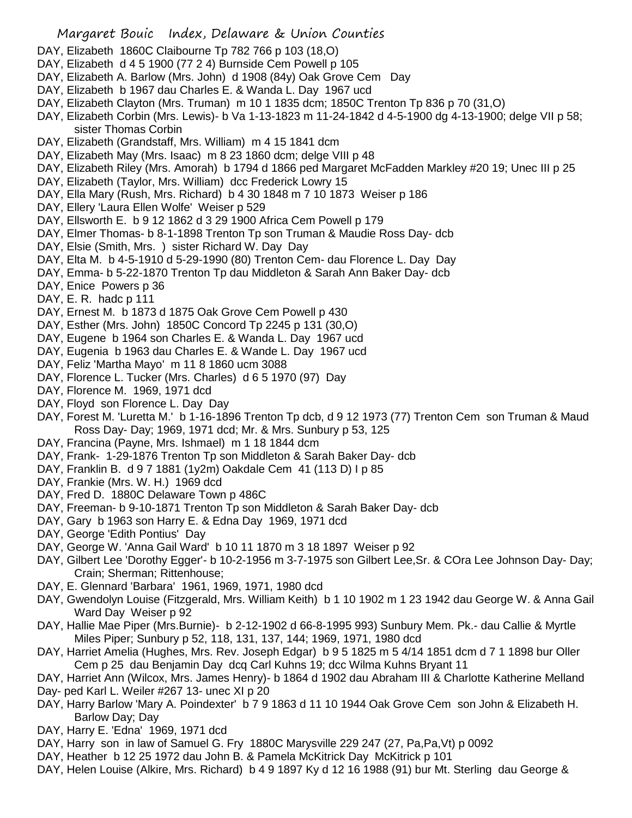- DAY, Elizabeth 1860C Claibourne Tp 782 766 p 103 (18,O)
- DAY, Elizabeth d 4 5 1900 (77 2 4) Burnside Cem Powell p 105
- DAY, Elizabeth A. Barlow (Mrs. John) d 1908 (84y) Oak Grove Cem Day
- DAY, Elizabeth b 1967 dau Charles E. & Wanda L. Day 1967 ucd
- DAY, Elizabeth Clayton (Mrs. Truman) m 10 1 1835 dcm; 1850C Trenton Tp 836 p 70 (31,O)
- DAY, Elizabeth Corbin (Mrs. Lewis)- b Va 1-13-1823 m 11-24-1842 d 4-5-1900 dg 4-13-1900; delge VII p 58; sister Thomas Corbin
- DAY, Elizabeth (Grandstaff, Mrs. William) m 4 15 1841 dcm
- DAY, Elizabeth May (Mrs. Isaac) m 8 23 1860 dcm; delge VIII p 48
- DAY, Elizabeth Riley (Mrs. Amorah) b 1794 d 1866 ped Margaret McFadden Markley #20 19; Unec III p 25
- DAY, Elizabeth (Taylor, Mrs. William) dcc Frederick Lowry 15
- DAY, Ella Mary (Rush, Mrs. Richard) b 4 30 1848 m 7 10 1873 Weiser p 186
- DAY, Ellery 'Laura Ellen Wolfe' Weiser p 529
- DAY, Ellsworth E. b 9 12 1862 d 3 29 1900 Africa Cem Powell p 179
- DAY, Elmer Thomas- b 8-1-1898 Trenton Tp son Truman & Maudie Ross Day- dcb
- DAY, Elsie (Smith, Mrs. ) sister Richard W. Day Day
- DAY, Elta M. b 4-5-1910 d 5-29-1990 (80) Trenton Cem- dau Florence L. Day Day
- DAY, Emma- b 5-22-1870 Trenton Tp dau Middleton & Sarah Ann Baker Day- dcb
- DAY, Enice Powers p 36
- DAY, E. R. hadc p 111
- DAY, Ernest M. b 1873 d 1875 Oak Grove Cem Powell p 430
- DAY, Esther (Mrs. John) 1850C Concord Tp 2245 p 131 (30,O)
- DAY, Eugene b 1964 son Charles E. & Wanda L. Day 1967 ucd
- DAY, Eugenia b 1963 dau Charles E. & Wande L. Day 1967 ucd
- DAY, Feliz 'Martha Mayo' m 11 8 1860 ucm 3088
- DAY, Florence L. Tucker (Mrs. Charles) d 6 5 1970 (97) Day
- DAY, Florence M. 1969, 1971 dcd
- DAY, Floyd son Florence L. Day Day
- DAY, Forest M. 'Luretta M.' b 1-16-1896 Trenton Tp dcb, d 9 12 1973 (77) Trenton Cem son Truman & Maud Ross Day- Day; 1969, 1971 dcd; Mr. & Mrs. Sunbury p 53, 125
- DAY, Francina (Payne, Mrs. Ishmael) m 1 18 1844 dcm
- DAY, Frank- 1-29-1876 Trenton Tp son Middleton & Sarah Baker Day- dcb
- DAY, Franklin B. d 9 7 1881 (1y2m) Oakdale Cem 41 (113 D) I p 85
- DAY, Frankie (Mrs. W. H.) 1969 dcd
- DAY, Fred D. 1880C Delaware Town p 486C
- DAY, Freeman- b 9-10-1871 Trenton Tp son Middleton & Sarah Baker Day- dcb
- DAY, Gary b 1963 son Harry E. & Edna Day 1969, 1971 dcd
- DAY, George 'Edith Pontius' Day
- DAY, George W. 'Anna Gail Ward' b 10 11 1870 m 3 18 1897 Weiser p 92
- DAY, Gilbert Lee 'Dorothy Egger'- b 10-2-1956 m 3-7-1975 son Gilbert Lee,Sr. & COra Lee Johnson Day- Day; Crain; Sherman; Rittenhouse;
- DAY, E. Glennard 'Barbara' 1961, 1969, 1971, 1980 dcd
- DAY, Gwendolyn Louise (Fitzgerald, Mrs. William Keith) b 1 10 1902 m 1 23 1942 dau George W. & Anna Gail Ward Day Weiser p 92
- DAY, Hallie Mae Piper (Mrs.Burnie)- b 2-12-1902 d 66-8-1995 993) Sunbury Mem. Pk.- dau Callie & Myrtle Miles Piper; Sunbury p 52, 118, 131, 137, 144; 1969, 1971, 1980 dcd
- DAY, Harriet Amelia (Hughes, Mrs. Rev. Joseph Edgar) b 9 5 1825 m 5 4/14 1851 dcm d 7 1 1898 bur Oller Cem p 25 dau Benjamin Day dcq Carl Kuhns 19; dcc Wilma Kuhns Bryant 11

DAY, Harriet Ann (Wilcox, Mrs. James Henry)- b 1864 d 1902 dau Abraham III & Charlotte Katherine Melland Day- ped Karl L. Weiler #267 13- unec XI p 20

- DAY, Harry Barlow 'Mary A. Poindexter' b 7 9 1863 d 11 10 1944 Oak Grove Cem son John & Elizabeth H. Barlow Day; Day
- DAY, Harry E. 'Edna' 1969, 1971 dcd
- DAY, Harry son in law of Samuel G. Fry 1880C Marysville 229 247 (27, Pa,Pa,Vt) p 0092
- DAY, Heather b 12 25 1972 dau John B. & Pamela McKitrick Day McKitrick p 101
- DAY, Helen Louise (Alkire, Mrs. Richard) b 4 9 1897 Ky d 12 16 1988 (91) bur Mt. Sterling dau George &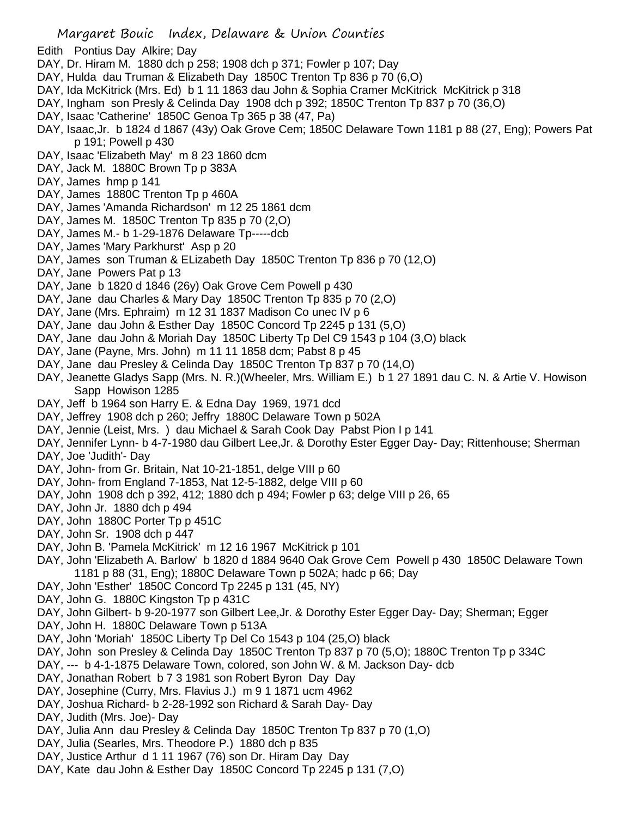- Edith Pontius Day Alkire; Day
- DAY, Dr. Hiram M. 1880 dch p 258; 1908 dch p 371; Fowler p 107; Day
- DAY, Hulda dau Truman & Elizabeth Day 1850C Trenton Tp 836 p 70 (6,O)
- DAY, Ida McKitrick (Mrs. Ed) b 1 11 1863 dau John & Sophia Cramer McKitrick McKitrick p 318
- DAY, Ingham son Presly & Celinda Day 1908 dch p 392; 1850C Trenton Tp 837 p 70 (36,O)
- DAY, Isaac 'Catherine' 1850C Genoa Tp 365 p 38 (47, Pa)
- DAY, Isaac,Jr. b 1824 d 1867 (43y) Oak Grove Cem; 1850C Delaware Town 1181 p 88 (27, Eng); Powers Pat p 191; Powell p 430
- DAY, Isaac 'Elizabeth May' m 8 23 1860 dcm
- DAY, Jack M. 1880C Brown Tp p 383A
- DAY, James hmp p 141
- DAY, James 1880C Trenton Tp p 460A
- DAY, James 'Amanda Richardson' m 12 25 1861 dcm
- DAY, James M. 1850C Trenton Tp 835 p 70 (2,O)
- DAY, James M.- b 1-29-1876 Delaware Tp-----dcb
- DAY, James 'Mary Parkhurst' Asp p 20
- DAY, James son Truman & ELizabeth Day 1850C Trenton Tp 836 p 70 (12,O)
- DAY, Jane Powers Pat p 13
- DAY, Jane b 1820 d 1846 (26y) Oak Grove Cem Powell p 430
- DAY, Jane dau Charles & Mary Day 1850C Trenton Tp 835 p 70 (2,O)
- DAY, Jane (Mrs. Ephraim) m 12 31 1837 Madison Co unec IV p 6
- DAY, Jane dau John & Esther Day 1850C Concord Tp 2245 p 131 (5,O)
- DAY, Jane dau John & Moriah Day 1850C Liberty Tp Del C9 1543 p 104 (3,O) black
- DAY, Jane (Payne, Mrs. John) m 11 11 1858 dcm; Pabst 8 p 45
- DAY, Jane dau Presley & Celinda Day 1850C Trenton Tp 837 p 70 (14,O)
- DAY, Jeanette Gladys Sapp (Mrs. N. R.)(Wheeler, Mrs. William E.) b 1 27 1891 dau C. N. & Artie V. Howison Sapp Howison 1285
- DAY, Jeff b 1964 son Harry E. & Edna Day 1969, 1971 dcd
- DAY, Jeffrey 1908 dch p 260; Jeffry 1880C Delaware Town p 502A
- DAY, Jennie (Leist, Mrs. ) dau Michael & Sarah Cook Day Pabst Pion I p 141
- DAY, Jennifer Lynn- b 4-7-1980 dau Gilbert Lee,Jr. & Dorothy Ester Egger Day- Day; Rittenhouse; Sherman DAY, Joe 'Judith'- Day
- DAY, John- from Gr. Britain, Nat 10-21-1851, delge VIII p 60
- DAY, John- from England 7-1853, Nat 12-5-1882, delge VIII p 60
- DAY, John 1908 dch p 392, 412; 1880 dch p 494; Fowler p 63; delge VIII p 26, 65
- DAY, John Jr. 1880 dch p 494
- DAY, John 1880C Porter Tp p 451C
- DAY, John Sr. 1908 dch p 447
- DAY, John B. 'Pamela McKitrick' m 12 16 1967 McKitrick p 101
- DAY, John 'Elizabeth A. Barlow' b 1820 d 1884 9640 Oak Grove Cem Powell p 430 1850C Delaware Town 1181 p 88 (31, Eng); 1880C Delaware Town p 502A; hadc p 66; Day
- DAY, John 'Esther' 1850C Concord Tp 2245 p 131 (45, NY)
- DAY, John G. 1880C Kingston Tp p 431C
- DAY, John Gilbert- b 9-20-1977 son Gilbert Lee,Jr. & Dorothy Ester Egger Day- Day; Sherman; Egger
- DAY, John H. 1880C Delaware Town p 513A
- DAY, John 'Moriah' 1850C Liberty Tp Del Co 1543 p 104 (25,O) black
- DAY, John son Presley & Celinda Day 1850C Trenton Tp 837 p 70 (5,O); 1880C Trenton Tp p 334C
- DAY, --- b 4-1-1875 Delaware Town, colored, son John W. & M. Jackson Day- dcb
- DAY, Jonathan Robert b 7 3 1981 son Robert Byron Day Day
- DAY, Josephine (Curry, Mrs. Flavius J.) m 9 1 1871 ucm 4962
- DAY, Joshua Richard- b 2-28-1992 son Richard & Sarah Day- Day
- DAY, Judith (Mrs. Joe)- Day
- DAY, Julia Ann dau Presley & Celinda Day 1850C Trenton Tp 837 p 70 (1,O)
- DAY, Julia (Searles, Mrs. Theodore P.) 1880 dch p 835
- DAY, Justice Arthur d 1 11 1967 (76) son Dr. Hiram Day Day
- DAY, Kate dau John & Esther Day 1850C Concord Tp 2245 p 131 (7,O)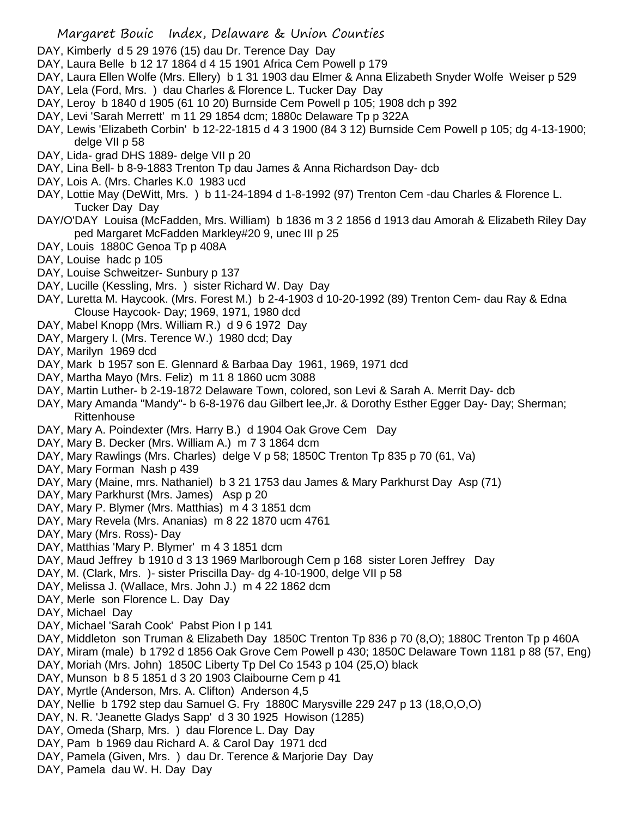- DAY, Kimberly d 5 29 1976 (15) dau Dr. Terence Day Day
- DAY, Laura Belle b 12 17 1864 d 4 15 1901 Africa Cem Powell p 179
- DAY, Laura Ellen Wolfe (Mrs. Ellery) b 1 31 1903 dau Elmer & Anna Elizabeth Snyder Wolfe Weiser p 529
- DAY, Lela (Ford, Mrs. ) dau Charles & Florence L. Tucker Day Day
- DAY, Leroy b 1840 d 1905 (61 10 20) Burnside Cem Powell p 105; 1908 dch p 392
- DAY, Levi 'Sarah Merrett' m 11 29 1854 dcm; 1880c Delaware Tp p 322A
- DAY, Lewis 'Elizabeth Corbin' b 12-22-1815 d 4 3 1900 (84 3 12) Burnside Cem Powell p 105; dg 4-13-1900; delge VII p 58
- DAY, Lida- grad DHS 1889- delge VII p 20
- DAY, Lina Bell- b 8-9-1883 Trenton Tp dau James & Anna Richardson Day- dcb
- DAY, Lois A. (Mrs. Charles K.0 1983 ucd
- DAY, Lottie May (DeWitt, Mrs. ) b 11-24-1894 d 1-8-1992 (97) Trenton Cem -dau Charles & Florence L. Tucker Day Day
- DAY/O'DAY Louisa (McFadden, Mrs. William) b 1836 m 3 2 1856 d 1913 dau Amorah & Elizabeth Riley Day ped Margaret McFadden Markley#20 9, unec III p 25
- DAY, Louis 1880C Genoa Tp p 408A
- DAY, Louise hadc p 105
- DAY, Louise Schweitzer- Sunbury p 137
- DAY, Lucille (Kessling, Mrs. ) sister Richard W. Day Day
- DAY, Luretta M. Haycook. (Mrs. Forest M.) b 2-4-1903 d 10-20-1992 (89) Trenton Cem- dau Ray & Edna Clouse Haycook- Day; 1969, 1971, 1980 dcd
- DAY, Mabel Knopp (Mrs. William R.) d 9 6 1972 Day
- DAY, Margery I. (Mrs. Terence W.) 1980 dcd; Day
- DAY, Marilyn 1969 dcd
- DAY, Mark b 1957 son E. Glennard & Barbaa Day 1961, 1969, 1971 dcd
- DAY, Martha Mayo (Mrs. Feliz) m 11 8 1860 ucm 3088
- DAY, Martin Luther- b 2-19-1872 Delaware Town, colored, son Levi & Sarah A. Merrit Day- dcb
- DAY, Mary Amanda "Mandy"- b 6-8-1976 dau Gilbert lee,Jr. & Dorothy Esther Egger Day- Day; Sherman; **Rittenhouse**
- DAY, Mary A. Poindexter (Mrs. Harry B.) d 1904 Oak Grove Cem Day
- DAY, Mary B. Decker (Mrs. William A.) m 7 3 1864 dcm
- DAY, Mary Rawlings (Mrs. Charles) delge V p 58; 1850C Trenton Tp 835 p 70 (61, Va)
- DAY, Mary Forman Nash p 439
- DAY, Mary (Maine, mrs. Nathaniel) b 3 21 1753 dau James & Mary Parkhurst Day Asp (71)
- DAY, Mary Parkhurst (Mrs. James) Asp p 20
- DAY, Mary P. Blymer (Mrs. Matthias) m 4 3 1851 dcm
- DAY, Mary Revela (Mrs. Ananias) m 8 22 1870 ucm 4761
- DAY, Mary (Mrs. Ross)- Day
- DAY, Matthias 'Mary P. Blymer' m 4 3 1851 dcm
- DAY, Maud Jeffrey b 1910 d 3 13 1969 Marlborough Cem p 168 sister Loren Jeffrey Day
- DAY, M. (Clark, Mrs. )- sister Priscilla Day- dg 4-10-1900, delge VII p 58
- DAY, Melissa J. (Wallace, Mrs. John J.) m 4 22 1862 dcm
- DAY, Merle son Florence L. Day Day
- DAY, Michael Day
- DAY, Michael 'Sarah Cook' Pabst Pion I p 141
- DAY, Middleton son Truman & Elizabeth Day 1850C Trenton Tp 836 p 70 (8,O); 1880C Trenton Tp p 460A
- DAY, Miram (male) b 1792 d 1856 Oak Grove Cem Powell p 430; 1850C Delaware Town 1181 p 88 (57, Eng)
- DAY, Moriah (Mrs. John) 1850C Liberty Tp Del Co 1543 p 104 (25,O) black
- DAY, Munson b 8 5 1851 d 3 20 1903 Claibourne Cem p 41
- DAY, Myrtle (Anderson, Mrs. A. Clifton) Anderson 4,5
- DAY, Nellie b 1792 step dau Samuel G. Fry 1880C Marysville 229 247 p 13 (18,O,O,O)
- DAY, N. R. 'Jeanette Gladys Sapp' d 3 30 1925 Howison (1285)
- DAY, Omeda (Sharp, Mrs. ) dau Florence L. Day Day
- DAY, Pam b 1969 dau Richard A. & Carol Day 1971 dcd
- DAY, Pamela (Given, Mrs. ) dau Dr. Terence & Marjorie Day Day
- DAY, Pamela dau W. H. Day Day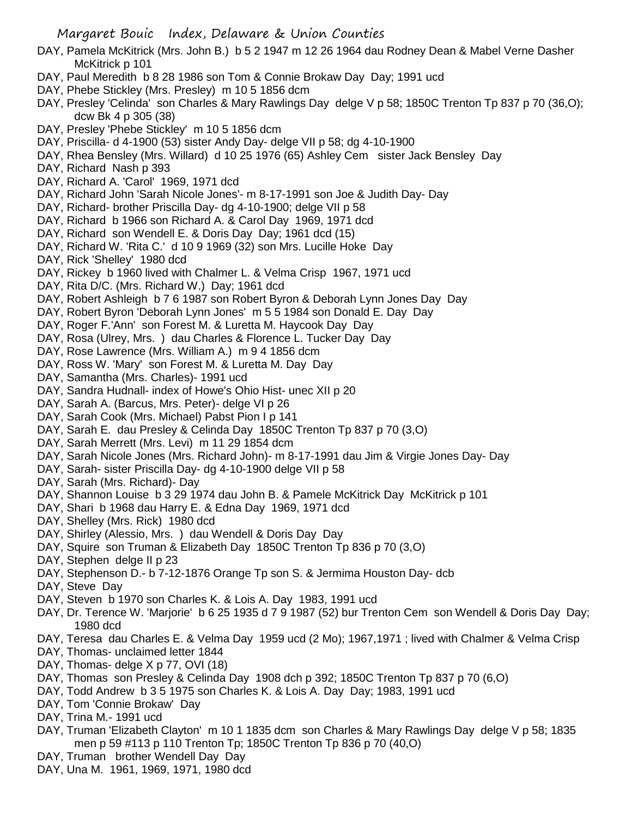- DAY, Pamela McKitrick (Mrs. John B.) b 5 2 1947 m 12 26 1964 dau Rodney Dean & Mabel Verne Dasher McKitrick p 101
- DAY, Paul Meredith b 8 28 1986 son Tom & Connie Brokaw Day Day; 1991 ucd
- DAY, Phebe Stickley (Mrs. Presley) m 10 5 1856 dcm
- DAY, Presley 'Celinda' son Charles & Mary Rawlings Day delge V p 58; 1850C Trenton Tp 837 p 70 (36,O); dcw Bk 4 p 305 (38)
- DAY, Presley 'Phebe Stickley' m 10 5 1856 dcm
- DAY, Priscilla- d 4-1900 (53) sister Andy Day- delge VII p 58; dg 4-10-1900
- DAY, Rhea Bensley (Mrs. Willard) d 10 25 1976 (65) Ashley Cem sister Jack Bensley Day
- DAY, Richard Nash p 393
- DAY, Richard A. 'Carol' 1969, 1971 dcd
- DAY, Richard John 'Sarah Nicole Jones'- m 8-17-1991 son Joe & Judith Day- Day
- DAY, Richard- brother Priscilla Day- dg 4-10-1900; delge VII p 58
- DAY, Richard b 1966 son Richard A. & Carol Day 1969, 1971 dcd
- DAY, Richard son Wendell E. & Doris Day Day; 1961 dcd (15)
- DAY, Richard W. 'Rita C.' d 10 9 1969 (32) son Mrs. Lucille Hoke Day
- DAY, Rick 'Shelley' 1980 dcd
- DAY, Rickey b 1960 lived with Chalmer L. & Velma Crisp 1967, 1971 ucd
- DAY, Rita D/C. (Mrs. Richard W.) Day; 1961 dcd
- DAY, Robert Ashleigh b 7 6 1987 son Robert Byron & Deborah Lynn Jones Day Day
- DAY, Robert Byron 'Deborah Lynn Jones' m 5 5 1984 son Donald E. Day Day
- DAY, Roger F.'Ann' son Forest M. & Luretta M. Haycook Day Day
- DAY, Rosa (Ulrey, Mrs. ) dau Charles & Florence L. Tucker Day Day
- DAY, Rose Lawrence (Mrs. William A.) m 9 4 1856 dcm
- DAY, Ross W. 'Mary' son Forest M. & Luretta M. Day Day
- DAY, Samantha (Mrs. Charles)- 1991 ucd
- DAY, Sandra Hudnall- index of Howe's Ohio Hist- unec XII p 20
- DAY, Sarah A. (Barcus, Mrs. Peter)- delge VI p 26
- DAY, Sarah Cook (Mrs. Michael) Pabst Pion I p 141
- DAY, Sarah E. dau Presley & Celinda Day 1850C Trenton Tp 837 p 70 (3,O)
- DAY, Sarah Merrett (Mrs. Levi) m 11 29 1854 dcm
- DAY, Sarah Nicole Jones (Mrs. Richard John)- m 8-17-1991 dau Jim & Virgie Jones Day- Day
- DAY, Sarah- sister Priscilla Day- dg 4-10-1900 delge VII p 58
- DAY, Sarah (Mrs. Richard)- Day
- DAY, Shannon Louise b 3 29 1974 dau John B. & Pamele McKitrick Day McKitrick p 101
- DAY, Shari b 1968 dau Harry E. & Edna Day 1969, 1971 dcd
- DAY, Shelley (Mrs. Rick) 1980 dcd
- DAY, Shirley (Alessio, Mrs. ) dau Wendell & Doris Day Day
- DAY, Squire son Truman & Elizabeth Day 1850C Trenton Tp 836 p 70 (3,O)
- DAY, Stephen delge II p 23
- DAY, Stephenson D.- b 7-12-1876 Orange Tp son S. & Jermima Houston Day- dcb
- DAY, Steve Day
- DAY, Steven b 1970 son Charles K. & Lois A. Day 1983, 1991 ucd
- DAY, Dr. Terence W. 'Marjorie' b 6 25 1935 d 7 9 1987 (52) bur Trenton Cem son Wendell & Doris Day Day; 1980 dcd
- DAY, Teresa dau Charles E. & Velma Day 1959 ucd (2 Mo); 1967,1971 ; lived with Chalmer & Velma Crisp
- DAY, Thomas- unclaimed letter 1844
- DAY, Thomas- delge X p 77, OVI (18)
- DAY, Thomas son Presley & Celinda Day 1908 dch p 392; 1850C Trenton Tp 837 p 70 (6,O)
- DAY, Todd Andrew b 3 5 1975 son Charles K. & Lois A. Day Day; 1983, 1991 ucd
- DAY, Tom 'Connie Brokaw' Day
- DAY, Trina M.- 1991 ucd
- DAY, Truman 'Elizabeth Clayton' m 10 1 1835 dcm son Charles & Mary Rawlings Day delge V p 58; 1835 men p 59 #113 p 110 Trenton Tp; 1850C Trenton Tp 836 p 70 (40,O)
- DAY, Truman brother Wendell Day Day
- DAY, Una M. 1961, 1969, 1971, 1980 dcd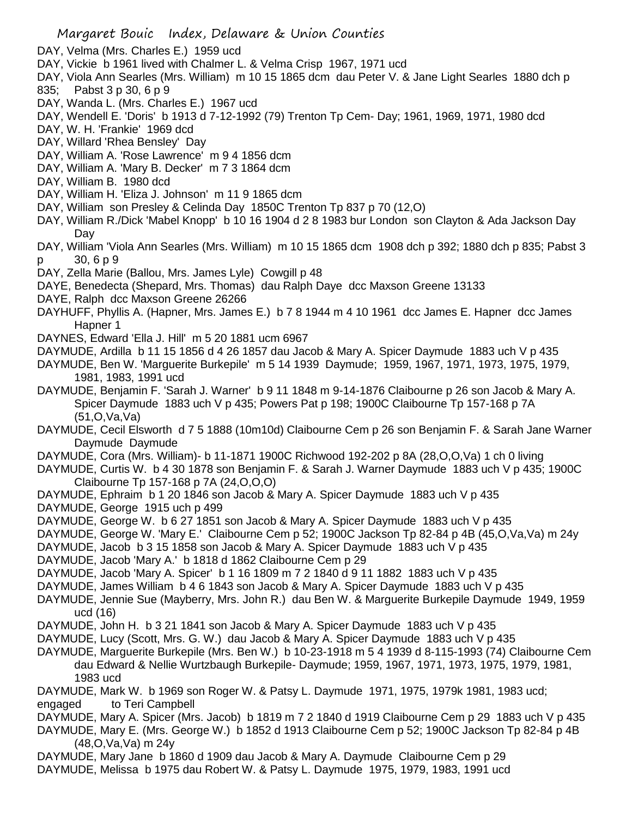- DAY, Velma (Mrs. Charles E.) 1959 ucd
- DAY, Vickie b 1961 lived with Chalmer L. & Velma Crisp 1967, 1971 ucd
- DAY, Viola Ann Searles (Mrs. William) m 10 15 1865 dcm dau Peter V. & Jane Light Searles 1880 dch p 835; Pabst 3 p 30, 6 p 9
- DAY, Wanda L. (Mrs. Charles E.) 1967 ucd
- DAY, Wendell E. 'Doris' b 1913 d 7-12-1992 (79) Trenton Tp Cem- Day; 1961, 1969, 1971, 1980 dcd
- DAY, W. H. 'Frankie' 1969 dcd
- DAY, Willard 'Rhea Bensley' Day
- DAY, William A. 'Rose Lawrence' m 9 4 1856 dcm
- DAY, William A. 'Mary B. Decker' m 7 3 1864 dcm
- DAY, William B. 1980 dcd
- DAY, William H. 'Eliza J. Johnson' m 11 9 1865 dcm
- DAY, William son Presley & Celinda Day 1850C Trenton Tp 837 p 70 (12,O)
- DAY, William R./Dick 'Mabel Knopp' b 10 16 1904 d 2 8 1983 bur London son Clayton & Ada Jackson Day Day
- DAY, William 'Viola Ann Searles (Mrs. William) m 10 15 1865 dcm 1908 dch p 392; 1880 dch p 835; Pabst 3 p 30, 6 p 9
- DAY, Zella Marie (Ballou, Mrs. James Lyle) Cowgill p 48
- DAYE, Benedecta (Shepard, Mrs. Thomas) dau Ralph Daye dcc Maxson Greene 13133
- DAYE, Ralph dcc Maxson Greene 26266
- DAYHUFF, Phyllis A. (Hapner, Mrs. James E.) b 7 8 1944 m 4 10 1961 dcc James E. Hapner dcc James Hapner 1
- DAYNES, Edward 'Ella J. Hill' m 5 20 1881 ucm 6967
- DAYMUDE, Ardilla b 11 15 1856 d 4 26 1857 dau Jacob & Mary A. Spicer Daymude 1883 uch V p 435
- DAYMUDE, Ben W. 'Marguerite Burkepile' m 5 14 1939 Daymude; 1959, 1967, 1971, 1973, 1975, 1979, 1981, 1983, 1991 ucd
- DAYMUDE, Benjamin F. 'Sarah J. Warner' b 9 11 1848 m 9-14-1876 Claibourne p 26 son Jacob & Mary A. Spicer Daymude 1883 uch V p 435; Powers Pat p 198; 1900C Claibourne Tp 157-168 p 7A (51,O,Va,Va)
- DAYMUDE, Cecil Elsworth d 7 5 1888 (10m10d) Claibourne Cem p 26 son Benjamin F. & Sarah Jane Warner Daymude Daymude
- DAYMUDE, Cora (Mrs. William)- b 11-1871 1900C Richwood 192-202 p 8A (28,O,O,Va) 1 ch 0 living
- DAYMUDE, Curtis W. b 4 30 1878 son Benjamin F. & Sarah J. Warner Daymude 1883 uch V p 435; 1900C Claibourne Tp 157-168 p 7A (24,O,O,O)
- DAYMUDE, Ephraim b 1 20 1846 son Jacob & Mary A. Spicer Daymude 1883 uch V p 435
- DAYMUDE, George 1915 uch p 499
- DAYMUDE, George W. b 6 27 1851 son Jacob & Mary A. Spicer Daymude 1883 uch V p 435
- DAYMUDE, George W. 'Mary E.' Claibourne Cem p 52; 1900C Jackson Tp 82-84 p 4B (45, O, Va, Va) m 24y
- DAYMUDE, Jacob b 3 15 1858 son Jacob & Mary A. Spicer Daymude 1883 uch V p 435
- DAYMUDE, Jacob 'Mary A.' b 1818 d 1862 Claibourne Cem p 29
- DAYMUDE, Jacob 'Mary A. Spicer' b 1 16 1809 m 7 2 1840 d 9 11 1882 1883 uch V p 435
- DAYMUDE, James William b 4 6 1843 son Jacob & Mary A. Spicer Daymude 1883 uch V p 435
- DAYMUDE, Jennie Sue (Mayberry, Mrs. John R.) dau Ben W. & Marguerite Burkepile Daymude 1949, 1959 ucd (16)
- DAYMUDE, John H. b 3 21 1841 son Jacob & Mary A. Spicer Daymude 1883 uch V p 435
- DAYMUDE, Lucy (Scott, Mrs. G. W.) dau Jacob & Mary A. Spicer Daymude 1883 uch V p 435
- DAYMUDE, Marguerite Burkepile (Mrs. Ben W.) b 10-23-1918 m 5 4 1939 d 8-115-1993 (74) Claibourne Cem dau Edward & Nellie Wurtzbaugh Burkepile- Daymude; 1959, 1967, 1971, 1973, 1975, 1979, 1981, 1983 ucd
- DAYMUDE, Mark W. b 1969 son Roger W. & Patsy L. Daymude 1971, 1975, 1979k 1981, 1983 ucd; engaged to Teri Campbell
- DAYMUDE, Mary A. Spicer (Mrs. Jacob) b 1819 m 7 2 1840 d 1919 Claibourne Cem p 29 1883 uch V p 435
- DAYMUDE, Mary E. (Mrs. George W.) b 1852 d 1913 Claibourne Cem p 52; 1900C Jackson Tp 82-84 p 4B (48,O,Va,Va) m 24y
- DAYMUDE, Mary Jane b 1860 d 1909 dau Jacob & Mary A. Daymude Claibourne Cem p 29
- DAYMUDE, Melissa b 1975 dau Robert W. & Patsy L. Daymude 1975, 1979, 1983, 1991 ucd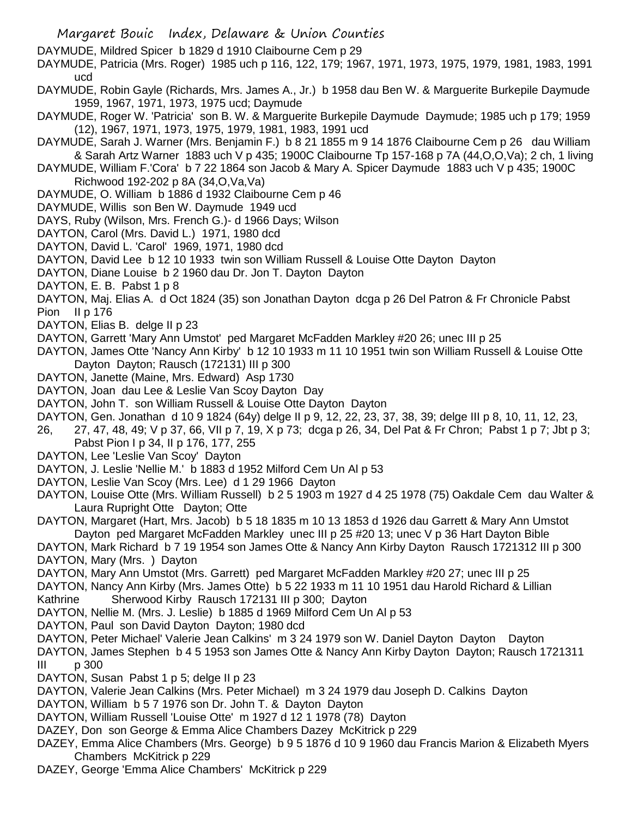- Margaret Bouic Index, Delaware & Union Counties
- DAYMUDE, Mildred Spicer b 1829 d 1910 Claibourne Cem p 29
- DAYMUDE, Patricia (Mrs. Roger) 1985 uch p 116, 122, 179; 1967, 1971, 1973, 1975, 1979, 1981, 1983, 1991 ucd
- DAYMUDE, Robin Gayle (Richards, Mrs. James A., Jr.) b 1958 dau Ben W. & Marguerite Burkepile Daymude 1959, 1967, 1971, 1973, 1975 ucd; Daymude
- DAYMUDE, Roger W. 'Patricia' son B. W. & Marguerite Burkepile Daymude Daymude; 1985 uch p 179; 1959 (12), 1967, 1971, 1973, 1975, 1979, 1981, 1983, 1991 ucd
- DAYMUDE, Sarah J. Warner (Mrs. Benjamin F.) b 8 21 1855 m 9 14 1876 Claibourne Cem p 26 dau William & Sarah Artz Warner 1883 uch V p 435; 1900C Claibourne Tp 157-168 p 7A (44,O,O,Va); 2 ch, 1 living
- DAYMUDE, William F.'Cora' b 7 22 1864 son Jacob & Mary A. Spicer Daymude 1883 uch V p 435; 1900C Richwood 192-202 p 8A (34,O,Va,Va)
- DAYMUDE, O. William b 1886 d 1932 Claibourne Cem p 46
- DAYMUDE, Willis son Ben W. Daymude 1949 ucd
- DAYS, Ruby (Wilson, Mrs. French G.)- d 1966 Days; Wilson
- DAYTON, Carol (Mrs. David L.) 1971, 1980 dcd
- DAYTON, David L. 'Carol' 1969, 1971, 1980 dcd
- DAYTON, David Lee b 12 10 1933 twin son William Russell & Louise Otte Dayton Dayton
- DAYTON, Diane Louise b 2 1960 dau Dr. Jon T. Dayton Dayton
- DAYTON, E. B. Pabst 1 p 8
- DAYTON, Maj. Elias A. d Oct 1824 (35) son Jonathan Dayton dcga p 26 Del Patron & Fr Chronicle Pabst Pion II p 176
- DAYTON, Elias B. delge II p 23
- DAYTON, Garrett 'Mary Ann Umstot' ped Margaret McFadden Markley #20 26; unec III p 25
- DAYTON, James Otte 'Nancy Ann Kirby' b 12 10 1933 m 11 10 1951 twin son William Russell & Louise Otte Dayton Dayton; Rausch (172131) III p 300
- DAYTON, Janette (Maine, Mrs. Edward) Asp 1730
- DAYTON, Joan dau Lee & Leslie Van Scoy Dayton Day
- DAYTON, John T. son William Russell & Louise Otte Dayton Dayton
- DAYTON, Gen. Jonathan d 10 9 1824 (64y) delge II p 9, 12, 22, 23, 37, 38, 39; delge III p 8, 10, 11, 12, 23,
- 26, 27, 47, 48, 49; V p 37, 66, VII p 7, 19, X p 73; dcga p 26, 34, Del Pat & Fr Chron; Pabst 1 p 7; Jbt p 3; Pabst Pion I p 34, II p 176, 177, 255
- DAYTON, Lee 'Leslie Van Scoy' Dayton
- DAYTON, J. Leslie 'Nellie M.' b 1883 d 1952 Milford Cem Un Al p 53
- DAYTON, Leslie Van Scoy (Mrs. Lee) d 1 29 1966 Dayton
- DAYTON, Louise Otte (Mrs. William Russell) b 2 5 1903 m 1927 d 4 25 1978 (75) Oakdale Cem dau Walter & Laura Rupright Otte Dayton; Otte
- DAYTON, Margaret (Hart, Mrs. Jacob) b 5 18 1835 m 10 13 1853 d 1926 dau Garrett & Mary Ann Umstot Dayton ped Margaret McFadden Markley unec III p 25 #20 13; unec V p 36 Hart Dayton Bible
- DAYTON, Mark Richard b 7 19 1954 son James Otte & Nancy Ann Kirby Dayton Rausch 1721312 III p 300 DAYTON, Mary (Mrs. ) Dayton
- DAYTON, Mary Ann Umstot (Mrs. Garrett) ped Margaret McFadden Markley #20 27; unec III p 25
- DAYTON, Nancy Ann Kirby (Mrs. James Otte) b 5 22 1933 m 11 10 1951 dau Harold Richard & Lillian Kathrine Sherwood Kirby Rausch 172131 III p 300; Dayton
- DAYTON, Nellie M. (Mrs. J. Leslie) b 1885 d 1969 Milford Cem Un Al p 53
- DAYTON, Paul son David Dayton Dayton; 1980 dcd
- DAYTON, Peter Michael' Valerie Jean Calkins' m 3 24 1979 son W. Daniel Dayton Dayton Dayton
- DAYTON, James Stephen b 4 5 1953 son James Otte & Nancy Ann Kirby Dayton Dayton; Rausch 1721311 III p 300
- DAYTON, Susan Pabst 1 p 5; delge II p 23
- DAYTON, Valerie Jean Calkins (Mrs. Peter Michael) m 3 24 1979 dau Joseph D. Calkins Dayton
- DAYTON, William b 5 7 1976 son Dr. John T. & Dayton Dayton
- DAYTON, William Russell 'Louise Otte' m 1927 d 12 1 1978 (78) Dayton
- DAZEY, Don son George & Emma Alice Chambers Dazey McKitrick p 229
- DAZEY, Emma Alice Chambers (Mrs. George) b 9 5 1876 d 10 9 1960 dau Francis Marion & Elizabeth Myers Chambers McKitrick p 229
- DAZEY, George 'Emma Alice Chambers' McKitrick p 229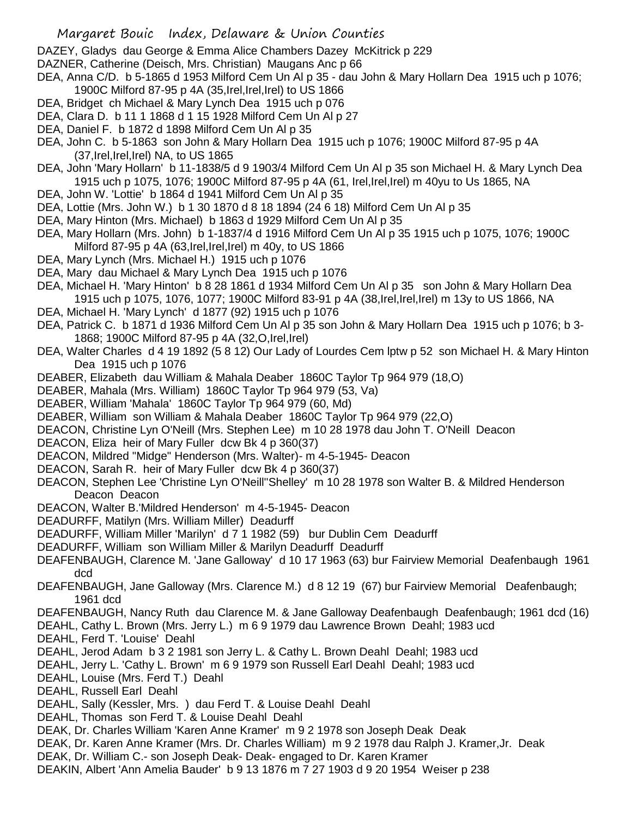DAZEY, Gladys dau George & Emma Alice Chambers Dazey McKitrick p 229

DAZNER, Catherine (Deisch, Mrs. Christian) Maugans Anc p 66

- DEA, Anna C/D. b 5-1865 d 1953 Milford Cem Un Al p 35 dau John & Mary Hollarn Dea 1915 uch p 1076; 1900C Milford 87-95 p 4A (35,Irel,Irel,Irel) to US 1866
- DEA, Bridget ch Michael & Mary Lynch Dea 1915 uch p 076
- DEA, Clara D. b 11 1 1868 d 1 15 1928 Milford Cem Un Al p 27
- DEA, Daniel F. b 1872 d 1898 Milford Cem Un Al p 35
- DEA, John C. b 5-1863 son John & Mary Hollarn Dea 1915 uch p 1076; 1900C Milford 87-95 p 4A (37,Irel,Irel,Irel) NA, to US 1865
- DEA, John 'Mary Hollarn' b 11-1838/5 d 9 1903/4 Milford Cem Un Al p 35 son Michael H. & Mary Lynch Dea 1915 uch p 1075, 1076; 1900C Milford 87-95 p 4A (61, Irel,Irel,Irel) m 40yu to Us 1865, NA
- DEA, John W. 'Lottie' b 1864 d 1941 Milford Cem Un Al p 35
- DEA, Lottie (Mrs. John W.) b 1 30 1870 d 8 18 1894 (24 6 18) Milford Cem Un Al p 35
- DEA, Mary Hinton (Mrs. Michael) b 1863 d 1929 Milford Cem Un Al p 35
- DEA, Mary Hollarn (Mrs. John) b 1-1837/4 d 1916 Milford Cem Un Al p 35 1915 uch p 1075, 1076; 1900C Milford 87-95 p 4A (63,Irel,Irel,Irel) m 40y, to US 1866
- DEA, Mary Lynch (Mrs. Michael H.) 1915 uch p 1076
- DEA, Mary dau Michael & Mary Lynch Dea 1915 uch p 1076
- DEA, Michael H. 'Mary Hinton' b 8 28 1861 d 1934 Milford Cem Un Al p 35 son John & Mary Hollarn Dea 1915 uch p 1075, 1076, 1077; 1900C Milford 83-91 p 4A (38,Irel,Irel,Irel) m 13y to US 1866, NA
- DEA, Michael H. 'Mary Lynch' d 1877 (92) 1915 uch p 1076
- DEA, Patrick C. b 1871 d 1936 Milford Cem Un Al p 35 son John & Mary Hollarn Dea 1915 uch p 1076; b 3- 1868; 1900C Milford 87-95 p 4A (32, O, Irel, Irel)
- DEA, Walter Charles d 4 19 1892 (5 8 12) Our Lady of Lourdes Cem lptw p 52 son Michael H. & Mary Hinton Dea 1915 uch p 1076
- DEABER, Elizabeth dau William & Mahala Deaber 1860C Taylor Tp 964 979 (18,O)
- DEABER, Mahala (Mrs. William) 1860C Taylor Tp 964 979 (53, Va)
- DEABER, William 'Mahala' 1860C Taylor Tp 964 979 (60, Md)
- DEABER, William son William & Mahala Deaber 1860C Taylor Tp 964 979 (22,O)
- DEACON, Christine Lyn O'Neill (Mrs. Stephen Lee) m 10 28 1978 dau John T. O'Neill Deacon
- DEACON, Eliza heir of Mary Fuller dcw Bk 4 p 360(37)
- DEACON, Mildred "Midge" Henderson (Mrs. Walter)- m 4-5-1945- Deacon
- DEACON, Sarah R. heir of Mary Fuller dcw Bk 4 p 360(37)
- DEACON, Stephen Lee 'Christine Lyn O'Neill''Shelley' m 10 28 1978 son Walter B. & Mildred Henderson Deacon Deacon
- DEACON, Walter B.'Mildred Henderson' m 4-5-1945- Deacon
- DEADURFF, Matilyn (Mrs. William Miller) Deadurff
- DEADURFF, William Miller 'Marilyn' d 7 1 1982 (59) bur Dublin Cem Deadurff
- DEADURFF, William son William Miller & Marilyn Deadurff Deadurff
- DEAFENBAUGH, Clarence M. 'Jane Galloway' d 10 17 1963 (63) bur Fairview Memorial Deafenbaugh 1961 dcd
- DEAFENBAUGH, Jane Galloway (Mrs. Clarence M.) d 8 12 19 (67) bur Fairview Memorial Deafenbaugh; 1961 dcd
- DEAFENBAUGH, Nancy Ruth dau Clarence M. & Jane Galloway Deafenbaugh Deafenbaugh; 1961 dcd (16)
- DEAHL, Cathy L. Brown (Mrs. Jerry L.) m 6 9 1979 dau Lawrence Brown Deahl; 1983 ucd
- DEAHL, Ferd T. 'Louise' Deahl
- DEAHL, Jerod Adam b 3 2 1981 son Jerry L. & Cathy L. Brown Deahl Deahl; 1983 ucd
- DEAHL, Jerry L. 'Cathy L. Brown' m 6 9 1979 son Russell Earl Deahl Deahl; 1983 ucd
- DEAHL, Louise (Mrs. Ferd T.) Deahl
- DEAHL, Russell Earl Deahl
- DEAHL, Sally (Kessler, Mrs. ) dau Ferd T. & Louise Deahl Deahl
- DEAHL, Thomas son Ferd T. & Louise Deahl Deahl
- DEAK, Dr. Charles William 'Karen Anne Kramer' m 9 2 1978 son Joseph Deak Deak
- DEAK, Dr. Karen Anne Kramer (Mrs. Dr. Charles William) m 9 2 1978 dau Ralph J. Kramer,Jr. Deak
- DEAK, Dr. William C.- son Joseph Deak- Deak- engaged to Dr. Karen Kramer
- DEAKIN, Albert 'Ann Amelia Bauder' b 9 13 1876 m 7 27 1903 d 9 20 1954 Weiser p 238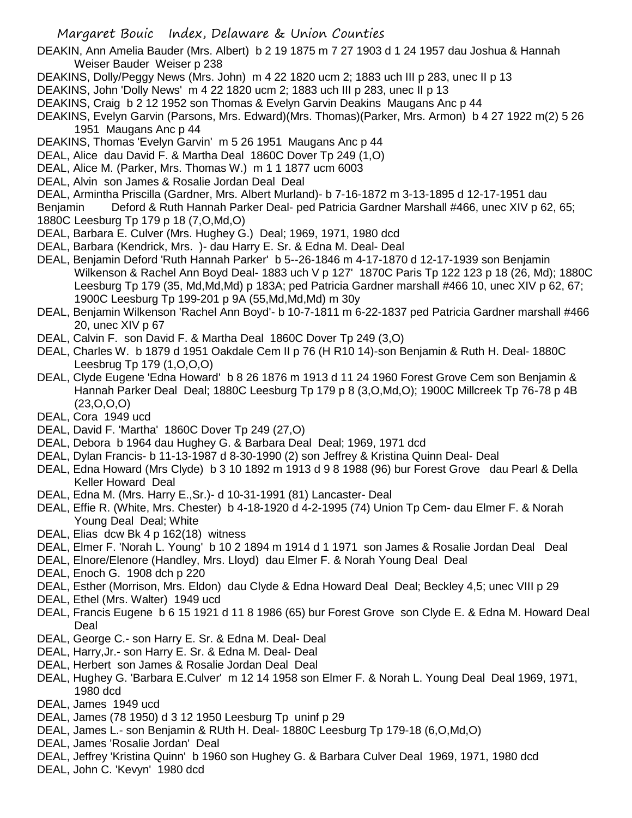DEAKIN, Ann Amelia Bauder (Mrs. Albert) b 2 19 1875 m 7 27 1903 d 1 24 1957 dau Joshua & Hannah Weiser Bauder Weiser p 238

- DEAKINS, Dolly/Peggy News (Mrs. John) m 4 22 1820 ucm 2; 1883 uch III p 283, unec II p 13
- DEAKINS, John 'Dolly News' m 4 22 1820 ucm 2; 1883 uch III p 283, unec II p 13
- DEAKINS, Craig b 2 12 1952 son Thomas & Evelyn Garvin Deakins Maugans Anc p 44
- DEAKINS, Evelyn Garvin (Parsons, Mrs. Edward)(Mrs. Thomas)(Parker, Mrs. Armon) b 4 27 1922 m(2) 5 26 1951 Maugans Anc p 44
- DEAKINS, Thomas 'Evelyn Garvin' m 5 26 1951 Maugans Anc p 44
- DEAL, Alice dau David F. & Martha Deal 1860C Dover Tp 249 (1,O)
- DEAL, Alice M. (Parker, Mrs. Thomas W.) m 1 1 1877 ucm 6003
- DEAL, Alvin son James & Rosalie Jordan Deal Deal
- DEAL, Armintha Priscilla (Gardner, Mrs. Albert Murland)- b 7-16-1872 m 3-13-1895 d 12-17-1951 dau

Benjamin Deford & Ruth Hannah Parker Deal- ped Patricia Gardner Marshall #466, unec XIV p 62, 65; 1880C Leesburg Tp 179 p 18 (7,O,Md,O)

- DEAL, Barbara E. Culver (Mrs. Hughey G.) Deal; 1969, 1971, 1980 dcd
- DEAL, Barbara (Kendrick, Mrs. )- dau Harry E. Sr. & Edna M. Deal- Deal
- DEAL, Benjamin Deford 'Ruth Hannah Parker' b 5--26-1846 m 4-17-1870 d 12-17-1939 son Benjamin Wilkenson & Rachel Ann Boyd Deal- 1883 uch V p 127' 1870C Paris Tp 122 123 p 18 (26, Md); 1880C Leesburg Tp 179 (35, Md,Md,Md) p 183A; ped Patricia Gardner marshall #466 10, unec XIV p 62, 67; 1900C Leesburg Tp 199-201 p 9A (55,Md,Md,Md) m 30y
- DEAL, Benjamin Wilkenson 'Rachel Ann Boyd'- b 10-7-1811 m 6-22-1837 ped Patricia Gardner marshall #466 20, unec XIV p 67
- DEAL, Calvin F. son David F. & Martha Deal 1860C Dover Tp 249 (3,O)
- DEAL, Charles W. b 1879 d 1951 Oakdale Cem II p 76 (H R10 14)-son Benjamin & Ruth H. Deal- 1880C Leesbrug Tp 179 (1,O,O,O)
- DEAL, Clyde Eugene 'Edna Howard' b 8 26 1876 m 1913 d 11 24 1960 Forest Grove Cem son Benjamin & Hannah Parker Deal Deal; 1880C Leesburg Tp 179 p 8 (3,O,Md,O); 1900C Millcreek Tp 76-78 p 4B (23,O,O,O)
- DEAL, Cora 1949 ucd
- DEAL, David F. 'Martha' 1860C Dover Tp 249 (27,O)
- DEAL, Debora b 1964 dau Hughey G. & Barbara Deal Deal; 1969, 1971 dcd
- DEAL, Dylan Francis- b 11-13-1987 d 8-30-1990 (2) son Jeffrey & Kristina Quinn Deal- Deal
- DEAL, Edna Howard (Mrs Clyde) b 3 10 1892 m 1913 d 9 8 1988 (96) bur Forest Grove dau Pearl & Della Keller Howard Deal
- DEAL, Edna M. (Mrs. Harry E.,Sr.)- d 10-31-1991 (81) Lancaster- Deal
- DEAL, Effie R. (White, Mrs. Chester) b 4-18-1920 d 4-2-1995 (74) Union Tp Cem- dau Elmer F. & Norah Young Deal Deal; White
- DEAL, Elias dcw Bk 4 p 162(18) witness
- DEAL, Elmer F. 'Norah L. Young' b 10 2 1894 m 1914 d 1 1971 son James & Rosalie Jordan Deal Deal
- DEAL, Elnore/Elenore (Handley, Mrs. Lloyd) dau Elmer F. & Norah Young Deal Deal
- DEAL, Enoch G. 1908 dch p 220
- DEAL, Esther (Morrison, Mrs. Eldon) dau Clyde & Edna Howard Deal Deal; Beckley 4,5; unec VIII p 29
- DEAL, Ethel (Mrs. Walter) 1949 ucd
- DEAL, Francis Eugene b 6 15 1921 d 11 8 1986 (65) bur Forest Grove son Clyde E. & Edna M. Howard Deal Deal
- DEAL, George C.- son Harry E. Sr. & Edna M. Deal- Deal
- DEAL, Harry,Jr.- son Harry E. Sr. & Edna M. Deal- Deal
- DEAL, Herbert son James & Rosalie Jordan Deal Deal
- DEAL, Hughey G. 'Barbara E.Culver' m 12 14 1958 son Elmer F. & Norah L. Young Deal Deal 1969, 1971, 1980 dcd
- DEAL, James 1949 ucd
- DEAL, James (78 1950) d 3 12 1950 Leesburg Tp uninf p 29
- DEAL, James L.- son Benjamin & RUth H. Deal- 1880C Leesburg Tp 179-18 (6,O,Md,O)
- DEAL, James 'Rosalie Jordan' Deal
- DEAL, Jeffrey 'Kristina Quinn' b 1960 son Hughey G. & Barbara Culver Deal 1969, 1971, 1980 dcd
- DEAL, John C. 'Kevyn' 1980 dcd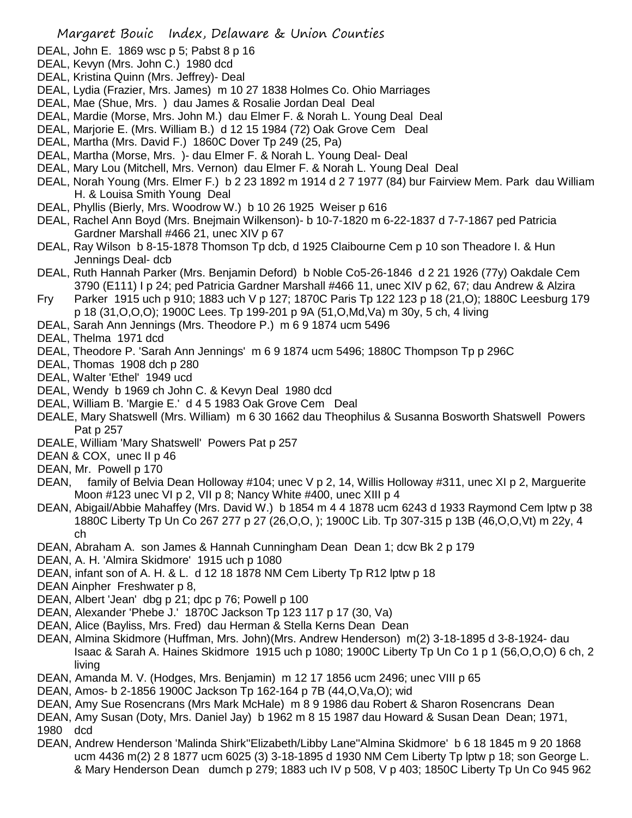- DEAL, John E. 1869 wsc p 5; Pabst 8 p 16
- DEAL, Kevyn (Mrs. John C.) 1980 dcd
- DEAL, Kristina Quinn (Mrs. Jeffrey)- Deal
- DEAL, Lydia (Frazier, Mrs. James) m 10 27 1838 Holmes Co. Ohio Marriages
- DEAL, Mae (Shue, Mrs. ) dau James & Rosalie Jordan Deal Deal
- DEAL, Mardie (Morse, Mrs. John M.) dau Elmer F. & Norah L. Young Deal Deal
- DEAL, Marjorie E. (Mrs. William B.) d 12 15 1984 (72) Oak Grove Cem Deal
- DEAL, Martha (Mrs. David F.) 1860C Dover Tp 249 (25, Pa)
- DEAL, Martha (Morse, Mrs. )- dau Elmer F. & Norah L. Young Deal- Deal
- DEAL, Mary Lou (Mitchell, Mrs. Vernon) dau Elmer F. & Norah L. Young Deal Deal
- DEAL, Norah Young (Mrs. Elmer F.) b 2 23 1892 m 1914 d 2 7 1977 (84) bur Fairview Mem. Park dau William H. & Louisa Smith Young Deal
- DEAL, Phyllis (Bierly, Mrs. Woodrow W.) b 10 26 1925 Weiser p 616
- DEAL, Rachel Ann Boyd (Mrs. Bnejmain Wilkenson)- b 10-7-1820 m 6-22-1837 d 7-7-1867 ped Patricia Gardner Marshall #466 21, unec XIV p 67
- DEAL, Ray Wilson b 8-15-1878 Thomson Tp dcb, d 1925 Claibourne Cem p 10 son Theadore I. & Hun Jennings Deal- dcb
- DEAL, Ruth Hannah Parker (Mrs. Benjamin Deford) b Noble Co5-26-1846 d 2 21 1926 (77y) Oakdale Cem 3790 (E111) I p 24; ped Patricia Gardner Marshall #466 11, unec XIV p 62, 67; dau Andrew & Alzira
- Fry Parker 1915 uch p 910; 1883 uch V p 127; 1870C Paris Tp 122 123 p 18 (21,O); 1880C Leesburg 179 p 18 (31,O,O,O); 1900C Lees. Tp 199-201 p 9A (51,O,Md,Va) m 30y, 5 ch, 4 living
- DEAL, Sarah Ann Jennings (Mrs. Theodore P.) m 6 9 1874 ucm 5496
- DEAL, Thelma 1971 dcd
- DEAL, Theodore P. 'Sarah Ann Jennings' m 6 9 1874 ucm 5496; 1880C Thompson Tp p 296C
- DEAL, Thomas 1908 dch p 280
- DEAL, Walter 'Ethel' 1949 ucd
- DEAL, Wendy b 1969 ch John C. & Kevyn Deal 1980 dcd
- DEAL, William B. 'Margie E.' d 4 5 1983 Oak Grove Cem Deal
- DEALE, Mary Shatswell (Mrs. William) m 6 30 1662 dau Theophilus & Susanna Bosworth Shatswell Powers Pat p 257
- DEALE, William 'Mary Shatswell' Powers Pat p 257
- DEAN & COX, unec II p 46
- DEAN, Mr. Powell p 170
- DEAN, family of Belvia Dean Holloway #104; unec V p 2, 14, Willis Holloway #311, unec XI p 2, Marquerite Moon #123 unec VI p 2, VII p 8; Nancy White #400, unec XIII p 4
- DEAN, Abigail/Abbie Mahaffey (Mrs. David W.) b 1854 m 4 4 1878 ucm 6243 d 1933 Raymond Cem lptw p 38 1880C Liberty Tp Un Co 267 277 p 27 (26,O,O, ); 1900C Lib. Tp 307-315 p 13B (46,O,O,Vt) m 22y, 4 ch
- DEAN, Abraham A. son James & Hannah Cunningham Dean Dean 1; dcw Bk 2 p 179
- DEAN, A. H. 'Almira Skidmore' 1915 uch p 1080
- DEAN, infant son of A. H. & L. d 12 18 1878 NM Cem Liberty Tp R12 lptw p 18
- DEAN Ainpher Freshwater p 8,
- DEAN, Albert 'Jean' dbg p 21; dpc p 76; Powell p 100
- DEAN, Alexander 'Phebe J.' 1870C Jackson Tp 123 117 p 17 (30, Va)
- DEAN, Alice (Bayliss, Mrs. Fred) dau Herman & Stella Kerns Dean Dean
- DEAN, Almina Skidmore (Huffman, Mrs. John)(Mrs. Andrew Henderson) m(2) 3-18-1895 d 3-8-1924- dau Isaac & Sarah A. Haines Skidmore 1915 uch p 1080; 1900C Liberty Tp Un Co 1 p 1 (56,O,O,O) 6 ch, 2 living
- DEAN, Amanda M. V. (Hodges, Mrs. Benjamin) m 12 17 1856 ucm 2496; unec VIII p 65
- DEAN, Amos- b 2-1856 1900C Jackson Tp 162-164 p 7B (44,O,Va,O); wid
- DEAN, Amy Sue Rosencrans (Mrs Mark McHale) m 8 9 1986 dau Robert & Sharon Rosencrans Dean
- DEAN, Amy Susan (Doty, Mrs. Daniel Jay) b 1962 m 8 15 1987 dau Howard & Susan Dean Dean; 1971, 1980 dcd
- DEAN, Andrew Henderson 'Malinda Shirk''Elizabeth/Libby Lane''Almina Skidmore' b 6 18 1845 m 9 20 1868 ucm 4436 m(2) 2 8 1877 ucm 6025 (3) 3-18-1895 d 1930 NM Cem Liberty Tp lptw p 18; son George L. & Mary Henderson Dean dumch p 279; 1883 uch IV p 508, V p 403; 1850C Liberty Tp Un Co 945 962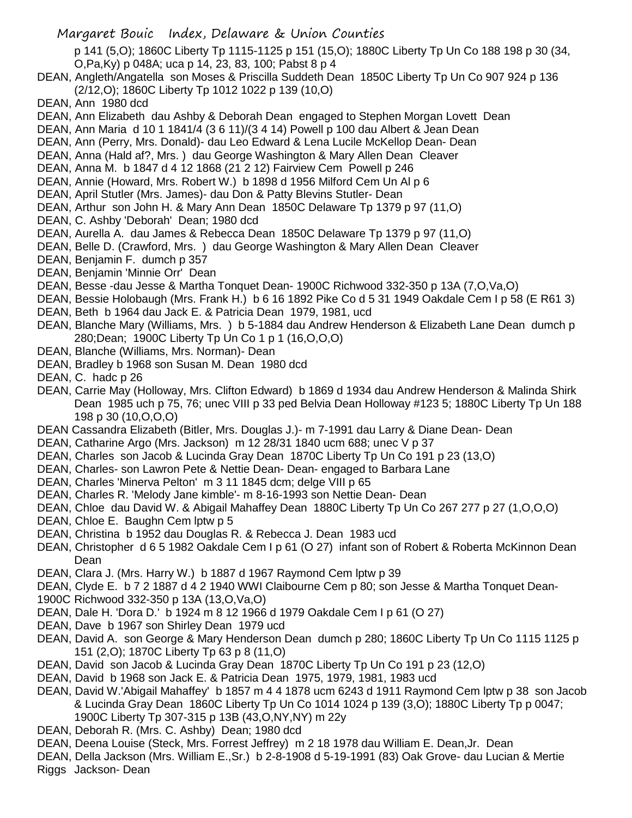p 141 (5,O); 1860C Liberty Tp 1115-1125 p 151 (15,O); 1880C Liberty Tp Un Co 188 198 p 30 (34, O,Pa,Ky) p 048A; uca p 14, 23, 83, 100; Pabst 8 p 4

- DEAN, Angleth/Angatella son Moses & Priscilla Suddeth Dean 1850C Liberty Tp Un Co 907 924 p 136 (2/12,O); 1860C Liberty Tp 1012 1022 p 139 (10,O)
- DEAN, Ann 1980 dcd
- DEAN, Ann Elizabeth dau Ashby & Deborah Dean engaged to Stephen Morgan Lovett Dean
- DEAN, Ann Maria d 10 1 1841/4 (3 6 11)/(3 4 14) Powell p 100 dau Albert & Jean Dean
- DEAN, Ann (Perry, Mrs. Donald)- dau Leo Edward & Lena Lucile McKellop Dean- Dean
- DEAN, Anna (Hald af?, Mrs. ) dau George Washington & Mary Allen Dean Cleaver
- DEAN, Anna M. b 1847 d 4 12 1868 (21 2 12) Fairview Cem Powell p 246
- DEAN, Annie (Howard, Mrs. Robert W.) b 1898 d 1956 Milford Cem Un Al p 6
- DEAN, April Stutler (Mrs. James)- dau Don & Patty Blevins Stutler- Dean
- DEAN, Arthur son John H. & Mary Ann Dean 1850C Delaware Tp 1379 p 97 (11,O)
- DEAN, C. Ashby 'Deborah' Dean; 1980 dcd
- DEAN, Aurella A. dau James & Rebecca Dean 1850C Delaware Tp 1379 p 97 (11,O)
- DEAN, Belle D. (Crawford, Mrs. ) dau George Washington & Mary Allen Dean Cleaver
- DEAN, Benjamin F. dumch p 357
- DEAN, Benjamin 'Minnie Orr' Dean
- DEAN, Besse -dau Jesse & Martha Tonquet Dean- 1900C Richwood 332-350 p 13A (7,O,Va,O)
- DEAN, Bessie Holobaugh (Mrs. Frank H.) b 6 16 1892 Pike Co d 5 31 1949 Oakdale Cem I p 58 (E R61 3)
- DEAN, Beth b 1964 dau Jack E. & Patricia Dean 1979, 1981, ucd
- DEAN, Blanche Mary (Williams, Mrs. ) b 5-1884 dau Andrew Henderson & Elizabeth Lane Dean dumch p 280;Dean; 1900C Liberty Tp Un Co 1 p 1 (16,O,O,O)
- DEAN, Blanche (Williams, Mrs. Norman)- Dean
- DEAN, Bradley b 1968 son Susan M. Dean 1980 dcd
- DEAN, C. hadc p 26
- DEAN, Carrie May (Holloway, Mrs. Clifton Edward) b 1869 d 1934 dau Andrew Henderson & Malinda Shirk Dean 1985 uch p 75, 76; unec VIII p 33 ped Belvia Dean Holloway #123 5; 1880C Liberty Tp Un 188 198 p 30 (10,O,O,O)
- DEAN Cassandra Elizabeth (Bitler, Mrs. Douglas J.)- m 7-1991 dau Larry & Diane Dean- Dean
- DEAN, Catharine Argo (Mrs. Jackson) m 12 28/31 1840 ucm 688; unec V p 37
- DEAN, Charles son Jacob & Lucinda Gray Dean 1870C Liberty Tp Un Co 191 p 23 (13,O)
- DEAN, Charles- son Lawron Pete & Nettie Dean- Dean- engaged to Barbara Lane
- DEAN, Charles 'Minerva Pelton' m 3 11 1845 dcm; delge VIII p 65
- DEAN, Charles R. 'Melody Jane kimble'- m 8-16-1993 son Nettie Dean- Dean
- DEAN, Chloe dau David W. & Abigail Mahaffey Dean 1880C Liberty Tp Un Co 267 277 p 27 (1,O,O,O)
- DEAN, Chloe E. Baughn Cem lptw p 5
- DEAN, Christina b 1952 dau Douglas R. & Rebecca J. Dean 1983 ucd
- DEAN, Christopher d 6 5 1982 Oakdale Cem I p 61 (O 27) infant son of Robert & Roberta McKinnon Dean Dean
- DEAN, Clara J. (Mrs. Harry W.) b 1887 d 1967 Raymond Cem lptw p 39
- DEAN, Clyde E. b 7 2 1887 d 4 2 1940 WWI Claibourne Cem p 80; son Jesse & Martha Tonquet Dean-
- 1900C Richwood 332-350 p 13A (13,O,Va,O)
- DEAN, Dale H. 'Dora D.' b 1924 m 8 12 1966 d 1979 Oakdale Cem I p 61 (O 27)
- DEAN, Dave b 1967 son Shirley Dean 1979 ucd
- DEAN, David A. son George & Mary Henderson Dean dumch p 280; 1860C Liberty Tp Un Co 1115 1125 p 151 (2,O); 1870C Liberty Tp 63 p 8 (11,O)
- DEAN, David son Jacob & Lucinda Gray Dean 1870C Liberty Tp Un Co 191 p 23 (12,O)
- DEAN, David b 1968 son Jack E. & Patricia Dean 1975, 1979, 1981, 1983 ucd
- DEAN, David W.'Abigail Mahaffey' b 1857 m 4 4 1878 ucm 6243 d 1911 Raymond Cem lptw p 38 son Jacob & Lucinda Gray Dean 1860C Liberty Tp Un Co 1014 1024 p 139 (3,O); 1880C Liberty Tp p 0047; 1900C Liberty Tp 307-315 p 13B (43,O,NY,NY) m 22y
- DEAN, Deborah R. (Mrs. C. Ashby) Dean; 1980 dcd
- DEAN, Deena Louise (Steck, Mrs. Forrest Jeffrey) m 2 18 1978 dau William E. Dean,Jr. Dean
- DEAN, Della Jackson (Mrs. William E.,Sr.) b 2-8-1908 d 5-19-1991 (83) Oak Grove- dau Lucian & Mertie Riggs Jackson- Dean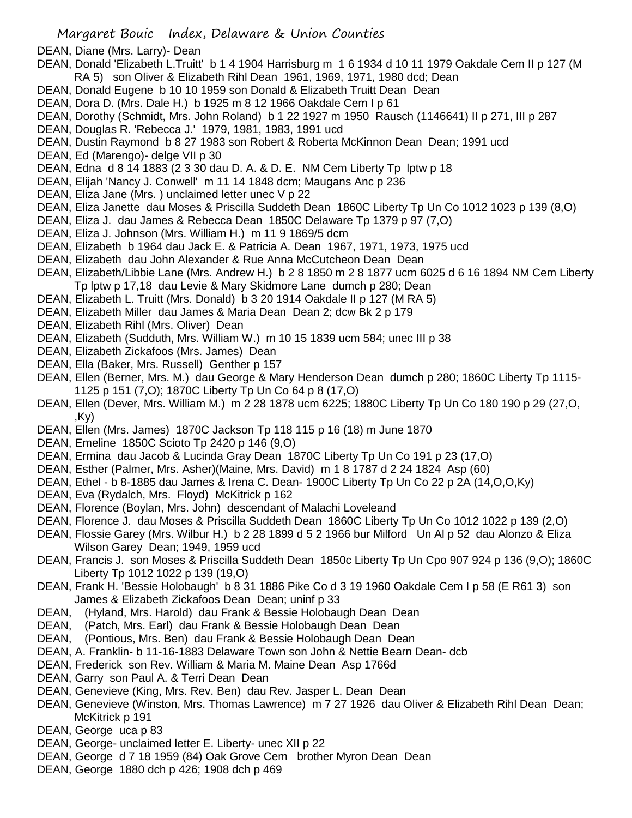DEAN, Diane (Mrs. Larry)- Dean

- DEAN, Donald 'Elizabeth L.Truitt' b 1 4 1904 Harrisburg m 1 6 1934 d 10 11 1979 Oakdale Cem II p 127 (M RA 5) son Oliver & Elizabeth Rihl Dean 1961, 1969, 1971, 1980 dcd; Dean
- DEAN, Donald Eugene b 10 10 1959 son Donald & Elizabeth Truitt Dean Dean
- DEAN, Dora D. (Mrs. Dale H.) b 1925 m 8 12 1966 Oakdale Cem I p 61
- DEAN, Dorothy (Schmidt, Mrs. John Roland) b 1 22 1927 m 1950 Rausch (1146641) II p 271, III p 287
- DEAN, Douglas R. 'Rebecca J.' 1979, 1981, 1983, 1991 ucd
- DEAN, Dustin Raymond b 8 27 1983 son Robert & Roberta McKinnon Dean Dean; 1991 ucd
- DEAN, Ed (Marengo)- delge VII p 30
- DEAN, Edna d 8 14 1883 (2 3 30 dau D. A. & D. E. NM Cem Liberty Tp lptw p 18
- DEAN, Elijah 'Nancy J. Conwell' m 11 14 1848 dcm; Maugans Anc p 236
- DEAN, Eliza Jane (Mrs. ) unclaimed letter unec V p 22
- DEAN, Eliza Janette dau Moses & Priscilla Suddeth Dean 1860C Liberty Tp Un Co 1012 1023 p 139 (8,O)
- DEAN, Eliza J. dau James & Rebecca Dean 1850C Delaware Tp 1379 p 97 (7,O)
- DEAN, Eliza J. Johnson (Mrs. William H.) m 11 9 1869/5 dcm
- DEAN, Elizabeth b 1964 dau Jack E. & Patricia A. Dean 1967, 1971, 1973, 1975 ucd
- DEAN, Elizabeth dau John Alexander & Rue Anna McCutcheon Dean Dean
- DEAN, Elizabeth/Libbie Lane (Mrs. Andrew H.) b 2 8 1850 m 2 8 1877 ucm 6025 d 6 16 1894 NM Cem Liberty Tp lptw p 17,18 dau Levie & Mary Skidmore Lane dumch p 280; Dean
- DEAN, Elizabeth L. Truitt (Mrs. Donald) b 3 20 1914 Oakdale II p 127 (M RA 5)
- DEAN, Elizabeth Miller dau James & Maria Dean Dean 2; dcw Bk 2 p 179
- DEAN, Elizabeth Rihl (Mrs. Oliver) Dean
- DEAN, Elizabeth (Sudduth, Mrs. William W.) m 10 15 1839 ucm 584; unec III p 38
- DEAN, Elizabeth Zickafoos (Mrs. James) Dean
- DEAN, Ella (Baker, Mrs. Russell) Genther p 157
- DEAN, Ellen (Berner, Mrs. M.) dau George & Mary Henderson Dean dumch p 280; 1860C Liberty Tp 1115- 1125 p 151 (7,O); 1870C Liberty Tp Un Co 64 p 8 (17,O)
- DEAN, Ellen (Dever, Mrs. William M.) m 2 28 1878 ucm 6225; 1880C Liberty Tp Un Co 180 190 p 29 (27,O, ,Ky)
- DEAN, Ellen (Mrs. James) 1870C Jackson Tp 118 115 p 16 (18) m June 1870
- DEAN, Emeline 1850C Scioto Tp 2420 p 146 (9,O)
- DEAN, Ermina dau Jacob & Lucinda Gray Dean 1870C Liberty Tp Un Co 191 p 23 (17,O)
- DEAN, Esther (Palmer, Mrs. Asher)(Maine, Mrs. David) m 1 8 1787 d 2 24 1824 Asp (60)
- DEAN, Ethel b 8-1885 dau James & Irena C. Dean- 1900C Liberty Tp Un Co 22 p 2A (14,O,O,Ky)
- DEAN, Eva (Rydalch, Mrs. Floyd) McKitrick p 162
- DEAN, Florence (Boylan, Mrs. John) descendant of Malachi Loveleand
- DEAN, Florence J. dau Moses & Priscilla Suddeth Dean 1860C Liberty Tp Un Co 1012 1022 p 139 (2,O)
- DEAN, Flossie Garey (Mrs. Wilbur H.) b 2 28 1899 d 5 2 1966 bur Milford Un Al p 52 dau Alonzo & Eliza
- Wilson Garey Dean; 1949, 1959 ucd
- DEAN, Francis J. son Moses & Priscilla Suddeth Dean 1850c Liberty Tp Un Cpo 907 924 p 136 (9,O); 1860C Liberty Tp 1012 1022 p 139 (19,O)
- DEAN, Frank H. 'Bessie Holobaugh' b 8 31 1886 Pike Co d 3 19 1960 Oakdale Cem I p 58 (E R61 3) son James & Elizabeth Zickafoos Dean Dean; uninf p 33
- DEAN, (Hyland, Mrs. Harold) dau Frank & Bessie Holobaugh Dean Dean
- DEAN, (Patch, Mrs. Earl) dau Frank & Bessie Holobaugh Dean Dean
- DEAN, (Pontious, Mrs. Ben) dau Frank & Bessie Holobaugh Dean Dean
- DEAN, A. Franklin- b 11-16-1883 Delaware Town son John & Nettie Bearn Dean- dcb
- DEAN, Frederick son Rev. William & Maria M. Maine Dean Asp 1766d
- DEAN, Garry son Paul A. & Terri Dean Dean
- DEAN, Genevieve (King, Mrs. Rev. Ben) dau Rev. Jasper L. Dean Dean
- DEAN, Genevieve (Winston, Mrs. Thomas Lawrence) m 7 27 1926 dau Oliver & Elizabeth Rihl Dean Dean; McKitrick p 191
- DEAN, George uca p 83
- DEAN, George- unclaimed letter E. Liberty- unec XII p 22
- DEAN, George d 7 18 1959 (84) Oak Grove Cem brother Myron Dean Dean
- DEAN, George 1880 dch p 426; 1908 dch p 469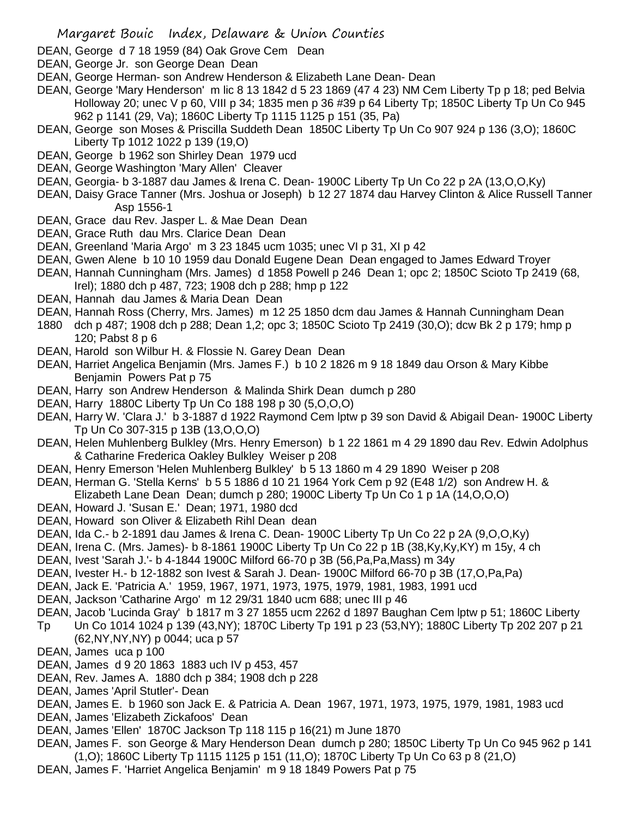- DEAN, George d 7 18 1959 (84) Oak Grove Cem Dean
- DEAN, George Jr. son George Dean Dean
- DEAN, George Herman- son Andrew Henderson & Elizabeth Lane Dean- Dean
- DEAN, George 'Mary Henderson' m lic 8 13 1842 d 5 23 1869 (47 4 23) NM Cem Liberty Tp p 18; ped Belvia Holloway 20; unec V p 60, VIII p 34; 1835 men p 36 #39 p 64 Liberty Tp; 1850C Liberty Tp Un Co 945 962 p 1141 (29, Va); 1860C Liberty Tp 1115 1125 p 151 (35, Pa)
- DEAN, George son Moses & Priscilla Suddeth Dean 1850C Liberty Tp Un Co 907 924 p 136 (3,O); 1860C Liberty Tp 1012 1022 p 139 (19,O)
- DEAN, George b 1962 son Shirley Dean 1979 ucd
- DEAN, George Washington 'Mary Allen' Cleaver
- DEAN, Georgia- b 3-1887 dau James & Irena C. Dean- 1900C Liberty Tp Un Co 22 p 2A (13,O,O,Ky)
- DEAN, Daisy Grace Tanner (Mrs. Joshua or Joseph) b 12 27 1874 dau Harvey Clinton & Alice Russell Tanner Asp 1556-1
- DEAN, Grace dau Rev. Jasper L. & Mae Dean Dean
- DEAN, Grace Ruth dau Mrs. Clarice Dean Dean
- DEAN, Greenland 'Maria Argo' m 3 23 1845 ucm 1035; unec VI p 31, XI p 42
- DEAN, Gwen Alene b 10 10 1959 dau Donald Eugene Dean Dean engaged to James Edward Troyer
- DEAN, Hannah Cunningham (Mrs. James) d 1858 Powell p 246 Dean 1; opc 2; 1850C Scioto Tp 2419 (68, Irel); 1880 dch p 487, 723; 1908 dch p 288; hmp p 122
- DEAN, Hannah dau James & Maria Dean Dean
- DEAN, Hannah Ross (Cherry, Mrs. James) m 12 25 1850 dcm dau James & Hannah Cunningham Dean
- 1880 dch p 487; 1908 dch p 288; Dean 1,2; opc 3; 1850C Scioto Tp 2419 (30,O); dcw Bk 2 p 179; hmp p 120; Pabst 8 p 6
- DEAN, Harold son Wilbur H. & Flossie N. Garey Dean Dean
- DEAN, Harriet Angelica Benjamin (Mrs. James F.) b 10 2 1826 m 9 18 1849 dau Orson & Mary Kibbe Benjamin Powers Pat p 75
- DEAN, Harry son Andrew Henderson & Malinda Shirk Dean dumch p 280
- DEAN, Harry 1880C Liberty Tp Un Co 188 198 p 30 (5,O,O,O)
- DEAN, Harry W. 'Clara J.' b 3-1887 d 1922 Raymond Cem lptw p 39 son David & Abigail Dean- 1900C Liberty Tp Un Co 307-315 p 13B (13,O,O,O)
- DEAN, Helen Muhlenberg Bulkley (Mrs. Henry Emerson) b 1 22 1861 m 4 29 1890 dau Rev. Edwin Adolphus & Catharine Frederica Oakley Bulkley Weiser p 208
- DEAN, Henry Emerson 'Helen Muhlenberg Bulkley' b 5 13 1860 m 4 29 1890 Weiser p 208
- DEAN, Herman G. 'Stella Kerns' b 5 5 1886 d 10 21 1964 York Cem p 92 (E48 1/2) son Andrew H. & Elizabeth Lane Dean Dean; dumch p 280; 1900C Liberty Tp Un Co 1 p 1A (14,O,O,O)
- DEAN, Howard J. 'Susan E.' Dean; 1971, 1980 dcd
- DEAN, Howard son Oliver & Elizabeth Rihl Dean dean
- DEAN, Ida C.- b 2-1891 dau James & Irena C. Dean- 1900C Liberty Tp Un Co 22 p 2A (9,O,O,Ky)
- DEAN, Irena C. (Mrs. James)- b 8-1861 1900C Liberty Tp Un Co 22 p 1B (38,Ky,Ky,KY) m 15y, 4 ch
- DEAN, Ivest 'Sarah J.'- b 4-1844 1900C Milford 66-70 p 3B (56,Pa,Pa,Mass) m 34y
- DEAN, Ivester H.- b 12-1882 son Ivest & Sarah J. Dean- 1900C Milford 66-70 p 3B (17,O,Pa,Pa)
- DEAN, Jack E. 'Patricia A.' 1959, 1967, 1971, 1973, 1975, 1979, 1981, 1983, 1991 ucd
- DEAN, Jackson 'Catharine Argo' m 12 29/31 1840 ucm 688; unec III p 46
- DEAN, Jacob 'Lucinda Gray' b 1817 m 3 27 1855 ucm 2262 d 1897 Baughan Cem lptw p 51; 1860C Liberty
- Tp Un Co 1014 1024 p 139 (43,NY); 1870C Liberty Tp 191 p 23 (53,NY); 1880C Liberty Tp 202 207 p 21 (62,NY,NY,NY) p 0044; uca p 57
- DEAN, James uca p 100
- DEAN, James d 9 20 1863 1883 uch IV p 453, 457
- DEAN, Rev. James A. 1880 dch p 384; 1908 dch p 228
- DEAN, James 'April Stutler'- Dean
- DEAN, James E. b 1960 son Jack E. & Patricia A. Dean 1967, 1971, 1973, 1975, 1979, 1981, 1983 ucd
- DEAN, James 'Elizabeth Zickafoos' Dean
- DEAN, James 'Ellen' 1870C Jackson Tp 118 115 p 16(21) m June 1870
- DEAN, James F. son George & Mary Henderson Dean dumch p 280; 1850C Liberty Tp Un Co 945 962 p 141 (1,O); 1860C Liberty Tp 1115 1125 p 151 (11,O); 1870C Liberty Tp Un Co 63 p 8 (21,O)
- DEAN, James F. 'Harriet Angelica Benjamin' m 9 18 1849 Powers Pat p 75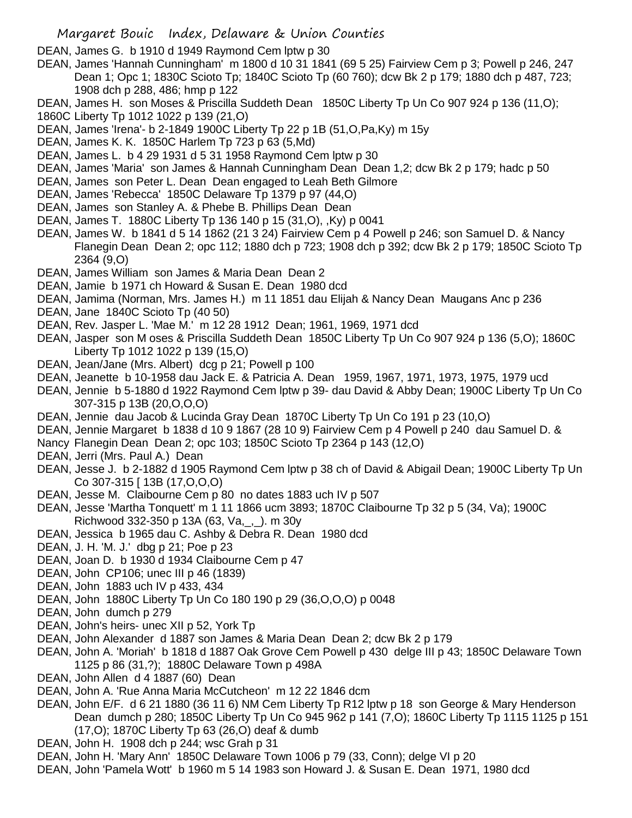DEAN, James G. b 1910 d 1949 Raymond Cem lptw p 30

- DEAN, James 'Hannah Cunningham' m 1800 d 10 31 1841 (69 5 25) Fairview Cem p 3; Powell p 246, 247 Dean 1; Opc 1; 1830C Scioto Tp; 1840C Scioto Tp (60 760); dcw Bk 2 p 179; 1880 dch p 487, 723; 1908 dch p 288, 486; hmp p 122
- DEAN, James H. son Moses & Priscilla Suddeth Dean 1850C Liberty Tp Un Co 907 924 p 136 (11,O);
- 1860C Liberty Tp 1012 1022 p 139 (21,O)
- DEAN, James 'Irena'- b 2-1849 1900C Liberty Tp 22 p 1B (51,O,Pa,Ky) m 15y
- DEAN, James K. K. 1850C Harlem Tp 723 p 63 (5,Md)
- DEAN, James L. b 4 29 1931 d 5 31 1958 Raymond Cem lptw p 30
- DEAN, James 'Maria' son James & Hannah Cunningham Dean Dean 1,2; dcw Bk 2 p 179; hadc p 50
- DEAN, James son Peter L. Dean Dean engaged to Leah Beth Gilmore
- DEAN, James 'Rebecca' 1850C Delaware Tp 1379 p 97 (44,O)
- DEAN, James son Stanley A. & Phebe B. Phillips Dean Dean
- DEAN, James T. 1880C Liberty Tp 136 140 p 15 (31,O), ,Ky) p 0041
- DEAN, James W. b 1841 d 5 14 1862 (21 3 24) Fairview Cem p 4 Powell p 246; son Samuel D. & Nancy Flanegin Dean Dean 2; opc 112; 1880 dch p 723; 1908 dch p 392; dcw Bk 2 p 179; 1850C Scioto Tp 2364 (9,O)
- DEAN, James William son James & Maria Dean Dean 2
- DEAN, Jamie b 1971 ch Howard & Susan E. Dean 1980 dcd
- DEAN, Jamima (Norman, Mrs. James H.) m 11 1851 dau Elijah & Nancy Dean Maugans Anc p 236
- DEAN, Jane 1840C Scioto Tp (40 50)
- DEAN, Rev. Jasper L. 'Mae M.' m 12 28 1912 Dean; 1961, 1969, 1971 dcd
- DEAN, Jasper son M oses & Priscilla Suddeth Dean 1850C Liberty Tp Un Co 907 924 p 136 (5,O); 1860C Liberty Tp 1012 1022 p 139 (15,O)
- DEAN, Jean/Jane (Mrs. Albert) dcg p 21; Powell p 100
- DEAN, Jeanette b 10-1958 dau Jack E. & Patricia A. Dean 1959, 1967, 1971, 1973, 1975, 1979 ucd
- DEAN, Jennie b 5-1880 d 1922 Raymond Cem lptw p 39- dau David & Abby Dean; 1900C Liberty Tp Un Co 307-315 p 13B (20,O,O,O)
- DEAN, Jennie dau Jacob & Lucinda Gray Dean 1870C Liberty Tp Un Co 191 p 23 (10,O)
- DEAN, Jennie Margaret b 1838 d 10 9 1867 (28 10 9) Fairview Cem p 4 Powell p 240 dau Samuel D. &
- Nancy Flanegin Dean Dean 2; opc 103; 1850C Scioto Tp 2364 p 143 (12,O)
- DEAN, Jerri (Mrs. Paul A.) Dean
- DEAN, Jesse J. b 2-1882 d 1905 Raymond Cem lptw p 38 ch of David & Abigail Dean; 1900C Liberty Tp Un Co 307-315 [ 13B (17,O,O,O)
- DEAN, Jesse M. Claibourne Cem p 80 no dates 1883 uch IV p 507
- DEAN, Jesse 'Martha Tonquett' m 1 11 1866 ucm 3893; 1870C Claibourne Tp 32 p 5 (34, Va); 1900C Richwood 332-350 p 13A (63, Va,\_,\_). m 30y
- DEAN, Jessica b 1965 dau C. Ashby & Debra R. Dean 1980 dcd
- DEAN, J. H. 'M. J.' dbg p 21; Poe p 23
- DEAN, Joan D. b 1930 d 1934 Claibourne Cem p 47
- DEAN, John CP106; unec III p 46 (1839)
- DEAN, John 1883 uch IV p 433, 434
- DEAN, John 1880C Liberty Tp Un Co 180 190 p 29 (36,O,O,O) p 0048
- DEAN, John dumch p 279
- DEAN, John's heirs- unec XII p 52, York Tp
- DEAN, John Alexander d 1887 son James & Maria Dean Dean 2; dcw Bk 2 p 179
- DEAN, John A. 'Moriah' b 1818 d 1887 Oak Grove Cem Powell p 430 delge III p 43; 1850C Delaware Town 1125 p 86 (31,?); 1880C Delaware Town p 498A
- DEAN, John Allen d 4 1887 (60) Dean
- DEAN, John A. 'Rue Anna Maria McCutcheon' m 12 22 1846 dcm
- DEAN, John E/F. d 6 21 1880 (36 11 6) NM Cem Liberty Tp R12 lptw p 18 son George & Mary Henderson Dean dumch p 280; 1850C Liberty Tp Un Co 945 962 p 141 (7,O); 1860C Liberty Tp 1115 1125 p 151 (17,O); 1870C Liberty Tp 63 (26,O) deaf & dumb
- DEAN, John H. 1908 dch p 244; wsc Grah p 31
- DEAN, John H. 'Mary Ann' 1850C Delaware Town 1006 p 79 (33, Conn); delge VI p 20
- DEAN, John 'Pamela Wott' b 1960 m 5 14 1983 son Howard J. & Susan E. Dean 1971, 1980 dcd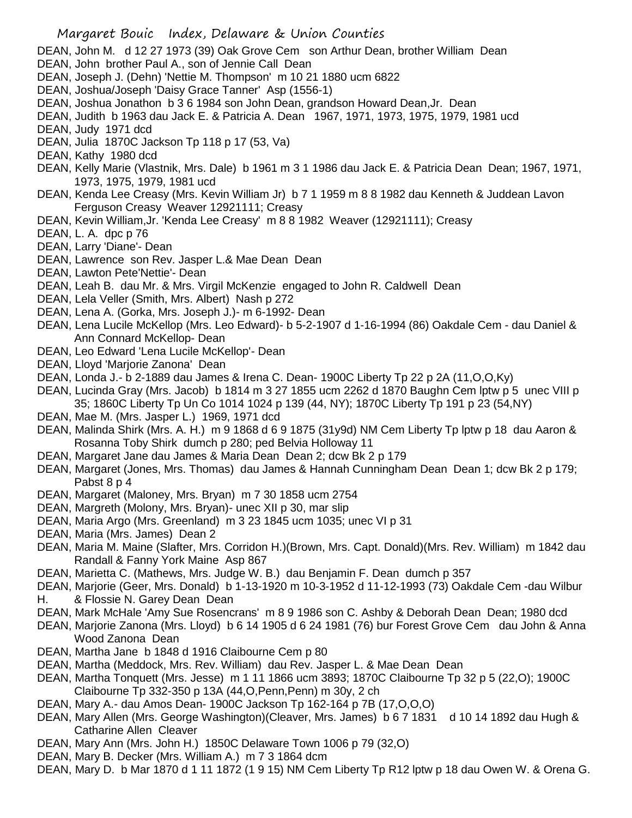- Margaret Bouic Index, Delaware & Union Counties DEAN, John M. d 12 27 1973 (39) Oak Grove Cem son Arthur Dean, brother William Dean DEAN, John brother Paul A., son of Jennie Call Dean DEAN, Joseph J. (Dehn) 'Nettie M. Thompson' m 10 21 1880 ucm 6822 DEAN, Joshua/Joseph 'Daisy Grace Tanner' Asp (1556-1) DEAN, Joshua Jonathon b 3 6 1984 son John Dean, grandson Howard Dean,Jr. Dean DEAN, Judith b 1963 dau Jack E. & Patricia A. Dean 1967, 1971, 1973, 1975, 1979, 1981 ucd DEAN, Judy 1971 dcd DEAN, Julia 1870C Jackson Tp 118 p 17 (53, Va) DEAN, Kathy 1980 dcd DEAN, Kelly Marie (Vlastnik, Mrs. Dale) b 1961 m 3 1 1986 dau Jack E. & Patricia Dean Dean; 1967, 1971, 1973, 1975, 1979, 1981 ucd DEAN, Kenda Lee Creasy (Mrs. Kevin William Jr) b 7 1 1959 m 8 8 1982 dau Kenneth & Juddean Lavon Ferguson Creasy Weaver 12921111; Creasy DEAN, Kevin William,Jr. 'Kenda Lee Creasy' m 8 8 1982 Weaver (12921111); Creasy DEAN, L. A. dpc p 76 DEAN, Larry 'Diane'- Dean DEAN, Lawrence son Rev. Jasper L.& Mae Dean Dean DEAN, Lawton Pete'Nettie'- Dean DEAN, Leah B. dau Mr. & Mrs. Virgil McKenzie engaged to John R. Caldwell Dean DEAN, Lela Veller (Smith, Mrs. Albert) Nash p 272 DEAN, Lena A. (Gorka, Mrs. Joseph J.)- m 6-1992- Dean DEAN, Lena Lucile McKellop (Mrs. Leo Edward)- b 5-2-1907 d 1-16-1994 (86) Oakdale Cem - dau Daniel & Ann Connard McKellop- Dean DEAN, Leo Edward 'Lena Lucile McKellop'- Dean DEAN, Lloyd 'Marjorie Zanona' Dean DEAN, Londa J.- b 2-1889 dau James & Irena C. Dean- 1900C Liberty Tp 22 p 2A (11,O,O,Ky) DEAN, Lucinda Gray (Mrs. Jacob) b 1814 m 3 27 1855 ucm 2262 d 1870 Baughn Cem lptw p 5 unec VIII p 35; 1860C Liberty Tp Un Co 1014 1024 p 139 (44, NY); 1870C Liberty Tp 191 p 23 (54,NY) DEAN, Mae M. (Mrs. Jasper L.) 1969, 1971 dcd DEAN, Malinda Shirk (Mrs. A. H.) m 9 1868 d 6 9 1875 (31y9d) NM Cem Liberty Tp lptw p 18 dau Aaron & Rosanna Toby Shirk dumch p 280; ped Belvia Holloway 11
- DEAN, Margaret Jane dau James & Maria Dean Dean 2; dcw Bk 2 p 179
- DEAN, Margaret (Jones, Mrs. Thomas) dau James & Hannah Cunningham Dean Dean 1; dcw Bk 2 p 179; Pabst 8 p 4
- DEAN, Margaret (Maloney, Mrs. Bryan) m 7 30 1858 ucm 2754
- DEAN, Margreth (Molony, Mrs. Bryan)- unec XII p 30, mar slip
- DEAN, Maria Argo (Mrs. Greenland) m 3 23 1845 ucm 1035; unec VI p 31
- DEAN, Maria (Mrs. James) Dean 2
- DEAN, Maria M. Maine (Slafter, Mrs. Corridon H.)(Brown, Mrs. Capt. Donald)(Mrs. Rev. William) m 1842 dau Randall & Fanny York Maine Asp 867
- DEAN, Marietta C. (Mathews, Mrs. Judge W. B.) dau Benjamin F. Dean dumch p 357
- DEAN, Marjorie (Geer, Mrs. Donald) b 1-13-1920 m 10-3-1952 d 11-12-1993 (73) Oakdale Cem -dau Wilbur H. & Flossie N. Garey Dean Dean
- DEAN, Mark McHale 'Amy Sue Rosencrans' m 8 9 1986 son C. Ashby & Deborah Dean Dean; 1980 dcd
- DEAN, Marjorie Zanona (Mrs. Lloyd) b 6 14 1905 d 6 24 1981 (76) bur Forest Grove Cem dau John & Anna Wood Zanona Dean
- DEAN, Martha Jane b 1848 d 1916 Claibourne Cem p 80
- DEAN, Martha (Meddock, Mrs. Rev. William) dau Rev. Jasper L. & Mae Dean Dean
- DEAN, Martha Tonquett (Mrs. Jesse) m 1 11 1866 ucm 3893; 1870C Claibourne Tp 32 p 5 (22,O); 1900C Claibourne Tp 332-350 p 13A (44,O,Penn,Penn) m 30y, 2 ch
- DEAN, Mary A.- dau Amos Dean- 1900C Jackson Tp 162-164 p 7B (17,O,O,O)
- DEAN, Mary Allen (Mrs. George Washington)(Cleaver, Mrs. James) b 6 7 1831 d 10 14 1892 dau Hugh & Catharine Allen Cleaver
- DEAN, Mary Ann (Mrs. John H.) 1850C Delaware Town 1006 p 79 (32,O)
- DEAN, Mary B. Decker (Mrs. William A.) m 7 3 1864 dcm
- DEAN, Mary D. b Mar 1870 d 1 11 1872 (1 9 15) NM Cem Liberty Tp R12 lptw p 18 dau Owen W. & Orena G.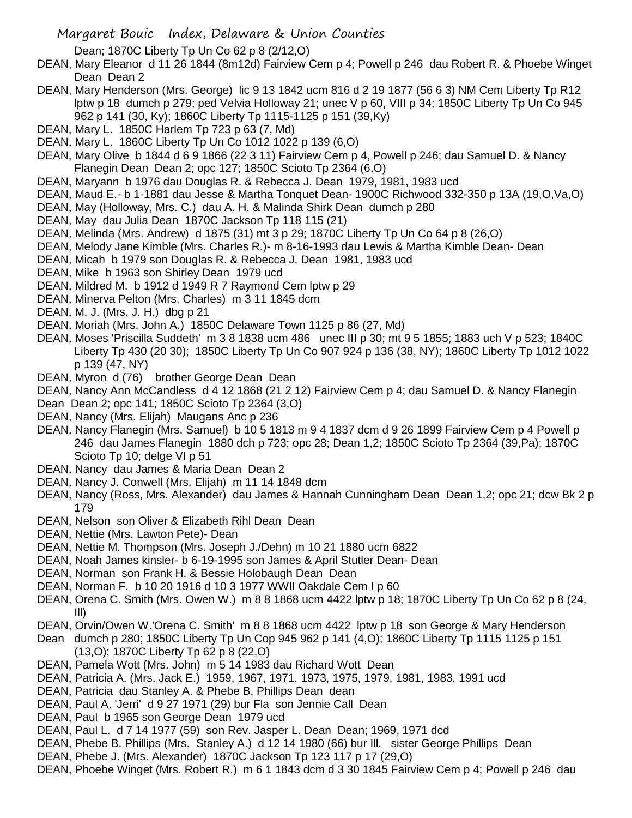Dean; 1870C Liberty Tp Un Co 62 p 8 (2/12,O)

- DEAN, Mary Eleanor d 11 26 1844 (8m12d) Fairview Cem p 4; Powell p 246 dau Robert R. & Phoebe Winget Dean Dean 2
- DEAN, Mary Henderson (Mrs. George) lic 9 13 1842 ucm 816 d 2 19 1877 (56 6 3) NM Cem Liberty Tp R12 lptw p 18 dumch p 279; ped Velvia Holloway 21; unec V p 60, VIII p 34; 1850C Liberty Tp Un Co 945 962 p 141 (30, Ky); 1860C Liberty Tp 1115-1125 p 151 (39,Ky)
- DEAN, Mary L. 1850C Harlem Tp 723 p 63 (7, Md)
- DEAN, Mary L. 1860C Liberty Tp Un Co 1012 1022 p 139 (6,O)
- DEAN, Mary Olive b 1844 d 6 9 1866 (22 3 11) Fairview Cem p 4, Powell p 246; dau Samuel D. & Nancy Flanegin Dean Dean 2; opc 127; 1850C Scioto Tp 2364 (6,O)
- DEAN, Maryann b 1976 dau Douglas R. & Rebecca J. Dean 1979, 1981, 1983 ucd
- DEAN, Maud E.- b 1-1881 dau Jesse & Martha Tonquet Dean- 1900C Richwood 332-350 p 13A (19,O,Va,O)
- DEAN, May (Holloway, Mrs. C.) dau A. H. & Malinda Shirk Dean dumch p 280
- DEAN, May dau Julia Dean 1870C Jackson Tp 118 115 (21)
- DEAN, Melinda (Mrs. Andrew) d 1875 (31) mt 3 p 29; 1870C Liberty Tp Un Co 64 p 8 (26,O)
- DEAN, Melody Jane Kimble (Mrs. Charles R.)- m 8-16-1993 dau Lewis & Martha Kimble Dean- Dean
- DEAN, Micah b 1979 son Douglas R. & Rebecca J. Dean 1981, 1983 ucd
- DEAN, Mike b 1963 son Shirley Dean 1979 ucd
- DEAN, Mildred M. b 1912 d 1949 R 7 Raymond Cem lptw p 29
- DEAN, Minerva Pelton (Mrs. Charles) m 3 11 1845 dcm
- DEAN, M. J. (Mrs. J. H.) dbg p 21
- DEAN, Moriah (Mrs. John A.) 1850C Delaware Town 1125 p 86 (27, Md)
- DEAN, Moses 'Priscilla Suddeth' m 3 8 1838 ucm 486 unec III p 30; mt 9 5 1855; 1883 uch V p 523; 1840C Liberty Tp 430 (20 30); 1850C Liberty Tp Un Co 907 924 p 136 (38, NY); 1860C Liberty Tp 1012 1022 p 139 (47, NY)
- DEAN, Myron d (76) brother George Dean Dean
- DEAN, Nancy Ann McCandless d 4 12 1868 (21 2 12) Fairview Cem p 4; dau Samuel D. & Nancy Flanegin
- Dean Dean 2; opc 141; 1850C Scioto Tp 2364 (3,O)
- DEAN, Nancy (Mrs. Elijah) Maugans Anc p 236
- DEAN, Nancy Flanegin (Mrs. Samuel) b 10 5 1813 m 9 4 1837 dcm d 9 26 1899 Fairview Cem p 4 Powell p 246 dau James Flanegin 1880 dch p 723; opc 28; Dean 1,2; 1850C Scioto Tp 2364 (39,Pa); 1870C Scioto Tp 10; delge VI p 51
- DEAN, Nancy dau James & Maria Dean Dean 2
- DEAN, Nancy J. Conwell (Mrs. Elijah) m 11 14 1848 dcm
- DEAN, Nancy (Ross, Mrs. Alexander) dau James & Hannah Cunningham Dean Dean 1,2; opc 21; dcw Bk 2 p 179
- DEAN, Nelson son Oliver & Elizabeth Rihl Dean Dean
- DEAN, Nettie (Mrs. Lawton Pete)- Dean
- DEAN, Nettie M. Thompson (Mrs. Joseph J./Dehn) m 10 21 1880 ucm 6822
- DEAN, Noah James kinsler- b 6-19-1995 son James & April Stutler Dean- Dean
- DEAN, Norman son Frank H. & Bessie Holobaugh Dean Dean
- DEAN, Norman F. b 10 20 1916 d 10 3 1977 WWII Oakdale Cem I p 60
- DEAN, Orena C. Smith (Mrs. Owen W.) m 8 8 1868 ucm 4422 lptw p 18; 1870C Liberty Tp Un Co 62 p 8 (24, Ill)
- DEAN, Orvin/Owen W.'Orena C. Smith' m 8 8 1868 ucm 4422 lptw p 18 son George & Mary Henderson Dean dumch p 280; 1850C Liberty Tp Un Cop 945 962 p 141 (4,O); 1860C Liberty Tp 1115 1125 p 151
- (13,O); 1870C Liberty Tp 62 p 8 (22,O)
- DEAN, Pamela Wott (Mrs. John) m 5 14 1983 dau Richard Wott Dean
- DEAN, Patricia A. (Mrs. Jack E.) 1959, 1967, 1971, 1973, 1975, 1979, 1981, 1983, 1991 ucd
- DEAN, Patricia dau Stanley A. & Phebe B. Phillips Dean dean
- DEAN, Paul A. 'Jerri' d 9 27 1971 (29) bur Fla son Jennie Call Dean
- DEAN, Paul b 1965 son George Dean 1979 ucd
- DEAN, Paul L. d 7 14 1977 (59) son Rev. Jasper L. Dean Dean; 1969, 1971 dcd
- DEAN, Phebe B. Phillips (Mrs. Stanley A.) d 12 14 1980 (66) bur Ill. sister George Phillips Dean
- DEAN, Phebe J. (Mrs. Alexander) 1870C Jackson Tp 123 117 p 17 (29,O)
- DEAN, Phoebe Winget (Mrs. Robert R.) m 6 1 1843 dcm d 3 30 1845 Fairview Cem p 4; Powell p 246 dau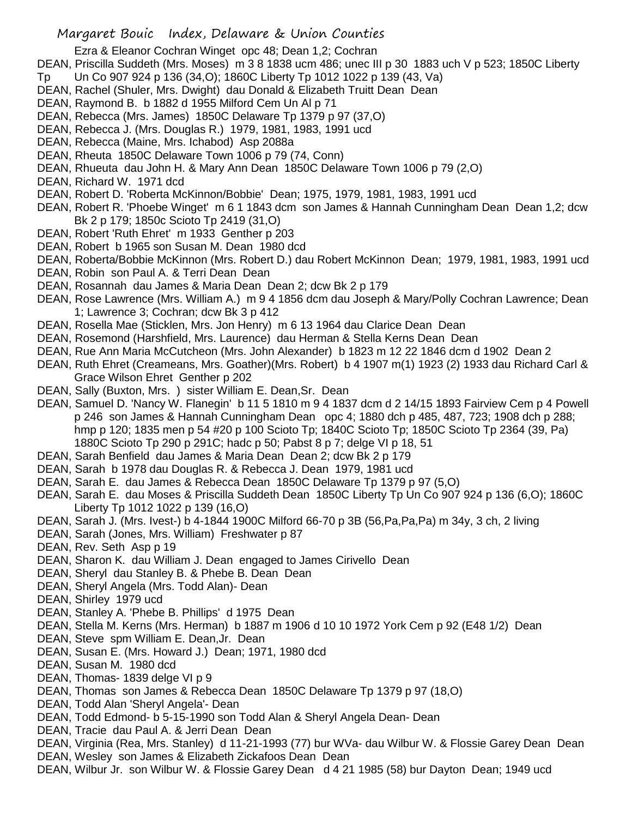Ezra & Eleanor Cochran Winget opc 48; Dean 1,2; Cochran

- DEAN, Priscilla Suddeth (Mrs. Moses) m 3 8 1838 ucm 486; unec III p 30 1883 uch V p 523; 1850C Liberty
- Tp Un Co 907 924 p 136 (34,O); 1860C Liberty Tp 1012 1022 p 139 (43, Va)
- DEAN, Rachel (Shuler, Mrs. Dwight) dau Donald & Elizabeth Truitt Dean Dean
- DEAN, Raymond B. b 1882 d 1955 Milford Cem Un Al p 71
- DEAN, Rebecca (Mrs. James) 1850C Delaware Tp 1379 p 97 (37,O)
- DEAN, Rebecca J. (Mrs. Douglas R.) 1979, 1981, 1983, 1991 ucd
- DEAN, Rebecca (Maine, Mrs. Ichabod) Asp 2088a
- DEAN, Rheuta 1850C Delaware Town 1006 p 79 (74, Conn)
- DEAN, Rhueuta dau John H. & Mary Ann Dean 1850C Delaware Town 1006 p 79 (2,O)
- DEAN, Richard W. 1971 dcd
- DEAN, Robert D. 'Roberta McKinnon/Bobbie' Dean; 1975, 1979, 1981, 1983, 1991 ucd
- DEAN, Robert R. 'Phoebe Winget' m 6 1 1843 dcm son James & Hannah Cunningham Dean Dean 1,2; dcw Bk 2 p 179; 1850c Scioto Tp 2419 (31,O)
- DEAN, Robert 'Ruth Ehret' m 1933 Genther p 203
- DEAN, Robert b 1965 son Susan M. Dean 1980 dcd
- DEAN, Roberta/Bobbie McKinnon (Mrs. Robert D.) dau Robert McKinnon Dean; 1979, 1981, 1983, 1991 ucd
- DEAN, Robin son Paul A. & Terri Dean Dean
- DEAN, Rosannah dau James & Maria Dean Dean 2; dcw Bk 2 p 179
- DEAN, Rose Lawrence (Mrs. William A.) m 9 4 1856 dcm dau Joseph & Mary/Polly Cochran Lawrence; Dean 1; Lawrence 3; Cochran; dcw Bk 3 p 412
- DEAN, Rosella Mae (Sticklen, Mrs. Jon Henry) m 6 13 1964 dau Clarice Dean Dean
- DEAN, Rosemond (Harshfield, Mrs. Laurence) dau Herman & Stella Kerns Dean Dean
- DEAN, Rue Ann Maria McCutcheon (Mrs. John Alexander) b 1823 m 12 22 1846 dcm d 1902 Dean 2
- DEAN, Ruth Ehret (Creameans, Mrs. Goather)(Mrs. Robert) b 4 1907 m(1) 1923 (2) 1933 dau Richard Carl & Grace Wilson Ehret Genther p 202
- DEAN, Sally (Buxton, Mrs. ) sister William E. Dean,Sr. Dean
- DEAN, Samuel D. 'Nancy W. Flanegin' b 11 5 1810 m 9 4 1837 dcm d 2 14/15 1893 Fairview Cem p 4 Powell p 246 son James & Hannah Cunningham Dean opc 4; 1880 dch p 485, 487, 723; 1908 dch p 288; hmp p 120; 1835 men p 54 #20 p 100 Scioto Tp; 1840C Scioto Tp; 1850C Scioto Tp 2364 (39, Pa) 1880C Scioto Tp 290 p 291C; hadc p 50; Pabst 8 p 7; delge VI p 18, 51
- DEAN, Sarah Benfield dau James & Maria Dean Dean 2; dcw Bk 2 p 179
- DEAN, Sarah b 1978 dau Douglas R. & Rebecca J. Dean 1979, 1981 ucd
- DEAN, Sarah E. dau James & Rebecca Dean 1850C Delaware Tp 1379 p 97 (5,O)
- DEAN, Sarah E. dau Moses & Priscilla Suddeth Dean 1850C Liberty Tp Un Co 907 924 p 136 (6,O); 1860C Liberty Tp 1012 1022 p 139 (16,O)
- DEAN, Sarah J. (Mrs. Ivest-) b 4-1844 1900C Milford 66-70 p 3B (56,Pa,Pa,Pa) m 34y, 3 ch, 2 living
- DEAN, Sarah (Jones, Mrs. William) Freshwater p 87
- DEAN, Rev. Seth Asp p 19
- DEAN, Sharon K. dau William J. Dean engaged to James Cirivello Dean
- DEAN, Sheryl dau Stanley B. & Phebe B. Dean Dean
- DEAN, Sheryl Angela (Mrs. Todd Alan)- Dean
- DEAN, Shirley 1979 ucd
- DEAN, Stanley A. 'Phebe B. Phillips' d 1975 Dean
- DEAN, Stella M. Kerns (Mrs. Herman) b 1887 m 1906 d 10 10 1972 York Cem p 92 (E48 1/2) Dean
- DEAN, Steve spm William E. Dean,Jr. Dean
- DEAN, Susan E. (Mrs. Howard J.) Dean; 1971, 1980 dcd
- DEAN, Susan M. 1980 dcd
- DEAN, Thomas- 1839 delge VI p 9
- DEAN, Thomas son James & Rebecca Dean 1850C Delaware Tp 1379 p 97 (18,O)
- DEAN, Todd Alan 'Sheryl Angela'- Dean
- DEAN, Todd Edmond- b 5-15-1990 son Todd Alan & Sheryl Angela Dean- Dean
- DEAN, Tracie dau Paul A. & Jerri Dean Dean
- DEAN, Virginia (Rea, Mrs. Stanley) d 11-21-1993 (77) bur WVa- dau Wilbur W. & Flossie Garey Dean Dean DEAN, Wesley son James & Elizabeth Zickafoos Dean Dean
- DEAN, Wilbur Jr. son Wilbur W. & Flossie Garey Dean d 4 21 1985 (58) bur Dayton Dean; 1949 ucd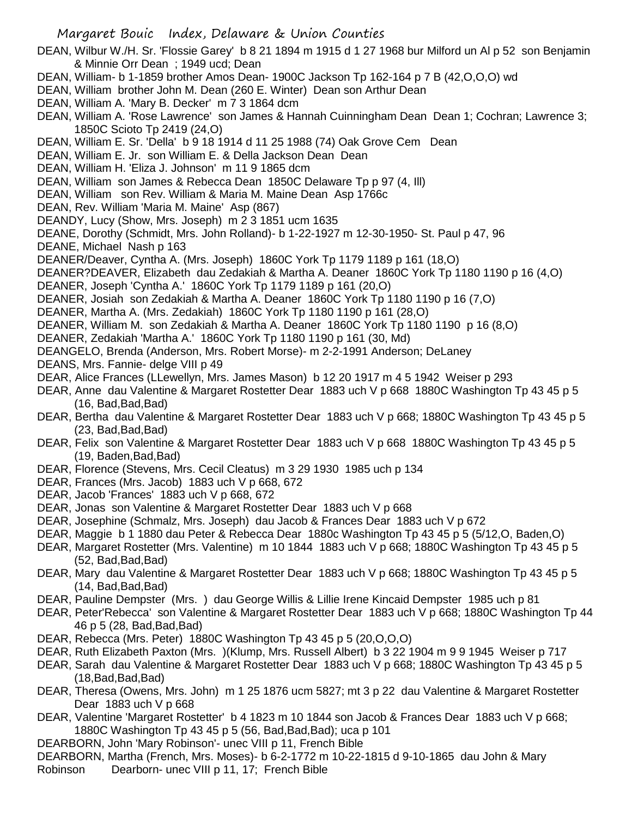- Margaret Bouic Index, Delaware & Union Counties DEAN, Wilbur W./H. Sr. 'Flossie Garey' b 8 21 1894 m 1915 d 1 27 1968 bur Milford un Al p 52 son Benjamin & Minnie Orr Dean ; 1949 ucd; Dean DEAN, William- b 1-1859 brother Amos Dean- 1900C Jackson Tp 162-164 p 7 B (42,O,O,O) wd DEAN, William brother John M. Dean (260 E. Winter) Dean son Arthur Dean DEAN, William A. 'Mary B. Decker' m 7 3 1864 dcm DEAN, William A. 'Rose Lawrence' son James & Hannah Cuinningham Dean Dean 1; Cochran; Lawrence 3; 1850C Scioto Tp 2419 (24,O) DEAN, William E. Sr. 'Della' b 9 18 1914 d 11 25 1988 (74) Oak Grove Cem Dean DEAN, William E. Jr. son William E. & Della Jackson Dean Dean DEAN, William H. 'Eliza J. Johnson' m 11 9 1865 dcm DEAN, William son James & Rebecca Dean 1850C Delaware Tp p 97 (4, Ill) DEAN, William son Rev. William & Maria M. Maine Dean Asp 1766c DEAN, Rev. William 'Maria M. Maine' Asp (867) DEANDY, Lucy (Show, Mrs. Joseph) m 2 3 1851 ucm 1635 DEANE, Dorothy (Schmidt, Mrs. John Rolland)- b 1-22-1927 m 12-30-1950- St. Paul p 47, 96 DEANE, Michael Nash p 163 DEANER/Deaver, Cyntha A. (Mrs. Joseph) 1860C York Tp 1179 1189 p 161 (18,O) DEANER?DEAVER, Elizabeth dau Zedakiah & Martha A. Deaner 1860C York Tp 1180 1190 p 16 (4,O) DEANER, Joseph 'Cyntha A.' 1860C York Tp 1179 1189 p 161 (20,O) DEANER, Josiah son Zedakiah & Martha A. Deaner 1860C York Tp 1180 1190 p 16 (7,O) DEANER, Martha A. (Mrs. Zedakiah) 1860C York Tp 1180 1190 p 161 (28,O) DEANER, William M. son Zedakiah & Martha A. Deaner 1860C York Tp 1180 1190 p 16 (8,O) DEANER, Zedakiah 'Martha A.' 1860C York Tp 1180 1190 p 161 (30, Md) DEANGELO, Brenda (Anderson, Mrs. Robert Morse)- m 2-2-1991 Anderson; DeLaney DEANS, Mrs. Fannie- delge VIII p 49 DEAR, Alice Frances (LLewellyn, Mrs. James Mason) b 12 20 1917 m 4 5 1942 Weiser p 293 DEAR, Anne dau Valentine & Margaret Rostetter Dear 1883 uch V p 668 1880C Washington Tp 43 45 p 5  $(16, Bad, Bad, Bad)$ DEAR, Bertha dau Valentine & Margaret Rostetter Dear 1883 uch V p 668; 1880C Washington Tp 43 45 p 5  $(23, Bad, Bad, Bad)$ DEAR, Felix son Valentine & Margaret Rostetter Dear 1883 uch V p 668 1880C Washington Tp 43 45 p 5 (19, Baden,Bad,Bad) DEAR, Florence (Stevens, Mrs. Cecil Cleatus) m 3 29 1930 1985 uch p 134 DEAR, Frances (Mrs. Jacob) 1883 uch V p 668, 672 DEAR, Jacob 'Frances' 1883 uch V p 668, 672 DEAR, Jonas son Valentine & Margaret Rostetter Dear 1883 uch V p 668 DEAR, Josephine (Schmalz, Mrs. Joseph) dau Jacob & Frances Dear 1883 uch V p 672 DEAR, Maggie b 1 1880 dau Peter & Rebecca Dear 1880c Washington Tp 43 45 p 5 (5/12,O, Baden,O) DEAR, Margaret Rostetter (Mrs. Valentine) m 10 1844 1883 uch V p 668; 1880C Washington Tp 43 45 p 5  $(52, Bad, Bad, Bad)$ DEAR, Mary dau Valentine & Margaret Rostetter Dear 1883 uch V p 668; 1880C Washington Tp 43 45 p 5  $(14, Bad, Bad, Bad)$ DEAR, Pauline Dempster (Mrs. ) dau George Willis & Lillie Irene Kincaid Dempster 1985 uch p 81 DEAR, Peter'Rebecca' son Valentine & Margaret Rostetter Dear 1883 uch V p 668; 1880C Washington Tp 44 46 p 5 (28, Bad,Bad,Bad)
- DEAR, Rebecca (Mrs. Peter) 1880C Washington Tp 43 45 p 5 (20,O,O,O)
- DEAR, Ruth Elizabeth Paxton (Mrs. )(Klump, Mrs. Russell Albert) b 3 22 1904 m 9 9 1945 Weiser p 717
- DEAR, Sarah dau Valentine & Margaret Rostetter Dear 1883 uch V p 668; 1880C Washington Tp 43 45 p 5 (18,Bad,Bad,Bad)
- DEAR, Theresa (Owens, Mrs. John) m 1 25 1876 ucm 5827; mt 3 p 22 dau Valentine & Margaret Rostetter Dear 1883 uch V p 668
- DEAR, Valentine 'Margaret Rostetter' b 4 1823 m 10 1844 son Jacob & Frances Dear 1883 uch V p 668; 1880C Washington Tp 43 45 p 5 (56, Bad,Bad,Bad); uca p 101
- DEARBORN, John 'Mary Robinson'- unec VIII p 11, French Bible

DEARBORN, Martha (French, Mrs. Moses)- b 6-2-1772 m 10-22-1815 d 9-10-1865 dau John & Mary

Robinson Dearborn- unec VIII p 11, 17; French Bible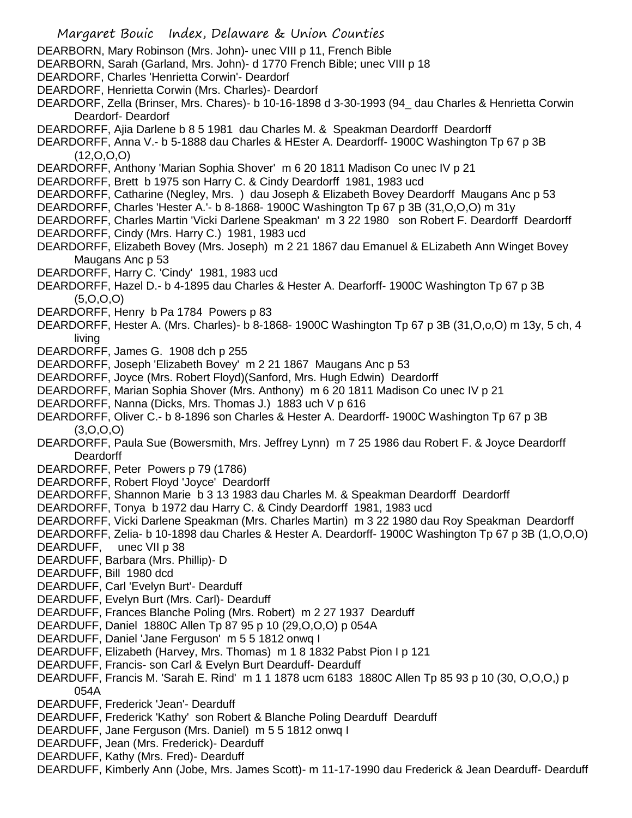- Margaret Bouic Index, Delaware & Union Counties
- DEARBORN, Mary Robinson (Mrs. John)- unec VIII p 11, French Bible
- DEARBORN, Sarah (Garland, Mrs. John)- d 1770 French Bible; unec VIII p 18
- DEARDORF, Charles 'Henrietta Corwin'- Deardorf
- DEARDORF, Henrietta Corwin (Mrs. Charles)- Deardorf
- DEARDORF, Zella (Brinser, Mrs. Chares)- b 10-16-1898 d 3-30-1993 (94\_ dau Charles & Henrietta Corwin Deardorf- Deardorf
- DEARDORFF, Ajia Darlene b 8 5 1981 dau Charles M. & Speakman Deardorff Deardorff
- DEARDORFF, Anna V.- b 5-1888 dau Charles & HEster A. Deardorff- 1900C Washington Tp 67 p 3B  $(12, 0, 0, 0)$
- DEARDORFF, Anthony 'Marian Sophia Shover' m 6 20 1811 Madison Co unec IV p 21
- DEARDORFF, Brett b 1975 son Harry C. & Cindy Deardorff 1981, 1983 ucd
- DEARDORFF, Catharine (Negley, Mrs. ) dau Joseph & Elizabeth Bovey Deardorff Maugans Anc p 53
- DEARDORFF, Charles 'Hester A.'- b 8-1868- 1900C Washington Tp 67 p 3B (31,O,O,O) m 31y
- DEARDORFF, Charles Martin 'Vicki Darlene Speakman' m 3 22 1980 son Robert F. Deardorff Deardorff
- DEARDORFF, Cindy (Mrs. Harry C.) 1981, 1983 ucd
- DEARDORFF, Elizabeth Bovey (Mrs. Joseph) m 2 21 1867 dau Emanuel & ELizabeth Ann Winget Bovey Maugans Anc p 53
- DEARDORFF, Harry C. 'Cindy' 1981, 1983 ucd
- DEARDORFF, Hazel D.- b 4-1895 dau Charles & Hester A. Dearforff- 1900C Washington Tp 67 p 3B (5,O,O,O)
- DEARDORFF, Henry b Pa 1784 Powers p 83
- DEARDORFF, Hester A. (Mrs. Charles)- b 8-1868- 1900C Washington Tp 67 p 3B (31,O,o,O) m 13y, 5 ch, 4 living
- DEARDORFF, James G. 1908 dch p 255
- DEARDORFF, Joseph 'Elizabeth Bovey' m 2 21 1867 Maugans Anc p 53
- DEARDORFF, Joyce (Mrs. Robert Floyd)(Sanford, Mrs. Hugh Edwin) Deardorff
- DEARDORFF, Marian Sophia Shover (Mrs. Anthony) m 6 20 1811 Madison Co unec IV p 21
- DEARDORFF, Nanna (Dicks, Mrs. Thomas J.) 1883 uch V p 616
- DEARDORFF, Oliver C.- b 8-1896 son Charles & Hester A. Deardorff- 1900C Washington Tp 67 p 3B (3,O,O,O)
- DEARDORFF, Paula Sue (Bowersmith, Mrs. Jeffrey Lynn) m 7 25 1986 dau Robert F. & Joyce Deardorff Deardorff
- DEARDORFF, Peter Powers p 79 (1786)
- DEARDORFF, Robert Floyd 'Joyce' Deardorff
- DEARDORFF, Shannon Marie b 3 13 1983 dau Charles M. & Speakman Deardorff Deardorff
- DEARDORFF, Tonya b 1972 dau Harry C. & Cindy Deardorff 1981, 1983 ucd
- DEARDORFF, Vicki Darlene Speakman (Mrs. Charles Martin) m 3 22 1980 dau Roy Speakman Deardorff
- DEARDORFF, Zelia- b 10-1898 dau Charles & Hester A. Deardorff- 1900C Washington Tp 67 p 3B (1,O,O,O)
- DEARDUFF, unec VII p 38
- DEARDUFF, Barbara (Mrs. Phillip)- D
- DEARDUFF, Bill 1980 dcd
- DEARDUFF, Carl 'Evelyn Burt'- Dearduff
- DEARDUFF, Evelyn Burt (Mrs. Carl)- Dearduff
- DEARDUFF, Frances Blanche Poling (Mrs. Robert) m 2 27 1937 Dearduff
- DEARDUFF, Daniel 1880C Allen Tp 87 95 p 10 (29,O,O,O) p 054A
- DEARDUFF, Daniel 'Jane Ferguson' m 5 5 1812 onwq I
- DEARDUFF, Elizabeth (Harvey, Mrs. Thomas) m 1 8 1832 Pabst Pion I p 121
- DEARDUFF, Francis- son Carl & Evelyn Burt Dearduff- Dearduff
- DEARDUFF, Francis M. 'Sarah E. Rind' m 1 1 1878 ucm 6183 1880C Allen Tp 85 93 p 10 (30, O,O,O,) p 054A
- DEARDUFF, Frederick 'Jean'- Dearduff
- DEARDUFF, Frederick 'Kathy' son Robert & Blanche Poling Dearduff Dearduff
- DEARDUFF, Jane Ferguson (Mrs. Daniel) m 5 5 1812 onwq I
- DEARDUFF, Jean (Mrs. Frederick)- Dearduff
- DEARDUFF, Kathy (Mrs. Fred)- Dearduff
- DEARDUFF, Kimberly Ann (Jobe, Mrs. James Scott)- m 11-17-1990 dau Frederick & Jean Dearduff- Dearduff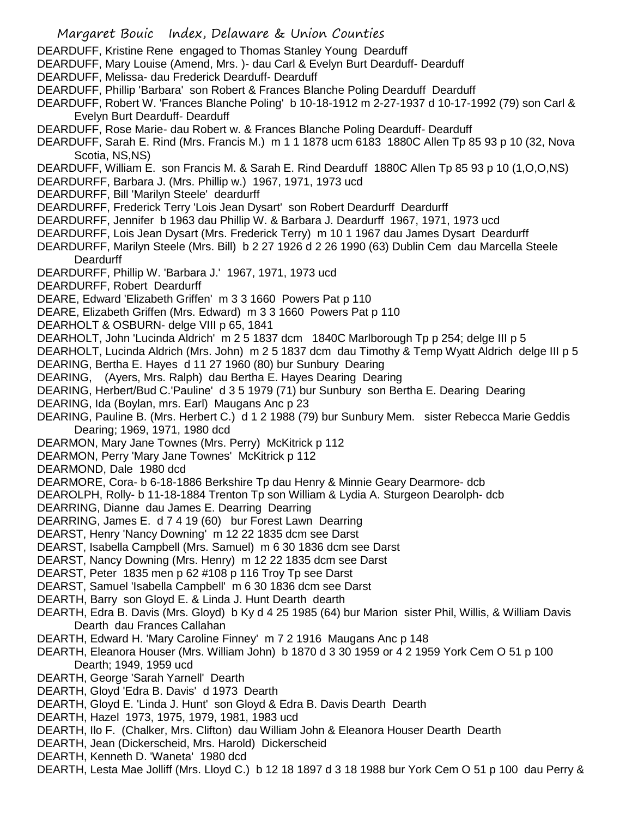DEARDUFF, Kristine Rene engaged to Thomas Stanley Young Dearduff

DEARDUFF, Mary Louise (Amend, Mrs. )- dau Carl & Evelyn Burt Dearduff- Dearduff

DEARDUFF, Melissa- dau Frederick Dearduff- Dearduff

DEARDUFF, Phillip 'Barbara' son Robert & Frances Blanche Poling Dearduff Dearduff

DEARDUFF, Robert W. 'Frances Blanche Poling' b 10-18-1912 m 2-27-1937 d 10-17-1992 (79) son Carl & Evelyn Burt Dearduff- Dearduff

DEARDUFF, Rose Marie- dau Robert w. & Frances Blanche Poling Dearduff- Dearduff

DEARDUFF, Sarah E. Rind (Mrs. Francis M.) m 1 1 1878 ucm 6183 1880C Allen Tp 85 93 p 10 (32, Nova Scotia, NS,NS)

DEARDUFF, William E. son Francis M. & Sarah E. Rind Dearduff 1880C Allen Tp 85 93 p 10 (1,O,O,NS)

DEARDURFF, Barbara J. (Mrs. Phillip w.) 1967, 1971, 1973 ucd

DEARDURFF, Bill 'Marilyn Steele' deardurff

DEARDURFF, Frederick Terry 'Lois Jean Dysart' son Robert Deardurff Deardurff

DEARDURFF, Jennifer b 1963 dau Phillip W. & Barbara J. Deardurff 1967, 1971, 1973 ucd

DEARDURFF, Lois Jean Dysart (Mrs. Frederick Terry) m 10 1 1967 dau James Dysart Deardurff

DEARDURFF, Marilyn Steele (Mrs. Bill) b 2 27 1926 d 2 26 1990 (63) Dublin Cem dau Marcella Steele **Deardurff** 

DEARDURFF, Phillip W. 'Barbara J.' 1967, 1971, 1973 ucd

DEARDURFF, Robert Deardurff

DEARE, Edward 'Elizabeth Griffen' m 3 3 1660 Powers Pat p 110

DEARE, Elizabeth Griffen (Mrs. Edward) m 3 3 1660 Powers Pat p 110

DEARHOLT & OSBURN- delge VIII p 65, 1841

DEARHOLT, John 'Lucinda Aldrich' m 2 5 1837 dcm 1840C Marlborough Tp p 254; delge III p 5

DEARHOLT, Lucinda Aldrich (Mrs. John) m 2 5 1837 dcm dau Timothy & Temp Wyatt Aldrich delge III p 5 DEARING, Bertha E. Hayes d 11 27 1960 (80) bur Sunbury Dearing

DEARING, (Ayers, Mrs. Ralph) dau Bertha E. Hayes Dearing Dearing

DEARING, Herbert/Bud C.'Pauline' d 3 5 1979 (71) bur Sunbury son Bertha E. Dearing Dearing

DEARING, Ida (Boylan, mrs. Earl) Maugans Anc p 23

DEARING, Pauline B. (Mrs. Herbert C.) d 1 2 1988 (79) bur Sunbury Mem. sister Rebecca Marie Geddis Dearing; 1969, 1971, 1980 dcd

DEARMON, Mary Jane Townes (Mrs. Perry) McKitrick p 112

DEARMON, Perry 'Mary Jane Townes' McKitrick p 112

DEARMOND, Dale 1980 dcd

DEARMORE, Cora- b 6-18-1886 Berkshire Tp dau Henry & Minnie Geary Dearmore- dcb

DEAROLPH, Rolly- b 11-18-1884 Trenton Tp son William & Lydia A. Sturgeon Dearolph- dcb

DEARRING, Dianne dau James E. Dearring Dearring

DEARRING, James E. d 7 4 19 (60) bur Forest Lawn Dearring

DEARST, Henry 'Nancy Downing' m 12 22 1835 dcm see Darst

DEARST, Isabella Campbell (Mrs. Samuel) m 6 30 1836 dcm see Darst

DEARST, Nancy Downing (Mrs. Henry) m 12 22 1835 dcm see Darst

DEARST, Peter 1835 men p 62 #108 p 116 Troy Tp see Darst

DEARST, Samuel 'Isabella Campbell' m 6 30 1836 dcm see Darst

DEARTH, Barry son Gloyd E. & Linda J. Hunt Dearth dearth

DEARTH, Edra B. Davis (Mrs. Gloyd) b Ky d 4 25 1985 (64) bur Marion sister Phil, Willis, & William Davis Dearth dau Frances Callahan

DEARTH, Edward H. 'Mary Caroline Finney' m 7 2 1916 Maugans Anc p 148

DEARTH, Eleanora Houser (Mrs. William John) b 1870 d 3 30 1959 or 4 2 1959 York Cem O 51 p 100 Dearth; 1949, 1959 ucd

DEARTH, George 'Sarah Yarnell' Dearth

DEARTH, Gloyd 'Edra B. Davis' d 1973 Dearth

DEARTH, Gloyd E. 'Linda J. Hunt' son Gloyd & Edra B. Davis Dearth Dearth

DEARTH, Hazel 1973, 1975, 1979, 1981, 1983 ucd

DEARTH, Ilo F. (Chalker, Mrs. Clifton) dau William John & Eleanora Houser Dearth Dearth

DEARTH, Jean (Dickerscheid, Mrs. Harold) Dickerscheid

DEARTH, Kenneth D. 'Waneta' 1980 dcd

DEARTH, Lesta Mae Jolliff (Mrs. Lloyd C.) b 12 18 1897 d 3 18 1988 bur York Cem O 51 p 100 dau Perry &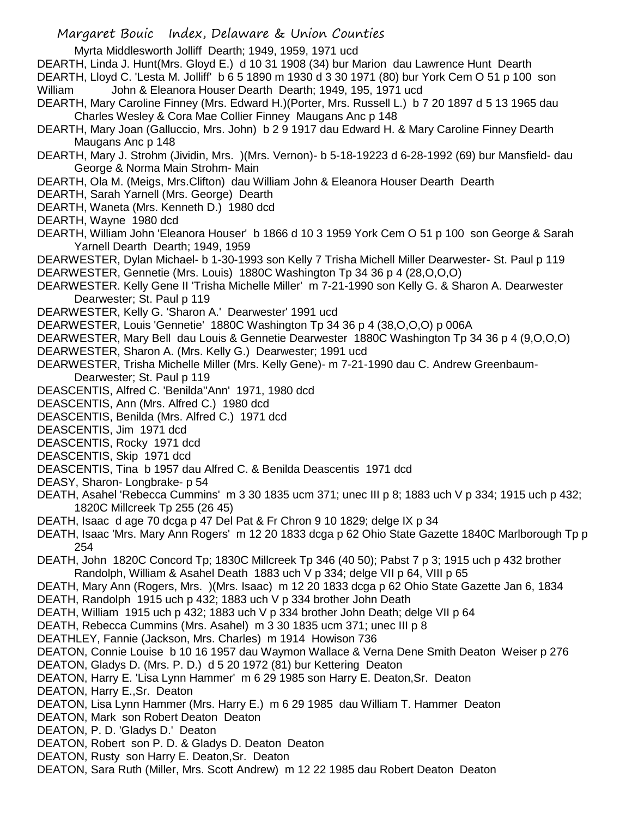Myrta Middlesworth Jolliff Dearth; 1949, 1959, 1971 ucd

DEARTH, Linda J. Hunt(Mrs. Gloyd E.) d 10 31 1908 (34) bur Marion dau Lawrence Hunt Dearth

DEARTH, Lloyd C. 'Lesta M. Jolliff' b 6 5 1890 m 1930 d 3 30 1971 (80) bur York Cem O 51 p 100 son William John & Eleanora Houser Dearth Dearth; 1949, 195, 1971 ucd

- DEARTH, Mary Caroline Finney (Mrs. Edward H.)(Porter, Mrs. Russell L.) b 7 20 1897 d 5 13 1965 dau Charles Wesley & Cora Mae Collier Finney Maugans Anc p 148
- DEARTH, Mary Joan (Galluccio, Mrs. John) b 2 9 1917 dau Edward H. & Mary Caroline Finney Dearth Maugans Anc p 148
- DEARTH, Mary J. Strohm (Jividin, Mrs. )(Mrs. Vernon)- b 5-18-19223 d 6-28-1992 (69) bur Mansfield- dau George & Norma Main Strohm- Main
- DEARTH, Ola M. (Meigs, Mrs.Clifton) dau William John & Eleanora Houser Dearth Dearth
- DEARTH, Sarah Yarnell (Mrs. George) Dearth
- DEARTH, Waneta (Mrs. Kenneth D.) 1980 dcd
- DEARTH, Wayne 1980 dcd
- DEARTH, William John 'Eleanora Houser' b 1866 d 10 3 1959 York Cem O 51 p 100 son George & Sarah Yarnell Dearth Dearth; 1949, 1959
- DEARWESTER, Dylan Michael- b 1-30-1993 son Kelly 7 Trisha Michell Miller Dearwester- St. Paul p 119 DEARWESTER, Gennetie (Mrs. Louis) 1880C Washington Tp 34 36 p 4 (28,O,O,O)
- DEARWESTER. Kelly Gene II 'Trisha Michelle Miller' m 7-21-1990 son Kelly G. & Sharon A. Dearwester Dearwester; St. Paul p 119
- DEARWESTER, Kelly G. 'Sharon A.' Dearwester' 1991 ucd
- DEARWESTER, Louis 'Gennetie' 1880C Washington Tp 34 36 p 4 (38,O,O,O) p 006A
- DEARWESTER, Mary Bell dau Louis & Gennetie Dearwester 1880C Washington Tp 34 36 p 4 (9,O,O,O)
- DEARWESTER, Sharon A. (Mrs. Kelly G.) Dearwester; 1991 ucd
- DEARWESTER, Trisha Michelle Miller (Mrs. Kelly Gene)- m 7-21-1990 dau C. Andrew Greenbaum-Dearwester; St. Paul p 119
- DEASCENTIS, Alfred C. 'Benilda''Ann' 1971, 1980 dcd
- DEASCENTIS, Ann (Mrs. Alfred C.) 1980 dcd
- DEASCENTIS, Benilda (Mrs. Alfred C.) 1971 dcd
- DEASCENTIS, Jim 1971 dcd
- DEASCENTIS, Rocky 1971 dcd
- DEASCENTIS, Skip 1971 dcd
- DEASCENTIS, Tina b 1957 dau Alfred C. & Benilda Deascentis 1971 dcd
- DEASY, Sharon- Longbrake- p 54
- DEATH, Asahel 'Rebecca Cummins' m 3 30 1835 ucm 371; unec III p 8; 1883 uch V p 334; 1915 uch p 432; 1820C Millcreek Tp 255 (26 45)
- DEATH, Isaac d age 70 dcga p 47 Del Pat & Fr Chron 9 10 1829; delge IX p 34
- DEATH, Isaac 'Mrs. Mary Ann Rogers' m 12 20 1833 dcga p 62 Ohio State Gazette 1840C Marlborough Tp p 254
- DEATH, John 1820C Concord Tp; 1830C Millcreek Tp 346 (40 50); Pabst 7 p 3; 1915 uch p 432 brother Randolph, William & Asahel Death 1883 uch V p 334; delge VII p 64, VIII p 65
- DEATH, Mary Ann (Rogers, Mrs. )(Mrs. Isaac) m 12 20 1833 dcga p 62 Ohio State Gazette Jan 6, 1834 DEATH, Randolph 1915 uch p 432; 1883 uch V p 334 brother John Death
- DEATH, William 1915 uch p 432; 1883 uch V p 334 brother John Death; delge VII p 64
- DEATH, Rebecca Cummins (Mrs. Asahel) m 3 30 1835 ucm 371; unec III p 8
- DEATHLEY, Fannie (Jackson, Mrs. Charles) m 1914 Howison 736
- DEATON, Connie Louise b 10 16 1957 dau Waymon Wallace & Verna Dene Smith Deaton Weiser p 276
- DEATON, Gladys D. (Mrs. P. D.) d 5 20 1972 (81) bur Kettering Deaton
- DEATON, Harry E. 'Lisa Lynn Hammer' m 6 29 1985 son Harry E. Deaton,Sr. Deaton
- DEATON, Harry E.,Sr. Deaton
- DEATON, Lisa Lynn Hammer (Mrs. Harry E.) m 6 29 1985 dau William T. Hammer Deaton
- DEATON, Mark son Robert Deaton Deaton
- DEATON, P. D. 'Gladys D.' Deaton
- DEATON, Robert son P. D. & Gladys D. Deaton Deaton
- DEATON, Rusty son Harry E. Deaton, Sr. Deaton
- DEATON, Sara Ruth (Miller, Mrs. Scott Andrew) m 12 22 1985 dau Robert Deaton Deaton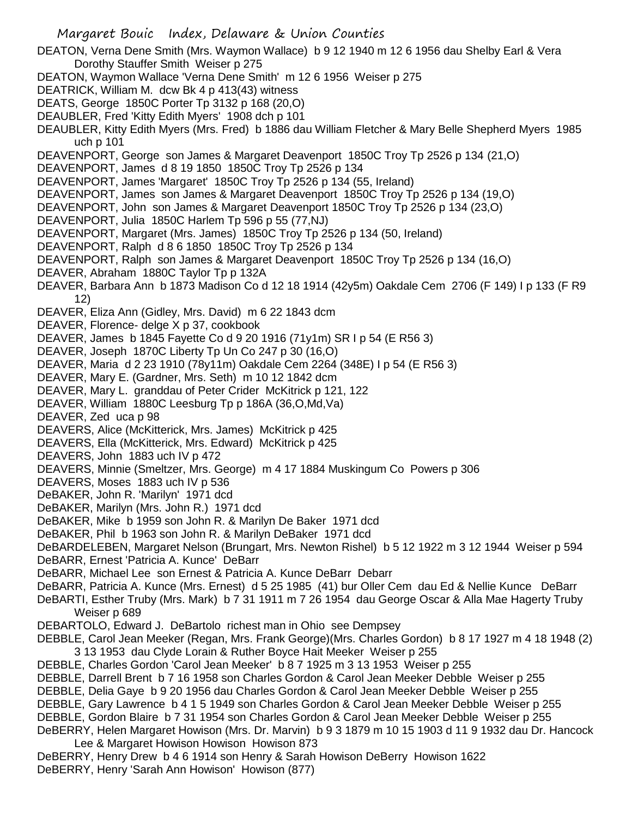Margaret Bouic Index, Delaware & Union Counties DEATON, Verna Dene Smith (Mrs. Waymon Wallace) b 9 12 1940 m 12 6 1956 dau Shelby Earl & Vera Dorothy Stauffer Smith Weiser p 275 DEATON, Waymon Wallace 'Verna Dene Smith' m 12 6 1956 Weiser p 275 DEATRICK, William M. dcw Bk 4 p 413(43) witness DEATS, George 1850C Porter Tp 3132 p 168 (20,O) DEAUBLER, Fred 'Kitty Edith Myers' 1908 dch p 101 DEAUBLER, Kitty Edith Myers (Mrs. Fred) b 1886 dau William Fletcher & Mary Belle Shepherd Myers 1985 uch p 101 DEAVENPORT, George son James & Margaret Deavenport 1850C Troy Tp 2526 p 134 (21,O) DEAVENPORT, James d 8 19 1850 1850C Troy Tp 2526 p 134 DEAVENPORT, James 'Margaret' 1850C Troy Tp 2526 p 134 (55, Ireland) DEAVENPORT, James son James & Margaret Deavenport 1850C Troy Tp 2526 p 134 (19,O) DEAVENPORT, John son James & Margaret Deavenport 1850C Troy Tp 2526 p 134 (23,O) DEAVENPORT, Julia 1850C Harlem Tp 596 p 55 (77,NJ) DEAVENPORT, Margaret (Mrs. James) 1850C Troy Tp 2526 p 134 (50, Ireland) DEAVENPORT, Ralph d 8 6 1850 1850C Troy Tp 2526 p 134 DEAVENPORT, Ralph son James & Margaret Deavenport 1850C Troy Tp 2526 p 134 (16,O) DEAVER, Abraham 1880C Taylor Tp p 132A DEAVER, Barbara Ann b 1873 Madison Co d 12 18 1914 (42y5m) Oakdale Cem 2706 (F 149) I p 133 (F R9 12) DEAVER, Eliza Ann (Gidley, Mrs. David) m 6 22 1843 dcm DEAVER, Florence- delge X p 37, cookbook DEAVER, James b 1845 Fayette Co d 9 20 1916 (71y1m) SR I p 54 (E R56 3) DEAVER, Joseph 1870C Liberty Tp Un Co 247 p 30 (16,O) DEAVER, Maria d 2 23 1910 (78y11m) Oakdale Cem 2264 (348E) I p 54 (E R56 3) DEAVER, Mary E. (Gardner, Mrs. Seth) m 10 12 1842 dcm DEAVER, Mary L. granddau of Peter Crider McKitrick p 121, 122 DEAVER, William 1880C Leesburg Tp p 186A (36,O,Md,Va) DEAVER, Zed uca p 98 DEAVERS, Alice (McKitterick, Mrs. James) McKitrick p 425 DEAVERS, Ella (McKitterick, Mrs. Edward) McKitrick p 425 DEAVERS, John 1883 uch IV p 472 DEAVERS, Minnie (Smeltzer, Mrs. George) m 4 17 1884 Muskingum Co Powers p 306 DEAVERS, Moses 1883 uch IV p 536 DeBAKER, John R. 'Marilyn' 1971 dcd DeBAKER, Marilyn (Mrs. John R.) 1971 dcd DeBAKER, Mike b 1959 son John R. & Marilyn De Baker 1971 dcd DeBAKER, Phil b 1963 son John R. & Marilyn DeBaker 1971 dcd DeBARDELEBEN, Margaret Nelson (Brungart, Mrs. Newton Rishel) b 5 12 1922 m 3 12 1944 Weiser p 594 DeBARR, Ernest 'Patricia A. Kunce' DeBarr DeBARR, Michael Lee son Ernest & Patricia A. Kunce DeBarr Debarr DeBARR, Patricia A. Kunce (Mrs. Ernest) d 5 25 1985 (41) bur Oller Cem dau Ed & Nellie Kunce DeBarr DeBARTI, Esther Truby (Mrs. Mark) b 7 31 1911 m 7 26 1954 dau George Oscar & Alla Mae Hagerty Truby Weiser p 689 DEBARTOLO, Edward J. DeBartolo richest man in Ohio see Dempsey DEBBLE, Carol Jean Meeker (Regan, Mrs. Frank George)(Mrs. Charles Gordon) b 8 17 1927 m 4 18 1948 (2) 3 13 1953 dau Clyde Lorain & Ruther Boyce Hait Meeker Weiser p 255 DEBBLE, Charles Gordon 'Carol Jean Meeker' b 8 7 1925 m 3 13 1953 Weiser p 255 DEBBLE, Darrell Brent b 7 16 1958 son Charles Gordon & Carol Jean Meeker Debble Weiser p 255 DEBBLE, Delia Gaye b 9 20 1956 dau Charles Gordon & Carol Jean Meeker Debble Weiser p 255 DEBBLE, Gary Lawrence b 4 1 5 1949 son Charles Gordon & Carol Jean Meeker Debble Weiser p 255 DEBBLE, Gordon Blaire b 7 31 1954 son Charles Gordon & Carol Jean Meeker Debble Weiser p 255 DeBERRY, Helen Margaret Howison (Mrs. Dr. Marvin) b 9 3 1879 m 10 15 1903 d 11 9 1932 dau Dr. Hancock Lee & Margaret Howison Howison Howison 873

DeBERRY, Henry Drew b 4 6 1914 son Henry & Sarah Howison DeBerry Howison 1622 DeBERRY, Henry 'Sarah Ann Howison' Howison (877)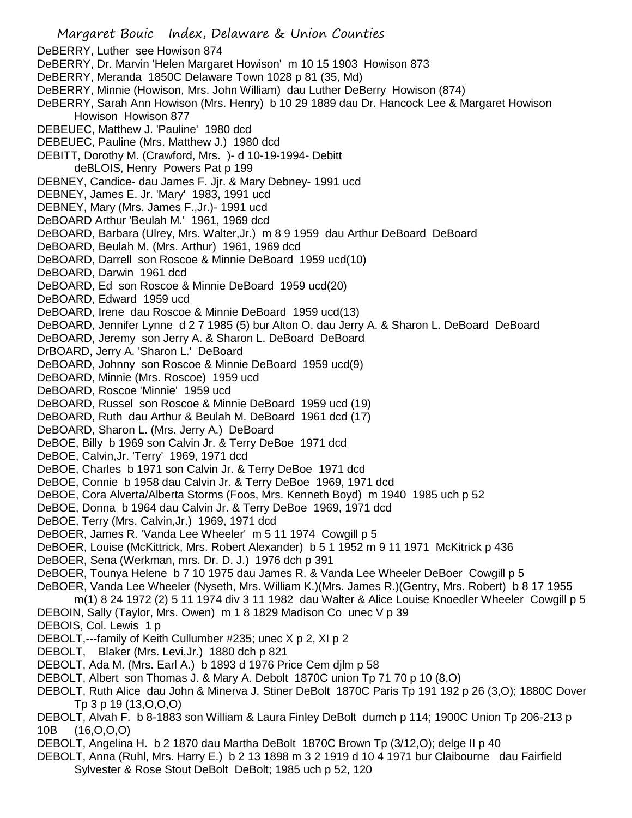Margaret Bouic Index, Delaware & Union Counties DeBERRY, Luther see Howison 874 DeBERRY, Dr. Marvin 'Helen Margaret Howison' m 10 15 1903 Howison 873 DeBERRY, Meranda 1850C Delaware Town 1028 p 81 (35, Md) DeBERRY, Minnie (Howison, Mrs. John William) dau Luther DeBerry Howison (874) DeBERRY, Sarah Ann Howison (Mrs. Henry) b 10 29 1889 dau Dr. Hancock Lee & Margaret Howison Howison Howison 877 DEBEUEC, Matthew J. 'Pauline' 1980 dcd DEBEUEC, Pauline (Mrs. Matthew J.) 1980 dcd DEBITT, Dorothy M. (Crawford, Mrs. )- d 10-19-1994- Debitt deBLOIS, Henry Powers Pat p 199 DEBNEY, Candice- dau James F. Jjr. & Mary Debney- 1991 ucd DEBNEY, James E. Jr. 'Mary' 1983, 1991 ucd DEBNEY, Mary (Mrs. James F.,Jr.)- 1991 ucd DeBOARD Arthur 'Beulah M.' 1961, 1969 dcd DeBOARD, Barbara (Ulrey, Mrs. Walter,Jr.) m 8 9 1959 dau Arthur DeBoard DeBoard DeBOARD, Beulah M. (Mrs. Arthur) 1961, 1969 dcd DeBOARD, Darrell son Roscoe & Minnie DeBoard 1959 ucd(10) DeBOARD, Darwin 1961 dcd DeBOARD, Ed son Roscoe & Minnie DeBoard 1959 ucd(20) DeBOARD, Edward 1959 ucd DeBOARD, Irene dau Roscoe & Minnie DeBoard 1959 ucd(13) DeBOARD, Jennifer Lynne d 2 7 1985 (5) bur Alton O. dau Jerry A. & Sharon L. DeBoard DeBoard DeBOARD, Jeremy son Jerry A. & Sharon L. DeBoard DeBoard DrBOARD, Jerry A. 'Sharon L.' DeBoard DeBOARD, Johnny son Roscoe & Minnie DeBoard 1959 ucd(9) DeBOARD, Minnie (Mrs. Roscoe) 1959 ucd DeBOARD, Roscoe 'Minnie' 1959 ucd DeBOARD, Russel son Roscoe & Minnie DeBoard 1959 ucd (19) DeBOARD, Ruth dau Arthur & Beulah M. DeBoard 1961 dcd (17) DeBOARD, Sharon L. (Mrs. Jerry A.) DeBoard DeBOE, Billy b 1969 son Calvin Jr. & Terry DeBoe 1971 dcd DeBOE, Calvin,Jr. 'Terry' 1969, 1971 dcd DeBOE, Charles b 1971 son Calvin Jr. & Terry DeBoe 1971 dcd DeBOE, Connie b 1958 dau Calvin Jr. & Terry DeBoe 1969, 1971 dcd DeBOE, Cora Alverta/Alberta Storms (Foos, Mrs. Kenneth Boyd) m 1940 1985 uch p 52 DeBOE, Donna b 1964 dau Calvin Jr. & Terry DeBoe 1969, 1971 dcd DeBOE, Terry (Mrs. Calvin,Jr.) 1969, 1971 dcd DeBOER, James R. 'Vanda Lee Wheeler' m 5 11 1974 Cowgill p 5 DeBOER, Louise (McKittrick, Mrs. Robert Alexander) b 5 1 1952 m 9 11 1971 McKitrick p 436 DeBOER, Sena (Werkman, mrs. Dr. D. J.) 1976 dch p 391 DeBOER, Tounya Helene b 7 10 1975 dau James R. & Vanda Lee Wheeler DeBoer Cowgill p 5 DeBOER, Vanda Lee Wheeler (Nyseth, Mrs. William K.)(Mrs. James R.)(Gentry, Mrs. Robert) b 8 17 1955 m(1) 8 24 1972 (2) 5 11 1974 div 3 11 1982 dau Walter & Alice Louise Knoedler Wheeler Cowgill p 5 DEBOIN, Sally (Taylor, Mrs. Owen) m 1 8 1829 Madison Co unec V p 39 DEBOIS, Col. Lewis 1 p DEBOLT,---family of Keith Cullumber #235; unec X p 2, XI p 2 DEBOLT, Blaker (Mrs. Levi,Jr.) 1880 dch p 821 DEBOLT, Ada M. (Mrs. Earl A.) b 1893 d 1976 Price Cem djlm p 58 DEBOLT, Albert son Thomas J. & Mary A. Debolt 1870C union Tp 71 70 p 10 (8,O) DEBOLT, Ruth Alice dau John & Minerva J. Stiner DeBolt 1870C Paris Tp 191 192 p 26 (3,O); 1880C Dover Tp 3 p 19 (13,O,O,O) DEBOLT, Alvah F. b 8-1883 son William & Laura Finley DeBolt dumch p 114; 1900C Union Tp 206-213 p 10B (16,O,O,O) DEBOLT, Angelina H. b 2 1870 dau Martha DeBolt 1870C Brown Tp (3/12,O); delge II p 40 DEBOLT, Anna (Ruhl, Mrs. Harry E.) b 2 13 1898 m 3 2 1919 d 10 4 1971 bur Claibourne dau Fairfield Sylvester & Rose Stout DeBolt DeBolt; 1985 uch p 52, 120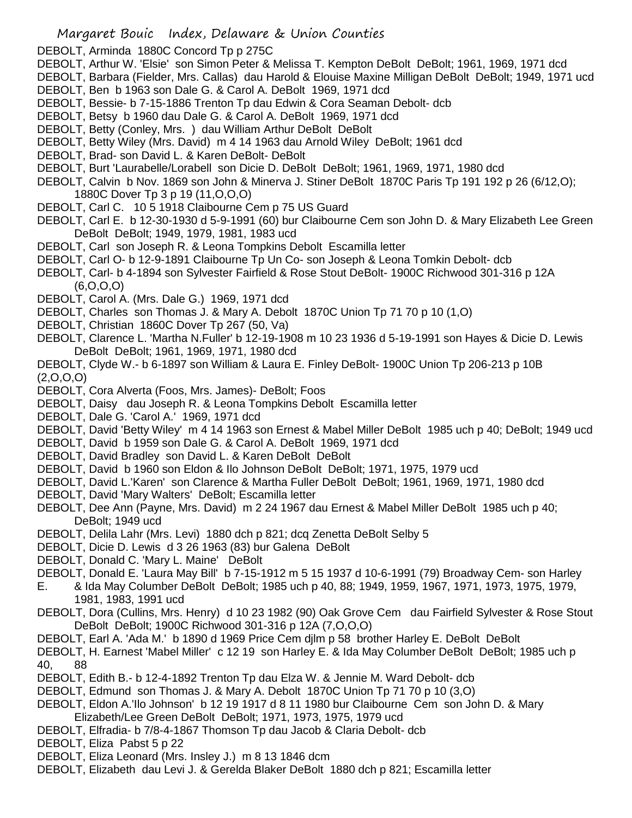DEBOLT, Arminda 1880C Concord Tp p 275C

- DEBOLT, Arthur W. 'Elsie' son Simon Peter & Melissa T. Kempton DeBolt DeBolt; 1961, 1969, 1971 dcd
- DEBOLT, Barbara (Fielder, Mrs. Callas) dau Harold & Elouise Maxine Milligan DeBolt DeBolt; 1949, 1971 ucd DEBOLT, Ben b 1963 son Dale G. & Carol A. DeBolt 1969, 1971 dcd
- DEBOLT, Bessie- b 7-15-1886 Trenton Tp dau Edwin & Cora Seaman Debolt- dcb
- DEBOLT, Betsy b 1960 dau Dale G. & Carol A. DeBolt 1969, 1971 dcd
- DEBOLT, Betty (Conley, Mrs. ) dau William Arthur DeBolt DeBolt
- DEBOLT, Betty Wiley (Mrs. David) m 4 14 1963 dau Arnold Wiley DeBolt; 1961 dcd
- DEBOLT, Brad- son David L. & Karen DeBolt- DeBolt
- DEBOLT, Burt 'Laurabelle/Lorabell son Dicie D. DeBolt DeBolt; 1961, 1969, 1971, 1980 dcd
- DEBOLT, Calvin b Nov. 1869 son John & Minerva J. Stiner DeBolt 1870C Paris Tp 191 192 p 26 (6/12,O); 1880C Dover Tp 3 p 19 (11,O,O,O)
- DEBOLT, Carl C. 10 5 1918 Claibourne Cem p 75 US Guard
- DEBOLT, Carl E. b 12-30-1930 d 5-9-1991 (60) bur Claibourne Cem son John D. & Mary Elizabeth Lee Green DeBolt DeBolt; 1949, 1979, 1981, 1983 ucd
- DEBOLT, Carl son Joseph R. & Leona Tompkins Debolt Escamilla letter
- DEBOLT, Carl O- b 12-9-1891 Claibourne Tp Un Co- son Joseph & Leona Tomkin Debolt- dcb
- DEBOLT, Carl- b 4-1894 son Sylvester Fairfield & Rose Stout DeBolt- 1900C Richwood 301-316 p 12A  $(6, 0, 0, 0)$
- DEBOLT, Carol A. (Mrs. Dale G.) 1969, 1971 dcd
- DEBOLT, Charles son Thomas J. & Mary A. Debolt 1870C Union Tp 71 70 p 10 (1,O)
- DEBOLT, Christian 1860C Dover Tp 267 (50, Va)
- DEBOLT, Clarence L. 'Martha N.Fuller' b 12-19-1908 m 10 23 1936 d 5-19-1991 son Hayes & Dicie D. Lewis DeBolt DeBolt; 1961, 1969, 1971, 1980 dcd
- DEBOLT, Clyde W.- b 6-1897 son William & Laura E. Finley DeBolt- 1900C Union Tp 206-213 p 10B (2,O,O,O)
- DEBOLT, Cora Alverta (Foos, Mrs. James)- DeBolt; Foos
- DEBOLT, Daisy dau Joseph R. & Leona Tompkins Debolt Escamilla letter
- DEBOLT, Dale G. 'Carol A.' 1969, 1971 dcd
- DEBOLT, David 'Betty Wiley' m 4 14 1963 son Ernest & Mabel Miller DeBolt 1985 uch p 40; DeBolt; 1949 ucd
- DEBOLT, David b 1959 son Dale G. & Carol A. DeBolt 1969, 1971 dcd
- DEBOLT, David Bradley son David L. & Karen DeBolt DeBolt
- DEBOLT, David b 1960 son Eldon & Ilo Johnson DeBolt DeBolt; 1971, 1975, 1979 ucd
- DEBOLT, David L.'Karen' son Clarence & Martha Fuller DeBolt DeBolt; 1961, 1969, 1971, 1980 dcd
- DEBOLT, David 'Mary Walters' DeBolt; Escamilla letter
- DEBOLT, Dee Ann (Payne, Mrs. David) m 2 24 1967 dau Ernest & Mabel Miller DeBolt 1985 uch p 40; DeBolt; 1949 ucd
- DEBOLT, Delila Lahr (Mrs. Levi) 1880 dch p 821; dcq Zenetta DeBolt Selby 5
- DEBOLT, Dicie D. Lewis d 3 26 1963 (83) bur Galena DeBolt
- DEBOLT, Donald C. 'Mary L. Maine' DeBolt
- DEBOLT, Donald E. 'Laura May Bill' b 7-15-1912 m 5 15 1937 d 10-6-1991 (79) Broadway Cem- son Harley
- E. & Ida May Columber DeBolt DeBolt; 1985 uch p 40, 88; 1949, 1959, 1967, 1971, 1973, 1975, 1979, 1981, 1983, 1991 ucd
- DEBOLT, Dora (Cullins, Mrs. Henry) d 10 23 1982 (90) Oak Grove Cem dau Fairfield Sylvester & Rose Stout DeBolt DeBolt; 1900C Richwood 301-316 p 12A (7,O,O,O)
- DEBOLT, Earl A. 'Ada M.' b 1890 d 1969 Price Cem djlm p 58 brother Harley E. DeBolt DeBolt
- DEBOLT, H. Earnest 'Mabel Miller' c 12 19 son Harley E. & Ida May Columber DeBolt DeBolt; 1985 uch p 40, 88
- DEBOLT, Edith B.- b 12-4-1892 Trenton Tp dau Elza W. & Jennie M. Ward Debolt- dcb
- DEBOLT, Edmund son Thomas J. & Mary A. Debolt 1870C Union Tp 71 70 p 10 (3,O)
- DEBOLT, Eldon A.'Ilo Johnson' b 12 19 1917 d 8 11 1980 bur Claibourne Cem son John D. & Mary Elizabeth/Lee Green DeBolt DeBolt; 1971, 1973, 1975, 1979 ucd
- DEBOLT, Elfradia- b 7/8-4-1867 Thomson Tp dau Jacob & Claria Debolt- dcb
- DEBOLT, Eliza Pabst 5 p 22
- DEBOLT, Eliza Leonard (Mrs. Insley J.) m 8 13 1846 dcm
- DEBOLT, Elizabeth dau Levi J. & Gerelda Blaker DeBolt 1880 dch p 821; Escamilla letter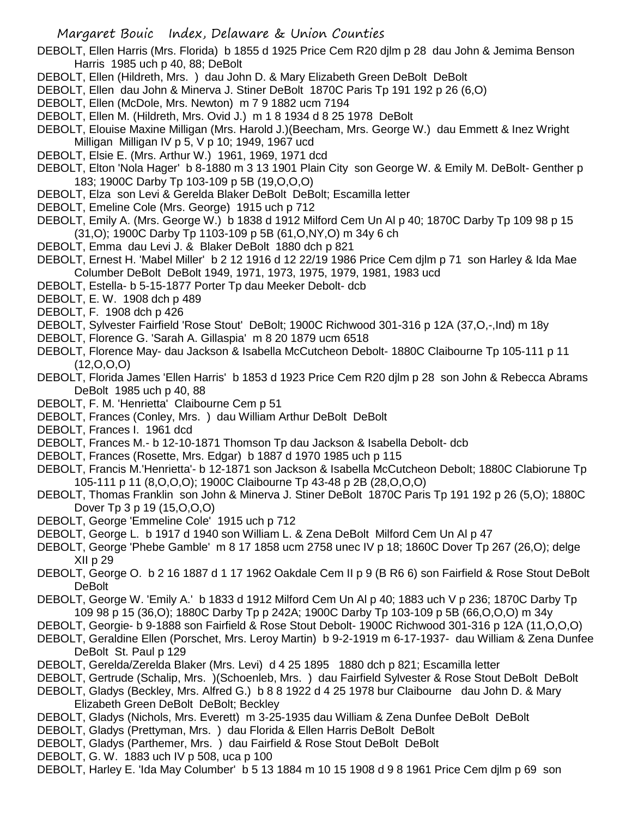DEBOLT, Ellen Harris (Mrs. Florida) b 1855 d 1925 Price Cem R20 djlm p 28 dau John & Jemima Benson Harris 1985 uch p 40, 88; DeBolt

- DEBOLT, Ellen (Hildreth, Mrs. ) dau John D. & Mary Elizabeth Green DeBolt DeBolt
- DEBOLT, Ellen dau John & Minerva J. Stiner DeBolt 1870C Paris Tp 191 192 p 26 (6,O)
- DEBOLT, Ellen (McDole, Mrs. Newton) m 7 9 1882 ucm 7194
- DEBOLT, Ellen M. (Hildreth, Mrs. Ovid J.) m 1 8 1934 d 8 25 1978 DeBolt
- DEBOLT, Elouise Maxine Milligan (Mrs. Harold J.)(Beecham, Mrs. George W.) dau Emmett & Inez Wright Milligan Milligan IV p 5, V p 10; 1949, 1967 ucd
- DEBOLT, Elsie E. (Mrs. Arthur W.) 1961, 1969, 1971 dcd
- DEBOLT, Elton 'Nola Hager' b 8-1880 m 3 13 1901 Plain City son George W. & Emily M. DeBolt- Genther p 183; 1900C Darby Tp 103-109 p 5B (19,O,O,O)
- DEBOLT, Elza son Levi & Gerelda Blaker DeBolt DeBolt; Escamilla letter
- DEBOLT, Emeline Cole (Mrs. George) 1915 uch p 712
- DEBOLT, Emily A. (Mrs. George W.) b 1838 d 1912 Milford Cem Un Al p 40; 1870C Darby Tp 109 98 p 15 (31,O); 1900C Darby Tp 1103-109 p 5B (61,O,NY,O) m 34y 6 ch
- DEBOLT, Emma dau Levi J. & Blaker DeBolt 1880 dch p 821
- DEBOLT, Ernest H. 'Mabel Miller' b 2 12 1916 d 12 22/19 1986 Price Cem djlm p 71 son Harley & Ida Mae Columber DeBolt DeBolt 1949, 1971, 1973, 1975, 1979, 1981, 1983 ucd
- DEBOLT, Estella- b 5-15-1877 Porter Tp dau Meeker Debolt- dcb
- DEBOLT, E. W. 1908 dch p 489
- DEBOLT, F. 1908 dch p 426
- DEBOLT, Sylvester Fairfield 'Rose Stout' DeBolt; 1900C Richwood 301-316 p 12A (37,O,-,Ind) m 18y
- DEBOLT, Florence G. 'Sarah A. Gillaspia' m 8 20 1879 ucm 6518
- DEBOLT, Florence May- dau Jackson & Isabella McCutcheon Debolt- 1880C Claibourne Tp 105-111 p 11 (12,O,O,O)
- DEBOLT, Florida James 'Ellen Harris' b 1853 d 1923 Price Cem R20 djlm p 28 son John & Rebecca Abrams DeBolt 1985 uch p 40, 88
- DEBOLT, F. M. 'Henrietta' Claibourne Cem p 51
- DEBOLT, Frances (Conley, Mrs. ) dau William Arthur DeBolt DeBolt
- DEBOLT, Frances I. 1961 dcd
- DEBOLT, Frances M.- b 12-10-1871 Thomson Tp dau Jackson & Isabella Debolt- dcb
- DEBOLT, Frances (Rosette, Mrs. Edgar) b 1887 d 1970 1985 uch p 115
- DEBOLT, Francis M.'Henrietta'- b 12-1871 son Jackson & Isabella McCutcheon Debolt; 1880C Clabiorune Tp 105-111 p 11 (8,O,O,O); 1900C Claibourne Tp 43-48 p 2B (28,O,O,O)
- DEBOLT, Thomas Franklin son John & Minerva J. Stiner DeBolt 1870C Paris Tp 191 192 p 26 (5,O); 1880C Dover Tp 3 p 19 (15,O,O,O)
- DEBOLT, George 'Emmeline Cole' 1915 uch p 712
- DEBOLT, George L. b 1917 d 1940 son William L. & Zena DeBolt Milford Cem Un Al p 47
- DEBOLT, George 'Phebe Gamble' m 8 17 1858 ucm 2758 unec IV p 18; 1860C Dover Tp 267 (26,O); delge XII p 29
- DEBOLT, George O. b 2 16 1887 d 1 17 1962 Oakdale Cem II p 9 (B R6 6) son Fairfield & Rose Stout DeBolt DeBolt
- DEBOLT, George W. 'Emily A.' b 1833 d 1912 Milford Cem Un Al p 40; 1883 uch V p 236; 1870C Darby Tp 109 98 p 15 (36,O); 1880C Darby Tp p 242A; 1900C Darby Tp 103-109 p 5B (66,O,O,O) m 34y
- DEBOLT, Georgie- b 9-1888 son Fairfield & Rose Stout Debolt- 1900C Richwood 301-316 p 12A (11,O,O,O)
- DEBOLT, Geraldine Ellen (Porschet, Mrs. Leroy Martin) b 9-2-1919 m 6-17-1937- dau William & Zena Dunfee DeBolt St. Paul p 129
- DEBOLT, Gerelda/Zerelda Blaker (Mrs. Levi) d 4 25 1895 1880 dch p 821; Escamilla letter
- DEBOLT, Gertrude (Schalip, Mrs. )(Schoenleb, Mrs. ) dau Fairfield Sylvester & Rose Stout DeBolt DeBolt
- DEBOLT, Gladys (Beckley, Mrs. Alfred G.) b 8 8 1922 d 4 25 1978 bur Claibourne dau John D. & Mary Elizabeth Green DeBolt DeBolt; Beckley
- DEBOLT, Gladys (Nichols, Mrs. Everett) m 3-25-1935 dau William & Zena Dunfee DeBolt DeBolt
- DEBOLT, Gladys (Prettyman, Mrs. ) dau Florida & Ellen Harris DeBolt DeBolt
- DEBOLT, Gladys (Parthemer, Mrs. ) dau Fairfield & Rose Stout DeBolt DeBolt
- DEBOLT, G. W. 1883 uch IV p 508, uca p 100
- DEBOLT, Harley E. 'Ida May Columber' b 5 13 1884 m 10 15 1908 d 9 8 1961 Price Cem djlm p 69 son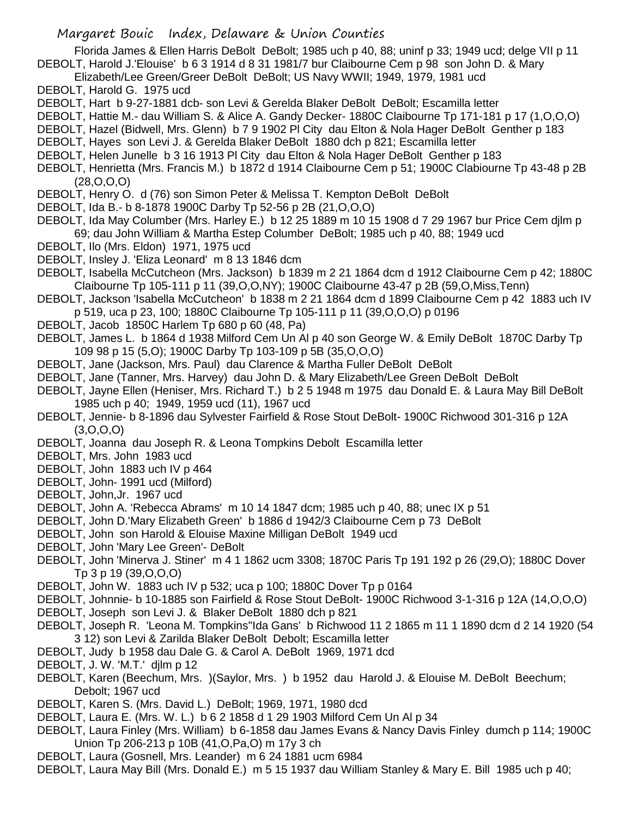Florida James & Ellen Harris DeBolt DeBolt; 1985 uch p 40, 88; uninf p 33; 1949 ucd; delge VII p 11 DEBOLT, Harold J.'Elouise' b 6 3 1914 d 8 31 1981/7 bur Claibourne Cem p 98 son John D. & Mary

- Elizabeth/Lee Green/Greer DeBolt DeBolt; US Navy WWII; 1949, 1979, 1981 ucd
- DEBOLT, Harold G. 1975 ucd
- DEBOLT, Hart b 9-27-1881 dcb- son Levi & Gerelda Blaker DeBolt DeBolt; Escamilla letter
- DEBOLT, Hattie M.- dau William S. & Alice A. Gandy Decker- 1880C Claibourne Tp 171-181 p 17 (1,O,O,O)
- DEBOLT, Hazel (Bidwell, Mrs. Glenn) b 7 9 1902 Pl City dau Elton & Nola Hager DeBolt Genther p 183
- DEBOLT, Hayes son Levi J. & Gerelda Blaker DeBolt 1880 dch p 821; Escamilla letter
- DEBOLT, Helen Junelle b 3 16 1913 Pl City dau Elton & Nola Hager DeBolt Genther p 183
- DEBOLT, Henrietta (Mrs. Francis M.) b 1872 d 1914 Claibourne Cem p 51; 1900C Clabiourne Tp 43-48 p 2B (28,O,O,O)
- DEBOLT, Henry O. d (76) son Simon Peter & Melissa T. Kempton DeBolt DeBolt
- DEBOLT, Ida B.- b 8-1878 1900C Darby Tp 52-56 p 2B (21,O,O,O)
- DEBOLT, Ida May Columber (Mrs. Harley E.) b 12 25 1889 m 10 15 1908 d 7 29 1967 bur Price Cem djlm p 69; dau John William & Martha Estep Columber DeBolt; 1985 uch p 40, 88; 1949 ucd
- DEBOLT, Ilo (Mrs. Eldon) 1971, 1975 ucd
- DEBOLT, Insley J. 'Eliza Leonard' m 8 13 1846 dcm
- DEBOLT, Isabella McCutcheon (Mrs. Jackson) b 1839 m 2 21 1864 dcm d 1912 Claibourne Cem p 42; 1880C Claibourne Tp 105-111 p 11 (39,O,O,NY); 1900C Claibourne 43-47 p 2B (59,O,Miss,Tenn)
- DEBOLT, Jackson 'Isabella McCutcheon' b 1838 m 2 21 1864 dcm d 1899 Claibourne Cem p 42 1883 uch IV p 519, uca p 23, 100; 1880C Claibourne Tp 105-111 p 11 (39,O,O,O) p 0196
- DEBOLT, Jacob 1850C Harlem Tp 680 p 60 (48, Pa)
- DEBOLT, James L. b 1864 d 1938 Milford Cem Un Al p 40 son George W. & Emily DeBolt 1870C Darby Tp 109 98 p 15 (5,O); 1900C Darby Tp 103-109 p 5B (35,O,O,O)
- DEBOLT, Jane (Jackson, Mrs. Paul) dau Clarence & Martha Fuller DeBolt DeBolt
- DEBOLT, Jane (Tanner, Mrs. Harvey) dau John D. & Mary Elizabeth/Lee Green DeBolt DeBolt
- DEBOLT, Jayne Ellen (Heniser, Mrs. Richard T.) b 2 5 1948 m 1975 dau Donald E. & Laura May Bill DeBolt 1985 uch p 40; 1949, 1959 ucd (11), 1967 ucd
- DEBOLT, Jennie- b 8-1896 dau Sylvester Fairfield & Rose Stout DeBolt- 1900C Richwood 301-316 p 12A  $(3,0,0,0)$
- DEBOLT, Joanna dau Joseph R. & Leona Tompkins Debolt Escamilla letter
- DEBOLT, Mrs. John 1983 ucd
- DEBOLT, John 1883 uch IV p 464
- DEBOLT, John- 1991 ucd (Milford)
- DEBOLT, John,Jr. 1967 ucd
- DEBOLT, John A. 'Rebecca Abrams' m 10 14 1847 dcm; 1985 uch p 40, 88; unec IX p 51
- DEBOLT, John D.'Mary Elizabeth Green' b 1886 d 1942/3 Claibourne Cem p 73 DeBolt
- DEBOLT, John son Harold & Elouise Maxine Milligan DeBolt 1949 ucd
- DEBOLT, John 'Mary Lee Green'- DeBolt
- DEBOLT, John 'Minerva J. Stiner' m 4 1 1862 ucm 3308; 1870C Paris Tp 191 192 p 26 (29,O); 1880C Dover Tp 3 p 19 (39,O,O,O)
- DEBOLT, John W. 1883 uch IV p 532; uca p 100; 1880C Dover Tp p 0164
- DEBOLT, Johnnie- b 10-1885 son Fairfield & Rose Stout DeBolt- 1900C Richwood 3-1-316 p 12A (14,O,O,O)
- DEBOLT, Joseph son Levi J. & Blaker DeBolt 1880 dch p 821
- DEBOLT, Joseph R. 'Leona M. Tompkins''Ida Gans' b Richwood 11 2 1865 m 11 1 1890 dcm d 2 14 1920 (54 3 12) son Levi & Zarilda Blaker DeBolt Debolt; Escamilla letter
- DEBOLT, Judy b 1958 dau Dale G. & Carol A. DeBolt 1969, 1971 dcd
- DEBOLT, J. W. 'M.T.' djlm p 12
- DEBOLT, Karen (Beechum, Mrs. )(Saylor, Mrs. ) b 1952 dau Harold J. & Elouise M. DeBolt Beechum; Debolt; 1967 ucd
- DEBOLT, Karen S. (Mrs. David L.) DeBolt; 1969, 1971, 1980 dcd
- DEBOLT, Laura E. (Mrs. W. L.) b 6 2 1858 d 1 29 1903 Milford Cem Un Al p 34
- DEBOLT, Laura Finley (Mrs. William) b 6-1858 dau James Evans & Nancy Davis Finley dumch p 114; 1900C Union Tp 206-213 p 10B (41,O,Pa,O) m 17y 3 ch
- DEBOLT, Laura (Gosnell, Mrs. Leander) m 6 24 1881 ucm 6984
- DEBOLT, Laura May Bill (Mrs. Donald E.) m 5 15 1937 dau William Stanley & Mary E. Bill 1985 uch p 40;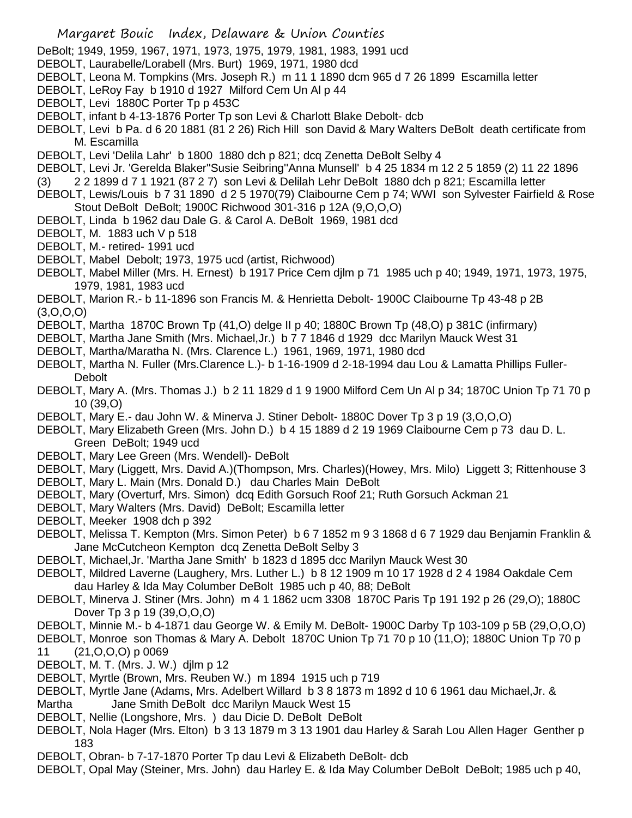- Margaret Bouic Index, Delaware & Union Counties
- DeBolt; 1949, 1959, 1967, 1971, 1973, 1975, 1979, 1981, 1983, 1991 ucd
- DEBOLT, Laurabelle/Lorabell (Mrs. Burt) 1969, 1971, 1980 dcd
- DEBOLT, Leona M. Tompkins (Mrs. Joseph R.) m 11 1 1890 dcm 965 d 7 26 1899 Escamilla letter
- DEBOLT, LeRoy Fay b 1910 d 1927 Milford Cem Un Al p 44
- DEBOLT, Levi 1880C Porter Tp p 453C
- DEBOLT, infant b 4-13-1876 Porter Tp son Levi & Charlott Blake Debolt- dcb
- DEBOLT, Levi b Pa. d 6 20 1881 (81 2 26) Rich Hill son David & Mary Walters DeBolt death certificate from M. Escamilla
- DEBOLT, Levi 'Delila Lahr' b 1800 1880 dch p 821; dcq Zenetta DeBolt Selby 4
- DEBOLT, Levi Jr. 'Gerelda Blaker''Susie Seibring''Anna Munsell' b 4 25 1834 m 12 2 5 1859 (2) 11 22 1896
- (3) 2 2 1899 d 7 1 1921 (87 2 7) son Levi & Delilah Lehr DeBolt 1880 dch p 821; Escamilla letter
- DEBOLT, Lewis/Louis b 7 31 1890 d 2 5 1970(79) Claibourne Cem p 74; WWI son Sylvester Fairfield & Rose Stout DeBolt DeBolt; 1900C Richwood 301-316 p 12A (9,O,O,O)
- DEBOLT, Linda b 1962 dau Dale G. & Carol A. DeBolt 1969, 1981 dcd
- DEBOLT, M. 1883 uch V p 518
- DEBOLT, M.- retired- 1991 ucd
- DEBOLT, Mabel Debolt; 1973, 1975 ucd (artist, Richwood)
- DEBOLT, Mabel Miller (Mrs. H. Ernest) b 1917 Price Cem djlm p 71 1985 uch p 40; 1949, 1971, 1973, 1975, 1979, 1981, 1983 ucd
- DEBOLT, Marion R.- b 11-1896 son Francis M. & Henrietta Debolt- 1900C Claibourne Tp 43-48 p 2B  $(3,0,0,0)$
- DEBOLT, Martha 1870C Brown Tp (41,O) delge II p 40; 1880C Brown Tp (48,O) p 381C (infirmary)
- DEBOLT, Martha Jane Smith (Mrs. Michael,Jr.) b 7 7 1846 d 1929 dcc Marilyn Mauck West 31
- DEBOLT, Martha/Maratha N. (Mrs. Clarence L.) 1961, 1969, 1971, 1980 dcd
- DEBOLT, Martha N. Fuller (Mrs.Clarence L.)- b 1-16-1909 d 2-18-1994 dau Lou & Lamatta Phillips Fuller-**Debolt**
- DEBOLT, Mary A. (Mrs. Thomas J.) b 2 11 1829 d 1 9 1900 Milford Cem Un Al p 34; 1870C Union Tp 71 70 p 10 (39,O)
- DEBOLT, Mary E.- dau John W. & Minerva J. Stiner Debolt- 1880C Dover Tp 3 p 19 (3,O,O,O)
- DEBOLT, Mary Elizabeth Green (Mrs. John D.) b 4 15 1889 d 2 19 1969 Claibourne Cem p 73 dau D. L. Green DeBolt; 1949 ucd
- DEBOLT, Mary Lee Green (Mrs. Wendell)- DeBolt
- DEBOLT, Mary (Liggett, Mrs. David A.)(Thompson, Mrs. Charles)(Howey, Mrs. Milo) Liggett 3; Rittenhouse 3
- DEBOLT, Mary L. Main (Mrs. Donald D.) dau Charles Main DeBolt
- DEBOLT, Mary (Overturf, Mrs. Simon) dcq Edith Gorsuch Roof 21; Ruth Gorsuch Ackman 21
- DEBOLT, Mary Walters (Mrs. David) DeBolt; Escamilla letter
- DEBOLT, Meeker 1908 dch p 392
- DEBOLT, Melissa T. Kempton (Mrs. Simon Peter) b 6 7 1852 m 9 3 1868 d 6 7 1929 dau Benjamin Franklin & Jane McCutcheon Kempton dcq Zenetta DeBolt Selby 3
- DEBOLT, Michael,Jr. 'Martha Jane Smith' b 1823 d 1895 dcc Marilyn Mauck West 30
- DEBOLT, Mildred Laverne (Laughery, Mrs. Luther L.) b 8 12 1909 m 10 17 1928 d 2 4 1984 Oakdale Cem dau Harley & Ida May Columber DeBolt 1985 uch p 40, 88; DeBolt
- DEBOLT, Minerva J. Stiner (Mrs. John) m 4 1 1862 ucm 3308 1870C Paris Tp 191 192 p 26 (29,O); 1880C Dover Tp 3 p 19 (39,O,O,O)
- DEBOLT, Minnie M.- b 4-1871 dau George W. & Emily M. DeBolt- 1900C Darby Tp 103-109 p 5B (29,O,O,O)
- DEBOLT, Monroe son Thomas & Mary A. Debolt 1870C Union Tp 71 70 p 10 (11,O); 1880C Union Tp 70 p 11 (21,O,O,O) p 0069
- DEBOLT, M. T. (Mrs. J. W.) djlm p 12
- DEBOLT, Myrtle (Brown, Mrs. Reuben W.) m 1894 1915 uch p 719
- DEBOLT, Myrtle Jane (Adams, Mrs. Adelbert Willard b 3 8 1873 m 1892 d 10 6 1961 dau Michael,Jr. & Martha Jane Smith DeBolt dcc Marilyn Mauck West 15
- DEBOLT, Nellie (Longshore, Mrs. ) dau Dicie D. DeBolt DeBolt
- DEBOLT, Nola Hager (Mrs. Elton) b 3 13 1879 m 3 13 1901 dau Harley & Sarah Lou Allen Hager Genther p 183
- DEBOLT, Obran- b 7-17-1870 Porter Tp dau Levi & Elizabeth DeBolt- dcb
- DEBOLT, Opal May (Steiner, Mrs. John) dau Harley E. & Ida May Columber DeBolt DeBolt; 1985 uch p 40,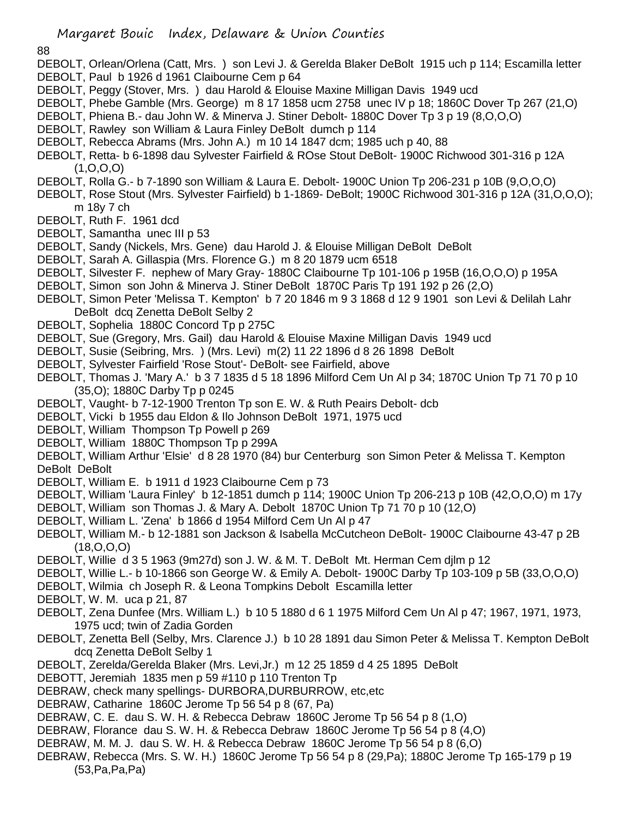#### 88

- DEBOLT, Orlean/Orlena (Catt, Mrs. ) son Levi J. & Gerelda Blaker DeBolt 1915 uch p 114; Escamilla letter DEBOLT, Paul b 1926 d 1961 Claibourne Cem p 64
- DEBOLT, Peggy (Stover, Mrs. ) dau Harold & Elouise Maxine Milligan Davis 1949 ucd
- DEBOLT, Phebe Gamble (Mrs. George) m 8 17 1858 ucm 2758 unec IV p 18; 1860C Dover Tp 267 (21,O)
- DEBOLT, Phiena B.- dau John W. & Minerva J. Stiner Debolt- 1880C Dover Tp 3 p 19 (8,O,O,O)
- DEBOLT, Rawley son William & Laura Finley DeBolt dumch p 114
- DEBOLT, Rebecca Abrams (Mrs. John A.) m 10 14 1847 dcm; 1985 uch p 40, 88
- DEBOLT, Retta- b 6-1898 dau Sylvester Fairfield & ROse Stout DeBolt- 1900C Richwood 301-316 p 12A (1,O,O,O)
- DEBOLT, Rolla G.- b 7-1890 son William & Laura E. Debolt- 1900C Union Tp 206-231 p 10B (9,O,O,O)
- DEBOLT, Rose Stout (Mrs. Sylvester Fairfield) b 1-1869- DeBolt; 1900C Richwood 301-316 p 12A (31,O,O,O); m 18y 7 ch
- DEBOLT, Ruth F. 1961 dcd
- DEBOLT, Samantha unec III p 53
- DEBOLT, Sandy (Nickels, Mrs. Gene) dau Harold J. & Elouise Milligan DeBolt DeBolt
- DEBOLT, Sarah A. Gillaspia (Mrs. Florence G.) m 8 20 1879 ucm 6518
- DEBOLT, Silvester F. nephew of Mary Gray- 1880C Claibourne Tp 101-106 p 195B (16,O,O,O) p 195A
- DEBOLT, Simon son John & Minerva J. Stiner DeBolt 1870C Paris Tp 191 192 p 26 (2,O)
- DEBOLT, Simon Peter 'Melissa T. Kempton' b 7 20 1846 m 9 3 1868 d 12 9 1901 son Levi & Delilah Lahr DeBolt dcq Zenetta DeBolt Selby 2
- DEBOLT, Sophelia 1880C Concord Tp p 275C
- DEBOLT, Sue (Gregory, Mrs. Gail) dau Harold & Elouise Maxine Milligan Davis 1949 ucd
- DEBOLT, Susie (Seibring, Mrs. ) (Mrs. Levi) m(2) 11 22 1896 d 8 26 1898 DeBolt
- DEBOLT, Sylvester Fairfield 'Rose Stout'- DeBolt- see Fairfield, above
- DEBOLT, Thomas J. 'Mary A.' b 3 7 1835 d 5 18 1896 Milford Cem Un Al p 34; 1870C Union Tp 71 70 p 10 (35,O); 1880C Darby Tp p 0245
- DEBOLT, Vaught- b 7-12-1900 Trenton Tp son E. W. & Ruth Peairs Debolt- dcb
- DEBOLT, Vicki b 1955 dau Eldon & Ilo Johnson DeBolt 1971, 1975 ucd
- DEBOLT, William Thompson Tp Powell p 269
- DEBOLT, William 1880C Thompson Tp p 299A
- DEBOLT, William Arthur 'Elsie' d 8 28 1970 (84) bur Centerburg son Simon Peter & Melissa T. Kempton DeBolt DeBolt
- DEBOLT, William E. b 1911 d 1923 Claibourne Cem p 73
- DEBOLT, William 'Laura Finley' b 12-1851 dumch p 114; 1900C Union Tp 206-213 p 10B (42,O,O,O) m 17y
- DEBOLT, William son Thomas J. & Mary A. Debolt 1870C Union Tp 71 70 p 10 (12,O)
- DEBOLT, William L. 'Zena' b 1866 d 1954 Milford Cem Un Al p 47
- DEBOLT, William M.- b 12-1881 son Jackson & Isabella McCutcheon DeBolt- 1900C Claibourne 43-47 p 2B (18,O,O,O)
- DEBOLT, Willie d 3 5 1963 (9m27d) son J. W. & M. T. DeBolt Mt. Herman Cem djlm p 12
- DEBOLT, Willie L.- b 10-1866 son George W. & Emily A. Debolt- 1900C Darby Tp 103-109 p 5B (33,O,O,O)
- DEBOLT, Wilmia ch Joseph R. & Leona Tompkins Debolt Escamilla letter
- DEBOLT, W. M. uca p 21, 87
- DEBOLT, Zena Dunfee (Mrs. William L.) b 10 5 1880 d 6 1 1975 Milford Cem Un Al p 47; 1967, 1971, 1973, 1975 ucd; twin of Zadia Gorden
- DEBOLT, Zenetta Bell (Selby, Mrs. Clarence J.) b 10 28 1891 dau Simon Peter & Melissa T. Kempton DeBolt dcq Zenetta DeBolt Selby 1
- DEBOLT, Zerelda/Gerelda Blaker (Mrs. Levi,Jr.) m 12 25 1859 d 4 25 1895 DeBolt
- DEBOTT, Jeremiah 1835 men p 59 #110 p 110 Trenton Tp
- DEBRAW, check many spellings- DURBORA,DURBURROW, etc,etc
- DEBRAW, Catharine 1860C Jerome Tp 56 54 p 8 (67, Pa)
- DEBRAW, C. E. dau S. W. H. & Rebecca Debraw 1860C Jerome Tp 56 54 p 8 (1,O)
- DEBRAW, Florance dau S. W. H. & Rebecca Debraw 1860C Jerome Tp 56 54 p 8 (4,O)
- DEBRAW, M. M. J. dau S. W. H. & Rebecca Debraw 1860C Jerome Tp 56 54 p 8 (6,O)
- DEBRAW, Rebecca (Mrs. S. W. H.) 1860C Jerome Tp 56 54 p 8 (29,Pa); 1880C Jerome Tp 165-179 p 19 (53,Pa,Pa,Pa)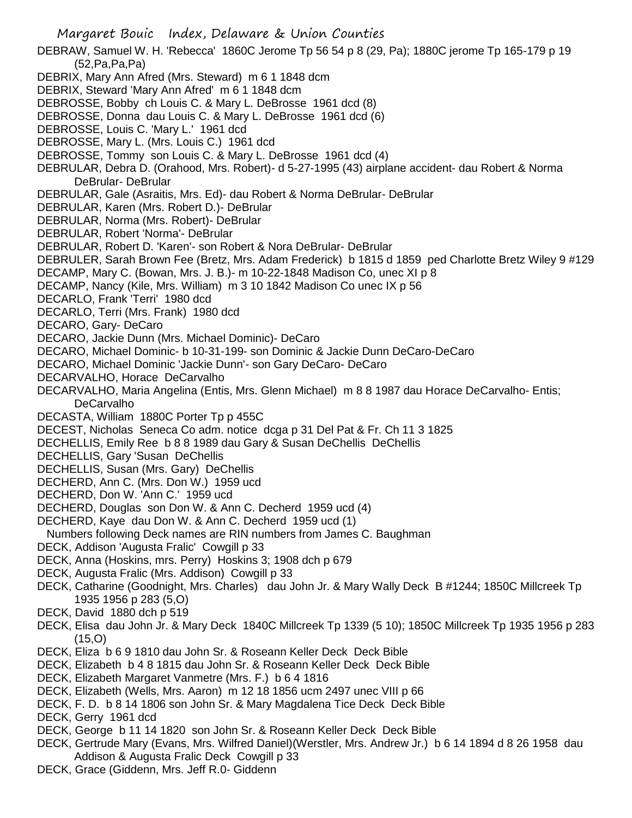- Margaret Bouic Index, Delaware & Union Counties DEBRAW, Samuel W. H. 'Rebecca' 1860C Jerome Tp 56 54 p 8 (29, Pa); 1880C jerome Tp 165-179 p 19 (52,Pa,Pa,Pa) DEBRIX, Mary Ann Afred (Mrs. Steward) m 6 1 1848 dcm DEBRIX, Steward 'Mary Ann Afred' m 6 1 1848 dcm DEBROSSE, Bobby ch Louis C. & Mary L. DeBrosse 1961 dcd (8) DEBROSSE, Donna dau Louis C. & Mary L. DeBrosse 1961 dcd (6) DEBROSSE, Louis C. 'Mary L.' 1961 dcd DEBROSSE, Mary L. (Mrs. Louis C.) 1961 dcd DEBROSSE, Tommy son Louis C. & Mary L. DeBrosse 1961 dcd (4) DEBRULAR, Debra D. (Orahood, Mrs. Robert)- d 5-27-1995 (43) airplane accident- dau Robert & Norma DeBrular- DeBrular DEBRULAR, Gale (Asraitis, Mrs. Ed)- dau Robert & Norma DeBrular- DeBrular DEBRULAR, Karen (Mrs. Robert D.)- DeBrular DEBRULAR, Norma (Mrs. Robert)- DeBrular DEBRULAR, Robert 'Norma'- DeBrular DEBRULAR, Robert D. 'Karen'- son Robert & Nora DeBrular- DeBrular DEBRULER, Sarah Brown Fee (Bretz, Mrs. Adam Frederick) b 1815 d 1859 ped Charlotte Bretz Wiley 9 #129 DECAMP, Mary C. (Bowan, Mrs. J. B.)- m 10-22-1848 Madison Co, unec XI p 8 DECAMP, Nancy (Kile, Mrs. William) m 3 10 1842 Madison Co unec IX p 56 DECARLO, Frank 'Terri' 1980 dcd DECARLO, Terri (Mrs. Frank) 1980 dcd DECARO, Gary- DeCaro DECARO, Jackie Dunn (Mrs. Michael Dominic)- DeCaro DECARO, Michael Dominic- b 10-31-199- son Dominic & Jackie Dunn DeCaro-DeCaro DECARO, Michael Dominic 'Jackie Dunn'- son Gary DeCaro- DeCaro DECARVALHO, Horace DeCarvalho DECARVALHO, Maria Angelina (Entis, Mrs. Glenn Michael) m 8 8 1987 dau Horace DeCarvalho- Entis; **DeCarvalho** DECASTA, William 1880C Porter Tp p 455C DECEST, Nicholas Seneca Co adm. notice dcga p 31 Del Pat & Fr. Ch 11 3 1825 DECHELLIS, Emily Ree b 8 8 1989 dau Gary & Susan DeChellis DeChellis DECHELLIS, Gary 'Susan DeChellis DECHELLIS, Susan (Mrs. Gary) DeChellis DECHERD, Ann C. (Mrs. Don W.) 1959 ucd DECHERD, Don W. 'Ann C.' 1959 ucd DECHERD, Douglas son Don W. & Ann C. Decherd 1959 ucd (4) DECHERD, Kaye dau Don W. & Ann C. Decherd 1959 ucd (1) Numbers following Deck names are RIN numbers from James C. Baughman DECK, Addison 'Augusta Fralic' Cowgill p 33 DECK, Anna (Hoskins, mrs. Perry) Hoskins 3; 1908 dch p 679 DECK, Augusta Fralic (Mrs. Addison) Cowgill p 33 DECK, Catharine (Goodnight, Mrs. Charles) dau John Jr. & Mary Wally Deck B #1244; 1850C Millcreek Tp 1935 1956 p 283 (5,O) DECK, David 1880 dch p 519 DECK, Elisa dau John Jr. & Mary Deck 1840C Millcreek Tp 1339 (5 10); 1850C Millcreek Tp 1935 1956 p 283 (15,O) DECK, Eliza b 6 9 1810 dau John Sr. & Roseann Keller Deck Deck Bible DECK, Elizabeth b 4 8 1815 dau John Sr. & Roseann Keller Deck Deck Bible DECK, Elizabeth Margaret Vanmetre (Mrs. F.) b 6 4 1816 DECK, Elizabeth (Wells, Mrs. Aaron) m 12 18 1856 ucm 2497 unec VIII p 66 DECK, F. D. b 8 14 1806 son John Sr. & Mary Magdalena Tice Deck Deck Bible DECK, Gerry 1961 dcd DECK, George b 11 14 1820 son John Sr. & Roseann Keller Deck Deck Bible DECK, Gertrude Mary (Evans, Mrs. Wilfred Daniel)(Werstler, Mrs. Andrew Jr.) b 6 14 1894 d 8 26 1958 dau Addison & Augusta Fralic Deck Cowgill p 33
	- DECK, Grace (Giddenn, Mrs. Jeff R.0- Giddenn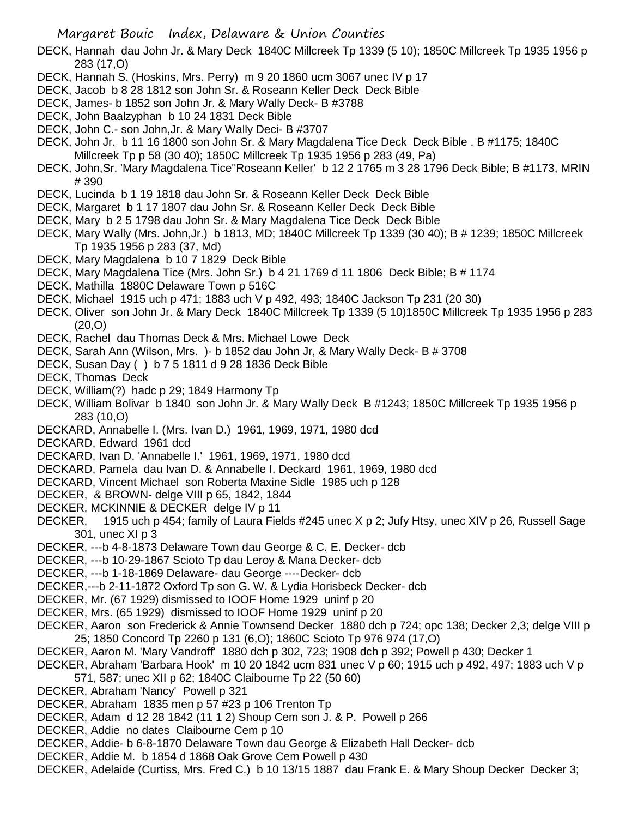- DECK, Hannah dau John Jr. & Mary Deck 1840C Millcreek Tp 1339 (5 10); 1850C Millcreek Tp 1935 1956 p 283 (17,O)
- DECK, Hannah S. (Hoskins, Mrs. Perry) m 9 20 1860 ucm 3067 unec IV p 17
- DECK, Jacob b 8 28 1812 son John Sr. & Roseann Keller Deck Deck Bible
- DECK, James- b 1852 son John Jr. & Mary Wally Deck- B #3788
- DECK, John Baalzyphan b 10 24 1831 Deck Bible
- DECK, John C.- son John,Jr. & Mary Wally Deci- B #3707
- DECK, John Jr. b 11 16 1800 son John Sr. & Mary Magdalena Tice Deck Deck Bible . B #1175; 1840C Millcreek Tp p 58 (30 40); 1850C Millcreek Tp 1935 1956 p 283 (49, Pa)
- DECK, John, Sr. 'Mary Magdalena Tice''Roseann Keller' b 12 2 1765 m 3 28 1796 Deck Bible; B #1173, MRIN # 390
- DECK, Lucinda b 1 19 1818 dau John Sr. & Roseann Keller Deck Deck Bible
- DECK, Margaret b 1 17 1807 dau John Sr. & Roseann Keller Deck Deck Bible
- DECK, Mary b 2 5 1798 dau John Sr. & Mary Magdalena Tice Deck Deck Bible
- DECK, Mary Wally (Mrs. John,Jr.) b 1813, MD; 1840C Millcreek Tp 1339 (30 40); B # 1239; 1850C Millcreek Tp 1935 1956 p 283 (37, Md)
- DECK, Mary Magdalena b 10 7 1829 Deck Bible
- DECK, Mary Magdalena Tice (Mrs. John Sr.) b 4 21 1769 d 11 1806 Deck Bible; B # 1174
- DECK, Mathilla 1880C Delaware Town p 516C
- DECK, Michael 1915 uch p 471; 1883 uch V p 492, 493; 1840C Jackson Tp 231 (20 30)
- DECK, Oliver son John Jr. & Mary Deck 1840C Millcreek Tp 1339 (5 10)1850C Millcreek Tp 1935 1956 p 283 (20,O)
- DECK, Rachel dau Thomas Deck & Mrs. Michael Lowe Deck
- DECK, Sarah Ann (Wilson, Mrs. )- b 1852 dau John Jr, & Mary Wally Deck- B # 3708
- DECK, Susan Day ( ) b 7 5 1811 d 9 28 1836 Deck Bible
- DECK, Thomas Deck
- DECK, William(?) hadc p 29; 1849 Harmony Tp
- DECK, William Bolivar b 1840 son John Jr. & Mary Wally Deck B #1243; 1850C Millcreek Tp 1935 1956 p 283 (10,O)
- DECKARD, Annabelle I. (Mrs. Ivan D.) 1961, 1969, 1971, 1980 dcd
- DECKARD, Edward 1961 dcd
- DECKARD, Ivan D. 'Annabelle I.' 1961, 1969, 1971, 1980 dcd
- DECKARD, Pamela dau Ivan D. & Annabelle I. Deckard 1961, 1969, 1980 dcd
- DECKARD, Vincent Michael son Roberta Maxine Sidle 1985 uch p 128
- DECKER, & BROWN- delge VIII p 65, 1842, 1844
- DECKER, MCKINNIE & DECKER delge IV p 11
- DECKER, 1915 uch p 454; family of Laura Fields #245 unec X p 2; Jufy Htsy, unec XIV p 26, Russell Sage 301, unec XI p 3
- DECKER, ---b 4-8-1873 Delaware Town dau George & C. E. Decker- dcb
- DECKER, ---b 10-29-1867 Scioto Tp dau Leroy & Mana Decker- dcb
- DECKER, ---b 1-18-1869 Delaware- dau George ----Decker- dcb
- DECKER,---b 2-11-1872 Oxford Tp son G. W. & Lydia Horisbeck Decker- dcb
- DECKER, Mr. (67 1929) dismissed to IOOF Home 1929 uninf p 20
- DECKER, Mrs. (65 1929) dismissed to IOOF Home 1929 uninf p 20
- DECKER, Aaron son Frederick & Annie Townsend Decker 1880 dch p 724; opc 138; Decker 2,3; delge VIII p 25; 1850 Concord Tp 2260 p 131 (6,O); 1860C Scioto Tp 976 974 (17,O)
- DECKER, Aaron M. 'Mary Vandroff' 1880 dch p 302, 723; 1908 dch p 392; Powell p 430; Decker 1
- DECKER, Abraham 'Barbara Hook' m 10 20 1842 ucm 831 unec V p 60; 1915 uch p 492, 497; 1883 uch V p
- 571, 587; unec XII p 62; 1840C Claibourne Tp 22 (50 60)
- DECKER, Abraham 'Nancy' Powell p 321
- DECKER, Abraham 1835 men p 57 #23 p 106 Trenton Tp
- DECKER, Adam d 12 28 1842 (11 1 2) Shoup Cem son J. & P. Powell p 266
- DECKER, Addie no dates Claibourne Cem p 10
- DECKER, Addie- b 6-8-1870 Delaware Town dau George & Elizabeth Hall Decker- dcb
- DECKER, Addie M. b 1854 d 1868 Oak Grove Cem Powell p 430
- DECKER, Adelaide (Curtiss, Mrs. Fred C.) b 10 13/15 1887 dau Frank E. & Mary Shoup Decker Decker 3;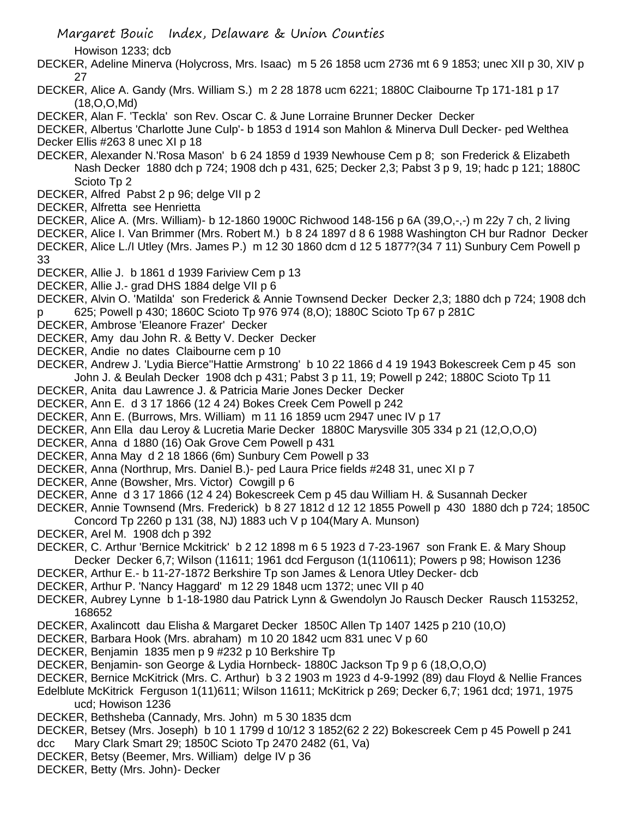Howison 1233; dcb

- DECKER, Adeline Minerva (Holycross, Mrs. Isaac) m 5 26 1858 ucm 2736 mt 6 9 1853; unec XII p 30, XIV p 27
- DECKER, Alice A. Gandy (Mrs. William S.) m 2 28 1878 ucm 6221; 1880C Claibourne Tp 171-181 p 17 (18,O,O,Md)
- DECKER, Alan F. 'Teckla' son Rev. Oscar C. & June Lorraine Brunner Decker Decker

DECKER, Albertus 'Charlotte June Culp'- b 1853 d 1914 son Mahlon & Minerva Dull Decker- ped Welthea Decker Ellis #263 8 unec XI p 18

- DECKER, Alexander N.'Rosa Mason' b 6 24 1859 d 1939 Newhouse Cem p 8; son Frederick & Elizabeth Nash Decker 1880 dch p 724; 1908 dch p 431, 625; Decker 2,3; Pabst 3 p 9, 19; hadc p 121; 1880C Scioto Tp 2
- DECKER, Alfred Pabst 2 p 96; delge VII p 2
- DECKER, Alfretta see Henrietta
- DECKER, Alice A. (Mrs. William)- b 12-1860 1900C Richwood 148-156 p 6A (39,O,-,-) m 22y 7 ch, 2 living
- DECKER, Alice I. Van Brimmer (Mrs. Robert M.) b 8 24 1897 d 8 6 1988 Washington CH bur Radnor Decker DECKER, Alice L./I Utley (Mrs. James P.) m 12 30 1860 dcm d 12 5 1877?(34 7 11) Sunbury Cem Powell p 33
- DECKER, Allie J. b 1861 d 1939 Fariview Cem p 13
- DECKER, Allie J.- grad DHS 1884 delge VII p 6

DECKER, Alvin O. 'Matilda' son Frederick & Annie Townsend Decker Decker 2,3; 1880 dch p 724; 1908 dch p 625; Powell p 430; 1860C Scioto Tp 976 974 (8,O); 1880C Scioto Tp 67 p 281C

- DECKER, Ambrose 'Eleanore Frazer' Decker
- DECKER, Amy dau John R. & Betty V. Decker Decker
- DECKER, Andie no dates Claibourne cem p 10
- DECKER, Andrew J. 'Lydia Bierce''Hattie Armstrong' b 10 22 1866 d 4 19 1943 Bokescreek Cem p 45 son John J. & Beulah Decker 1908 dch p 431; Pabst 3 p 11, 19; Powell p 242; 1880C Scioto Tp 11
- DECKER, Anita dau Lawrence J. & Patricia Marie Jones Decker Decker
- DECKER, Ann E. d 3 17 1866 (12 4 24) Bokes Creek Cem Powell p 242
- DECKER, Ann E. (Burrows, Mrs. William) m 11 16 1859 ucm 2947 unec IV p 17
- DECKER, Ann Ella dau Leroy & Lucretia Marie Decker 1880C Marysville 305 334 p 21 (12,O,O,O)
- DECKER, Anna d 1880 (16) Oak Grove Cem Powell p 431
- DECKER, Anna May d 2 18 1866 (6m) Sunbury Cem Powell p 33
- DECKER, Anna (Northrup, Mrs. Daniel B.)- ped Laura Price fields #248 31, unec XI p 7
- DECKER, Anne (Bowsher, Mrs. Victor) Cowgill p 6
- DECKER, Anne d 3 17 1866 (12 4 24) Bokescreek Cem p 45 dau William H. & Susannah Decker
- DECKER, Annie Townsend (Mrs. Frederick) b 8 27 1812 d 12 12 1855 Powell p 430 1880 dch p 724; 1850C Concord Tp 2260 p 131 (38, NJ) 1883 uch V p 104(Mary A. Munson)
- DECKER, Arel M. 1908 dch p 392
- DECKER, C. Arthur 'Bernice Mckitrick' b 2 12 1898 m 6 5 1923 d 7-23-1967 son Frank E. & Mary Shoup Decker Decker 6,7; Wilson (11611; 1961 dcd Ferguson (1(110611); Powers p 98; Howison 1236
- DECKER, Arthur E.- b 11-27-1872 Berkshire Tp son James & Lenora Utley Decker- dcb
- DECKER, Arthur P. 'Nancy Haggard' m 12 29 1848 ucm 1372; unec VII p 40
- DECKER, Aubrey Lynne b 1-18-1980 dau Patrick Lynn & Gwendolyn Jo Rausch Decker Rausch 1153252, 168652
- DECKER, Axalincott dau Elisha & Margaret Decker 1850C Allen Tp 1407 1425 p 210 (10,O)
- DECKER, Barbara Hook (Mrs. abraham) m 10 20 1842 ucm 831 unec V p 60
- DECKER, Benjamin 1835 men p 9 #232 p 10 Berkshire Tp
- DECKER, Benjamin- son George & Lydia Hornbeck- 1880C Jackson Tp 9 p 6 (18,O,O,O)
- DECKER, Bernice McKitrick (Mrs. C. Arthur) b 3 2 1903 m 1923 d 4-9-1992 (89) dau Floyd & Nellie Frances
- Edelblute McKitrick Ferguson 1(11)611; Wilson 11611; McKitrick p 269; Decker 6,7; 1961 dcd; 1971, 1975 ucd; Howison 1236
- DECKER, Bethsheba (Cannady, Mrs. John) m 5 30 1835 dcm
- DECKER, Betsey (Mrs. Joseph) b 10 1 1799 d 10/12 3 1852(62 2 22) Bokescreek Cem p 45 Powell p 241 dcc Mary Clark Smart 29; 1850C Scioto Tp 2470 2482 (61, Va)
- DECKER, Betsy (Beemer, Mrs. William) delge IV p 36
- DECKER, Betty (Mrs. John)- Decker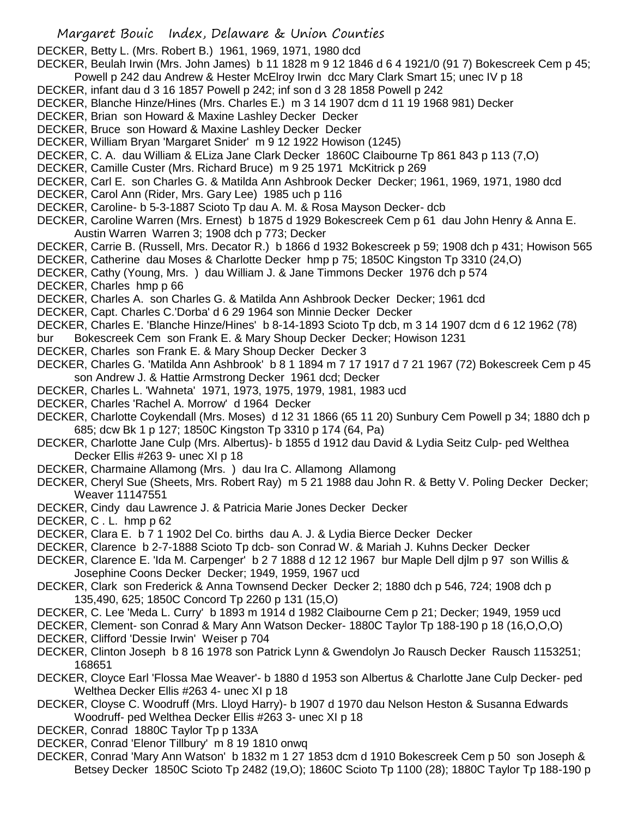DECKER, Betty L. (Mrs. Robert B.) 1961, 1969, 1971, 1980 dcd

DECKER, Beulah Irwin (Mrs. John James) b 11 1828 m 9 12 1846 d 6 4 1921/0 (91 7) Bokescreek Cem p 45; Powell p 242 dau Andrew & Hester McElroy Irwin dcc Mary Clark Smart 15; unec IV p 18

- DECKER, infant dau d 3 16 1857 Powell p 242; inf son d 3 28 1858 Powell p 242
- DECKER, Blanche Hinze/Hines (Mrs. Charles E.) m 3 14 1907 dcm d 11 19 1968 981) Decker
- DECKER, Brian son Howard & Maxine Lashley Decker Decker
- DECKER, Bruce son Howard & Maxine Lashley Decker Decker
- DECKER, William Bryan 'Margaret Snider' m 9 12 1922 Howison (1245)
- DECKER, C. A. dau William & ELiza Jane Clark Decker 1860C Claibourne Tp 861 843 p 113 (7,O)
- DECKER, Camille Custer (Mrs. Richard Bruce) m 9 25 1971 McKitrick p 269
- DECKER, Carl E. son Charles G. & Matilda Ann Ashbrook Decker Decker; 1961, 1969, 1971, 1980 dcd
- DECKER, Carol Ann (Rider, Mrs. Gary Lee) 1985 uch p 116
- DECKER, Caroline- b 5-3-1887 Scioto Tp dau A. M. & Rosa Mayson Decker- dcb
- DECKER, Caroline Warren (Mrs. Ernest) b 1875 d 1929 Bokescreek Cem p 61 dau John Henry & Anna E. Austin Warren Warren 3; 1908 dch p 773; Decker
- DECKER, Carrie B. (Russell, Mrs. Decator R.) b 1866 d 1932 Bokescreek p 59; 1908 dch p 431; Howison 565
- DECKER, Catherine dau Moses & Charlotte Decker hmp p 75; 1850C Kingston Tp 3310 (24,O)
- DECKER, Cathy (Young, Mrs. ) dau William J. & Jane Timmons Decker 1976 dch p 574
- DECKER, Charles hmp p 66
- DECKER, Charles A. son Charles G. & Matilda Ann Ashbrook Decker Decker; 1961 dcd
- DECKER, Capt. Charles C.'Dorba' d 6 29 1964 son Minnie Decker Decker
- DECKER, Charles E. 'Blanche Hinze/Hines' b 8-14-1893 Scioto Tp dcb, m 3 14 1907 dcm d 6 12 1962 (78)
- bur Bokescreek Cem son Frank E. & Mary Shoup Decker Decker; Howison 1231
- DECKER, Charles son Frank E. & Mary Shoup Decker Decker 3
- DECKER, Charles G. 'Matilda Ann Ashbrook' b 8 1 1894 m 7 17 1917 d 7 21 1967 (72) Bokescreek Cem p 45 son Andrew J. & Hattie Armstrong Decker 1961 dcd; Decker
- DECKER, Charles L. 'Wahneta' 1971, 1973, 1975, 1979, 1981, 1983 ucd
- DECKER, Charles 'Rachel A. Morrow' d 1964 Decker
- DECKER, Charlotte Coykendall (Mrs. Moses) d 12 31 1866 (65 11 20) Sunbury Cem Powell p 34; 1880 dch p 685; dcw Bk 1 p 127; 1850C Kingston Tp 3310 p 174 (64, Pa)
- DECKER, Charlotte Jane Culp (Mrs. Albertus)- b 1855 d 1912 dau David & Lydia Seitz Culp- ped Welthea Decker Ellis #263 9- unec XI p 18
- DECKER, Charmaine Allamong (Mrs. ) dau Ira C. Allamong Allamong
- DECKER, Cheryl Sue (Sheets, Mrs. Robert Ray) m 5 21 1988 dau John R. & Betty V. Poling Decker Decker; Weaver 11147551
- DECKER, Cindy dau Lawrence J. & Patricia Marie Jones Decker Decker
- DECKER, C . L. hmp p 62
- DECKER, Clara E. b 7 1 1902 Del Co. births dau A. J. & Lydia Bierce Decker Decker
- DECKER, Clarence b 2-7-1888 Scioto Tp dcb- son Conrad W. & Mariah J. Kuhns Decker Decker
- DECKER, Clarence E. 'Ida M. Carpenger' b 2 7 1888 d 12 12 1967 bur Maple Dell djlm p 97 son Willis & Josephine Coons Decker Decker; 1949, 1959, 1967 ucd
- DECKER, Clark son Frederick & Anna Townsend Decker Decker 2; 1880 dch p 546, 724; 1908 dch p 135,490, 625; 1850C Concord Tp 2260 p 131 (15,O)
- DECKER, C. Lee 'Meda L. Curry' b 1893 m 1914 d 1982 Claibourne Cem p 21; Decker; 1949, 1959 ucd
- DECKER, Clement- son Conrad & Mary Ann Watson Decker- 1880C Taylor Tp 188-190 p 18 (16,O,O,O)
- DECKER, Clifford 'Dessie Irwin' Weiser p 704
- DECKER, Clinton Joseph b 8 16 1978 son Patrick Lynn & Gwendolyn Jo Rausch Decker Rausch 1153251; 168651
- DECKER, Cloyce Earl 'Flossa Mae Weaver'- b 1880 d 1953 son Albertus & Charlotte Jane Culp Decker- ped Welthea Decker Ellis #263 4- unec XI p 18
- DECKER, Cloyse C. Woodruff (Mrs. Lloyd Harry)- b 1907 d 1970 dau Nelson Heston & Susanna Edwards Woodruff- ped Welthea Decker Ellis #263 3- unec XI p 18
- DECKER, Conrad 1880C Taylor Tp p 133A
- DECKER, Conrad 'Elenor Tillbury' m 8 19 1810 onwq
- DECKER, Conrad 'Mary Ann Watson' b 1832 m 1 27 1853 dcm d 1910 Bokescreek Cem p 50 son Joseph & Betsey Decker 1850C Scioto Tp 2482 (19,O); 1860C Scioto Tp 1100 (28); 1880C Taylor Tp 188-190 p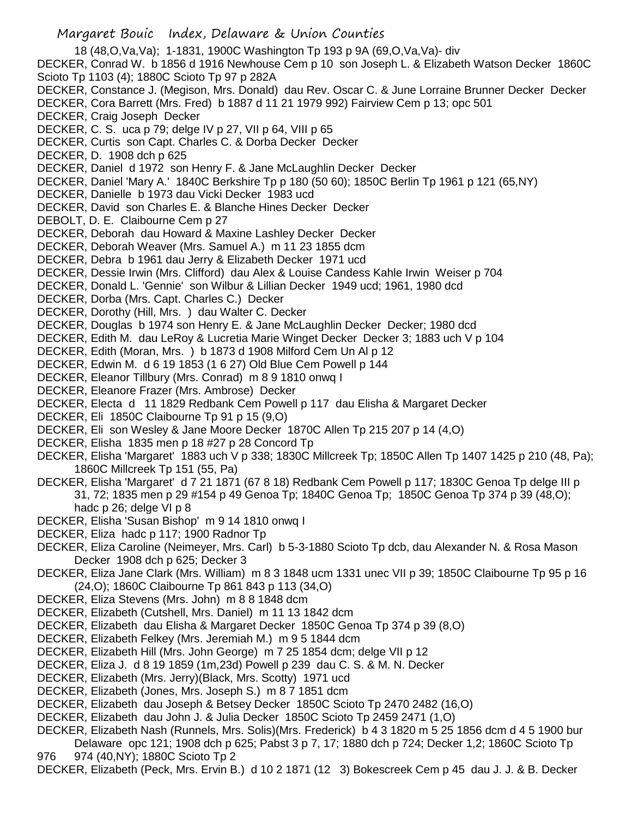Margaret Bouic Index, Delaware & Union Counties 18 (48,O,Va,Va); 1-1831, 1900C Washington Tp 193 p 9A (69,O,Va,Va)- div DECKER, Conrad W. b 1856 d 1916 Newhouse Cem p 10 son Joseph L. & Elizabeth Watson Decker 1860C Scioto Tp 1103 (4); 1880C Scioto Tp 97 p 282A DECKER, Constance J. (Megison, Mrs. Donald) dau Rev. Oscar C. & June Lorraine Brunner Decker Decker DECKER, Cora Barrett (Mrs. Fred) b 1887 d 11 21 1979 992) Fairview Cem p 13; opc 501 DECKER, Craig Joseph Decker DECKER, C. S. uca p 79; delge IV p 27, VII p 64, VIII p 65 DECKER, Curtis son Capt. Charles C. & Dorba Decker Decker DECKER, D. 1908 dch p 625 DECKER, Daniel d 1972 son Henry F. & Jane McLaughlin Decker Decker DECKER, Daniel 'Mary A.' 1840C Berkshire Tp p 180 (50 60); 1850C Berlin Tp 1961 p 121 (65,NY) DECKER, Danielle b 1973 dau Vicki Decker 1983 ucd DECKER, David son Charles E. & Blanche Hines Decker Decker DEBOLT, D. E. Claibourne Cem p 27 DECKER, Deborah dau Howard & Maxine Lashley Decker Decker DECKER, Deborah Weaver (Mrs. Samuel A.) m 11 23 1855 dcm DECKER, Debra b 1961 dau Jerry & Elizabeth Decker 1971 ucd DECKER, Dessie Irwin (Mrs. Clifford) dau Alex & Louise Candess Kahle Irwin Weiser p 704 DECKER, Donald L. 'Gennie' son Wilbur & Lillian Decker 1949 ucd; 1961, 1980 dcd DECKER, Dorba (Mrs. Capt. Charles C.) Decker DECKER, Dorothy (Hill, Mrs. ) dau Walter C. Decker DECKER, Douglas b 1974 son Henry E. & Jane McLaughlin Decker Decker; 1980 dcd DECKER, Edith M. dau LeRoy & Lucretia Marie Winget Decker Decker 3; 1883 uch V p 104 DECKER, Edith (Moran, Mrs. ) b 1873 d 1908 Milford Cem Un Al p 12 DECKER, Edwin M. d 6 19 1853 (1 6 27) Old Blue Cem Powell p 144 DECKER, Eleanor Tillbury (Mrs. Conrad) m 8 9 1810 onwq I DECKER, Eleanore Frazer (Mrs. Ambrose) Decker DECKER, Electa d 11 1829 Redbank Cem Powell p 117 dau Elisha & Margaret Decker DECKER, Eli 1850C Claibourne Tp 91 p 15 (9.O) DECKER, Eli son Wesley & Jane Moore Decker 1870C Allen Tp 215 207 p 14 (4,O) DECKER, Elisha 1835 men p 18 #27 p 28 Concord Tp DECKER, Elisha 'Margaret' 1883 uch V p 338; 1830C Millcreek Tp; 1850C Allen Tp 1407 1425 p 210 (48, Pa); 1860C Millcreek Tp 151 (55, Pa) DECKER, Elisha 'Margaret' d 7 21 1871 (67 8 18) Redbank Cem Powell p 117; 1830C Genoa Tp delge III p 31, 72; 1835 men p 29 #154 p 49 Genoa Tp; 1840C Genoa Tp; 1850C Genoa Tp 374 p 39 (48,O); hadc p 26; delge VI p 8 DECKER, Elisha 'Susan Bishop' m 9 14 1810 onwq I DECKER, Eliza hadc p 117; 1900 Radnor Tp

- DECKER, Eliza Caroline (Neimeyer, Mrs. Carl) b 5-3-1880 Scioto Tp dcb, dau Alexander N. & Rosa Mason Decker 1908 dch p 625; Decker 3
- DECKER, Eliza Jane Clark (Mrs. William) m 8 3 1848 ucm 1331 unec VII p 39; 1850C Claibourne Tp 95 p 16 (24,O); 1860C Claibourne Tp 861 843 p 113 (34,O)
- DECKER, Eliza Stevens (Mrs. John) m 8 8 1848 dcm
- DECKER, Elizabeth (Cutshell, Mrs. Daniel) m 11 13 1842 dcm
- DECKER, Elizabeth dau Elisha & Margaret Decker 1850C Genoa Tp 374 p 39 (8,O)
- DECKER, Elizabeth Felkey (Mrs. Jeremiah M.) m 9 5 1844 dcm
- DECKER, Elizabeth Hill (Mrs. John George) m 7 25 1854 dcm; delge VII p 12
- DECKER, Eliza J. d 8 19 1859 (1m,23d) Powell p 239 dau C. S. & M. N. Decker
- DECKER, Elizabeth (Mrs. Jerry)(Black, Mrs. Scotty) 1971 ucd
- DECKER, Elizabeth (Jones, Mrs. Joseph S.) m 8 7 1851 dcm
- DECKER, Elizabeth dau Joseph & Betsey Decker 1850C Scioto Tp 2470 2482 (16,O)
- DECKER, Elizabeth dau John J. & Julia Decker 1850C Scioto Tp 2459 2471 (1,O)

DECKER, Elizabeth Nash (Runnels, Mrs. Solis)(Mrs. Frederick) b 4 3 1820 m 5 25 1856 dcm d 4 5 1900 bur Delaware opc 121; 1908 dch p 625; Pabst 3 p 7, 17; 1880 dch p 724; Decker 1,2; 1860C Scioto Tp 976 974 (40,NY); 1880C Scioto Tp 2

DECKER, Elizabeth (Peck, Mrs. Ervin B.) d 10 2 1871 (12 3) Bokescreek Cem p 45 dau J. J. & B. Decker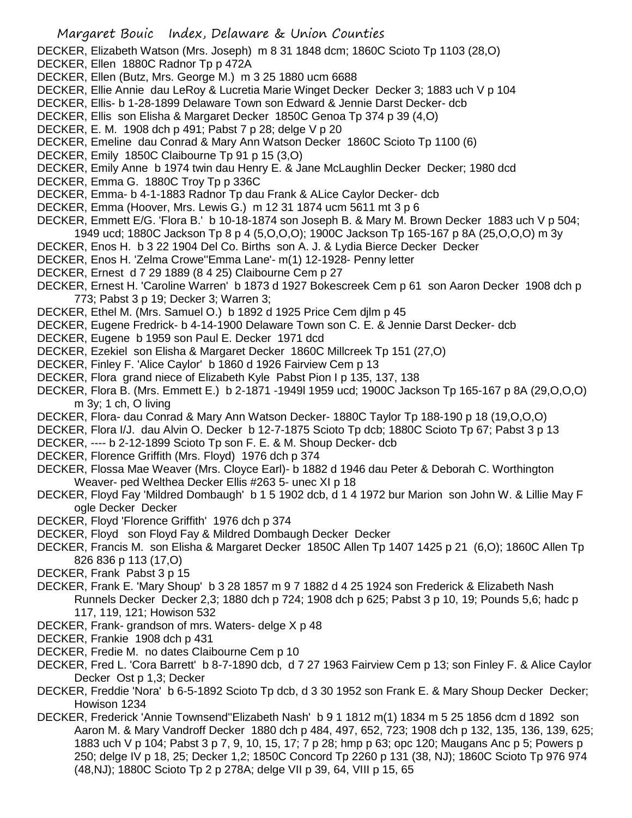DECKER, Elizabeth Watson (Mrs. Joseph) m 8 31 1848 dcm; 1860C Scioto Tp 1103 (28,O)

- DECKER, Ellen 1880C Radnor Tp p 472A
- DECKER, Ellen (Butz, Mrs. George M.) m 3 25 1880 ucm 6688
- DECKER, Ellie Annie dau LeRoy & Lucretia Marie Winget Decker Decker 3; 1883 uch V p 104
- DECKER, Ellis- b 1-28-1899 Delaware Town son Edward & Jennie Darst Decker- dcb
- DECKER, Ellis son Elisha & Margaret Decker 1850C Genoa Tp 374 p 39 (4,O)
- DECKER, E. M. 1908 dch p 491; Pabst 7 p 28; delge V p 20
- DECKER, Emeline dau Conrad & Mary Ann Watson Decker 1860C Scioto Tp 1100 (6)
- DECKER, Emily 1850C Claibourne Tp 91 p 15 (3,O)
- DECKER, Emily Anne b 1974 twin dau Henry E. & Jane McLaughlin Decker Decker; 1980 dcd
- DECKER, Emma G. 1880C Troy Tp p 336C
- DECKER, Emma- b 4-1-1883 Radnor Tp dau Frank & ALice Caylor Decker- dcb
- DECKER, Emma (Hoover, Mrs. Lewis G.) m 12 31 1874 ucm 5611 mt 3 p 6
- DECKER, Emmett E/G. 'Flora B.' b 10-18-1874 son Joseph B. & Mary M. Brown Decker 1883 uch V p 504; 1949 ucd; 1880C Jackson Tp 8 p 4 (5,O,O,O); 1900C Jackson Tp 165-167 p 8A (25,O,O,O) m 3y
- DECKER, Enos H. b 3 22 1904 Del Co. Births son A. J. & Lydia Bierce Decker Decker
- DECKER, Enos H. 'Zelma Crowe''Emma Lane'- m(1) 12-1928- Penny letter
- DECKER, Ernest d 7 29 1889 (8 4 25) Claibourne Cem p 27
- DECKER, Ernest H. 'Caroline Warren' b 1873 d 1927 Bokescreek Cem p 61 son Aaron Decker 1908 dch p 773; Pabst 3 p 19; Decker 3; Warren 3;
- DECKER, Ethel M. (Mrs. Samuel O.) b 1892 d 1925 Price Cem djlm p 45
- DECKER, Eugene Fredrick- b 4-14-1900 Delaware Town son C. E. & Jennie Darst Decker- dcb
- DECKER, Eugene b 1959 son Paul E. Decker 1971 dcd
- DECKER, Ezekiel son Elisha & Margaret Decker 1860C Millcreek Tp 151 (27,O)
- DECKER, Finley F. 'Alice Caylor' b 1860 d 1926 Fairview Cem p 13
- DECKER, Flora grand niece of Elizabeth Kyle Pabst Pion I p 135, 137, 138
- DECKER, Flora B. (Mrs. Emmett E.) b 2-1871 -1949l 1959 ucd; 1900C Jackson Tp 165-167 p 8A (29,O,O,O) m 3y; 1 ch, O living
- DECKER, Flora- dau Conrad & Mary Ann Watson Decker- 1880C Taylor Tp 188-190 p 18 (19,O,O,O)
- DECKER, Flora I/J. dau Alvin O. Decker b 12-7-1875 Scioto Tp dcb; 1880C Scioto Tp 67; Pabst 3 p 13
- DECKER, ---- b 2-12-1899 Scioto Tp son F. E. & M. Shoup Decker- dcb
- DECKER, Florence Griffith (Mrs. Floyd) 1976 dch p 374
- DECKER, Flossa Mae Weaver (Mrs. Cloyce Earl)- b 1882 d 1946 dau Peter & Deborah C. Worthington Weaver- ped Welthea Decker Ellis #263 5- unec XI p 18
- DECKER, Floyd Fay 'Mildred Dombaugh' b 1 5 1902 dcb, d 1 4 1972 bur Marion son John W. & Lillie May F ogle Decker Decker
- DECKER, Floyd 'Florence Griffith' 1976 dch p 374
- DECKER, Floyd son Floyd Fay & Mildred Dombaugh Decker Decker
- DECKER, Francis M. son Elisha & Margaret Decker 1850C Allen Tp 1407 1425 p 21 (6,O); 1860C Allen Tp 826 836 p 113 (17,O)
- DECKER, Frank Pabst 3 p 15
- DECKER, Frank E. 'Mary Shoup' b 3 28 1857 m 9 7 1882 d 4 25 1924 son Frederick & Elizabeth Nash Runnels Decker Decker 2,3; 1880 dch p 724; 1908 dch p 625; Pabst 3 p 10, 19; Pounds 5,6; hadc p 117, 119, 121; Howison 532
- DECKER, Frank- grandson of mrs. Waters- delge X p 48
- DECKER, Frankie 1908 dch p 431
- DECKER, Fredie M. no dates Claibourne Cem p 10
- DECKER, Fred L. 'Cora Barrett' b 8-7-1890 dcb, d 7 27 1963 Fairview Cem p 13; son Finley F. & Alice Caylor Decker Ost p 1,3; Decker
- DECKER, Freddie 'Nora' b 6-5-1892 Scioto Tp dcb, d 3 30 1952 son Frank E. & Mary Shoup Decker Decker; Howison 1234
- DECKER, Frederick 'Annie Townsend''Elizabeth Nash' b 9 1 1812 m(1) 1834 m 5 25 1856 dcm d 1892 son Aaron M. & Mary Vandroff Decker 1880 dch p 484, 497, 652, 723; 1908 dch p 132, 135, 136, 139, 625; 1883 uch V p 104; Pabst 3 p 7, 9, 10, 15, 17; 7 p 28; hmp p 63; opc 120; Maugans Anc p 5; Powers p 250; delge IV p 18, 25; Decker 1,2; 1850C Concord Tp 2260 p 131 (38, NJ); 1860C Scioto Tp 976 974 (48,NJ); 1880C Scioto Tp 2 p 278A; delge VII p 39, 64, VIII p 15, 65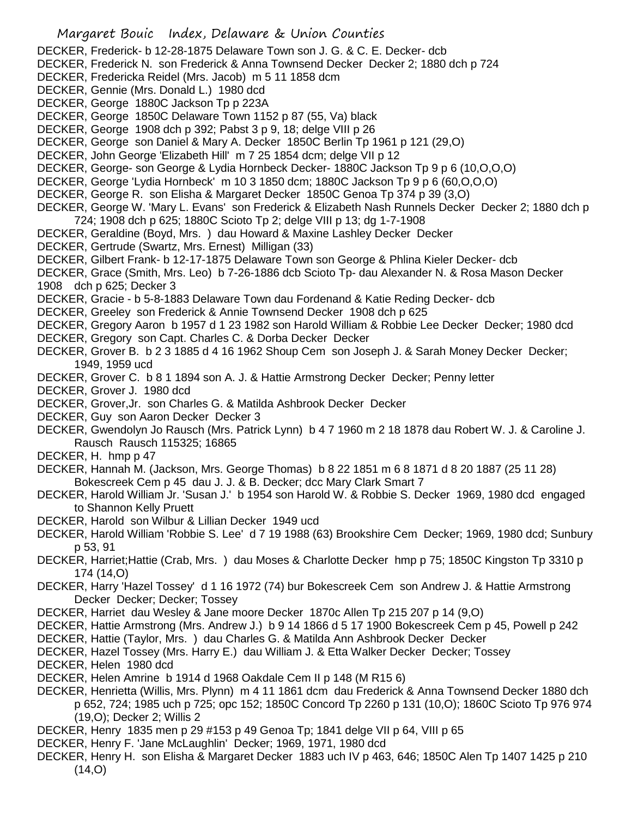- Margaret Bouic Index, Delaware & Union Counties DECKER, Frederick- b 12-28-1875 Delaware Town son J. G. & C. E. Decker- dcb DECKER, Frederick N. son Frederick & Anna Townsend Decker Decker 2; 1880 dch p 724 DECKER, Fredericka Reidel (Mrs. Jacob) m 5 11 1858 dcm DECKER, Gennie (Mrs. Donald L.) 1980 dcd DECKER, George 1880C Jackson Tp p 223A DECKER, George 1850C Delaware Town 1152 p 87 (55, Va) black DECKER, George 1908 dch p 392; Pabst 3 p 9, 18; delge VIII p 26 DECKER, George son Daniel & Mary A. Decker 1850C Berlin Tp 1961 p 121 (29,O) DECKER, John George 'Elizabeth Hill' m 7 25 1854 dcm; delge VII p 12 DECKER, George- son George & Lydia Hornbeck Decker- 1880C Jackson Tp 9 p 6 (10,O,O,O) DECKER, George 'Lydia Hornbeck' m 10 3 1850 dcm; 1880C Jackson Tp 9 p 6 (60,O,O,O) DECKER, George R. son Elisha & Margaret Decker 1850C Genoa Tp 374 p 39 (3,O) DECKER, George W. 'Mary L. Evans' son Frederick & Elizabeth Nash Runnels Decker Decker 2; 1880 dch p 724; 1908 dch p 625; 1880C Scioto Tp 2; delge VIII p 13; dg 1-7-1908 DECKER, Geraldine (Boyd, Mrs. ) dau Howard & Maxine Lashley Decker Decker DECKER, Gertrude (Swartz, Mrs. Ernest) Milligan (33) DECKER, Gilbert Frank- b 12-17-1875 Delaware Town son George & Phlina Kieler Decker- dcb DECKER, Grace (Smith, Mrs. Leo) b 7-26-1886 dcb Scioto Tp- dau Alexander N. & Rosa Mason Decker 1908 dch p 625; Decker 3 DECKER, Gracie - b 5-8-1883 Delaware Town dau Fordenand & Katie Reding Decker- dcb DECKER, Greeley son Frederick & Annie Townsend Decker 1908 dch p 625 DECKER, Gregory Aaron b 1957 d 1 23 1982 son Harold William & Robbie Lee Decker Decker; 1980 dcd DECKER, Gregory son Capt. Charles C. & Dorba Decker Decker DECKER, Grover B. b 2 3 1885 d 4 16 1962 Shoup Cem son Joseph J. & Sarah Money Decker Decker; 1949, 1959 ucd DECKER, Grover C. b 8 1 1894 son A. J. & Hattie Armstrong Decker Decker; Penny letter DECKER, Grover J. 1980 dcd DECKER, Grover,Jr. son Charles G. & Matilda Ashbrook Decker Decker DECKER, Guy son Aaron Decker Decker 3 DECKER, Gwendolyn Jo Rausch (Mrs. Patrick Lynn) b 4 7 1960 m 2 18 1878 dau Robert W. J. & Caroline J. Rausch Rausch 115325; 16865 DECKER, H. hmp p 47 DECKER, Hannah M. (Jackson, Mrs. George Thomas) b 8 22 1851 m 6 8 1871 d 8 20 1887 (25 11 28) Bokescreek Cem p 45 dau J. J. & B. Decker; dcc Mary Clark Smart 7 DECKER, Harold William Jr. 'Susan J.' b 1954 son Harold W. & Robbie S. Decker 1969, 1980 dcd engaged to Shannon Kelly Pruett DECKER, Harold son Wilbur & Lillian Decker 1949 ucd DECKER, Harold William 'Robbie S. Lee' d 7 19 1988 (63) Brookshire Cem Decker; 1969, 1980 dcd; Sunbury p 53, 91 DECKER, Harriet;Hattie (Crab, Mrs. ) dau Moses & Charlotte Decker hmp p 75; 1850C Kingston Tp 3310 p 174 (14,O) DECKER, Harry 'Hazel Tossey' d 1 16 1972 (74) bur Bokescreek Cem son Andrew J. & Hattie Armstrong Decker Decker; Decker; Tossey DECKER, Harriet dau Wesley & Jane moore Decker 1870c Allen Tp 215 207 p 14 (9,O) DECKER, Hattie Armstrong (Mrs. Andrew J.) b 9 14 1866 d 5 17 1900 Bokescreek Cem p 45, Powell p 242 DECKER, Hattie (Taylor, Mrs. ) dau Charles G. & Matilda Ann Ashbrook Decker Decker DECKER, Hazel Tossey (Mrs. Harry E.) dau William J. & Etta Walker Decker Decker; Tossey DECKER, Helen 1980 dcd DECKER, Helen Amrine b 1914 d 1968 Oakdale Cem II p 148 (M R15 6) DECKER, Henrietta (Willis, Mrs. Plynn) m 4 11 1861 dcm dau Frederick & Anna Townsend Decker 1880 dch p 652, 724; 1985 uch p 725; opc 152; 1850C Concord Tp 2260 p 131 (10,O); 1860C Scioto Tp 976 974 (19,O); Decker 2; Willis 2 DECKER, Henry 1835 men p 29 #153 p 49 Genoa Tp; 1841 delge VII p 64, VIII p 65
- DECKER, Henry F. 'Jane McLaughlin' Decker; 1969, 1971, 1980 dcd
- DECKER, Henry H. son Elisha & Margaret Decker 1883 uch IV p 463, 646; 1850C Alen Tp 1407 1425 p 210  $(14, 0)$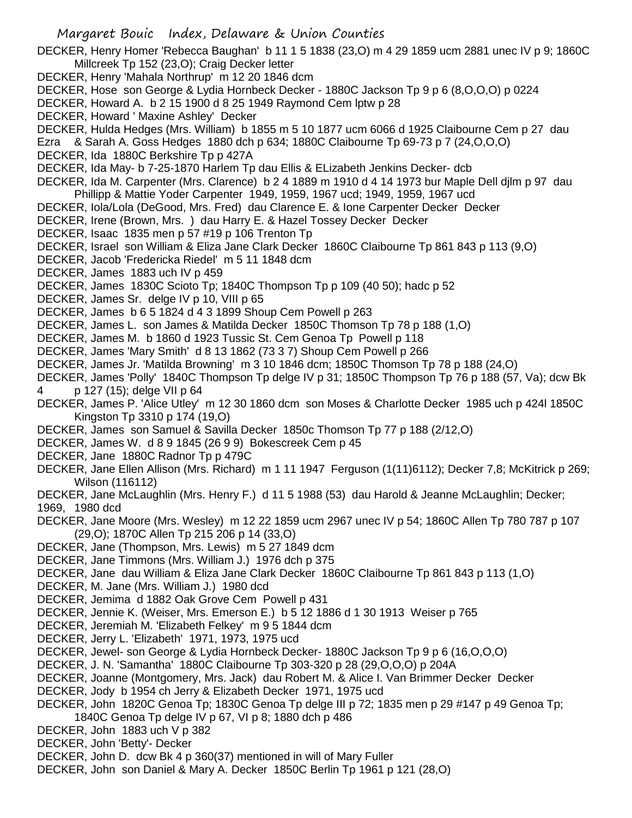DECKER, Henry Homer 'Rebecca Baughan' b 11 1 5 1838 (23,O) m 4 29 1859 ucm 2881 unec IV p 9; 1860C Millcreek Tp 152 (23,O); Craig Decker letter

- DECKER, Henry 'Mahala Northrup' m 12 20 1846 dcm
- DECKER, Hose son George & Lydia Hornbeck Decker 1880C Jackson Tp 9 p 6 (8,O,O,O) p 0224
- DECKER, Howard A. b 2 15 1900 d 8 25 1949 Raymond Cem lptw p 28
- DECKER, Howard ' Maxine Ashley' Decker
- DECKER, Hulda Hedges (Mrs. William) b 1855 m 5 10 1877 ucm 6066 d 1925 Claibourne Cem p 27 dau
- Ezra & Sarah A. Goss Hedges 1880 dch p 634; 1880C Claibourne Tp 69-73 p 7 (24,O,O,O)
- DECKER, Ida 1880C Berkshire Tp p 427A
- DECKER, Ida May- b 7-25-1870 Harlem Tp dau Ellis & ELizabeth Jenkins Decker- dcb
- DECKER, Ida M. Carpenter (Mrs. Clarence) b 2 4 1889 m 1910 d 4 14 1973 bur Maple Dell djlm p 97 dau Phillipp & Mattie Yoder Carpenter 1949, 1959, 1967 ucd; 1949, 1959, 1967 ucd
- DECKER, Iola/Lola (DeGood, Mrs. Fred) dau Clarence E. & Ione Carpenter Decker Decker
- DECKER, Irene (Brown, Mrs. ) dau Harry E. & Hazel Tossey Decker Decker
- DECKER, Isaac 1835 men p 57 #19 p 106 Trenton Tp
- DECKER, Israel son William & Eliza Jane Clark Decker 1860C Claibourne Tp 861 843 p 113 (9,O)
- DECKER, Jacob 'Fredericka Riedel' m 5 11 1848 dcm
- DECKER, James 1883 uch IV p 459
- DECKER, James 1830C Scioto Tp; 1840C Thompson Tp p 109 (40 50); hadc p 52
- DECKER, James Sr. delge IV p 10, VIII p 65
- DECKER, James b 6 5 1824 d 4 3 1899 Shoup Cem Powell p 263
- DECKER, James L. son James & Matilda Decker 1850C Thomson Tp 78 p 188 (1,O)
- DECKER, James M. b 1860 d 1923 Tussic St. Cem Genoa Tp Powell p 118
- DECKER, James 'Mary Smith' d 8 13 1862 (73 3 7) Shoup Cem Powell p 266
- DECKER, James Jr. 'Matilda Browning' m 3 10 1846 dcm; 1850C Thomson Tp 78 p 188 (24,O)
- DECKER, James 'Polly' 1840C Thompson Tp delge IV p 31; 1850C Thompson Tp 76 p 188 (57, Va); dcw Bk 4 p 127 (15); delge VII p 64
- DECKER, James P. 'Alice Utley' m 12 30 1860 dcm son Moses & Charlotte Decker 1985 uch p 424l 1850C Kingston Tp 3310 p 174 (19,O)
- DECKER, James son Samuel & Savilla Decker 1850c Thomson Tp 77 p 188 (2/12,O)
- DECKER, James W. d 8 9 1845 (26 9 9) Bokescreek Cem p 45
- DECKER, Jane 1880C Radnor Tp p 479C
- DECKER, Jane Ellen Allison (Mrs. Richard) m 1 11 1947 Ferguson (1(11)6112); Decker 7,8; McKitrick p 269; Wilson (116112)
- DECKER, Jane McLaughlin (Mrs. Henry F.) d 11 5 1988 (53) dau Harold & Jeanne McLaughlin; Decker; 1969, 1980 dcd
- DECKER, Jane Moore (Mrs. Wesley) m 12 22 1859 ucm 2967 unec IV p 54; 1860C Allen Tp 780 787 p 107 (29,O); 1870C Allen Tp 215 206 p 14 (33,O)
- DECKER, Jane (Thompson, Mrs. Lewis) m 5 27 1849 dcm
- DECKER, Jane Timmons (Mrs. William J.) 1976 dch p 375
- DECKER, Jane dau William & Eliza Jane Clark Decker 1860C Claibourne Tp 861 843 p 113 (1,O)
- DECKER, M. Jane (Mrs. William J.) 1980 dcd
- DECKER, Jemima d 1882 Oak Grove Cem Powell p 431
- DECKER, Jennie K. (Weiser, Mrs. Emerson E.) b 5 12 1886 d 1 30 1913 Weiser p 765
- DECKER, Jeremiah M. 'Elizabeth Felkey' m 9 5 1844 dcm
- DECKER, Jerry L. 'Elizabeth' 1971, 1973, 1975 ucd
- DECKER, Jewel- son George & Lydia Hornbeck Decker- 1880C Jackson Tp 9 p 6 (16,O,O,O)
- DECKER, J. N. 'Samantha' 1880C Claibourne Tp 303-320 p 28 (29,O,O,O) p 204A
- DECKER, Joanne (Montgomery, Mrs. Jack) dau Robert M. & Alice I. Van Brimmer Decker Decker
- DECKER, Jody b 1954 ch Jerry & Elizabeth Decker 1971, 1975 ucd
- DECKER, John 1820C Genoa Tp; 1830C Genoa Tp delge III p 72; 1835 men p 29 #147 p 49 Genoa Tp; 1840C Genoa Tp delge IV p 67, VI p 8; 1880 dch p 486
- DECKER, John 1883 uch V p 382
- DECKER, John 'Betty'- Decker
- DECKER, John D. dcw Bk 4 p 360(37) mentioned in will of Mary Fuller
- DECKER, John son Daniel & Mary A. Decker 1850C Berlin Tp 1961 p 121 (28,O)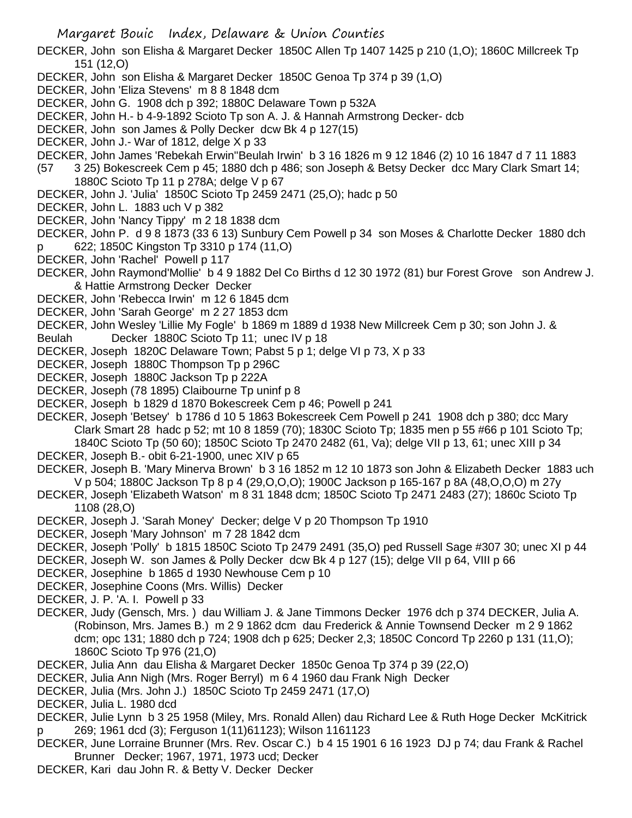DECKER, John son Elisha & Margaret Decker 1850C Allen Tp 1407 1425 p 210 (1,O); 1860C Millcreek Tp 151 (12,O)

- DECKER, John son Elisha & Margaret Decker 1850C Genoa Tp 374 p 39 (1,O)
- DECKER, John 'Eliza Stevens' m 8 8 1848 dcm
- DECKER, John G. 1908 dch p 392; 1880C Delaware Town p 532A
- DECKER, John H.- b 4-9-1892 Scioto Tp son A. J. & Hannah Armstrong Decker- dcb
- DECKER, John son James & Polly Decker dcw Bk 4 p 127(15)
- DECKER, John J.- War of 1812, delge X p 33
- DECKER, John James 'Rebekah Erwin''Beulah Irwin' b 3 16 1826 m 9 12 1846 (2) 10 16 1847 d 7 11 1883
- (57 3 25) Bokescreek Cem p 45; 1880 dch p 486; son Joseph & Betsy Decker dcc Mary Clark Smart 14; 1880C Scioto Tp 11 p 278A; delge V p 67
- DECKER, John J. 'Julia' 1850C Scioto Tp 2459 2471 (25,O); hadc p 50
- DECKER, John L. 1883 uch V p 382
- DECKER, John 'Nancy Tippy' m 2 18 1838 dcm
- DECKER, John P. d 9 8 1873 (33 6 13) Sunbury Cem Powell p 34 son Moses & Charlotte Decker 1880 dch p 622; 1850C Kingston Tp 3310 p 174 (11,O)
- DECKER, John 'Rachel' Powell p 117
- DECKER, John Raymond'Mollie' b 4 9 1882 Del Co Births d 12 30 1972 (81) bur Forest Grove son Andrew J. & Hattie Armstrong Decker Decker
- DECKER, John 'Rebecca Irwin' m 12 6 1845 dcm
- DECKER, John 'Sarah George' m 2 27 1853 dcm
- DECKER, John Wesley 'Lillie My Fogle' b 1869 m 1889 d 1938 New Millcreek Cem p 30; son John J. &
- Beulah Decker 1880C Scioto Tp 11; unec IV p 18
- DECKER, Joseph 1820C Delaware Town; Pabst 5 p 1; delge VI p 73, X p 33
- DECKER, Joseph 1880C Thompson Tp p 296C
- DECKER, Joseph 1880C Jackson Tp p 222A
- DECKER, Joseph (78 1895) Claibourne Tp uninf p 8
- DECKER, Joseph b 1829 d 1870 Bokescreek Cem p 46; Powell p 241
- DECKER, Joseph 'Betsey' b 1786 d 10 5 1863 Bokescreek Cem Powell p 241 1908 dch p 380; dcc Mary Clark Smart 28 hadc p 52; mt 10 8 1859 (70); 1830C Scioto Tp; 1835 men p 55 #66 p 101 Scioto Tp; 1840C Scioto Tp (50 60); 1850C Scioto Tp 2470 2482 (61, Va); delge VII p 13, 61; unec XIII p 34
- DECKER, Joseph B.- obit 6-21-1900, unec XIV p 65
- DECKER, Joseph B. 'Mary Minerva Brown' b 3 16 1852 m 12 10 1873 son John & Elizabeth Decker 1883 uch V p 504; 1880C Jackson Tp 8 p 4 (29,O,O,O); 1900C Jackson p 165-167 p 8A (48,O,O,O) m 27y
- DECKER, Joseph 'Elizabeth Watson' m 8 31 1848 dcm; 1850C Scioto Tp 2471 2483 (27); 1860c Scioto Tp 1108 (28,O)
- DECKER, Joseph J. 'Sarah Money' Decker; delge V p 20 Thompson Tp 1910
- DECKER, Joseph 'Mary Johnson' m 7 28 1842 dcm
- DECKER, Joseph 'Polly' b 1815 1850C Scioto Tp 2479 2491 (35,O) ped Russell Sage #307 30; unec XI p 44
- DECKER, Joseph W. son James & Polly Decker dcw Bk 4 p 127 (15); delge VII p 64, VIII p 66
- DECKER, Josephine b 1865 d 1930 Newhouse Cem p 10
- DECKER, Josephine Coons (Mrs. Willis) Decker
- DECKER, J. P. 'A. I. Powell p 33
- DECKER, Judy (Gensch, Mrs. ) dau William J. & Jane Timmons Decker 1976 dch p 374 DECKER, Julia A. (Robinson, Mrs. James B.) m 2 9 1862 dcm dau Frederick & Annie Townsend Decker m 2 9 1862 dcm; opc 131; 1880 dch p 724; 1908 dch p 625; Decker 2,3; 1850C Concord Tp 2260 p 131 (11,O); 1860C Scioto Tp 976 (21,O)
- DECKER, Julia Ann dau Elisha & Margaret Decker 1850c Genoa Tp 374 p 39 (22,O)
- DECKER, Julia Ann Nigh (Mrs. Roger Berryl) m 6 4 1960 dau Frank Nigh Decker
- DECKER, Julia (Mrs. John J.) 1850C Scioto Tp 2459 2471 (17,O)
- DECKER, Julia L. 1980 dcd
- DECKER, Julie Lynn b 3 25 1958 (Miley, Mrs. Ronald Allen) dau Richard Lee & Ruth Hoge Decker McKitrick p 269; 1961 dcd (3); Ferguson 1(11)61123); Wilson 1161123
- DECKER, June Lorraine Brunner (Mrs. Rev. Oscar C.) b 4 15 1901 6 16 1923 DJ p 74; dau Frank & Rachel Brunner Decker; 1967, 1971, 1973 ucd; Decker
- DECKER, Kari dau John R. & Betty V. Decker Decker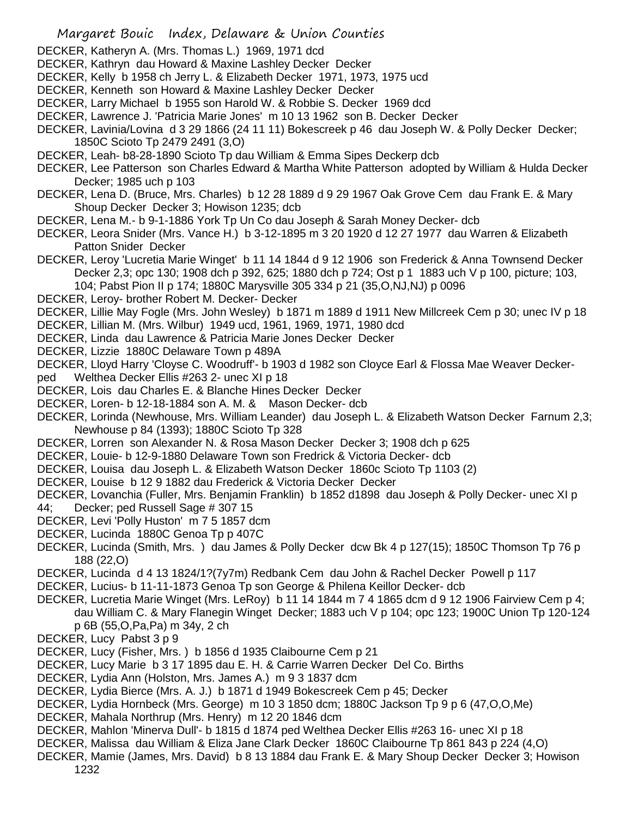- DECKER, Katheryn A. (Mrs. Thomas L.) 1969, 1971 dcd
- DECKER, Kathryn dau Howard & Maxine Lashley Decker Decker
- DECKER, Kelly b 1958 ch Jerry L. & Elizabeth Decker 1971, 1973, 1975 ucd
- DECKER, Kenneth son Howard & Maxine Lashley Decker Decker
- DECKER, Larry Michael b 1955 son Harold W. & Robbie S. Decker 1969 dcd
- DECKER, Lawrence J. 'Patricia Marie Jones' m 10 13 1962 son B. Decker Decker
- DECKER, Lavinia/Lovina d 3 29 1866 (24 11 11) Bokescreek p 46 dau Joseph W. & Polly Decker Decker; 1850C Scioto Tp 2479 2491 (3,O)
- DECKER, Leah- b8-28-1890 Scioto Tp dau William & Emma Sipes Deckerp dcb
- DECKER, Lee Patterson son Charles Edward & Martha White Patterson adopted by William & Hulda Decker Decker; 1985 uch p 103
- DECKER, Lena D. (Bruce, Mrs. Charles) b 12 28 1889 d 9 29 1967 Oak Grove Cem dau Frank E. & Mary Shoup Decker Decker 3; Howison 1235; dcb
- DECKER, Lena M.- b 9-1-1886 York Tp Un Co dau Joseph & Sarah Money Decker- dcb
- DECKER, Leora Snider (Mrs. Vance H.) b 3-12-1895 m 3 20 1920 d 12 27 1977 dau Warren & Elizabeth Patton Snider Decker
- DECKER, Leroy 'Lucretia Marie Winget' b 11 14 1844 d 9 12 1906 son Frederick & Anna Townsend Decker Decker 2,3; opc 130; 1908 dch p 392, 625; 1880 dch p 724; Ost p 1 1883 uch V p 100, picture; 103, 104; Pabst Pion II p 174; 1880C Marysville 305 334 p 21 (35,O,NJ,NJ) p 0096
- DECKER, Leroy- brother Robert M. Decker- Decker
- DECKER, Lillie May Fogle (Mrs. John Wesley) b 1871 m 1889 d 1911 New Millcreek Cem p 30; unec IV p 18
- DECKER, Lillian M. (Mrs. Wilbur) 1949 ucd, 1961, 1969, 1971, 1980 dcd
- DECKER, Linda dau Lawrence & Patricia Marie Jones Decker Decker
- DECKER, Lizzie 1880C Delaware Town p 489A
- DECKER, Lloyd Harry 'Cloyse C. Woodruff'- b 1903 d 1982 son Cloyce Earl & Flossa Mae Weaver Decker-
- ped Welthea Decker Ellis #263 2- unec XI p 18
- DECKER, Lois dau Charles E. & Blanche Hines Decker Decker
- DECKER, Loren- b 12-18-1884 son A. M. & Mason Decker- dcb
- DECKER, Lorinda (Newhouse, Mrs. William Leander) dau Joseph L. & Elizabeth Watson Decker Farnum 2,3; Newhouse p 84 (1393); 1880C Scioto Tp 328
- DECKER, Lorren son Alexander N. & Rosa Mason Decker Decker 3; 1908 dch p 625
- DECKER, Louie- b 12-9-1880 Delaware Town son Fredrick & Victoria Decker- dcb
- DECKER, Louisa dau Joseph L. & Elizabeth Watson Decker 1860c Scioto Tp 1103 (2)
- DECKER, Louise b 12 9 1882 dau Frederick & Victoria Decker Decker
- DECKER, Lovanchia (Fuller, Mrs. Benjamin Franklin) b 1852 d1898 dau Joseph & Polly Decker- unec XI p 44; Decker; ped Russell Sage # 307 15
- DECKER, Levi 'Polly Huston' m 7 5 1857 dcm
- DECKER, Lucinda 1880C Genoa Tp p 407C
- DECKER, Lucinda (Smith, Mrs. ) dau James & Polly Decker dcw Bk 4 p 127(15); 1850C Thomson Tp 76 p 188 (22,O)
- DECKER, Lucinda d 4 13 1824/1?(7y7m) Redbank Cem dau John & Rachel Decker Powell p 117
- DECKER, Lucius- b 11-11-1873 Genoa Tp son George & Philena Keillor Decker- dcb
- DECKER, Lucretia Marie Winget (Mrs. LeRoy) b 11 14 1844 m 7 4 1865 dcm d 9 12 1906 Fairview Cem p 4; dau William C. & Mary Flanegin Winget Decker; 1883 uch V p 104; opc 123; 1900C Union Tp 120-124 p 6B (55,O,Pa,Pa) m 34y, 2 ch
- DECKER, Lucy Pabst 3 p 9
- DECKER, Lucy (Fisher, Mrs. ) b 1856 d 1935 Claibourne Cem p 21
- DECKER, Lucy Marie b 3 17 1895 dau E. H. & Carrie Warren Decker Del Co. Births
- DECKER, Lydia Ann (Holston, Mrs. James A.) m 9 3 1837 dcm
- DECKER, Lydia Bierce (Mrs. A. J.) b 1871 d 1949 Bokescreek Cem p 45; Decker
- DECKER, Lydia Hornbeck (Mrs. George) m 10 3 1850 dcm; 1880C Jackson Tp 9 p 6 (47,O,O,Me)
- DECKER, Mahala Northrup (Mrs. Henry) m 12 20 1846 dcm
- DECKER, Mahlon 'Minerva Dull'- b 1815 d 1874 ped Welthea Decker Ellis #263 16- unec XI p 18
- DECKER, Malissa dau William & Eliza Jane Clark Decker 1860C Claibourne Tp 861 843 p 224 (4,O)
- DECKER, Mamie (James, Mrs. David) b 8 13 1884 dau Frank E. & Mary Shoup Decker Decker 3; Howison 1232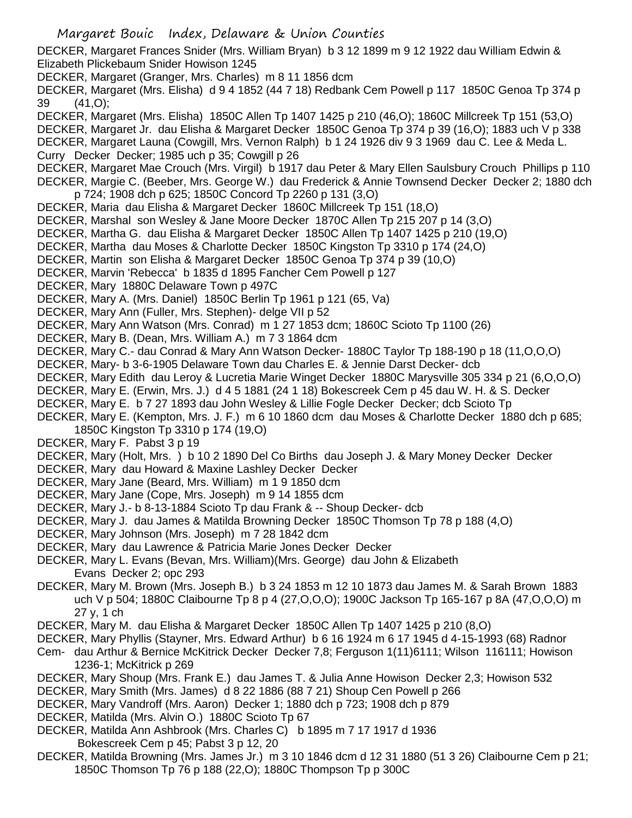DECKER, Margaret Frances Snider (Mrs. William Bryan) b 3 12 1899 m 9 12 1922 dau William Edwin & Elizabeth Plickebaum Snider Howison 1245

DECKER, Margaret (Granger, Mrs. Charles) m 8 11 1856 dcm

DECKER, Margaret (Mrs. Elisha) d 9 4 1852 (44 7 18) Redbank Cem Powell p 117 1850C Genoa Tp 374 p 39 (41,O);

DECKER, Margaret (Mrs. Elisha) 1850C Allen Tp 1407 1425 p 210 (46,O); 1860C Millcreek Tp 151 (53,O) DECKER, Margaret Jr. dau Elisha & Margaret Decker 1850C Genoa Tp 374 p 39 (16,O); 1883 uch V p 338 DECKER, Margaret Launa (Cowgill, Mrs. Vernon Ralph) b 1 24 1926 div 9 3 1969 dau C. Lee & Meda L. Curry Decker Decker; 1985 uch p 35; Cowgill p 26

DECKER, Margaret Mae Crouch (Mrs. Virgil) b 1917 dau Peter & Mary Ellen Saulsbury Crouch Phillips p 110 DECKER, Margie C. (Beeber, Mrs. George W.) dau Frederick & Annie Townsend Decker Decker 2; 1880 dch p 724; 1908 dch p 625; 1850C Concord Tp 2260 p 131 (3,O)

- DECKER, Maria dau Elisha & Margaret Decker 1860C Millcreek Tp 151 (18,O)
- DECKER, Marshal son Wesley & Jane Moore Decker 1870C Allen Tp 215 207 p 14 (3,O)
- DECKER, Martha G. dau Elisha & Margaret Decker 1850C Allen Tp 1407 1425 p 210 (19,O)
- DECKER, Martha dau Moses & Charlotte Decker 1850C Kingston Tp 3310 p 174 (24,O)
- DECKER, Martin son Elisha & Margaret Decker 1850C Genoa Tp 374 p 39 (10,O)
- DECKER, Marvin 'Rebecca' b 1835 d 1895 Fancher Cem Powell p 127
- DECKER, Mary 1880C Delaware Town p 497C
- DECKER, Mary A. (Mrs. Daniel) 1850C Berlin Tp 1961 p 121 (65, Va)
- DECKER, Mary Ann (Fuller, Mrs. Stephen)- delge VII p 52
- DECKER, Mary Ann Watson (Mrs. Conrad) m 1 27 1853 dcm; 1860C Scioto Tp 1100 (26)
- DECKER, Mary B. (Dean, Mrs. William A.) m 7 3 1864 dcm
- DECKER, Mary C.- dau Conrad & Mary Ann Watson Decker- 1880C Taylor Tp 188-190 p 18 (11,O,O,O)
- DECKER, Mary- b 3-6-1905 Delaware Town dau Charles E. & Jennie Darst Decker- dcb
- DECKER, Mary Edith dau Leroy & Lucretia Marie Winget Decker 1880C Marysville 305 334 p 21 (6,O,O,O)
- DECKER, Mary E. (Erwin, Mrs. J.) d 4 5 1881 (24 1 18) Bokescreek Cem p 45 dau W. H. & S. Decker
- DECKER, Mary E. b 7 27 1893 dau John Wesley & Lillie Fogle Decker Decker; dcb Scioto Tp
- DECKER, Mary E. (Kempton, Mrs. J. F.) m 6 10 1860 dcm dau Moses & Charlotte Decker 1880 dch p 685; 1850C Kingston Tp 3310 p 174 (19,O)
- DECKER, Mary F. Pabst 3 p 19
- DECKER, Mary (Holt, Mrs. ) b 10 2 1890 Del Co Births dau Joseph J. & Mary Money Decker Decker
- DECKER, Mary dau Howard & Maxine Lashley Decker Decker
- DECKER, Mary Jane (Beard, Mrs. William) m 1 9 1850 dcm
- DECKER, Mary Jane (Cope, Mrs. Joseph) m 9 14 1855 dcm
- DECKER, Mary J.- b 8-13-1884 Scioto Tp dau Frank & -- Shoup Decker- dcb
- DECKER, Mary J. dau James & Matilda Browning Decker 1850C Thomson Tp 78 p 188 (4,O)
- DECKER, Mary Johnson (Mrs. Joseph) m 7 28 1842 dcm
- DECKER, Mary dau Lawrence & Patricia Marie Jones Decker Decker
- DECKER, Mary L. Evans (Bevan, Mrs. William)(Mrs. George) dau John & Elizabeth Evans Decker 2; opc 293
- DECKER, Mary M. Brown (Mrs. Joseph B.) b 3 24 1853 m 12 10 1873 dau James M. & Sarah Brown 1883 uch V p 504; 1880C Claibourne Tp 8 p 4 (27,O,O,O); 1900C Jackson Tp 165-167 p 8A (47,O,O,O) m 27 y, 1 ch
- DECKER, Mary M. dau Elisha & Margaret Decker 1850C Allen Tp 1407 1425 p 210 (8,O)
- DECKER, Mary Phyllis (Stayner, Mrs. Edward Arthur) b 6 16 1924 m 6 17 1945 d 4-15-1993 (68) Radnor
- Cem- dau Arthur & Bernice McKitrick Decker Decker 7,8; Ferguson 1(11)6111; Wilson 116111; Howison 1236-1; McKitrick p 269
- DECKER, Mary Shoup (Mrs. Frank E.) dau James T. & Julia Anne Howison Decker 2,3; Howison 532
- DECKER, Mary Smith (Mrs. James) d 8 22 1886 (88 7 21) Shoup Cen Powell p 266
- DECKER, Mary Vandroff (Mrs. Aaron) Decker 1; 1880 dch p 723; 1908 dch p 879
- DECKER, Matilda (Mrs. Alvin O.) 1880C Scioto Tp 67
- DECKER, Matilda Ann Ashbrook (Mrs. Charles C) b 1895 m 7 17 1917 d 1936
- Bokescreek Cem p 45; Pabst 3 p 12, 20
- DECKER, Matilda Browning (Mrs. James Jr.) m 3 10 1846 dcm d 12 31 1880 (51 3 26) Claibourne Cem p 21; 1850C Thomson Tp 76 p 188 (22,O); 1880C Thompson Tp p 300C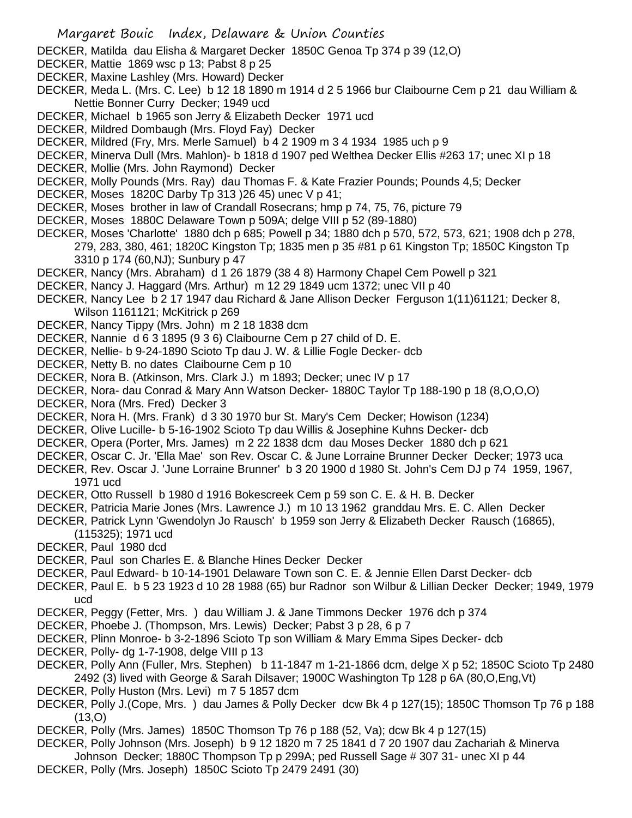DECKER, Matilda dau Elisha & Margaret Decker 1850C Genoa Tp 374 p 39 (12,O)

- DECKER, Mattie 1869 wsc p 13; Pabst 8 p 25
- DECKER, Maxine Lashley (Mrs. Howard) Decker
- DECKER, Meda L. (Mrs. C. Lee) b 12 18 1890 m 1914 d 2 5 1966 bur Claibourne Cem p 21 dau William & Nettie Bonner Curry Decker; 1949 ucd
- DECKER, Michael b 1965 son Jerry & Elizabeth Decker 1971 ucd
- DECKER, Mildred Dombaugh (Mrs. Floyd Fay) Decker
- DECKER, Mildred (Fry, Mrs. Merle Samuel) b 4 2 1909 m 3 4 1934 1985 uch p 9
- DECKER, Minerva Dull (Mrs. Mahlon)- b 1818 d 1907 ped Welthea Decker Ellis #263 17; unec XI p 18
- DECKER, Mollie (Mrs. John Raymond) Decker
- DECKER, Molly Pounds (Mrs. Ray) dau Thomas F. & Kate Frazier Pounds; Pounds 4,5; Decker
- DECKER, Moses 1820C Darby Tp 313 )26 45) unec V p 41;
- DECKER, Moses brother in law of Crandall Rosecrans; hmp p 74, 75, 76, picture 79
- DECKER, Moses 1880C Delaware Town p 509A; delge VIII p 52 (89-1880)
- DECKER, Moses 'Charlotte' 1880 dch p 685; Powell p 34; 1880 dch p 570, 572, 573, 621; 1908 dch p 278, 279, 283, 380, 461; 1820C Kingston Tp; 1835 men p 35 #81 p 61 Kingston Tp; 1850C Kingston Tp 3310 p 174 (60,NJ); Sunbury p 47
- DECKER, Nancy (Mrs. Abraham) d 1 26 1879 (38 4 8) Harmony Chapel Cem Powell p 321
- DECKER, Nancy J. Haggard (Mrs. Arthur) m 12 29 1849 ucm 1372; unec VII p 40
- DECKER, Nancy Lee b 2 17 1947 dau Richard & Jane Allison Decker Ferguson 1(11)61121; Decker 8, Wilson 1161121; McKitrick p 269
- DECKER, Nancy Tippy (Mrs. John) m 2 18 1838 dcm
- DECKER, Nannie d 6 3 1895 (9 3 6) Claibourne Cem p 27 child of D. E.
- DECKER, Nellie- b 9-24-1890 Scioto Tp dau J. W. & Lillie Fogle Decker- dcb
- DECKER, Netty B. no dates Claibourne Cem p 10
- DECKER, Nora B. (Atkinson, Mrs. Clark J.) m 1893; Decker; unec IV p 17
- DECKER, Nora- dau Conrad & Mary Ann Watson Decker- 1880C Taylor Tp 188-190 p 18 (8,O,O,O)
- DECKER, Nora (Mrs. Fred) Decker 3
- DECKER, Nora H. (Mrs. Frank) d 3 30 1970 bur St. Mary's Cem Decker; Howison (1234)
- DECKER, Olive Lucille- b 5-16-1902 Scioto Tp dau Willis & Josephine Kuhns Decker- dcb
- DECKER, Opera (Porter, Mrs. James) m 2 22 1838 dcm dau Moses Decker 1880 dch p 621
- DECKER, Oscar C. Jr. 'Ella Mae' son Rev. Oscar C. & June Lorraine Brunner Decker Decker; 1973 uca
- DECKER, Rev. Oscar J. 'June Lorraine Brunner' b 3 20 1900 d 1980 St. John's Cem DJ p 74 1959, 1967, 1971 ucd
- DECKER, Otto Russell b 1980 d 1916 Bokescreek Cem p 59 son C. E. & H. B. Decker
- DECKER, Patricia Marie Jones (Mrs. Lawrence J.) m 10 13 1962 granddau Mrs. E. C. Allen Decker
- DECKER, Patrick Lynn 'Gwendolyn Jo Rausch' b 1959 son Jerry & Elizabeth Decker Rausch (16865), (115325); 1971 ucd
- DECKER, Paul 1980 dcd
- DECKER, Paul son Charles E. & Blanche Hines Decker Decker
- DECKER, Paul Edward- b 10-14-1901 Delaware Town son C. E. & Jennie Ellen Darst Decker- dcb
- DECKER, Paul E. b 5 23 1923 d 10 28 1988 (65) bur Radnor son Wilbur & Lillian Decker Decker; 1949, 1979 ucd
- DECKER, Peggy (Fetter, Mrs. ) dau William J. & Jane Timmons Decker 1976 dch p 374
- DECKER, Phoebe J. (Thompson, Mrs. Lewis) Decker; Pabst 3 p 28, 6 p 7
- DECKER, Plinn Monroe- b 3-2-1896 Scioto Tp son William & Mary Emma Sipes Decker- dcb
- DECKER, Polly- dg 1-7-1908, delge VIII p 13
- DECKER, Polly Ann (Fuller, Mrs. Stephen) b 11-1847 m 1-21-1866 dcm, delge X p 52; 1850C Scioto Tp 2480 2492 (3) lived with George & Sarah Dilsaver; 1900C Washington Tp 128 p 6A (80,O,Eng,Vt)
- DECKER, Polly Huston (Mrs. Levi) m 7 5 1857 dcm
- DECKER, Polly J.(Cope, Mrs. ) dau James & Polly Decker dcw Bk 4 p 127(15); 1850C Thomson Tp 76 p 188  $(13,0)$
- DECKER, Polly (Mrs. James) 1850C Thomson Tp 76 p 188 (52, Va); dcw Bk 4 p 127(15)
- DECKER, Polly Johnson (Mrs. Joseph) b 9 12 1820 m 7 25 1841 d 7 20 1907 dau Zachariah & Minerva
- Johnson Decker; 1880C Thompson Tp p 299A; ped Russell Sage # 307 31- unec XI p 44
- DECKER, Polly (Mrs. Joseph) 1850C Scioto Tp 2479 2491 (30)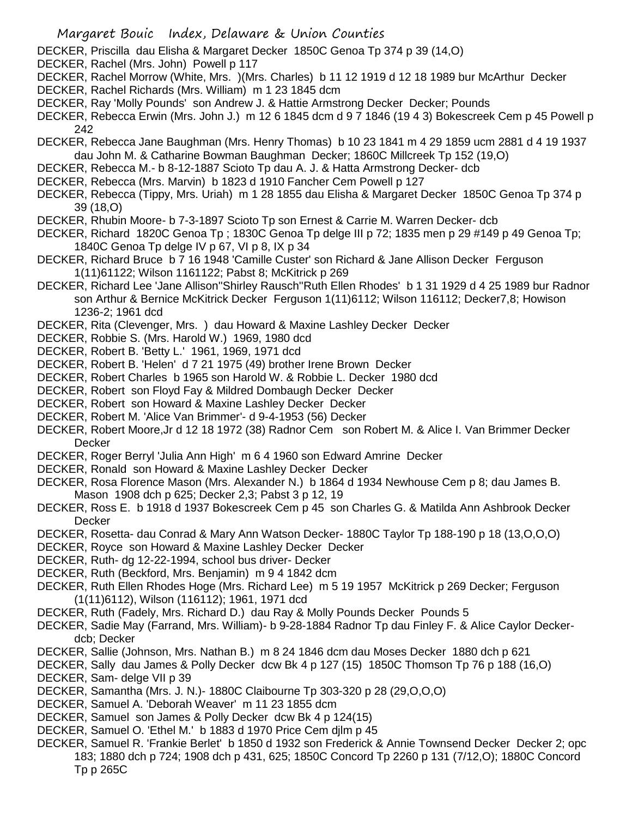- DECKER, Priscilla dau Elisha & Margaret Decker 1850C Genoa Tp 374 p 39 (14,O)
- DECKER, Rachel (Mrs. John) Powell p 117
- DECKER, Rachel Morrow (White, Mrs. )(Mrs. Charles) b 11 12 1919 d 12 18 1989 bur McArthur Decker
- DECKER, Rachel Richards (Mrs. William) m 1 23 1845 dcm
- DECKER, Ray 'Molly Pounds' son Andrew J. & Hattie Armstrong Decker Decker; Pounds
- DECKER, Rebecca Erwin (Mrs. John J.) m 12 6 1845 dcm d 9 7 1846 (19 4 3) Bokescreek Cem p 45 Powell p 242
- DECKER, Rebecca Jane Baughman (Mrs. Henry Thomas) b 10 23 1841 m 4 29 1859 ucm 2881 d 4 19 1937 dau John M. & Catharine Bowman Baughman Decker; 1860C Millcreek Tp 152 (19,O)
- DECKER, Rebecca M.- b 8-12-1887 Scioto Tp dau A. J. & Hatta Armstrong Decker- dcb
- DECKER, Rebecca (Mrs. Marvin) b 1823 d 1910 Fancher Cem Powell p 127
- DECKER, Rebecca (Tippy, Mrs. Uriah) m 1 28 1855 dau Elisha & Margaret Decker 1850C Genoa Tp 374 p 39 (18,O)
- DECKER, Rhubin Moore- b 7-3-1897 Scioto Tp son Ernest & Carrie M. Warren Decker- dcb
- DECKER, Richard 1820C Genoa Tp ; 1830C Genoa Tp delge III p 72; 1835 men p 29 #149 p 49 Genoa Tp; 1840C Genoa Tp delge IV p 67, VI p 8, IX p 34
- DECKER, Richard Bruce b 7 16 1948 'Camille Custer' son Richard & Jane Allison Decker Ferguson 1(11)61122; Wilson 1161122; Pabst 8; McKitrick p 269
- DECKER, Richard Lee 'Jane Allison''Shirley Rausch''Ruth Ellen Rhodes' b 1 31 1929 d 4 25 1989 bur Radnor son Arthur & Bernice McKitrick Decker Ferguson 1(11)6112; Wilson 116112; Decker7,8; Howison 1236-2; 1961 dcd
- DECKER, Rita (Clevenger, Mrs. ) dau Howard & Maxine Lashley Decker Decker
- DECKER, Robbie S. (Mrs. Harold W.) 1969, 1980 dcd
- DECKER, Robert B. 'Betty L.' 1961, 1969, 1971 dcd
- DECKER, Robert B. 'Helen' d 7 21 1975 (49) brother Irene Brown Decker
- DECKER, Robert Charles b 1965 son Harold W. & Robbie L. Decker 1980 dcd
- DECKER, Robert son Floyd Fay & Mildred Dombaugh Decker Decker
- DECKER, Robert son Howard & Maxine Lashley Decker Decker
- DECKER, Robert M. 'Alice Van Brimmer'- d 9-4-1953 (56) Decker
- DECKER, Robert Moore,Jr d 12 18 1972 (38) Radnor Cem son Robert M. & Alice I. Van Brimmer Decker **Decker**
- DECKER, Roger Berryl 'Julia Ann High' m 6 4 1960 son Edward Amrine Decker
- DECKER, Ronald son Howard & Maxine Lashley Decker Decker
- DECKER, Rosa Florence Mason (Mrs. Alexander N.) b 1864 d 1934 Newhouse Cem p 8; dau James B. Mason 1908 dch p 625; Decker 2,3; Pabst 3 p 12, 19
- DECKER, Ross E. b 1918 d 1937 Bokescreek Cem p 45 son Charles G. & Matilda Ann Ashbrook Decker **Decker**
- DECKER, Rosetta- dau Conrad & Mary Ann Watson Decker- 1880C Taylor Tp 188-190 p 18 (13,O,O,O)
- DECKER, Royce son Howard & Maxine Lashley Decker Decker
- DECKER, Ruth- dg 12-22-1994, school bus driver- Decker
- DECKER, Ruth (Beckford, Mrs. Benjamin) m 9 4 1842 dcm
- DECKER, Ruth Ellen Rhodes Hoge (Mrs. Richard Lee) m 5 19 1957 McKitrick p 269 Decker; Ferguson (1(11)6112), Wilson (116112); 1961, 1971 dcd
- DECKER, Ruth (Fadely, Mrs. Richard D.) dau Ray & Molly Pounds Decker Pounds 5
- DECKER, Sadie May (Farrand, Mrs. William)- b 9-28-1884 Radnor Tp dau Finley F. & Alice Caylor Deckerdcb; Decker
- DECKER, Sallie (Johnson, Mrs. Nathan B.) m 8 24 1846 dcm dau Moses Decker 1880 dch p 621
- DECKER, Sally dau James & Polly Decker dcw Bk 4 p 127 (15) 1850C Thomson Tp 76 p 188 (16,O) DECKER, Sam- delge VII p 39
- DECKER, Samantha (Mrs. J. N.)- 1880C Claibourne Tp 303-320 p 28 (29,O,O,O)
- DECKER, Samuel A. 'Deborah Weaver' m 11 23 1855 dcm
- DECKER, Samuel son James & Polly Decker dcw Bk 4 p 124(15)
- DECKER, Samuel O. 'Ethel M.' b 1883 d 1970 Price Cem djlm p 45
- DECKER, Samuel R. 'Frankie Berlet' b 1850 d 1932 son Frederick & Annie Townsend Decker Decker 2; opc 183; 1880 dch p 724; 1908 dch p 431, 625; 1850C Concord Tp 2260 p 131 (7/12,O); 1880C Concord Tp p 265C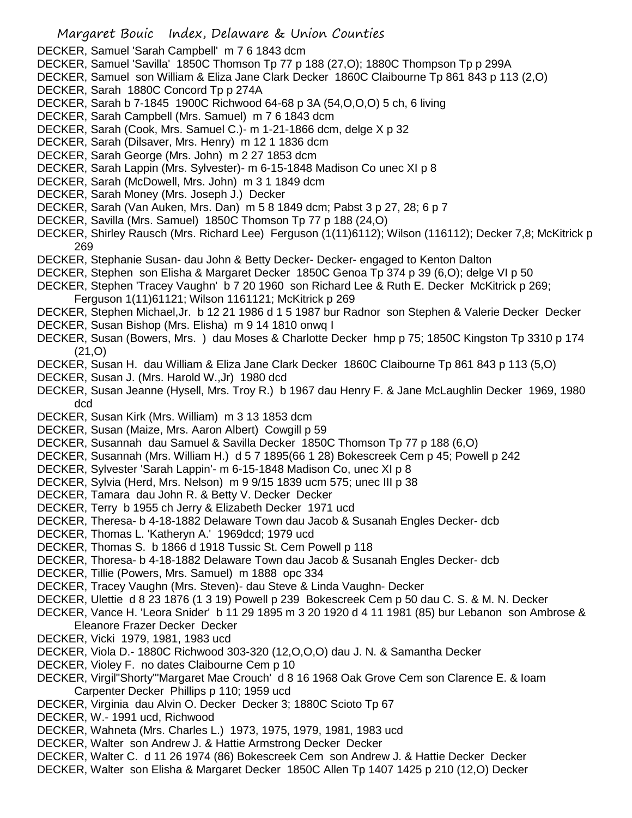DECKER, Samuel 'Sarah Campbell' m 7 6 1843 dcm

- DECKER, Samuel 'Savilla' 1850C Thomson Tp 77 p 188 (27,O); 1880C Thompson Tp p 299A
- DECKER, Samuel son William & Eliza Jane Clark Decker 1860C Claibourne Tp 861 843 p 113 (2,O)
- DECKER, Sarah 1880C Concord Tp p 274A
- DECKER, Sarah b 7-1845 1900C Richwood 64-68 p 3A (54,O,O,O) 5 ch, 6 living
- DECKER, Sarah Campbell (Mrs. Samuel) m 7 6 1843 dcm
- DECKER, Sarah (Cook, Mrs. Samuel C.)- m 1-21-1866 dcm, delge X p 32
- DECKER, Sarah (Dilsaver, Mrs. Henry) m 12 1 1836 dcm
- DECKER, Sarah George (Mrs. John) m 2 27 1853 dcm
- DECKER, Sarah Lappin (Mrs. Sylvester)- m 6-15-1848 Madison Co unec XI p 8
- DECKER, Sarah (McDowell, Mrs. John) m 3 1 1849 dcm
- DECKER, Sarah Money (Mrs. Joseph J.) Decker
- DECKER, Sarah (Van Auken, Mrs. Dan) m 5 8 1849 dcm; Pabst 3 p 27, 28; 6 p 7
- DECKER, Savilla (Mrs. Samuel) 1850C Thomson Tp 77 p 188 (24,O)
- DECKER, Shirley Rausch (Mrs. Richard Lee) Ferguson (1(11)6112); Wilson (116112); Decker 7,8; McKitrick p 269
- DECKER, Stephanie Susan- dau John & Betty Decker- Decker- engaged to Kenton Dalton
- DECKER, Stephen son Elisha & Margaret Decker 1850C Genoa Tp 374 p 39 (6,O); delge VI p 50
- DECKER, Stephen 'Tracey Vaughn' b 7 20 1960 son Richard Lee & Ruth E. Decker McKitrick p 269;
- Ferguson 1(11)61121; Wilson 1161121; McKitrick p 269
- DECKER, Stephen Michael,Jr. b 12 21 1986 d 1 5 1987 bur Radnor son Stephen & Valerie Decker Decker
- DECKER, Susan Bishop (Mrs. Elisha) m 9 14 1810 onwq I
- DECKER, Susan (Bowers, Mrs. ) dau Moses & Charlotte Decker hmp p 75; 1850C Kingston Tp 3310 p 174 (21,O)
- DECKER, Susan H. dau William & Eliza Jane Clark Decker 1860C Claibourne Tp 861 843 p 113 (5,O)
- DECKER, Susan J. (Mrs. Harold W.,Jr) 1980 dcd
- DECKER, Susan Jeanne (Hysell, Mrs. Troy R.) b 1967 dau Henry F. & Jane McLaughlin Decker 1969, 1980 dcd
- DECKER, Susan Kirk (Mrs. William) m 3 13 1853 dcm
- DECKER, Susan (Maize, Mrs. Aaron Albert) Cowgill p 59
- DECKER, Susannah dau Samuel & Savilla Decker 1850C Thomson Tp 77 p 188 (6,O)
- DECKER, Susannah (Mrs. William H.) d 5 7 1895(66 1 28) Bokescreek Cem p 45; Powell p 242
- DECKER, Sylvester 'Sarah Lappin'- m 6-15-1848 Madison Co, unec XI p 8
- DECKER, Sylvia (Herd, Mrs. Nelson) m 9 9/15 1839 ucm 575; unec III p 38
- DECKER, Tamara dau John R. & Betty V. Decker Decker
- DECKER, Terry b 1955 ch Jerry & Elizabeth Decker 1971 ucd
- DECKER, Theresa- b 4-18-1882 Delaware Town dau Jacob & Susanah Engles Decker- dcb
- DECKER, Thomas L. 'Katheryn A.' 1969dcd; 1979 ucd
- DECKER, Thomas S. b 1866 d 1918 Tussic St. Cem Powell p 118
- DECKER, Thoresa- b 4-18-1882 Delaware Town dau Jacob & Susanah Engles Decker- dcb
- DECKER, Tillie (Powers, Mrs. Samuel) m 1888 opc 334
- DECKER, Tracey Vaughn (Mrs. Steven)- dau Steve & Linda Vaughn- Decker
- DECKER, Ulettie d 8 23 1876 (1 3 19) Powell p 239 Bokescreek Cem p 50 dau C. S. & M. N. Decker
- DECKER, Vance H. 'Leora Snider' b 11 29 1895 m 3 20 1920 d 4 11 1981 (85) bur Lebanon son Ambrose & Eleanore Frazer Decker Decker
- DECKER, Vicki 1979, 1981, 1983 ucd
- DECKER, Viola D.- 1880C Richwood 303-320 (12,O,O,O) dau J. N. & Samantha Decker
- DECKER, Violey F. no dates Claibourne Cem p 10
- DECKER, Virgil"Shorty"'Margaret Mae Crouch' d 8 16 1968 Oak Grove Cem son Clarence E. & Ioam Carpenter Decker Phillips p 110; 1959 ucd
- DECKER, Virginia dau Alvin O. Decker Decker 3; 1880C Scioto Tp 67
- DECKER, W.- 1991 ucd, Richwood
- DECKER, Wahneta (Mrs. Charles L.) 1973, 1975, 1979, 1981, 1983 ucd
- DECKER, Walter son Andrew J. & Hattie Armstrong Decker Decker
- DECKER, Walter C. d 11 26 1974 (86) Bokescreek Cem son Andrew J. & Hattie Decker Decker
- DECKER, Walter son Elisha & Margaret Decker 1850C Allen Tp 1407 1425 p 210 (12,O) Decker